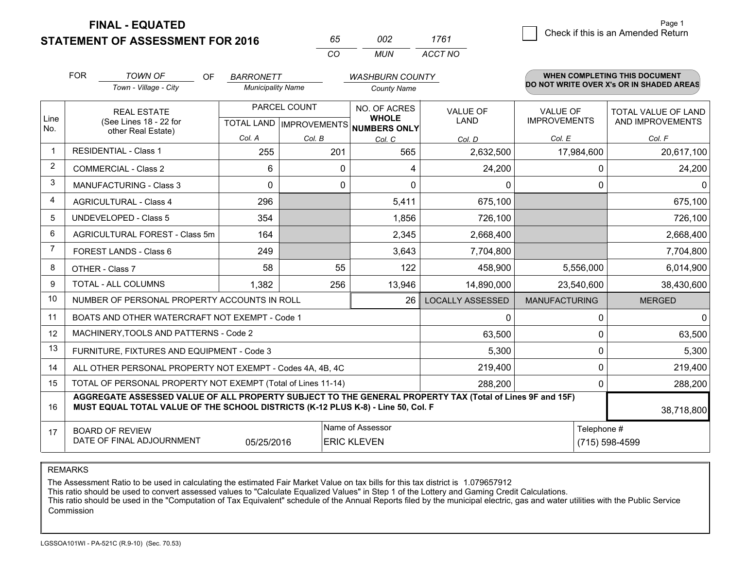**STATEMENT OF ASSESSMENT FOR 2016** 

**FINAL - EQUATED**

| 65 | nnə | 1761    |
|----|-----|---------|
| rη | MUN | ACCT NO |

|                | <b>FOR</b>                                                                                                                                                                                   | <b>TOWN OF</b><br><b>OF</b>                                  | <b>BARRONETT</b>         |                           | <b>WASHBURN COUNTY</b>       |                                |                                        | WHEN COMPLETING THIS DOCUMENT            |
|----------------|----------------------------------------------------------------------------------------------------------------------------------------------------------------------------------------------|--------------------------------------------------------------|--------------------------|---------------------------|------------------------------|--------------------------------|----------------------------------------|------------------------------------------|
|                |                                                                                                                                                                                              | Town - Village - City                                        | <b>Municipality Name</b> |                           | <b>County Name</b>           |                                |                                        | DO NOT WRITE OVER X's OR IN SHADED AREAS |
| Line           |                                                                                                                                                                                              | <b>REAL ESTATE</b><br>(See Lines 18 - 22 for                 |                          | PARCEL COUNT              | NO. OF ACRES<br><b>WHOLE</b> | <b>VALUE OF</b><br><b>LAND</b> | <b>VALUE OF</b><br><b>IMPROVEMENTS</b> | TOTAL VALUE OF LAND<br>AND IMPROVEMENTS  |
| No.            |                                                                                                                                                                                              | other Real Estate)                                           |                          | TOTAL LAND   IMPROVEMENTS | NUMBERS ONLY                 |                                |                                        |                                          |
| -1             |                                                                                                                                                                                              | RESIDENTIAL - Class 1                                        | Col. A                   | Col. B                    | Col. C                       | Col. D                         | Col. E                                 | Col. F                                   |
|                |                                                                                                                                                                                              |                                                              | 255                      | 201                       | 565                          | 2,632,500                      | 17,984,600                             | 20,617,100                               |
| 2              |                                                                                                                                                                                              | <b>COMMERCIAL - Class 2</b>                                  | 6                        | 0                         | 4                            | 24,200                         | 0                                      | 24,200                                   |
| 3              |                                                                                                                                                                                              | <b>MANUFACTURING - Class 3</b>                               | $\Omega$                 | 0                         | $\Omega$                     | 0                              | $\Omega$                               | $\mathbf{0}$                             |
| 4              |                                                                                                                                                                                              | <b>AGRICULTURAL - Class 4</b>                                | 296                      |                           | 5,411                        | 675,100                        |                                        | 675,100                                  |
| 5              |                                                                                                                                                                                              | <b>UNDEVELOPED - Class 5</b>                                 | 354                      |                           | 1,856                        | 726,100                        |                                        | 726,100                                  |
| 6              |                                                                                                                                                                                              | AGRICULTURAL FOREST - Class 5m                               | 164                      |                           | 2,345                        | 2,668,400                      |                                        | 2,668,400                                |
| $\overline{7}$ |                                                                                                                                                                                              | FOREST LANDS - Class 6                                       | 249                      |                           | 3,643                        | 7,704,800                      |                                        | 7,704,800                                |
| 8              |                                                                                                                                                                                              | OTHER - Class 7                                              | 58                       | 55                        | 122                          | 458,900                        | 5,556,000                              | 6,014,900                                |
| 9              |                                                                                                                                                                                              | TOTAL - ALL COLUMNS                                          | 1,382                    | 256                       | 13,946                       | 14,890,000                     | 23,540,600                             | 38,430,600                               |
| 10             |                                                                                                                                                                                              | NUMBER OF PERSONAL PROPERTY ACCOUNTS IN ROLL                 |                          |                           | 26                           | <b>LOCALLY ASSESSED</b>        | <b>MANUFACTURING</b>                   | <b>MERGED</b>                            |
| 11             |                                                                                                                                                                                              | BOATS AND OTHER WATERCRAFT NOT EXEMPT - Code 1               |                          |                           |                              | 0                              | $\Omega$                               | 0                                        |
| 12             |                                                                                                                                                                                              | MACHINERY, TOOLS AND PATTERNS - Code 2                       |                          |                           |                              | 63,500                         | 0                                      | 63,500                                   |
| 13             |                                                                                                                                                                                              | FURNITURE, FIXTURES AND EQUIPMENT - Code 3                   |                          |                           |                              | 5,300                          | 0                                      | 5,300                                    |
| 14             |                                                                                                                                                                                              | ALL OTHER PERSONAL PROPERTY NOT EXEMPT - Codes 4A, 4B, 4C    |                          |                           |                              | 219,400                        | 0                                      | 219,400                                  |
| 15             |                                                                                                                                                                                              | TOTAL OF PERSONAL PROPERTY NOT EXEMPT (Total of Lines 11-14) |                          |                           | 288,200                      | $\Omega$                       | 288,200                                |                                          |
| 16             | AGGREGATE ASSESSED VALUE OF ALL PROPERTY SUBJECT TO THE GENERAL PROPERTY TAX (Total of Lines 9F and 15F)<br>MUST EQUAL TOTAL VALUE OF THE SCHOOL DISTRICTS (K-12 PLUS K-8) - Line 50, Col. F |                                                              |                          |                           |                              |                                |                                        | 38,718,800                               |
| 17             |                                                                                                                                                                                              | <b>BOARD OF REVIEW</b>                                       |                          |                           | Name of Assessor             |                                | Telephone #                            |                                          |
|                | DATE OF FINAL ADJOURNMENT<br><b>ERIC KLEVEN</b><br>(715) 598-4599<br>05/25/2016                                                                                                              |                                                              |                          |                           |                              |                                |                                        |                                          |

REMARKS

The Assessment Ratio to be used in calculating the estimated Fair Market Value on tax bills for this tax district is 1.079657912<br>This ratio should be used to convert assessed values to "Calculate Equalized Values" in Step Commission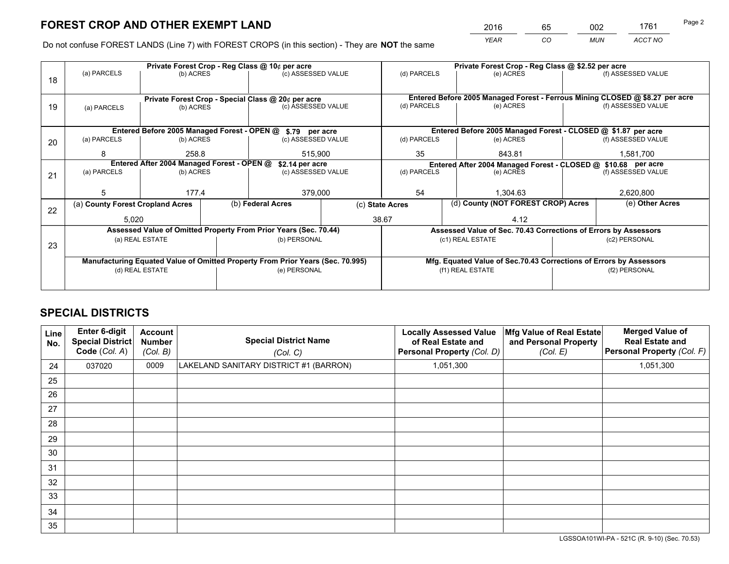*YEAR CO MUN ACCT NO* <sup>2016</sup> <sup>65</sup> <sup>002</sup> <sup>1761</sup>

Do not confuse FOREST LANDS (Line 7) with FOREST CROPS (in this section) - They are **NOT** the same

| (f) ASSESSED VALUE<br>Entered Before 2005 Managed Forest - Ferrous Mining CLOSED @ \$8.27 per acre<br>(f) ASSESSED VALUE |  |  |  |  |
|--------------------------------------------------------------------------------------------------------------------------|--|--|--|--|
|                                                                                                                          |  |  |  |  |
|                                                                                                                          |  |  |  |  |
|                                                                                                                          |  |  |  |  |
|                                                                                                                          |  |  |  |  |
|                                                                                                                          |  |  |  |  |
| Entered Before 2005 Managed Forest - CLOSED @ \$1.87 per acre                                                            |  |  |  |  |
| (f) ASSESSED VALUE                                                                                                       |  |  |  |  |
| 1,581,700                                                                                                                |  |  |  |  |
| Entered After 2004 Managed Forest - CLOSED @ \$10.68 per acre<br>(d) PARCELS                                             |  |  |  |  |
| (f) ASSESSED VALUE                                                                                                       |  |  |  |  |
|                                                                                                                          |  |  |  |  |
| 2,620,800                                                                                                                |  |  |  |  |
| (e) Other Acres                                                                                                          |  |  |  |  |
|                                                                                                                          |  |  |  |  |
| Assessed Value of Sec. 70.43 Corrections of Errors by Assessors                                                          |  |  |  |  |
| (c2) PERSONAL                                                                                                            |  |  |  |  |
|                                                                                                                          |  |  |  |  |
| Mfg. Equated Value of Sec.70.43 Corrections of Errors by Assessors                                                       |  |  |  |  |
| (f2) PERSONAL                                                                                                            |  |  |  |  |
|                                                                                                                          |  |  |  |  |
|                                                                                                                          |  |  |  |  |

## **SPECIAL DISTRICTS**

| <b>Line</b><br>No. | Enter 6-digit<br><b>Special District</b><br>Code (Col. A) | <b>Account</b><br><b>Number</b><br>(Col. B) | <b>Special District Name</b><br>(Col. C) | <b>Locally Assessed Value</b><br>of Real Estate and<br>Personal Property (Col. D) | Mfg Value of Real Estate<br>and Personal Property<br>(Col. E) | <b>Merged Value of</b><br><b>Real Estate and</b><br>Personal Property (Col. F) |
|--------------------|-----------------------------------------------------------|---------------------------------------------|------------------------------------------|-----------------------------------------------------------------------------------|---------------------------------------------------------------|--------------------------------------------------------------------------------|
| 24                 | 037020                                                    | 0009                                        | LAKELAND SANITARY DISTRICT #1 (BARRON)   | 1,051,300                                                                         |                                                               | 1,051,300                                                                      |
| 25                 |                                                           |                                             |                                          |                                                                                   |                                                               |                                                                                |
| 26                 |                                                           |                                             |                                          |                                                                                   |                                                               |                                                                                |
| 27                 |                                                           |                                             |                                          |                                                                                   |                                                               |                                                                                |
| 28                 |                                                           |                                             |                                          |                                                                                   |                                                               |                                                                                |
| 29                 |                                                           |                                             |                                          |                                                                                   |                                                               |                                                                                |
| 30                 |                                                           |                                             |                                          |                                                                                   |                                                               |                                                                                |
| 31                 |                                                           |                                             |                                          |                                                                                   |                                                               |                                                                                |
| 32                 |                                                           |                                             |                                          |                                                                                   |                                                               |                                                                                |
| 33                 |                                                           |                                             |                                          |                                                                                   |                                                               |                                                                                |
| 34                 |                                                           |                                             |                                          |                                                                                   |                                                               |                                                                                |
| 35                 |                                                           |                                             |                                          |                                                                                   |                                                               |                                                                                |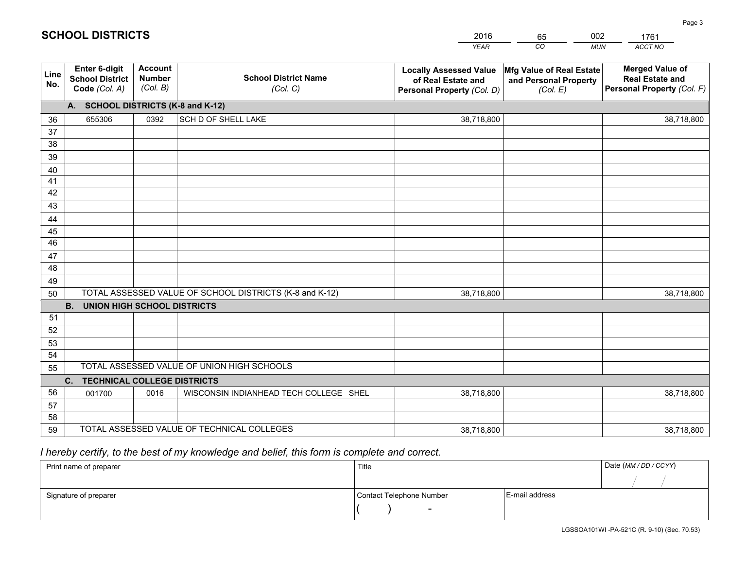|             |                                                          |                                             |                                                         | <b>YEAR</b>                                                                       | CO<br><b>MUN</b>                                              | ACCT NO                                                                        |
|-------------|----------------------------------------------------------|---------------------------------------------|---------------------------------------------------------|-----------------------------------------------------------------------------------|---------------------------------------------------------------|--------------------------------------------------------------------------------|
| Line<br>No. | Enter 6-digit<br><b>School District</b><br>Code (Col. A) | <b>Account</b><br><b>Number</b><br>(Col. B) | <b>School District Name</b><br>(Col. C)                 | <b>Locally Assessed Value</b><br>of Real Estate and<br>Personal Property (Col. D) | Mfg Value of Real Estate<br>and Personal Property<br>(Col. E) | <b>Merged Value of</b><br><b>Real Estate and</b><br>Personal Property (Col. F) |
|             | A. SCHOOL DISTRICTS (K-8 and K-12)                       |                                             |                                                         |                                                                                   |                                                               |                                                                                |
| 36          | 655306                                                   | 0392                                        | SCH D OF SHELL LAKE                                     | 38,718,800                                                                        |                                                               | 38,718,800                                                                     |
| 37          |                                                          |                                             |                                                         |                                                                                   |                                                               |                                                                                |
| 38          |                                                          |                                             |                                                         |                                                                                   |                                                               |                                                                                |
| 39          |                                                          |                                             |                                                         |                                                                                   |                                                               |                                                                                |
| 40          |                                                          |                                             |                                                         |                                                                                   |                                                               |                                                                                |
| 41          |                                                          |                                             |                                                         |                                                                                   |                                                               |                                                                                |
| 42          |                                                          |                                             |                                                         |                                                                                   |                                                               |                                                                                |
| 43          |                                                          |                                             |                                                         |                                                                                   |                                                               |                                                                                |
| 44          |                                                          |                                             |                                                         |                                                                                   |                                                               |                                                                                |
| 45<br>46    |                                                          |                                             |                                                         |                                                                                   |                                                               |                                                                                |
|             |                                                          |                                             |                                                         |                                                                                   |                                                               |                                                                                |
| 47<br>48    |                                                          |                                             |                                                         |                                                                                   |                                                               |                                                                                |
| 49          |                                                          |                                             |                                                         |                                                                                   |                                                               |                                                                                |
| 50          |                                                          |                                             | TOTAL ASSESSED VALUE OF SCHOOL DISTRICTS (K-8 and K-12) | 38,718,800                                                                        |                                                               | 38,718,800                                                                     |
|             | <b>B.</b><br><b>UNION HIGH SCHOOL DISTRICTS</b>          |                                             |                                                         |                                                                                   |                                                               |                                                                                |
| 51          |                                                          |                                             |                                                         |                                                                                   |                                                               |                                                                                |
| 52          |                                                          |                                             |                                                         |                                                                                   |                                                               |                                                                                |
| 53          |                                                          |                                             |                                                         |                                                                                   |                                                               |                                                                                |
| 54          |                                                          |                                             |                                                         |                                                                                   |                                                               |                                                                                |
| 55          |                                                          |                                             | TOTAL ASSESSED VALUE OF UNION HIGH SCHOOLS              |                                                                                   |                                                               |                                                                                |
|             | C.<br><b>TECHNICAL COLLEGE DISTRICTS</b>                 |                                             |                                                         |                                                                                   |                                                               |                                                                                |
| 56          | 001700                                                   | 0016                                        | WISCONSIN INDIANHEAD TECH COLLEGE SHEL                  | 38,718,800                                                                        |                                                               | 38,718,800                                                                     |
| 57          |                                                          |                                             |                                                         |                                                                                   |                                                               |                                                                                |
| 58          |                                                          |                                             |                                                         |                                                                                   |                                                               |                                                                                |
| 59          |                                                          |                                             | TOTAL ASSESSED VALUE OF TECHNICAL COLLEGES              | 38,718,800                                                                        |                                                               | 38,718,800                                                                     |

2016

65

002

 *I hereby certify, to the best of my knowledge and belief, this form is complete and correct.*

**SCHOOL DISTRICTS**

| Print name of preparer | Title                    |                | Date (MM / DD / CCYY) |
|------------------------|--------------------------|----------------|-----------------------|
|                        |                          |                |                       |
| Signature of preparer  | Contact Telephone Number | E-mail address |                       |
|                        | $\overline{\phantom{a}}$ |                |                       |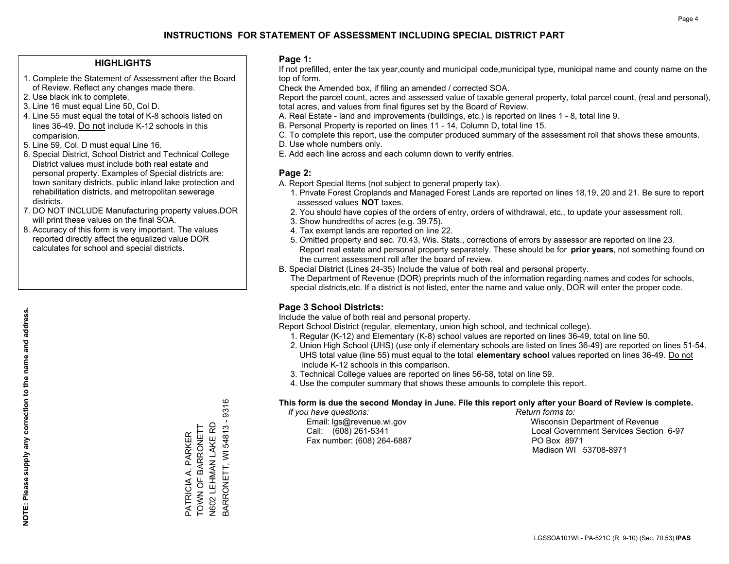### **HIGHLIGHTS**

- 1. Complete the Statement of Assessment after the Board of Review. Reflect any changes made there.
- 2. Use black ink to complete.
- 3. Line 16 must equal Line 50, Col D.
- 4. Line 55 must equal the total of K-8 schools listed on lines 36-49. Do not include K-12 schools in this comparision.
- 5. Line 59, Col. D must equal Line 16.
- 6. Special District, School District and Technical College District values must include both real estate and personal property. Examples of Special districts are: town sanitary districts, public inland lake protection and rehabilitation districts, and metropolitan sewerage districts.
- 7. DO NOT INCLUDE Manufacturing property values.DOR will print these values on the final SOA.

PATRICIA A. PARKER TOWN OF BARRONETT N602 LEHMAN LAKE RD BARRONETT, WI 54813 - 9316

PARKER

3ARRONETT, WI 54813 - 9316 N602 LEHMAN LAKE RD PATRICIA A. PARKER<br>TOWN OF BARRONETT

 8. Accuracy of this form is very important. The values reported directly affect the equalized value DOR calculates for school and special districts.

### **Page 1:**

 If not prefilled, enter the tax year,county and municipal code,municipal type, municipal name and county name on the top of form.

Check the Amended box, if filing an amended / corrected SOA.

 Report the parcel count, acres and assessed value of taxable general property, total parcel count, (real and personal), total acres, and values from final figures set by the Board of Review.

- A. Real Estate land and improvements (buildings, etc.) is reported on lines 1 8, total line 9.
- B. Personal Property is reported on lines 11 14, Column D, total line 15.
- C. To complete this report, use the computer produced summary of the assessment roll that shows these amounts.
- D. Use whole numbers only.
- E. Add each line across and each column down to verify entries.

### **Page 2:**

- A. Report Special Items (not subject to general property tax).
- 1. Private Forest Croplands and Managed Forest Lands are reported on lines 18,19, 20 and 21. Be sure to report assessed values **NOT** taxes.
- 2. You should have copies of the orders of entry, orders of withdrawal, etc., to update your assessment roll.
	- 3. Show hundredths of acres (e.g. 39.75).
- 4. Tax exempt lands are reported on line 22.
- 5. Omitted property and sec. 70.43, Wis. Stats., corrections of errors by assessor are reported on line 23. Report real estate and personal property separately. These should be for **prior years**, not something found on the current assessment roll after the board of review.
- B. Special District (Lines 24-35) Include the value of both real and personal property.
- The Department of Revenue (DOR) preprints much of the information regarding names and codes for schools, special districts,etc. If a district is not listed, enter the name and value only, DOR will enter the proper code.

## **Page 3 School Districts:**

Include the value of both real and personal property.

Report School District (regular, elementary, union high school, and technical college).

- 1. Regular (K-12) and Elementary (K-8) school values are reported on lines 36-49, total on line 50.
- 2. Union High School (UHS) (use only if elementary schools are listed on lines 36-49) are reported on lines 51-54. UHS total value (line 55) must equal to the total **elementary school** values reported on lines 36-49. Do notinclude K-12 schools in this comparison.
- 3. Technical College values are reported on lines 56-58, total on line 59.
- 4. Use the computer summary that shows these amounts to complete this report.

### **This form is due the second Monday in June. File this report only after your Board of Review is complete.**

 *If you have questions: Return forms to:*

Fax number: (608) 264-6887 PO Box 8971

 Email: lgs@revenue.wi.gov Wisconsin Department of Revenue Call: (608) 261-5341 Local Government Services Section 6-97Madison WI 53708-8971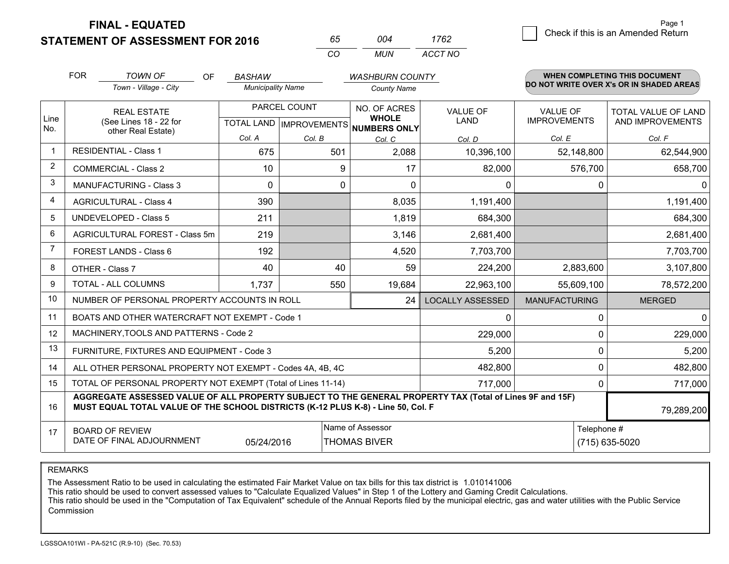**FINAL - EQUATED**

**STATEMENT OF ASSESSMENT FOR 2016** 

| 65.      | nn4   | 1762    |
|----------|-------|---------|
| $\cdots$ | MI IN | ACCT NO |

|                | <b>FOR</b>                                                                                                                                                                                   | <b>TOWN OF</b><br><b>OF</b>                                  | <b>BASHAW</b>            |                                           | <b>WASHBURN COUNTY</b>                       |                                |                                        | <b>WHEN COMPLETING THIS DOCUMENT</b>           |
|----------------|----------------------------------------------------------------------------------------------------------------------------------------------------------------------------------------------|--------------------------------------------------------------|--------------------------|-------------------------------------------|----------------------------------------------|--------------------------------|----------------------------------------|------------------------------------------------|
|                |                                                                                                                                                                                              | Town - Village - City                                        | <b>Municipality Name</b> |                                           | <b>County Name</b>                           |                                |                                        | DO NOT WRITE OVER X's OR IN SHADED AREAS       |
| Line<br>No.    | <b>REAL ESTATE</b><br>(See Lines 18 - 22 for                                                                                                                                                 |                                                              |                          | PARCEL COUNT<br>TOTAL LAND   IMPROVEMENTS | NO. OF ACRES<br><b>WHOLE</b><br>NUMBERS ONLY | <b>VALUE OF</b><br><b>LAND</b> | <b>VALUE OF</b><br><b>IMPROVEMENTS</b> | <b>TOTAL VALUE OF LAND</b><br>AND IMPROVEMENTS |
|                |                                                                                                                                                                                              | other Real Estate)                                           | Col. A                   | Col. B                                    | Col. C                                       | Col. D                         | Col. E                                 | Col. F                                         |
| -1             |                                                                                                                                                                                              | <b>RESIDENTIAL - Class 1</b>                                 | 675                      | 501                                       | 2,088                                        | 10,396,100                     | 52,148,800                             | 62,544,900                                     |
| 2              |                                                                                                                                                                                              | <b>COMMERCIAL - Class 2</b>                                  | 10                       | 9                                         | 17                                           | 82,000                         | 576,700                                | 658,700                                        |
| 3              |                                                                                                                                                                                              | <b>MANUFACTURING - Class 3</b>                               | 0                        | 0                                         | $\Omega$                                     | 0                              | 0                                      | $\mathbf{0}$                                   |
| 4              |                                                                                                                                                                                              | <b>AGRICULTURAL - Class 4</b>                                | 390                      |                                           | 8,035                                        | 1,191,400                      |                                        | 1,191,400                                      |
| 5              |                                                                                                                                                                                              | <b>UNDEVELOPED - Class 5</b>                                 | 211                      |                                           | 1,819                                        | 684,300                        |                                        | 684,300                                        |
| 6              |                                                                                                                                                                                              | AGRICULTURAL FOREST - Class 5m                               | 219                      |                                           | 3,146                                        | 2,681,400                      |                                        | 2,681,400                                      |
| $\overline{7}$ |                                                                                                                                                                                              | FOREST LANDS - Class 6                                       | 192                      |                                           | 4,520                                        | 7,703,700                      |                                        | 7,703,700                                      |
| 8              |                                                                                                                                                                                              | OTHER - Class 7                                              | 40                       | 40                                        | 59                                           | 224,200                        | 2,883,600                              | 3,107,800                                      |
| 9              |                                                                                                                                                                                              | TOTAL - ALL COLUMNS                                          | 1,737                    | 550                                       | 19,684                                       | 22,963,100                     | 55,609,100                             | 78,572,200                                     |
| 10             |                                                                                                                                                                                              | NUMBER OF PERSONAL PROPERTY ACCOUNTS IN ROLL                 |                          |                                           | 24                                           | <b>LOCALLY ASSESSED</b>        | <b>MANUFACTURING</b>                   | <b>MERGED</b>                                  |
| 11             |                                                                                                                                                                                              | BOATS AND OTHER WATERCRAFT NOT EXEMPT - Code 1               |                          |                                           |                                              | 0                              | 0                                      | 0                                              |
| 12             |                                                                                                                                                                                              | MACHINERY, TOOLS AND PATTERNS - Code 2                       |                          |                                           |                                              | 229,000                        | $\Omega$                               | 229,000                                        |
| 13             |                                                                                                                                                                                              | FURNITURE, FIXTURES AND EQUIPMENT - Code 3                   |                          |                                           |                                              | 5,200                          | $\Omega$                               | 5,200                                          |
| 14             |                                                                                                                                                                                              | ALL OTHER PERSONAL PROPERTY NOT EXEMPT - Codes 4A, 4B, 4C    |                          |                                           |                                              | 482,800                        | 0                                      | 482,800                                        |
| 15             |                                                                                                                                                                                              | TOTAL OF PERSONAL PROPERTY NOT EXEMPT (Total of Lines 11-14) |                          | 717,000                                   | 0                                            | 717,000                        |                                        |                                                |
| 16             | AGGREGATE ASSESSED VALUE OF ALL PROPERTY SUBJECT TO THE GENERAL PROPERTY TAX (Total of Lines 9F and 15F)<br>MUST EQUAL TOTAL VALUE OF THE SCHOOL DISTRICTS (K-12 PLUS K-8) - Line 50, Col. F |                                                              |                          |                                           |                                              |                                |                                        | 79,289,200                                     |
| 17             |                                                                                                                                                                                              | <b>BOARD OF REVIEW</b>                                       |                          |                                           | Name of Assessor                             |                                | Telephone #                            |                                                |
|                | DATE OF FINAL ADJOURNMENT<br>05/24/2016<br><b>THOMAS BIVER</b><br>(715) 635-5020                                                                                                             |                                                              |                          |                                           |                                              |                                |                                        |                                                |

REMARKS

The Assessment Ratio to be used in calculating the estimated Fair Market Value on tax bills for this tax district is 1.010141006<br>This ratio should be used to convert assessed values to "Calculate Equalized Values" in Step Commission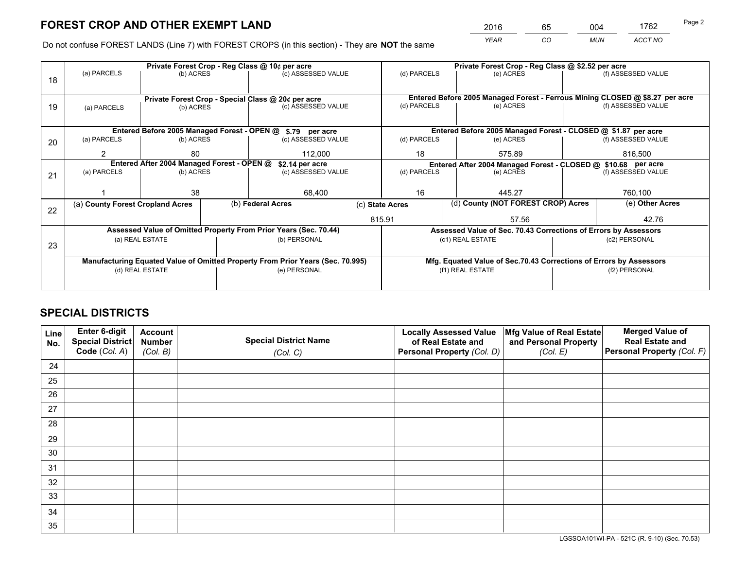*YEAR CO MUN ACCT NO* <sup>2016</sup> <sup>65</sup> <sup>004</sup> <sup>1762</sup>

Do not confuse FOREST LANDS (Line 7) with FOREST CROPS (in this section) - They are **NOT** the same

|    |                                                                                |                 |                    | Private Forest Crop - Reg Class @ 10¢ per acre                   |                                                               | Private Forest Crop - Reg Class @ \$2.52 per acre |                                                                              |                    |                    |
|----|--------------------------------------------------------------------------------|-----------------|--------------------|------------------------------------------------------------------|---------------------------------------------------------------|---------------------------------------------------|------------------------------------------------------------------------------|--------------------|--------------------|
| 18 | (a) PARCELS                                                                    | (b) ACRES       |                    | (c) ASSESSED VALUE                                               |                                                               | (d) PARCELS                                       | (e) ACRES                                                                    |                    | (f) ASSESSED VALUE |
|    |                                                                                |                 |                    |                                                                  |                                                               |                                                   | Entered Before 2005 Managed Forest - Ferrous Mining CLOSED @ \$8.27 per acre |                    |                    |
| 19 | Private Forest Crop - Special Class @ 20¢ per acre<br>(b) ACRES<br>(a) PARCELS |                 | (c) ASSESSED VALUE |                                                                  | (d) PARCELS                                                   | (e) ACRES                                         |                                                                              | (f) ASSESSED VALUE |                    |
|    |                                                                                |                 |                    |                                                                  |                                                               |                                                   |                                                                              |                    |                    |
|    |                                                                                |                 |                    | Entered Before 2005 Managed Forest - OPEN @ \$.79 per acre       |                                                               |                                                   | Entered Before 2005 Managed Forest - CLOSED @ \$1.87 per acre                |                    |                    |
| 20 | (a) PARCELS                                                                    | (b) ACRES       |                    | (c) ASSESSED VALUE                                               |                                                               | (d) PARCELS                                       | (e) ACRES                                                                    |                    | (f) ASSESSED VALUE |
|    | 2                                                                              | 80              |                    | 112,000                                                          |                                                               | 18<br>575.89                                      |                                                                              |                    | 816,500            |
|    | Entered After 2004 Managed Forest - OPEN @<br>\$2.14 per acre                  |                 |                    |                                                                  | Entered After 2004 Managed Forest - CLOSED @ \$10.68 per acre |                                                   |                                                                              |                    |                    |
| 21 | (a) PARCELS                                                                    | (b) ACRES       |                    | (c) ASSESSED VALUE                                               |                                                               | (d) PARCELS<br>(e) ACRES                          |                                                                              | (f) ASSESSED VALUE |                    |
|    |                                                                                |                 |                    |                                                                  |                                                               |                                                   |                                                                              |                    |                    |
|    |                                                                                | 38              |                    | 68,400                                                           |                                                               | 16<br>445.27                                      |                                                                              |                    | 760,100            |
| 22 | (a) County Forest Cropland Acres                                               |                 |                    | (b) Federal Acres                                                |                                                               | (c) State Acres                                   | (d) County (NOT FOREST CROP) Acres                                           |                    | (e) Other Acres    |
|    |                                                                                |                 |                    |                                                                  |                                                               | 815.91<br>57.56                                   |                                                                              |                    | 42.76              |
|    |                                                                                |                 |                    | Assessed Value of Omitted Property From Prior Years (Sec. 70.44) |                                                               |                                                   | Assessed Value of Sec. 70.43 Corrections of Errors by Assessors              |                    |                    |
|    |                                                                                | (a) REAL ESTATE |                    | (b) PERSONAL                                                     |                                                               | (c1) REAL ESTATE                                  |                                                                              | (c2) PERSONAL      |                    |
| 23 |                                                                                |                 |                    |                                                                  |                                                               |                                                   |                                                                              |                    |                    |
|    | Manufacturing Equated Value of Omitted Property From Prior Years (Sec. 70.995) |                 |                    |                                                                  |                                                               |                                                   | Mfg. Equated Value of Sec.70.43 Corrections of Errors by Assessors           |                    |                    |
|    | (d) REAL ESTATE                                                                |                 |                    | (e) PERSONAL                                                     |                                                               |                                                   | (f1) REAL ESTATE                                                             | (f2) PERSONAL      |                    |
|    |                                                                                |                 |                    |                                                                  |                                                               |                                                   |                                                                              |                    |                    |
|    |                                                                                |                 |                    |                                                                  |                                                               |                                                   |                                                                              |                    |                    |

## **SPECIAL DISTRICTS**

| Line<br>No. | Enter 6-digit<br><b>Special District</b> | <b>Account</b><br><b>Number</b> | <b>Special District Name</b> | <b>Locally Assessed Value</b><br>of Real Estate and | Mfg Value of Real Estate<br>and Personal Property | <b>Merged Value of</b><br><b>Real Estate and</b> |
|-------------|------------------------------------------|---------------------------------|------------------------------|-----------------------------------------------------|---------------------------------------------------|--------------------------------------------------|
|             | Code (Col. A)                            | (Col. B)                        | (Col. C)                     | Personal Property (Col. D)                          | (Col. E)                                          | Personal Property (Col. F)                       |
| 24          |                                          |                                 |                              |                                                     |                                                   |                                                  |
| 25          |                                          |                                 |                              |                                                     |                                                   |                                                  |
| 26          |                                          |                                 |                              |                                                     |                                                   |                                                  |
| 27          |                                          |                                 |                              |                                                     |                                                   |                                                  |
| 28          |                                          |                                 |                              |                                                     |                                                   |                                                  |
| 29          |                                          |                                 |                              |                                                     |                                                   |                                                  |
| 30          |                                          |                                 |                              |                                                     |                                                   |                                                  |
| 31          |                                          |                                 |                              |                                                     |                                                   |                                                  |
| 32          |                                          |                                 |                              |                                                     |                                                   |                                                  |
| 33          |                                          |                                 |                              |                                                     |                                                   |                                                  |
| 34          |                                          |                                 |                              |                                                     |                                                   |                                                  |
| 35          |                                          |                                 |                              |                                                     |                                                   |                                                  |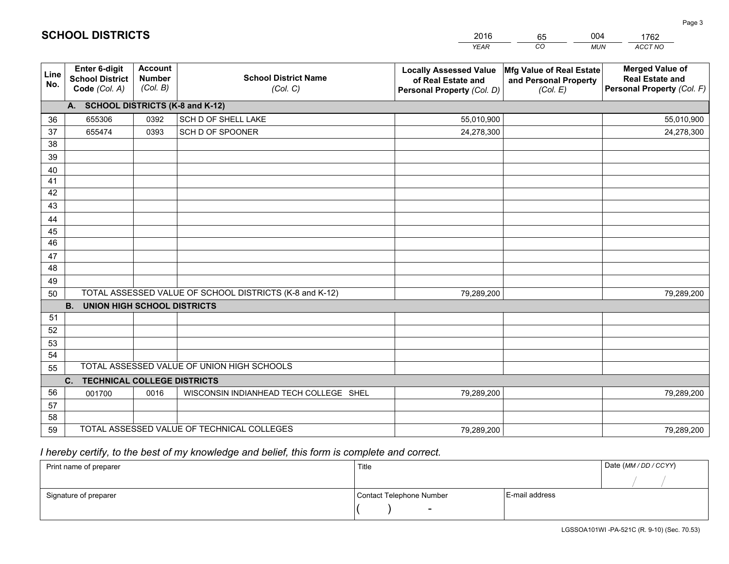|                       |                                                                 |                                             |                                                         | <b>YEAR</b>                                                                       | CO<br><b>MUN</b>                                              | ACCT NO                                                                        |
|-----------------------|-----------------------------------------------------------------|---------------------------------------------|---------------------------------------------------------|-----------------------------------------------------------------------------------|---------------------------------------------------------------|--------------------------------------------------------------------------------|
| Line<br>No.           | <b>Enter 6-digit</b><br><b>School District</b><br>Code (Col. A) | <b>Account</b><br><b>Number</b><br>(Col. B) | <b>School District Name</b><br>(Col. C)                 | <b>Locally Assessed Value</b><br>of Real Estate and<br>Personal Property (Col. D) | Mfg Value of Real Estate<br>and Personal Property<br>(Col. E) | <b>Merged Value of</b><br><b>Real Estate and</b><br>Personal Property (Col. F) |
|                       | A. SCHOOL DISTRICTS (K-8 and K-12)                              |                                             |                                                         |                                                                                   |                                                               |                                                                                |
| 36                    | 655306                                                          | 0392                                        | SCH D OF SHELL LAKE                                     | 55,010,900                                                                        |                                                               | 55,010,900                                                                     |
| 37                    | 655474                                                          | 0393                                        | SCH D OF SPOONER                                        | 24,278,300                                                                        |                                                               | 24,278,300                                                                     |
| 38                    |                                                                 |                                             |                                                         |                                                                                   |                                                               |                                                                                |
| 39                    |                                                                 |                                             |                                                         |                                                                                   |                                                               |                                                                                |
| 40                    |                                                                 |                                             |                                                         |                                                                                   |                                                               |                                                                                |
| 41                    |                                                                 |                                             |                                                         |                                                                                   |                                                               |                                                                                |
| 42                    |                                                                 |                                             |                                                         |                                                                                   |                                                               |                                                                                |
| 43                    |                                                                 |                                             |                                                         |                                                                                   |                                                               |                                                                                |
| 44                    |                                                                 |                                             |                                                         |                                                                                   |                                                               |                                                                                |
| 45<br>$\overline{46}$ |                                                                 |                                             |                                                         |                                                                                   |                                                               |                                                                                |
| 47                    |                                                                 |                                             |                                                         |                                                                                   |                                                               |                                                                                |
| 48                    |                                                                 |                                             |                                                         |                                                                                   |                                                               |                                                                                |
| 49                    |                                                                 |                                             |                                                         |                                                                                   |                                                               |                                                                                |
| 50                    |                                                                 |                                             | TOTAL ASSESSED VALUE OF SCHOOL DISTRICTS (K-8 and K-12) | 79,289,200                                                                        |                                                               | 79,289,200                                                                     |
|                       | <b>B.</b><br><b>UNION HIGH SCHOOL DISTRICTS</b>                 |                                             |                                                         |                                                                                   |                                                               |                                                                                |
| 51                    |                                                                 |                                             |                                                         |                                                                                   |                                                               |                                                                                |
| 52                    |                                                                 |                                             |                                                         |                                                                                   |                                                               |                                                                                |
| 53                    |                                                                 |                                             |                                                         |                                                                                   |                                                               |                                                                                |
| 54                    |                                                                 |                                             |                                                         |                                                                                   |                                                               |                                                                                |
| 55                    |                                                                 |                                             | TOTAL ASSESSED VALUE OF UNION HIGH SCHOOLS              |                                                                                   |                                                               |                                                                                |
|                       | C.<br><b>TECHNICAL COLLEGE DISTRICTS</b>                        |                                             |                                                         |                                                                                   |                                                               |                                                                                |
| 56                    | 001700                                                          | 0016                                        | WISCONSIN INDIANHEAD TECH COLLEGE SHEL                  | 79,289,200                                                                        |                                                               | 79,289,200                                                                     |
| 57                    |                                                                 |                                             |                                                         |                                                                                   |                                                               |                                                                                |
| 58                    |                                                                 |                                             |                                                         |                                                                                   |                                                               |                                                                                |
| 59                    |                                                                 |                                             | TOTAL ASSESSED VALUE OF TECHNICAL COLLEGES              | 79,289,200                                                                        |                                                               | 79,289,200                                                                     |

 *I hereby certify, to the best of my knowledge and belief, this form is complete and correct.*

| Print name of preparer | Title                    |                | Date (MM / DD / CCYY) |
|------------------------|--------------------------|----------------|-----------------------|
|                        |                          |                |                       |
| Signature of preparer  | Contact Telephone Number | E-mail address |                       |
|                        | $\sim$                   |                |                       |

| <b>SCHOOL DISTRICTS</b> |  |
|-------------------------|--|
|-------------------------|--|

201665004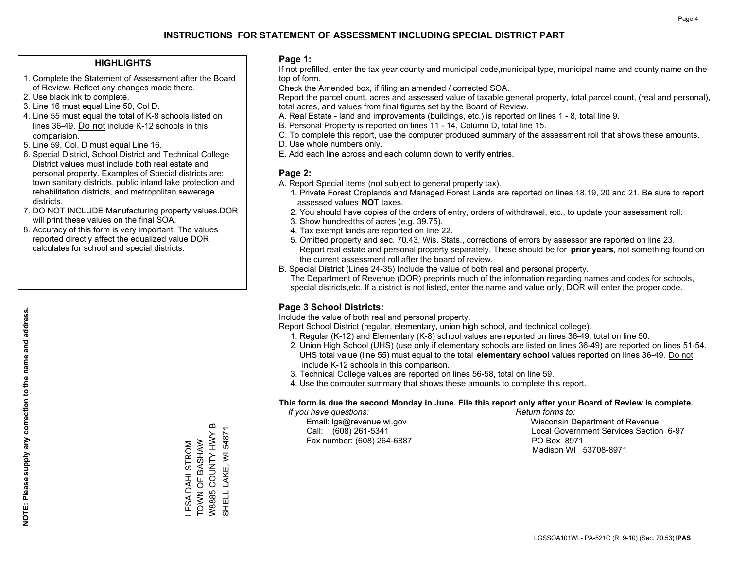### **HIGHLIGHTS**

- 1. Complete the Statement of Assessment after the Board of Review. Reflect any changes made there.
- 2. Use black ink to complete.
- 3. Line 16 must equal Line 50, Col D.
- 4. Line 55 must equal the total of K-8 schools listed on lines 36-49. Do not include K-12 schools in this comparision.
- 5. Line 59, Col. D must equal Line 16.
- 6. Special District, School District and Technical College District values must include both real estate and personal property. Examples of Special districts are: town sanitary districts, public inland lake protection and rehabilitation districts, and metropolitan sewerage districts.
- 7. DO NOT INCLUDE Manufacturing property values.DOR will print these values on the final SOA.

LESA DAHLSTROM TOWN OF BASHAW W8885 COUNTY HWY B SHELL LAKE, WI 54871

TOWN OF BASHAW LESA DAHLSTROM

W8885 COUNTY HWY B SHELL LAKE, WI 5487

 8. Accuracy of this form is very important. The values reported directly affect the equalized value DOR calculates for school and special districts.

### **Page 1:**

 If not prefilled, enter the tax year,county and municipal code,municipal type, municipal name and county name on the top of form.

Check the Amended box, if filing an amended / corrected SOA.

 Report the parcel count, acres and assessed value of taxable general property, total parcel count, (real and personal), total acres, and values from final figures set by the Board of Review.

- A. Real Estate land and improvements (buildings, etc.) is reported on lines 1 8, total line 9.
- B. Personal Property is reported on lines 11 14, Column D, total line 15.
- C. To complete this report, use the computer produced summary of the assessment roll that shows these amounts.
- D. Use whole numbers only.
- E. Add each line across and each column down to verify entries.

### **Page 2:**

- A. Report Special Items (not subject to general property tax).
- 1. Private Forest Croplands and Managed Forest Lands are reported on lines 18,19, 20 and 21. Be sure to report assessed values **NOT** taxes.
- 2. You should have copies of the orders of entry, orders of withdrawal, etc., to update your assessment roll.
	- 3. Show hundredths of acres (e.g. 39.75).
- 4. Tax exempt lands are reported on line 22.
- 5. Omitted property and sec. 70.43, Wis. Stats., corrections of errors by assessor are reported on line 23. Report real estate and personal property separately. These should be for **prior years**, not something found on the current assessment roll after the board of review.
- B. Special District (Lines 24-35) Include the value of both real and personal property.
- The Department of Revenue (DOR) preprints much of the information regarding names and codes for schools, special districts,etc. If a district is not listed, enter the name and value only, DOR will enter the proper code.

## **Page 3 School Districts:**

Include the value of both real and personal property.

Report School District (regular, elementary, union high school, and technical college).

- 1. Regular (K-12) and Elementary (K-8) school values are reported on lines 36-49, total on line 50.
- 2. Union High School (UHS) (use only if elementary schools are listed on lines 36-49) are reported on lines 51-54. UHS total value (line 55) must equal to the total **elementary school** values reported on lines 36-49. Do notinclude K-12 schools in this comparison.
- 3. Technical College values are reported on lines 56-58, total on line 59.
- 4. Use the computer summary that shows these amounts to complete this report.

### **This form is due the second Monday in June. File this report only after your Board of Review is complete.**

 *If you have questions: Return forms to:*

Fax number: (608) 264-6887 PO Box 8971

 Email: lgs@revenue.wi.gov Wisconsin Department of Revenue Call: (608) 261-5341 Local Government Services Section 6-97Madison WI 53708-8971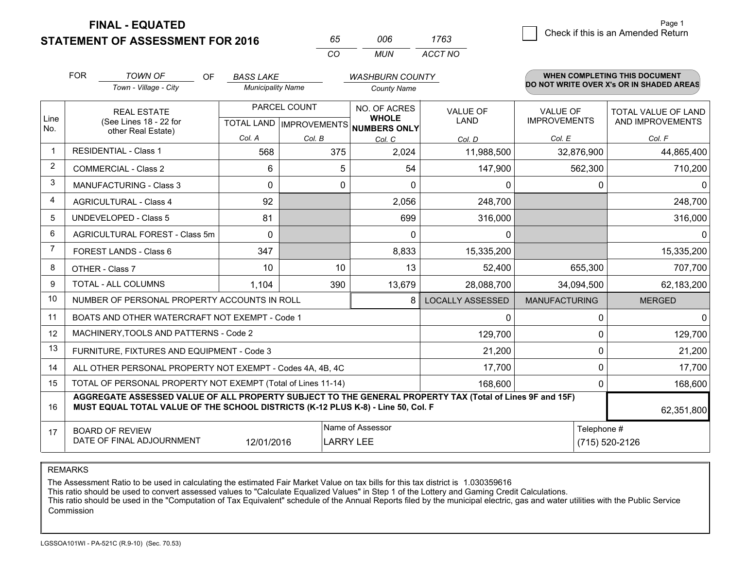**FINAL - EQUATED**

**STATEMENT OF ASSESSMENT FOR 2016** 

| 65.      | nnr | 1763    |
|----------|-----|---------|
| $\cdots$ | MUN | ACCT NO |

|                | <b>FOR</b>                                                                                                                                                                                   | <b>TOWN OF</b><br>OF                           | <b>BASS LAKE</b>         |                                                                | <b>WASHBURN COUNTY</b> |                                 |                                         | WHEN COMPLETING THIS DOCUMENT            |
|----------------|----------------------------------------------------------------------------------------------------------------------------------------------------------------------------------------------|------------------------------------------------|--------------------------|----------------------------------------------------------------|------------------------|---------------------------------|-----------------------------------------|------------------------------------------|
|                |                                                                                                                                                                                              | Town - Village - City                          | <b>Municipality Name</b> |                                                                | <b>County Name</b>     |                                 |                                         | DO NOT WRITE OVER X's OR IN SHADED AREAS |
| Line<br>No.    | PARCEL COUNT<br><b>REAL ESTATE</b><br>(See Lines 18 - 22 for<br>TOTAL LAND   IMPROVEMENTS   NUMBERS ONLY                                                                                     |                                                |                          | NO. OF ACRES<br><b>VALUE OF</b><br><b>WHOLE</b><br><b>LAND</b> |                        | VALUE OF<br><b>IMPROVEMENTS</b> | TOTAL VALUE OF LAND<br>AND IMPROVEMENTS |                                          |
|                |                                                                                                                                                                                              | other Real Estate)                             | Col. A                   | Col. B                                                         | Col. C                 | Col. D                          | Col. E                                  | Col. F                                   |
|                |                                                                                                                                                                                              | <b>RESIDENTIAL - Class 1</b>                   | 568                      | 375                                                            | 2,024                  | 11,988,500                      | 32,876,900                              | 44,865,400                               |
| 2              |                                                                                                                                                                                              | <b>COMMERCIAL - Class 2</b>                    | 6                        | 5                                                              | 54                     | 147,900                         | 562,300                                 | 710,200                                  |
| 3              |                                                                                                                                                                                              | <b>MANUFACTURING - Class 3</b>                 | 0                        | $\Omega$                                                       | $\Omega$               | 0                               | 0                                       | $\mathbf{0}$                             |
| 4              |                                                                                                                                                                                              | <b>AGRICULTURAL - Class 4</b>                  | 92                       |                                                                | 2,056                  | 248,700                         |                                         | 248,700                                  |
| 5              |                                                                                                                                                                                              | UNDEVELOPED - Class 5                          | 81                       |                                                                | 699                    | 316,000                         |                                         | 316,000                                  |
| 6              |                                                                                                                                                                                              | AGRICULTURAL FOREST - Class 5m                 | 0                        |                                                                | $\mathbf{0}$           | $\mathbf{0}$                    |                                         | $\mathbf{0}$                             |
| $\overline{7}$ |                                                                                                                                                                                              | FOREST LANDS - Class 6                         | 347                      |                                                                | 8,833                  | 15,335,200                      |                                         | 15,335,200                               |
| 8              |                                                                                                                                                                                              | OTHER - Class 7                                | 10                       | 10                                                             | 13                     | 52,400                          | 655,300                                 | 707,700                                  |
| 9              |                                                                                                                                                                                              | TOTAL - ALL COLUMNS                            | 1,104                    | 390                                                            | 13,679                 | 28,088,700                      | 34,094,500                              | 62,183,200                               |
| 10             |                                                                                                                                                                                              | NUMBER OF PERSONAL PROPERTY ACCOUNTS IN ROLL   |                          |                                                                | 8                      | <b>LOCALLY ASSESSED</b>         | <b>MANUFACTURING</b>                    | <b>MERGED</b>                            |
| 11             |                                                                                                                                                                                              | BOATS AND OTHER WATERCRAFT NOT EXEMPT - Code 1 |                          |                                                                |                        | 0                               | $\Omega$                                | $\mathbf{0}$                             |
| 12             |                                                                                                                                                                                              | MACHINERY, TOOLS AND PATTERNS - Code 2         |                          |                                                                |                        | 129,700                         | 0                                       | 129,700                                  |
| 13             |                                                                                                                                                                                              | FURNITURE, FIXTURES AND EQUIPMENT - Code 3     |                          |                                                                |                        | 21,200                          | $\mathbf 0$                             | 21,200                                   |
| 14             | 17,700<br>ALL OTHER PERSONAL PROPERTY NOT EXEMPT - Codes 4A, 4B, 4C                                                                                                                          |                                                |                          |                                                                |                        |                                 |                                         | 17,700                                   |
| 15             | TOTAL OF PERSONAL PROPERTY NOT EXEMPT (Total of Lines 11-14)<br>168,600                                                                                                                      |                                                |                          |                                                                |                        |                                 | 0                                       | 168,600                                  |
| 16             | AGGREGATE ASSESSED VALUE OF ALL PROPERTY SUBJECT TO THE GENERAL PROPERTY TAX (Total of Lines 9F and 15F)<br>MUST EQUAL TOTAL VALUE OF THE SCHOOL DISTRICTS (K-12 PLUS K-8) - Line 50, Col. F |                                                |                          |                                                                |                        |                                 |                                         | 62,351,800                               |
| 17             | Name of Assessor<br><b>BOARD OF REVIEW</b><br>DATE OF FINAL ADJOURNMENT<br>12/01/2016<br><b>LARRY LEE</b>                                                                                    |                                                |                          |                                                                |                        |                                 | Telephone #                             | (715) 520-2126                           |

REMARKS

The Assessment Ratio to be used in calculating the estimated Fair Market Value on tax bills for this tax district is 1.030359616

This ratio should be used to convert assessed values to "Calculate Equalized Values" in Step 1 of the Lottery and Gaming Credit Calculations.<br>This ratio should be used in the "Computation of Tax Equivalent" schedule of the Commission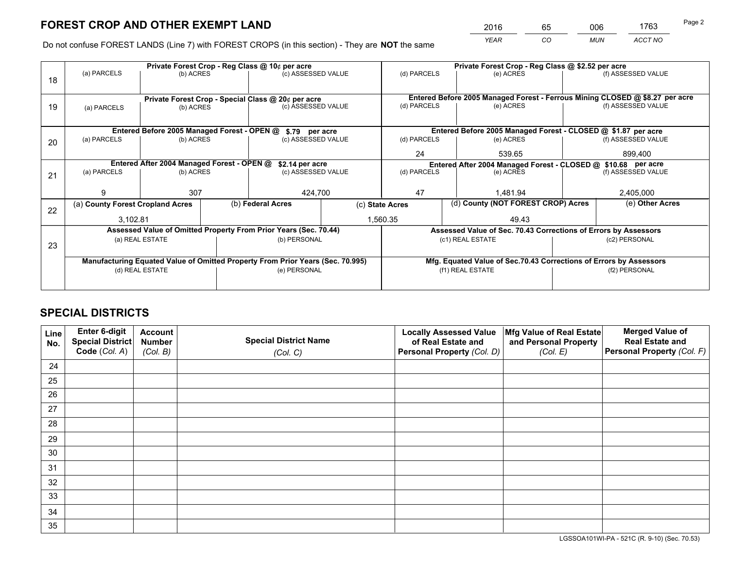*YEAR CO MUN ACCT NO* <sup>2016</sup> <sup>65</sup> <sup>006</sup> <sup>1763</sup>

Do not confuse FOREST LANDS (Line 7) with FOREST CROPS (in this section) - They are **NOT** the same

|    |                                            |                                                                                |  | Private Forest Crop - Reg Class @ 10¢ per acre                   |                                                                    | Private Forest Crop - Reg Class @ \$2.52 per acre     |                                                                              |                                                                                     |                    |  |
|----|--------------------------------------------|--------------------------------------------------------------------------------|--|------------------------------------------------------------------|--------------------------------------------------------------------|-------------------------------------------------------|------------------------------------------------------------------------------|-------------------------------------------------------------------------------------|--------------------|--|
| 18 | (a) PARCELS                                | (b) ACRES                                                                      |  | (c) ASSESSED VALUE                                               |                                                                    | (d) PARCELS                                           | (e) ACRES                                                                    |                                                                                     | (f) ASSESSED VALUE |  |
|    |                                            |                                                                                |  |                                                                  |                                                                    |                                                       |                                                                              |                                                                                     |                    |  |
|    |                                            |                                                                                |  | Private Forest Crop - Special Class @ 20¢ per acre               |                                                                    |                                                       | Entered Before 2005 Managed Forest - Ferrous Mining CLOSED @ \$8.27 per acre |                                                                                     |                    |  |
| 19 | (a) PARCELS                                | (b) ACRES                                                                      |  | (c) ASSESSED VALUE                                               |                                                                    | (d) PARCELS                                           | (e) ACRES                                                                    |                                                                                     | (f) ASSESSED VALUE |  |
|    |                                            |                                                                                |  |                                                                  |                                                                    |                                                       |                                                                              |                                                                                     |                    |  |
|    |                                            |                                                                                |  | Entered Before 2005 Managed Forest - OPEN @ \$.79 per acre       |                                                                    |                                                       | Entered Before 2005 Managed Forest - CLOSED @ \$1.87 per acre                |                                                                                     |                    |  |
| 20 | (a) PARCELS                                | (b) ACRES                                                                      |  | (c) ASSESSED VALUE                                               |                                                                    | (d) PARCELS                                           | (e) ACRES                                                                    |                                                                                     | (f) ASSESSED VALUE |  |
|    |                                            |                                                                                |  |                                                                  |                                                                    | 24                                                    | 539.65                                                                       |                                                                                     | 899.400            |  |
|    | Entered After 2004 Managed Forest - OPEN @ |                                                                                |  | \$2.14 per acre                                                  |                                                                    |                                                       |                                                                              |                                                                                     |                    |  |
|    | (a) PARCELS                                | (b) ACRES                                                                      |  | (c) ASSESSED VALUE                                               |                                                                    | (d) PARCELS<br>(e) ACRES                              |                                                                              | Entered After 2004 Managed Forest - CLOSED @ \$10.68 per acre<br>(f) ASSESSED VALUE |                    |  |
| 21 |                                            |                                                                                |  |                                                                  |                                                                    |                                                       |                                                                              |                                                                                     |                    |  |
|    | g                                          | 307                                                                            |  | 424,700                                                          |                                                                    | 47                                                    | 1,481.94                                                                     |                                                                                     | 2,405,000          |  |
|    | (a) County Forest Cropland Acres           |                                                                                |  | (b) Federal Acres                                                |                                                                    | (d) County (NOT FOREST CROP) Acres<br>(c) State Acres |                                                                              |                                                                                     | (e) Other Acres    |  |
| 22 | 3,102.81                                   |                                                                                |  |                                                                  |                                                                    | 1,560.35                                              | 49.43                                                                        |                                                                                     |                    |  |
|    |                                            |                                                                                |  |                                                                  |                                                                    |                                                       |                                                                              |                                                                                     |                    |  |
|    |                                            |                                                                                |  | Assessed Value of Omitted Property From Prior Years (Sec. 70.44) |                                                                    |                                                       | Assessed Value of Sec. 70.43 Corrections of Errors by Assessors              |                                                                                     |                    |  |
| 23 |                                            | (a) REAL ESTATE                                                                |  | (b) PERSONAL                                                     |                                                                    |                                                       | (c1) REAL ESTATE                                                             |                                                                                     | (c2) PERSONAL      |  |
|    |                                            |                                                                                |  |                                                                  |                                                                    |                                                       |                                                                              |                                                                                     |                    |  |
|    |                                            | Manufacturing Equated Value of Omitted Property From Prior Years (Sec. 70.995) |  |                                                                  | Mfg. Equated Value of Sec.70.43 Corrections of Errors by Assessors |                                                       |                                                                              |                                                                                     |                    |  |
|    | (d) REAL ESTATE                            |                                                                                |  | (e) PERSONAL                                                     |                                                                    |                                                       | (f1) REAL ESTATE                                                             |                                                                                     | (f2) PERSONAL      |  |
|    |                                            |                                                                                |  |                                                                  |                                                                    |                                                       |                                                                              |                                                                                     |                    |  |
|    |                                            |                                                                                |  |                                                                  |                                                                    |                                                       |                                                                              |                                                                                     |                    |  |

## **SPECIAL DISTRICTS**

| Line<br>No. | Enter 6-digit<br>Special District<br>Code (Col. A) | <b>Account</b><br><b>Number</b><br>(Col. B) | <b>Special District Name</b><br>(Col. C) | <b>Locally Assessed Value</b><br>of Real Estate and<br>Personal Property (Col. D) | Mfg Value of Real Estate<br>and Personal Property<br>(Col. E) | <b>Merged Value of</b><br><b>Real Estate and</b><br>Personal Property (Col. F) |
|-------------|----------------------------------------------------|---------------------------------------------|------------------------------------------|-----------------------------------------------------------------------------------|---------------------------------------------------------------|--------------------------------------------------------------------------------|
| 24          |                                                    |                                             |                                          |                                                                                   |                                                               |                                                                                |
| 25          |                                                    |                                             |                                          |                                                                                   |                                                               |                                                                                |
| 26          |                                                    |                                             |                                          |                                                                                   |                                                               |                                                                                |
| 27          |                                                    |                                             |                                          |                                                                                   |                                                               |                                                                                |
| 28          |                                                    |                                             |                                          |                                                                                   |                                                               |                                                                                |
| 29          |                                                    |                                             |                                          |                                                                                   |                                                               |                                                                                |
| 30          |                                                    |                                             |                                          |                                                                                   |                                                               |                                                                                |
| 31          |                                                    |                                             |                                          |                                                                                   |                                                               |                                                                                |
| 32          |                                                    |                                             |                                          |                                                                                   |                                                               |                                                                                |
| 33          |                                                    |                                             |                                          |                                                                                   |                                                               |                                                                                |
| 34          |                                                    |                                             |                                          |                                                                                   |                                                               |                                                                                |
| 35          |                                                    |                                             |                                          |                                                                                   |                                                               |                                                                                |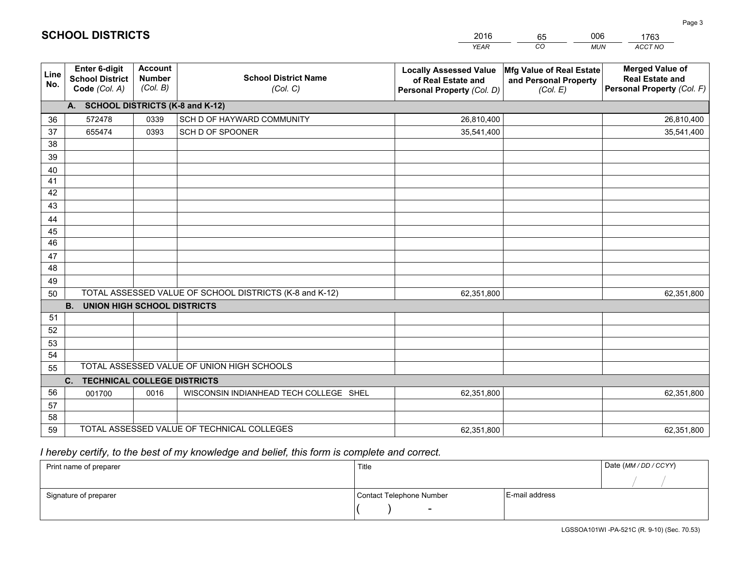|             |                                                                 |                                             |                                                         | <b>YEAR</b>                                                                       | CO<br><b>MUN</b>                                              | ACCT NO                                                                        |
|-------------|-----------------------------------------------------------------|---------------------------------------------|---------------------------------------------------------|-----------------------------------------------------------------------------------|---------------------------------------------------------------|--------------------------------------------------------------------------------|
| Line<br>No. | <b>Enter 6-digit</b><br><b>School District</b><br>Code (Col. A) | <b>Account</b><br><b>Number</b><br>(Col. B) | <b>School District Name</b><br>(Col. C)                 | <b>Locally Assessed Value</b><br>of Real Estate and<br>Personal Property (Col. D) | Mfg Value of Real Estate<br>and Personal Property<br>(Col. E) | <b>Merged Value of</b><br><b>Real Estate and</b><br>Personal Property (Col. F) |
|             | A. SCHOOL DISTRICTS (K-8 and K-12)                              |                                             |                                                         |                                                                                   |                                                               |                                                                                |
| 36          | 572478                                                          | 0339                                        | SCH D OF HAYWARD COMMUNITY                              | 26,810,400                                                                        |                                                               | 26,810,400                                                                     |
| 37          | 655474                                                          | 0393                                        | SCH D OF SPOONER                                        | 35,541,400                                                                        |                                                               | 35,541,400                                                                     |
| 38          |                                                                 |                                             |                                                         |                                                                                   |                                                               |                                                                                |
| 39          |                                                                 |                                             |                                                         |                                                                                   |                                                               |                                                                                |
| 40          |                                                                 |                                             |                                                         |                                                                                   |                                                               |                                                                                |
| 41          |                                                                 |                                             |                                                         |                                                                                   |                                                               |                                                                                |
| 42          |                                                                 |                                             |                                                         |                                                                                   |                                                               |                                                                                |
| 43          |                                                                 |                                             |                                                         |                                                                                   |                                                               |                                                                                |
| 44          |                                                                 |                                             |                                                         |                                                                                   |                                                               |                                                                                |
| 45<br>46    |                                                                 |                                             |                                                         |                                                                                   |                                                               |                                                                                |
|             |                                                                 |                                             |                                                         |                                                                                   |                                                               |                                                                                |
| 47<br>48    |                                                                 |                                             |                                                         |                                                                                   |                                                               |                                                                                |
| 49          |                                                                 |                                             |                                                         |                                                                                   |                                                               |                                                                                |
| 50          |                                                                 |                                             | TOTAL ASSESSED VALUE OF SCHOOL DISTRICTS (K-8 and K-12) | 62,351,800                                                                        |                                                               | 62,351,800                                                                     |
|             | <b>B.</b><br><b>UNION HIGH SCHOOL DISTRICTS</b>                 |                                             |                                                         |                                                                                   |                                                               |                                                                                |
| 51          |                                                                 |                                             |                                                         |                                                                                   |                                                               |                                                                                |
| 52          |                                                                 |                                             |                                                         |                                                                                   |                                                               |                                                                                |
| 53          |                                                                 |                                             |                                                         |                                                                                   |                                                               |                                                                                |
| 54          |                                                                 |                                             |                                                         |                                                                                   |                                                               |                                                                                |
| 55          |                                                                 |                                             | TOTAL ASSESSED VALUE OF UNION HIGH SCHOOLS              |                                                                                   |                                                               |                                                                                |
|             | <b>TECHNICAL COLLEGE DISTRICTS</b><br>C.                        |                                             |                                                         |                                                                                   |                                                               |                                                                                |
| 56          | 001700                                                          | 0016                                        | WISCONSIN INDIANHEAD TECH COLLEGE SHEL                  | 62,351,800                                                                        |                                                               | 62,351,800                                                                     |
| 57          |                                                                 |                                             |                                                         |                                                                                   |                                                               |                                                                                |
| 58          |                                                                 |                                             |                                                         |                                                                                   |                                                               |                                                                                |
| 59          |                                                                 |                                             | TOTAL ASSESSED VALUE OF TECHNICAL COLLEGES              | 62,351,800                                                                        |                                                               | 62,351,800                                                                     |

2016

65

006

# *I hereby certify, to the best of my knowledge and belief, this form is complete and correct.*

**SCHOOL DISTRICTS**

| Print name of preparer | Title                    |                | Date (MM / DD / CCYY) |
|------------------------|--------------------------|----------------|-----------------------|
|                        |                          |                |                       |
| Signature of preparer  | Contact Telephone Number | E-mail address |                       |
|                        | $\overline{\phantom{0}}$ |                |                       |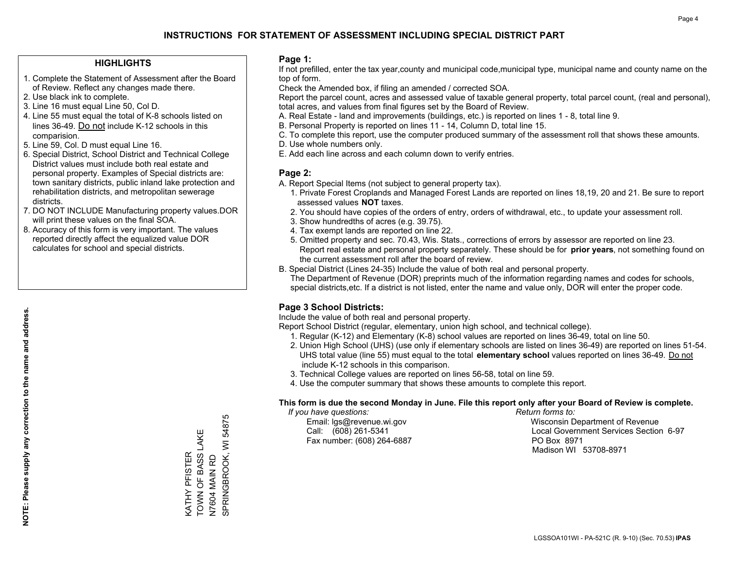### **HIGHLIGHTS**

- 1. Complete the Statement of Assessment after the Board of Review. Reflect any changes made there.
- 2. Use black ink to complete.
- 3. Line 16 must equal Line 50, Col D.
- 4. Line 55 must equal the total of K-8 schools listed on lines 36-49. Do not include K-12 schools in this comparision.
- 5. Line 59, Col. D must equal Line 16.
- 6. Special District, School District and Technical College District values must include both real estate and personal property. Examples of Special districts are: town sanitary districts, public inland lake protection and rehabilitation districts, and metropolitan sewerage districts.
- 7. DO NOT INCLUDE Manufacturing property values.DOR will print these values on the final SOA.

KATHY PFISTER TOWN OF BASS LAKE

KATHY PFISTER<br>TOWN OF BASS LAKE

N7604 MAIN RD

N7604 MAIN RD<br>SPRINGBROOK, WI

SPRINGBROOK, WI 54875

Ю 5487

 8. Accuracy of this form is very important. The values reported directly affect the equalized value DOR calculates for school and special districts.

### **Page 1:**

 If not prefilled, enter the tax year,county and municipal code,municipal type, municipal name and county name on the top of form.

Check the Amended box, if filing an amended / corrected SOA.

 Report the parcel count, acres and assessed value of taxable general property, total parcel count, (real and personal), total acres, and values from final figures set by the Board of Review.

- A. Real Estate land and improvements (buildings, etc.) is reported on lines 1 8, total line 9.
- B. Personal Property is reported on lines 11 14, Column D, total line 15.
- C. To complete this report, use the computer produced summary of the assessment roll that shows these amounts.
- D. Use whole numbers only.
- E. Add each line across and each column down to verify entries.

### **Page 2:**

- A. Report Special Items (not subject to general property tax).
- 1. Private Forest Croplands and Managed Forest Lands are reported on lines 18,19, 20 and 21. Be sure to report assessed values **NOT** taxes.
- 2. You should have copies of the orders of entry, orders of withdrawal, etc., to update your assessment roll.
	- 3. Show hundredths of acres (e.g. 39.75).
- 4. Tax exempt lands are reported on line 22.
- 5. Omitted property and sec. 70.43, Wis. Stats., corrections of errors by assessor are reported on line 23. Report real estate and personal property separately. These should be for **prior years**, not something found on the current assessment roll after the board of review.
- B. Special District (Lines 24-35) Include the value of both real and personal property.
- The Department of Revenue (DOR) preprints much of the information regarding names and codes for schools, special districts,etc. If a district is not listed, enter the name and value only, DOR will enter the proper code.

## **Page 3 School Districts:**

Include the value of both real and personal property.

Report School District (regular, elementary, union high school, and technical college).

- 1. Regular (K-12) and Elementary (K-8) school values are reported on lines 36-49, total on line 50.
- 2. Union High School (UHS) (use only if elementary schools are listed on lines 36-49) are reported on lines 51-54. UHS total value (line 55) must equal to the total **elementary school** values reported on lines 36-49. Do notinclude K-12 schools in this comparison.
- 3. Technical College values are reported on lines 56-58, total on line 59.
- 4. Use the computer summary that shows these amounts to complete this report.

### **This form is due the second Monday in June. File this report only after your Board of Review is complete.**

 *If you have questions: Return forms to:*

Fax number: (608) 264-6887 PO Box 8971

 Email: lgs@revenue.wi.gov Wisconsin Department of Revenue Call: (608) 261-5341 Local Government Services Section 6-97Madison WI 53708-8971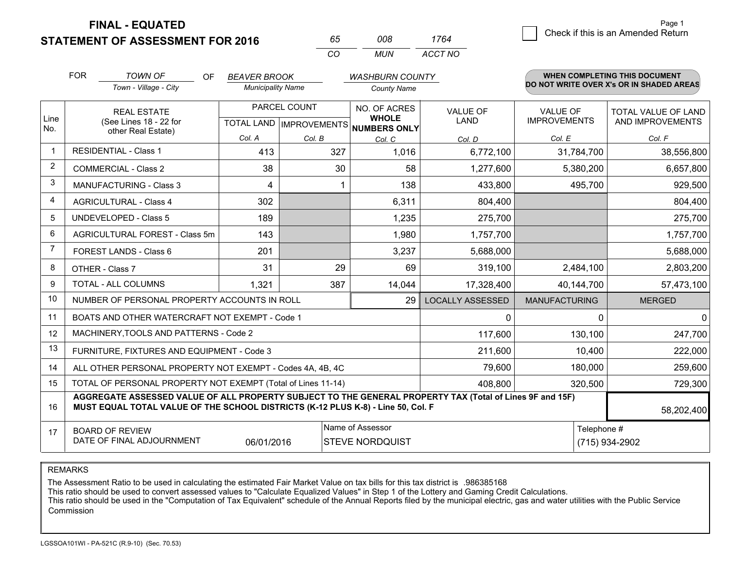**STATEMENT OF ASSESSMENT FOR 2016** 

**FINAL - EQUATED**

| 65  | nnr  | 1764    |
|-----|------|---------|
| ΓO. | MUN. | ACCT NO |

|                | <b>FOR</b><br><b>TOWN OF</b><br><b>OF</b><br><b>BEAVER BROOK</b><br>Town - Village - City<br><b>Municipality Name</b>                                                                        |                                                                                                      |        | <b>WASHBURN COUNTY</b> |                              |                                | <b>WHEN COMPLETING THIS DOCUMENT</b><br>DO NOT WRITE OVER X's OR IN SHADED AREAS |                                         |
|----------------|----------------------------------------------------------------------------------------------------------------------------------------------------------------------------------------------|------------------------------------------------------------------------------------------------------|--------|------------------------|------------------------------|--------------------------------|----------------------------------------------------------------------------------|-----------------------------------------|
|                |                                                                                                                                                                                              |                                                                                                      |        |                        | <b>County Name</b>           |                                |                                                                                  |                                         |
| Line<br>No.    |                                                                                                                                                                                              | PARCEL COUNT<br><b>REAL ESTATE</b><br>(See Lines 18 - 22 for<br>TOTAL LAND IMPROVEMENTS NUMBERS ONLY |        |                        | NO. OF ACRES<br><b>WHOLE</b> | <b>VALUE OF</b><br><b>LAND</b> | VALUE OF<br><b>IMPROVEMENTS</b>                                                  | TOTAL VALUE OF LAND<br>AND IMPROVEMENTS |
|                |                                                                                                                                                                                              | other Real Estate)                                                                                   | Col. A | Col. B                 | Col. C                       | Col. D                         | Col. E                                                                           | Col. F                                  |
| $\mathbf 1$    |                                                                                                                                                                                              | <b>RESIDENTIAL - Class 1</b>                                                                         | 413    | 327                    | 1,016                        | 6,772,100                      | 31,784,700                                                                       | 38,556,800                              |
| 2              |                                                                                                                                                                                              | <b>COMMERCIAL - Class 2</b>                                                                          | 38     | 30                     | 58                           | 1,277,600                      | 5,380,200                                                                        | 6,657,800                               |
| 3              |                                                                                                                                                                                              | <b>MANUFACTURING - Class 3</b>                                                                       | 4      |                        | 138                          | 433,800                        | 495,700                                                                          | 929,500                                 |
| $\overline{4}$ |                                                                                                                                                                                              | <b>AGRICULTURAL - Class 4</b>                                                                        | 302    |                        | 6,311                        | 804,400                        |                                                                                  | 804,400                                 |
| 5              |                                                                                                                                                                                              | <b>UNDEVELOPED - Class 5</b>                                                                         | 189    |                        | 1,235                        | 275,700                        |                                                                                  | 275,700                                 |
| 6              |                                                                                                                                                                                              | AGRICULTURAL FOREST - Class 5m                                                                       | 143    |                        | 1,980                        | 1,757,700                      |                                                                                  | 1,757,700                               |
| 7              |                                                                                                                                                                                              | <b>FOREST LANDS - Class 6</b>                                                                        | 201    |                        | 3,237                        | 5,688,000                      |                                                                                  | 5,688,000                               |
| 8              |                                                                                                                                                                                              | OTHER - Class 7                                                                                      | 31     | 29                     | 69                           | 319,100                        | 2,484,100                                                                        | 2,803,200                               |
| 9              |                                                                                                                                                                                              | TOTAL - ALL COLUMNS                                                                                  | 1,321  | 387                    | 14,044                       | 17,328,400                     | 40,144,700                                                                       | 57,473,100                              |
| 10             |                                                                                                                                                                                              | NUMBER OF PERSONAL PROPERTY ACCOUNTS IN ROLL                                                         |        |                        | 29                           | <b>LOCALLY ASSESSED</b>        | <b>MANUFACTURING</b>                                                             | <b>MERGED</b>                           |
| 11             |                                                                                                                                                                                              | BOATS AND OTHER WATERCRAFT NOT EXEMPT - Code 1                                                       |        |                        |                              | 0                              | 0                                                                                | $\mathbf 0$                             |
| 12             |                                                                                                                                                                                              | MACHINERY, TOOLS AND PATTERNS - Code 2                                                               |        |                        |                              | 117,600                        | 130,100                                                                          | 247,700                                 |
| 13             |                                                                                                                                                                                              | FURNITURE, FIXTURES AND EQUIPMENT - Code 3                                                           |        |                        |                              | 211,600                        | 10,400                                                                           | 222,000                                 |
| 14             |                                                                                                                                                                                              | ALL OTHER PERSONAL PROPERTY NOT EXEMPT - Codes 4A, 4B, 4C                                            |        |                        |                              | 79,600                         | 180,000                                                                          | 259,600                                 |
| 15             |                                                                                                                                                                                              | TOTAL OF PERSONAL PROPERTY NOT EXEMPT (Total of Lines 11-14)                                         |        |                        | 408,800                      | 320,500                        | 729,300                                                                          |                                         |
| 16             | AGGREGATE ASSESSED VALUE OF ALL PROPERTY SUBJECT TO THE GENERAL PROPERTY TAX (Total of Lines 9F and 15F)<br>MUST EQUAL TOTAL VALUE OF THE SCHOOL DISTRICTS (K-12 PLUS K-8) - Line 50, Col. F |                                                                                                      |        |                        |                              |                                | 58,202,400                                                                       |                                         |
| 17             | Name of Assessor<br><b>BOARD OF REVIEW</b><br>DATE OF FINAL ADJOURNMENT<br>06/01/2016<br><b>STEVE NORDQUIST</b>                                                                              |                                                                                                      |        |                        |                              |                                | Telephone #                                                                      | (715) 934-2902                          |

REMARKS

The Assessment Ratio to be used in calculating the estimated Fair Market Value on tax bills for this tax district is .986385168

This ratio should be used to convert assessed values to "Calculate Equalized Values" in Step 1 of the Lottery and Gaming Credit Calculations.<br>This ratio should be used in the "Computation of Tax Equivalent" schedule of the Commission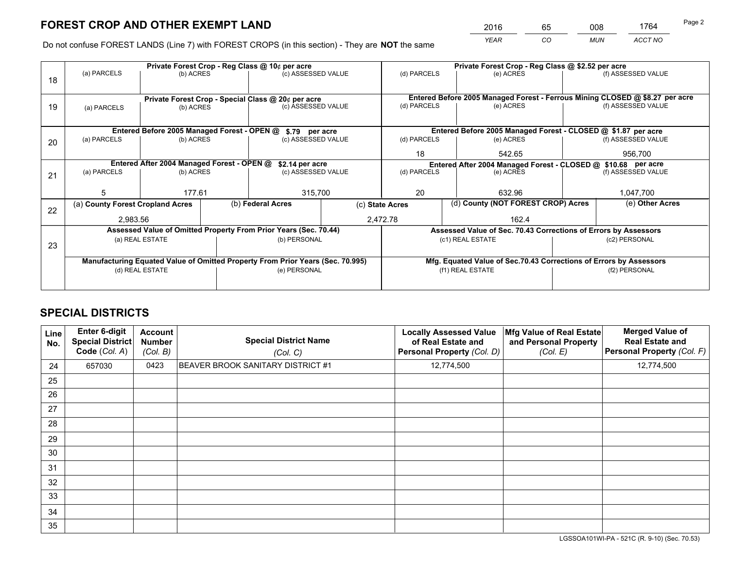*YEAR CO MUN ACCT NO* <sup>2016</sup> <sup>65</sup> <sup>008</sup> <sup>1764</sup>

Do not confuse FOREST LANDS (Line 7) with FOREST CROPS (in this section) - They are **NOT** the same

|    |                                                                                |                                             |  | Private Forest Crop - Reg Class @ 10¢ per acre                   |                 | Private Forest Crop - Reg Class @ \$2.52 per acre             |                                                                              |  |                    |  |
|----|--------------------------------------------------------------------------------|---------------------------------------------|--|------------------------------------------------------------------|-----------------|---------------------------------------------------------------|------------------------------------------------------------------------------|--|--------------------|--|
| 18 | (a) PARCELS                                                                    | (b) ACRES                                   |  | (c) ASSESSED VALUE                                               |                 | (d) PARCELS                                                   | (e) ACRES                                                                    |  | (f) ASSESSED VALUE |  |
|    |                                                                                |                                             |  | Private Forest Crop - Special Class @ 20¢ per acre               |                 |                                                               | Entered Before 2005 Managed Forest - Ferrous Mining CLOSED @ \$8.27 per acre |  |                    |  |
| 19 | (a) PARCELS                                                                    | (b) ACRES                                   |  | (c) ASSESSED VALUE                                               |                 | (d) PARCELS                                                   | (e) ACRES                                                                    |  | (f) ASSESSED VALUE |  |
|    |                                                                                | Entered Before 2005 Managed Forest - OPEN @ |  | \$.79 per acre                                                   |                 |                                                               | Entered Before 2005 Managed Forest - CLOSED @ \$1.87 per acre                |  |                    |  |
| 20 | (a) PARCELS                                                                    | (b) ACRES                                   |  | (c) ASSESSED VALUE                                               |                 | (d) PARCELS                                                   | (e) ACRES                                                                    |  | (f) ASSESSED VALUE |  |
|    |                                                                                |                                             |  |                                                                  |                 | 18                                                            | 542.65                                                                       |  | 956,700            |  |
|    | Entered After 2004 Managed Forest - OPEN @                                     |                                             |  | \$2.14 per acre                                                  |                 | Entered After 2004 Managed Forest - CLOSED @ \$10.68 per acre |                                                                              |  |                    |  |
| 21 | (a) PARCELS                                                                    | (b) ACRES                                   |  | (c) ASSESSED VALUE                                               |                 | (d) PARCELS                                                   | (e) ACRES                                                                    |  | (f) ASSESSED VALUE |  |
|    | 5                                                                              | 177.61                                      |  | 315,700                                                          |                 | 20                                                            | 632.96                                                                       |  | 1,047,700          |  |
| 22 | (a) County Forest Cropland Acres                                               |                                             |  | (b) Federal Acres                                                | (c) State Acres |                                                               | (d) County (NOT FOREST CROP) Acres                                           |  | (e) Other Acres    |  |
|    | 2,983.56                                                                       |                                             |  |                                                                  |                 | 2,472.78<br>162.4                                             |                                                                              |  |                    |  |
|    |                                                                                |                                             |  | Assessed Value of Omitted Property From Prior Years (Sec. 70.44) |                 |                                                               | Assessed Value of Sec. 70.43 Corrections of Errors by Assessors              |  |                    |  |
| 23 | (a) REAL ESTATE                                                                |                                             |  | (b) PERSONAL                                                     |                 | (c1) REAL ESTATE                                              |                                                                              |  | (c2) PERSONAL      |  |
|    | Manufacturing Equated Value of Omitted Property From Prior Years (Sec. 70.995) |                                             |  |                                                                  |                 |                                                               | Mfg. Equated Value of Sec.70.43 Corrections of Errors by Assessors           |  |                    |  |
|    | (d) REAL ESTATE                                                                |                                             |  | (e) PERSONAL                                                     |                 | (f1) REAL ESTATE                                              |                                                                              |  | (f2) PERSONAL      |  |
|    |                                                                                |                                             |  |                                                                  |                 |                                                               |                                                                              |  |                    |  |

## **SPECIAL DISTRICTS**

| Line<br>No. | Enter 6-digit<br><b>Special District</b><br>Code (Col. A) | <b>Account</b><br><b>Number</b><br>(Col. B) | <b>Special District Name</b><br>(Col. C) | <b>Locally Assessed Value</b><br>of Real Estate and<br>Personal Property (Col. D) | Mfg Value of Real Estate<br>and Personal Property<br>(Col. E) | <b>Merged Value of</b><br><b>Real Estate and</b><br>Personal Property (Col. F) |
|-------------|-----------------------------------------------------------|---------------------------------------------|------------------------------------------|-----------------------------------------------------------------------------------|---------------------------------------------------------------|--------------------------------------------------------------------------------|
| 24          | 657030                                                    | 0423                                        | BEAVER BROOK SANITARY DISTRICT #1        | 12,774,500                                                                        |                                                               | 12,774,500                                                                     |
| 25          |                                                           |                                             |                                          |                                                                                   |                                                               |                                                                                |
| 26          |                                                           |                                             |                                          |                                                                                   |                                                               |                                                                                |
| 27          |                                                           |                                             |                                          |                                                                                   |                                                               |                                                                                |
| 28          |                                                           |                                             |                                          |                                                                                   |                                                               |                                                                                |
| 29          |                                                           |                                             |                                          |                                                                                   |                                                               |                                                                                |
| 30          |                                                           |                                             |                                          |                                                                                   |                                                               |                                                                                |
| 31          |                                                           |                                             |                                          |                                                                                   |                                                               |                                                                                |
| 32          |                                                           |                                             |                                          |                                                                                   |                                                               |                                                                                |
| 33          |                                                           |                                             |                                          |                                                                                   |                                                               |                                                                                |
| 34          |                                                           |                                             |                                          |                                                                                   |                                                               |                                                                                |
| 35          |                                                           |                                             |                                          |                                                                                   |                                                               |                                                                                |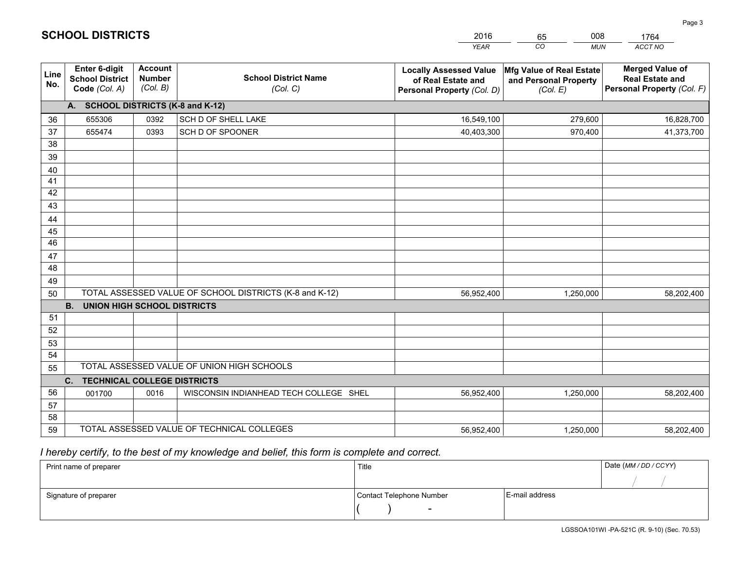|             |                                                                 |                                             |                                                         | <b>YEAR</b>                                                                       | CO<br><b>MUN</b>                                              | ACCT NO                                                                        |
|-------------|-----------------------------------------------------------------|---------------------------------------------|---------------------------------------------------------|-----------------------------------------------------------------------------------|---------------------------------------------------------------|--------------------------------------------------------------------------------|
| Line<br>No. | <b>Enter 6-digit</b><br><b>School District</b><br>Code (Col. A) | <b>Account</b><br><b>Number</b><br>(Col. B) | <b>School District Name</b><br>(Col. C)                 | <b>Locally Assessed Value</b><br>of Real Estate and<br>Personal Property (Col. D) | Mfg Value of Real Estate<br>and Personal Property<br>(Col. E) | <b>Merged Value of</b><br><b>Real Estate and</b><br>Personal Property (Col. F) |
|             | A. SCHOOL DISTRICTS (K-8 and K-12)                              |                                             |                                                         |                                                                                   |                                                               |                                                                                |
| 36          | 655306                                                          | 0392                                        | SCH D OF SHELL LAKE                                     | 16,549,100                                                                        | 279,600                                                       | 16,828,700                                                                     |
| 37          | 655474                                                          | 0393                                        | SCH D OF SPOONER                                        | 40,403,300                                                                        | 970,400                                                       | 41,373,700                                                                     |
| 38          |                                                                 |                                             |                                                         |                                                                                   |                                                               |                                                                                |
| 39          |                                                                 |                                             |                                                         |                                                                                   |                                                               |                                                                                |
| 40          |                                                                 |                                             |                                                         |                                                                                   |                                                               |                                                                                |
| 41          |                                                                 |                                             |                                                         |                                                                                   |                                                               |                                                                                |
| 42          |                                                                 |                                             |                                                         |                                                                                   |                                                               |                                                                                |
| 43          |                                                                 |                                             |                                                         |                                                                                   |                                                               |                                                                                |
| 44          |                                                                 |                                             |                                                         |                                                                                   |                                                               |                                                                                |
| 45          |                                                                 |                                             |                                                         |                                                                                   |                                                               |                                                                                |
| 46          |                                                                 |                                             |                                                         |                                                                                   |                                                               |                                                                                |
| 47<br>48    |                                                                 |                                             |                                                         |                                                                                   |                                                               |                                                                                |
|             |                                                                 |                                             |                                                         |                                                                                   |                                                               |                                                                                |
| 49<br>50    |                                                                 |                                             | TOTAL ASSESSED VALUE OF SCHOOL DISTRICTS (K-8 and K-12) |                                                                                   |                                                               |                                                                                |
|             | <b>B.</b><br><b>UNION HIGH SCHOOL DISTRICTS</b>                 |                                             |                                                         | 56,952,400                                                                        | 1,250,000                                                     | 58,202,400                                                                     |
| 51          |                                                                 |                                             |                                                         |                                                                                   |                                                               |                                                                                |
| 52          |                                                                 |                                             |                                                         |                                                                                   |                                                               |                                                                                |
| 53          |                                                                 |                                             |                                                         |                                                                                   |                                                               |                                                                                |
| 54          |                                                                 |                                             |                                                         |                                                                                   |                                                               |                                                                                |
| 55          |                                                                 |                                             | TOTAL ASSESSED VALUE OF UNION HIGH SCHOOLS              |                                                                                   |                                                               |                                                                                |
|             | C.<br><b>TECHNICAL COLLEGE DISTRICTS</b>                        |                                             |                                                         |                                                                                   |                                                               |                                                                                |
| 56          | 001700                                                          | 0016                                        | WISCONSIN INDIANHEAD TECH COLLEGE SHEL                  | 56,952,400                                                                        | 1,250,000                                                     | 58,202,400                                                                     |
| 57          |                                                                 |                                             |                                                         |                                                                                   |                                                               |                                                                                |
| 58          |                                                                 |                                             |                                                         |                                                                                   |                                                               |                                                                                |
| 59          |                                                                 |                                             | TOTAL ASSESSED VALUE OF TECHNICAL COLLEGES              | 56,952,400                                                                        | 1,250,000                                                     | 58,202,400                                                                     |

2016

65

008

 *I hereby certify, to the best of my knowledge and belief, this form is complete and correct.*

**SCHOOL DISTRICTS**

| Print name of preparer | Title                    |                | Date (MM / DD / CCYY) |
|------------------------|--------------------------|----------------|-----------------------|
|                        |                          |                |                       |
| Signature of preparer  | Contact Telephone Number | E-mail address |                       |
|                        | $\sim$                   |                |                       |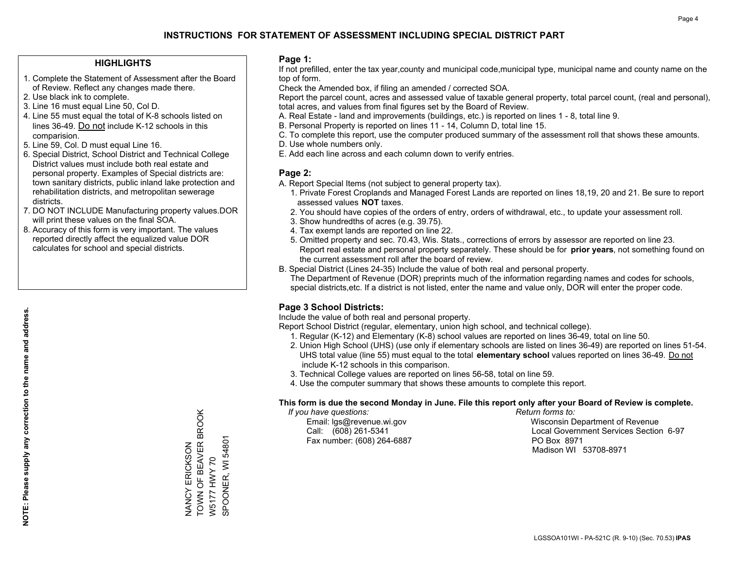### **HIGHLIGHTS**

- 1. Complete the Statement of Assessment after the Board of Review. Reflect any changes made there.
- 2. Use black ink to complete.
- 3. Line 16 must equal Line 50, Col D.
- 4. Line 55 must equal the total of K-8 schools listed on lines 36-49. Do not include K-12 schools in this comparision.
- 5. Line 59, Col. D must equal Line 16.
- 6. Special District, School District and Technical College District values must include both real estate and personal property. Examples of Special districts are: town sanitary districts, public inland lake protection and rehabilitation districts, and metropolitan sewerage districts.
- 7. DO NOT INCLUDE Manufacturing property values.DOR will print these values on the final SOA.
- 8. Accuracy of this form is very important. The values reported directly affect the equalized value DOR calculates for school and special districts.

### **Page 1:**

 If not prefilled, enter the tax year,county and municipal code,municipal type, municipal name and county name on the top of form.

Check the Amended box, if filing an amended / corrected SOA.

 Report the parcel count, acres and assessed value of taxable general property, total parcel count, (real and personal), total acres, and values from final figures set by the Board of Review.

- A. Real Estate land and improvements (buildings, etc.) is reported on lines 1 8, total line 9.
- B. Personal Property is reported on lines 11 14, Column D, total line 15.
- C. To complete this report, use the computer produced summary of the assessment roll that shows these amounts.
- D. Use whole numbers only.
- E. Add each line across and each column down to verify entries.

### **Page 2:**

- A. Report Special Items (not subject to general property tax).
- 1. Private Forest Croplands and Managed Forest Lands are reported on lines 18,19, 20 and 21. Be sure to report assessed values **NOT** taxes.
- 2. You should have copies of the orders of entry, orders of withdrawal, etc., to update your assessment roll.
	- 3. Show hundredths of acres (e.g. 39.75).
- 4. Tax exempt lands are reported on line 22.
- 5. Omitted property and sec. 70.43, Wis. Stats., corrections of errors by assessor are reported on line 23. Report real estate and personal property separately. These should be for **prior years**, not something found on the current assessment roll after the board of review.
- B. Special District (Lines 24-35) Include the value of both real and personal property.
- The Department of Revenue (DOR) preprints much of the information regarding names and codes for schools, special districts,etc. If a district is not listed, enter the name and value only, DOR will enter the proper code.

## **Page 3 School Districts:**

Include the value of both real and personal property.

Report School District (regular, elementary, union high school, and technical college).

- 1. Regular (K-12) and Elementary (K-8) school values are reported on lines 36-49, total on line 50.
- 2. Union High School (UHS) (use only if elementary schools are listed on lines 36-49) are reported on lines 51-54. UHS total value (line 55) must equal to the total **elementary school** values reported on lines 36-49. Do notinclude K-12 schools in this comparison.
- 3. Technical College values are reported on lines 56-58, total on line 59.
- 4. Use the computer summary that shows these amounts to complete this report.

### **This form is due the second Monday in June. File this report only after your Board of Review is complete.**

 *If you have questions: Return forms to:*

Fax number: (608) 264-6887 PO Box 8971

 Email: lgs@revenue.wi.gov Wisconsin Department of Revenue Call: (608) 261-5341 Local Government Services Section 6-97Madison WI 53708-8971

TOWN OF BEAVER BROOK NANCY ERICKSON<br>TOWN OF BEAVER BROOK SPOONER, WI 54801 SPOONER, WI 54801 NANCY ERICKSON W5177 HWY 70 W5177 HWY 70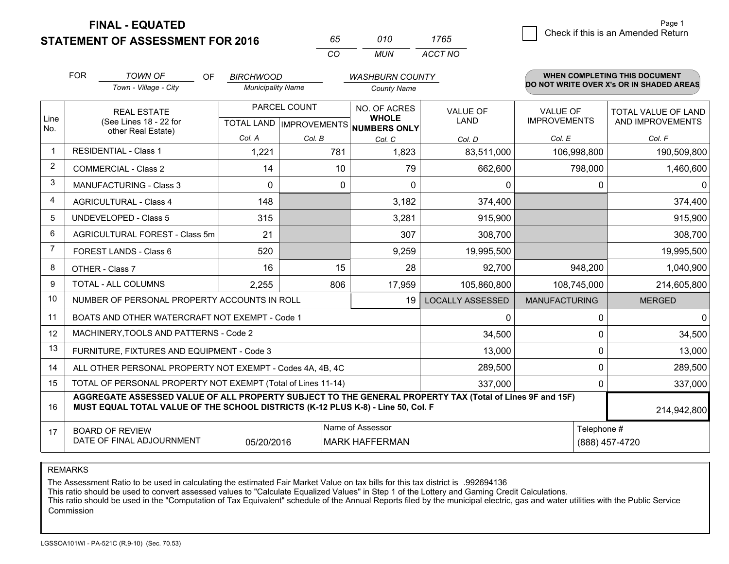**STATEMENT OF ASSESSMENT FOR 2016** 

**FINAL - EQUATED**

| 65  | 01 O | 1765    |
|-----|------|---------|
| CO. | MUN  | ACCT NO |

|             | <b>FOR</b><br><b>TOWN OF</b><br><b>OF</b><br><b>BIRCHWOOD</b><br><b>WASHBURN COUNTY</b>                                                                                                      |                                                |                                           |          |                                              |                                | <b>WHEN COMPLETING THIS DOCUMENT</b>   |                                          |  |
|-------------|----------------------------------------------------------------------------------------------------------------------------------------------------------------------------------------------|------------------------------------------------|-------------------------------------------|----------|----------------------------------------------|--------------------------------|----------------------------------------|------------------------------------------|--|
|             |                                                                                                                                                                                              | Town - Village - City                          | <b>Municipality Name</b>                  |          | <b>County Name</b>                           |                                |                                        | DO NOT WRITE OVER X's OR IN SHADED AREAS |  |
| Line<br>No. | <b>REAL ESTATE</b><br>(See Lines 18 - 22 for                                                                                                                                                 |                                                | PARCEL COUNT<br>TOTAL LAND   IMPROVEMENTS |          | NO. OF ACRES<br><b>WHOLE</b><br>NUMBERS ONLY | <b>VALUE OF</b><br><b>LAND</b> | <b>VALUE OF</b><br><b>IMPROVEMENTS</b> | TOTAL VALUE OF LAND<br>AND IMPROVEMENTS  |  |
|             |                                                                                                                                                                                              | other Real Estate)                             | Col. A                                    | Col. B   | Col. C                                       | Col. D                         | Col. E                                 | Col. F                                   |  |
| $\mathbf 1$ |                                                                                                                                                                                              | <b>RESIDENTIAL - Class 1</b>                   | 1,221                                     | 781      | 1,823                                        | 83,511,000                     | 106,998,800                            | 190,509,800                              |  |
| 2           |                                                                                                                                                                                              | <b>COMMERCIAL - Class 2</b>                    | 14                                        | 10       | 79                                           | 662,600                        | 798,000                                | 1,460,600                                |  |
| 3           |                                                                                                                                                                                              | <b>MANUFACTURING - Class 3</b>                 | $\Omega$                                  | $\Omega$ | $\Omega$                                     | 0                              |                                        | $\mathbf{0}$<br>0                        |  |
| 4           |                                                                                                                                                                                              | <b>AGRICULTURAL - Class 4</b>                  | 148                                       |          | 3,182                                        | 374,400                        |                                        | 374,400                                  |  |
| 5           |                                                                                                                                                                                              | <b>UNDEVELOPED - Class 5</b>                   | 315                                       |          | 3,281                                        | 915,900                        |                                        | 915,900                                  |  |
| 6           |                                                                                                                                                                                              | AGRICULTURAL FOREST - Class 5m                 | 21                                        |          | 307                                          | 308,700                        |                                        | 308,700                                  |  |
| 7           |                                                                                                                                                                                              | FOREST LANDS - Class 6                         | 520                                       |          | 9,259                                        | 19,995,500                     |                                        | 19,995,500                               |  |
| 8           |                                                                                                                                                                                              | OTHER - Class 7                                | 16                                        | 15       | 28                                           | 92,700                         | 948,200                                | 1,040,900                                |  |
| 9           |                                                                                                                                                                                              | TOTAL - ALL COLUMNS                            | 2,255                                     | 806      | 17,959                                       | 105,860,800                    | 108,745,000                            | 214,605,800                              |  |
| 10          |                                                                                                                                                                                              | NUMBER OF PERSONAL PROPERTY ACCOUNTS IN ROLL   |                                           |          | 19                                           | <b>LOCALLY ASSESSED</b>        | <b>MANUFACTURING</b>                   | <b>MERGED</b>                            |  |
| 11          |                                                                                                                                                                                              | BOATS AND OTHER WATERCRAFT NOT EXEMPT - Code 1 |                                           |          |                                              | $\mathbf{0}$                   |                                        | $\mathbf 0$<br>0                         |  |
| 12          |                                                                                                                                                                                              | MACHINERY, TOOLS AND PATTERNS - Code 2         |                                           |          |                                              | 34,500                         |                                        | 34,500<br>$\Omega$                       |  |
| 13          |                                                                                                                                                                                              | FURNITURE, FIXTURES AND EQUIPMENT - Code 3     |                                           |          |                                              | 13,000                         |                                        | $\mathbf 0$<br>13,000                    |  |
| 14          | ALL OTHER PERSONAL PROPERTY NOT EXEMPT - Codes 4A, 4B, 4C                                                                                                                                    | $\Omega$<br>289,500                            |                                           |          |                                              |                                |                                        |                                          |  |
| 15          | TOTAL OF PERSONAL PROPERTY NOT EXEMPT (Total of Lines 11-14)<br>337,000                                                                                                                      |                                                |                                           |          |                                              |                                |                                        | 337,000<br>0                             |  |
| 16          | AGGREGATE ASSESSED VALUE OF ALL PROPERTY SUBJECT TO THE GENERAL PROPERTY TAX (Total of Lines 9F and 15F)<br>MUST EQUAL TOTAL VALUE OF THE SCHOOL DISTRICTS (K-12 PLUS K-8) - Line 50, Col. F |                                                |                                           |          |                                              |                                |                                        | 214,942,800                              |  |
| 17          | Name of Assessor<br><b>BOARD OF REVIEW</b><br>DATE OF FINAL ADJOURNMENT<br>05/20/2016<br><b>MARK HAFFERMAN</b>                                                                               |                                                |                                           |          |                                              |                                |                                        | Telephone #<br>(888) 457-4720            |  |

REMARKS

The Assessment Ratio to be used in calculating the estimated Fair Market Value on tax bills for this tax district is .992694136

This ratio should be used to convert assessed values to "Calculate Equalized Values" in Step 1 of the Lottery and Gaming Credit Calculations.<br>This ratio should be used in the "Computation of Tax Equivalent" schedule of the Commission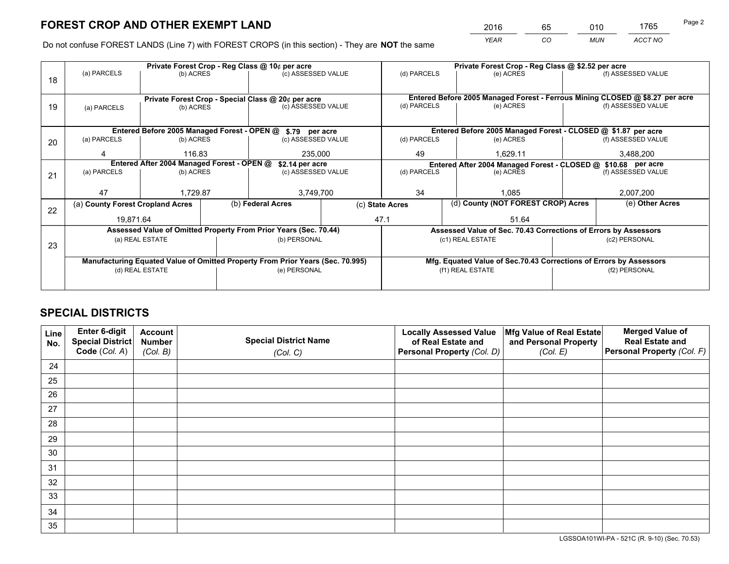*YEAR CO MUN ACCT NO* <sup>2016</sup> <sup>65</sup> <sup>010</sup> <sup>1765</sup>

Do not confuse FOREST LANDS (Line 7) with FOREST CROPS (in this section) - They are **NOT** the same

|    |                                            |                 |                                                                  | Private Forest Crop - Reg Class @ 10¢ per acre                                 |                                                               | Private Forest Crop - Reg Class @ \$2.52 per acre |  |                                                                 |                                                                              |                    |
|----|--------------------------------------------|-----------------|------------------------------------------------------------------|--------------------------------------------------------------------------------|---------------------------------------------------------------|---------------------------------------------------|--|-----------------------------------------------------------------|------------------------------------------------------------------------------|--------------------|
| 18 | (a) PARCELS<br>(b) ACRES                   |                 |                                                                  | (c) ASSESSED VALUE                                                             |                                                               | (d) PARCELS                                       |  | (e) ACRES                                                       |                                                                              | (f) ASSESSED VALUE |
|    |                                            |                 |                                                                  |                                                                                |                                                               |                                                   |  |                                                                 |                                                                              |                    |
|    |                                            |                 |                                                                  | Private Forest Crop - Special Class @ 20¢ per acre                             |                                                               |                                                   |  |                                                                 | Entered Before 2005 Managed Forest - Ferrous Mining CLOSED @ \$8.27 per acre |                    |
| 19 | (a) PARCELS                                | (b) ACRES       |                                                                  | (c) ASSESSED VALUE                                                             |                                                               | (d) PARCELS                                       |  | (e) ACRES                                                       |                                                                              | (f) ASSESSED VALUE |
|    |                                            |                 |                                                                  |                                                                                |                                                               |                                                   |  |                                                                 |                                                                              |                    |
|    |                                            |                 |                                                                  | Entered Before 2005 Managed Forest - OPEN @ \$.79 per acre                     |                                                               |                                                   |  | Entered Before 2005 Managed Forest - CLOSED @ \$1.87 per acre   |                                                                              |                    |
| 20 | (a) PARCELS                                | (b) ACRES       |                                                                  | (c) ASSESSED VALUE                                                             |                                                               | (d) PARCELS                                       |  | (e) ACRES                                                       |                                                                              | (f) ASSESSED VALUE |
|    | Δ                                          | 116.83          |                                                                  | 235,000                                                                        |                                                               | 49                                                |  | 1,629.11                                                        |                                                                              | 3,488,200          |
|    | Entered After 2004 Managed Forest - OPEN @ |                 |                                                                  | \$2.14 per acre                                                                | Entered After 2004 Managed Forest - CLOSED @ \$10.68 per acre |                                                   |  |                                                                 |                                                                              |                    |
| 21 | (a) PARCELS                                | (b) ACRES       |                                                                  | (c) ASSESSED VALUE                                                             |                                                               | (d) PARCELS                                       |  | (e) ACRES                                                       |                                                                              | (f) ASSESSED VALUE |
|    |                                            |                 |                                                                  |                                                                                |                                                               |                                                   |  |                                                                 |                                                                              |                    |
|    | 47                                         | 1,729.87        |                                                                  | 3,749,700                                                                      |                                                               | 34                                                |  | 1.085                                                           |                                                                              | 2,007,200          |
| 22 | (a) County Forest Cropland Acres           |                 |                                                                  | (b) Federal Acres                                                              |                                                               | (c) State Acres                                   |  | (d) County (NOT FOREST CROP) Acres                              |                                                                              | (e) Other Acres    |
|    |                                            | 19,871.64       |                                                                  |                                                                                | 47.1                                                          |                                                   |  | 51.64                                                           |                                                                              |                    |
|    |                                            |                 | Assessed Value of Omitted Property From Prior Years (Sec. 70.44) |                                                                                |                                                               |                                                   |  | Assessed Value of Sec. 70.43 Corrections of Errors by Assessors |                                                                              |                    |
| 23 |                                            | (a) REAL ESTATE |                                                                  | (b) PERSONAL                                                                   |                                                               |                                                   |  | (c1) REAL ESTATE                                                | (c2) PERSONAL                                                                |                    |
|    |                                            |                 |                                                                  |                                                                                |                                                               |                                                   |  |                                                                 |                                                                              |                    |
|    |                                            |                 |                                                                  | Manufacturing Equated Value of Omitted Property From Prior Years (Sec. 70.995) |                                                               |                                                   |  |                                                                 | Mfg. Equated Value of Sec.70.43 Corrections of Errors by Assessors           |                    |
|    | (d) REAL ESTATE                            |                 |                                                                  | (e) PERSONAL                                                                   |                                                               |                                                   |  | (f1) REAL ESTATE                                                | (f2) PERSONAL                                                                |                    |
|    |                                            |                 |                                                                  |                                                                                |                                                               |                                                   |  |                                                                 |                                                                              |                    |

## **SPECIAL DISTRICTS**

| Line<br>No. | Enter 6-digit<br>Special District<br>Code (Col. A) | <b>Account</b><br><b>Number</b><br>(Col. B) | <b>Special District Name</b><br>(Col. C) | <b>Locally Assessed Value</b><br>of Real Estate and<br>Personal Property (Col. D) | Mfg Value of Real Estate<br>and Personal Property<br>(Col. E) | <b>Merged Value of</b><br><b>Real Estate and</b><br>Personal Property (Col. F) |
|-------------|----------------------------------------------------|---------------------------------------------|------------------------------------------|-----------------------------------------------------------------------------------|---------------------------------------------------------------|--------------------------------------------------------------------------------|
| 24          |                                                    |                                             |                                          |                                                                                   |                                                               |                                                                                |
| 25          |                                                    |                                             |                                          |                                                                                   |                                                               |                                                                                |
| 26          |                                                    |                                             |                                          |                                                                                   |                                                               |                                                                                |
| 27          |                                                    |                                             |                                          |                                                                                   |                                                               |                                                                                |
| 28          |                                                    |                                             |                                          |                                                                                   |                                                               |                                                                                |
| 29          |                                                    |                                             |                                          |                                                                                   |                                                               |                                                                                |
| 30          |                                                    |                                             |                                          |                                                                                   |                                                               |                                                                                |
| 31          |                                                    |                                             |                                          |                                                                                   |                                                               |                                                                                |
| 32          |                                                    |                                             |                                          |                                                                                   |                                                               |                                                                                |
| 33          |                                                    |                                             |                                          |                                                                                   |                                                               |                                                                                |
| 34          |                                                    |                                             |                                          |                                                                                   |                                                               |                                                                                |
| 35          |                                                    |                                             |                                          |                                                                                   |                                                               |                                                                                |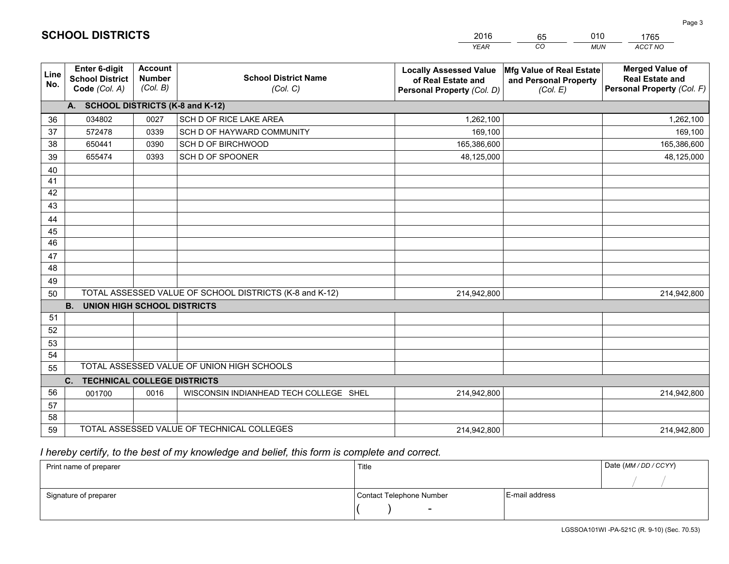|             |                                                          |                                             |                                                         | <b>YEAR</b>                                                                       | CO<br><b>MUN</b>                                              | <b>ACCT NO</b>                                                                 |
|-------------|----------------------------------------------------------|---------------------------------------------|---------------------------------------------------------|-----------------------------------------------------------------------------------|---------------------------------------------------------------|--------------------------------------------------------------------------------|
| Line<br>No. | Enter 6-digit<br><b>School District</b><br>Code (Col. A) | <b>Account</b><br><b>Number</b><br>(Col. B) | <b>School District Name</b><br>(Col. C)                 | <b>Locally Assessed Value</b><br>of Real Estate and<br>Personal Property (Col. D) | Mfg Value of Real Estate<br>and Personal Property<br>(Col. E) | <b>Merged Value of</b><br><b>Real Estate and</b><br>Personal Property (Col. F) |
|             | A. SCHOOL DISTRICTS (K-8 and K-12)                       |                                             |                                                         |                                                                                   |                                                               |                                                                                |
| 36          | 034802                                                   | 0027                                        | SCH D OF RICE LAKE AREA                                 | 1,262,100                                                                         |                                                               | 1,262,100                                                                      |
| 37          | 572478                                                   | 0339                                        | SCH D OF HAYWARD COMMUNITY                              | 169,100                                                                           |                                                               | 169,100                                                                        |
| 38          | 650441                                                   | 0390                                        | SCH D OF BIRCHWOOD                                      | 165,386,600                                                                       |                                                               | 165,386,600                                                                    |
| 39          | 655474                                                   | 0393                                        | SCH D OF SPOONER                                        | 48,125,000                                                                        |                                                               | 48,125,000                                                                     |
| 40          |                                                          |                                             |                                                         |                                                                                   |                                                               |                                                                                |
| 41          |                                                          |                                             |                                                         |                                                                                   |                                                               |                                                                                |
| 42          |                                                          |                                             |                                                         |                                                                                   |                                                               |                                                                                |
| 43          |                                                          |                                             |                                                         |                                                                                   |                                                               |                                                                                |
| 44          |                                                          |                                             |                                                         |                                                                                   |                                                               |                                                                                |
| 45          |                                                          |                                             |                                                         |                                                                                   |                                                               |                                                                                |
| 46          |                                                          |                                             |                                                         |                                                                                   |                                                               |                                                                                |
| 47          |                                                          |                                             |                                                         |                                                                                   |                                                               |                                                                                |
| 48          |                                                          |                                             |                                                         |                                                                                   |                                                               |                                                                                |
| 49          |                                                          |                                             |                                                         |                                                                                   |                                                               |                                                                                |
| 50          |                                                          |                                             | TOTAL ASSESSED VALUE OF SCHOOL DISTRICTS (K-8 and K-12) | 214,942,800                                                                       |                                                               | 214,942,800                                                                    |
|             | <b>B.</b><br><b>UNION HIGH SCHOOL DISTRICTS</b>          |                                             |                                                         |                                                                                   |                                                               |                                                                                |
| 51          |                                                          |                                             |                                                         |                                                                                   |                                                               |                                                                                |
| 52          |                                                          |                                             |                                                         |                                                                                   |                                                               |                                                                                |
| 53          |                                                          |                                             |                                                         |                                                                                   |                                                               |                                                                                |
| 54          |                                                          |                                             |                                                         |                                                                                   |                                                               |                                                                                |
| 55          |                                                          |                                             | TOTAL ASSESSED VALUE OF UNION HIGH SCHOOLS              |                                                                                   |                                                               |                                                                                |
|             | <b>C. TECHNICAL COLLEGE DISTRICTS</b>                    |                                             |                                                         |                                                                                   |                                                               |                                                                                |
| 56          | 001700                                                   | 0016                                        | WISCONSIN INDIANHEAD TECH COLLEGE SHEL                  | 214,942,800                                                                       |                                                               | 214,942,800                                                                    |
| 57          |                                                          |                                             |                                                         |                                                                                   |                                                               |                                                                                |
| 58          |                                                          |                                             |                                                         |                                                                                   |                                                               |                                                                                |
| 59          |                                                          |                                             | TOTAL ASSESSED VALUE OF TECHNICAL COLLEGES              | 214,942,800                                                                       |                                                               | 214,942,800                                                                    |

 *I hereby certify, to the best of my knowledge and belief, this form is complete and correct.*

| Print name of preparer | Title                    |                | Date (MM/DD/CCYY) |
|------------------------|--------------------------|----------------|-------------------|
|                        |                          |                |                   |
| Signature of preparer  | Contact Telephone Number | E-mail address |                   |
|                        | $\overline{\phantom{a}}$ |                |                   |

| <b>SCHOOL DISTRICTS</b> |  |
|-------------------------|--|
|-------------------------|--|

65

2016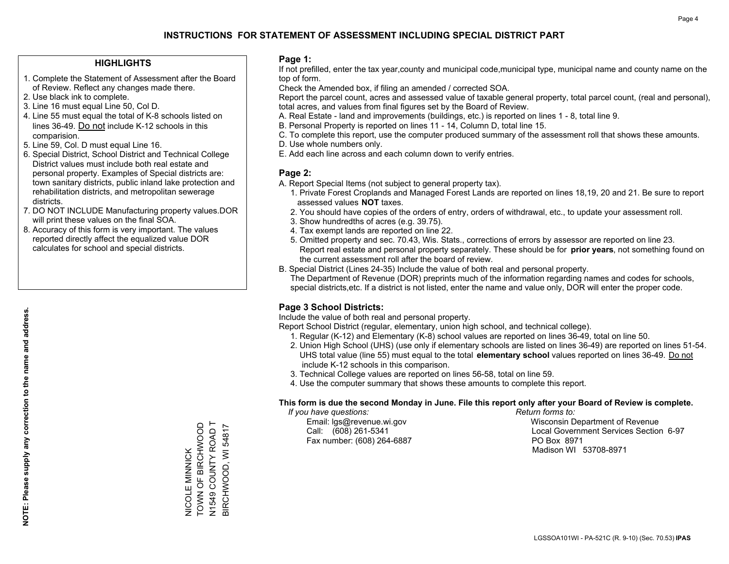### **HIGHLIGHTS**

- 1. Complete the Statement of Assessment after the Board of Review. Reflect any changes made there.
- 2. Use black ink to complete.
- 3. Line 16 must equal Line 50, Col D.
- 4. Line 55 must equal the total of K-8 schools listed on lines 36-49. Do not include K-12 schools in this comparision.
- 5. Line 59, Col. D must equal Line 16.
- 6. Special District, School District and Technical College District values must include both real estate and personal property. Examples of Special districts are: town sanitary districts, public inland lake protection and rehabilitation districts, and metropolitan sewerage districts.
- 7. DO NOT INCLUDE Manufacturing property values.DOR will print these values on the final SOA.

NICOLE MINNICK TOWN OF BIRCHWOOD N1549 COUNTY ROAD T BIRCHWOOD, WI 54817

NICOLE MINNICK<br>TOWN OF BIRCHWOOD

N1549 COUNTY ROAD T<br>BIRCHWOOD, WI 54817

 8. Accuracy of this form is very important. The values reported directly affect the equalized value DOR calculates for school and special districts.

### **Page 1:**

 If not prefilled, enter the tax year,county and municipal code,municipal type, municipal name and county name on the top of form.

Check the Amended box, if filing an amended / corrected SOA.

 Report the parcel count, acres and assessed value of taxable general property, total parcel count, (real and personal), total acres, and values from final figures set by the Board of Review.

- A. Real Estate land and improvements (buildings, etc.) is reported on lines 1 8, total line 9.
- B. Personal Property is reported on lines 11 14, Column D, total line 15.
- C. To complete this report, use the computer produced summary of the assessment roll that shows these amounts.
- D. Use whole numbers only.
- E. Add each line across and each column down to verify entries.

### **Page 2:**

- A. Report Special Items (not subject to general property tax).
- 1. Private Forest Croplands and Managed Forest Lands are reported on lines 18,19, 20 and 21. Be sure to report assessed values **NOT** taxes.
- 2. You should have copies of the orders of entry, orders of withdrawal, etc., to update your assessment roll.
	- 3. Show hundredths of acres (e.g. 39.75).
- 4. Tax exempt lands are reported on line 22.
- 5. Omitted property and sec. 70.43, Wis. Stats., corrections of errors by assessor are reported on line 23. Report real estate and personal property separately. These should be for **prior years**, not something found on the current assessment roll after the board of review.
- B. Special District (Lines 24-35) Include the value of both real and personal property.
- The Department of Revenue (DOR) preprints much of the information regarding names and codes for schools, special districts,etc. If a district is not listed, enter the name and value only, DOR will enter the proper code.

## **Page 3 School Districts:**

Include the value of both real and personal property.

Report School District (regular, elementary, union high school, and technical college).

- 1. Regular (K-12) and Elementary (K-8) school values are reported on lines 36-49, total on line 50.
- 2. Union High School (UHS) (use only if elementary schools are listed on lines 36-49) are reported on lines 51-54. UHS total value (line 55) must equal to the total **elementary school** values reported on lines 36-49. Do notinclude K-12 schools in this comparison.
- 3. Technical College values are reported on lines 56-58, total on line 59.
- 4. Use the computer summary that shows these amounts to complete this report.

### **This form is due the second Monday in June. File this report only after your Board of Review is complete.**

 *If you have questions: Return forms to:*

Fax number: (608) 264-6887 PO Box 8971

 Email: lgs@revenue.wi.gov Wisconsin Department of Revenue Call: (608) 261-5341 Local Government Services Section 6-97Madison WI 53708-8971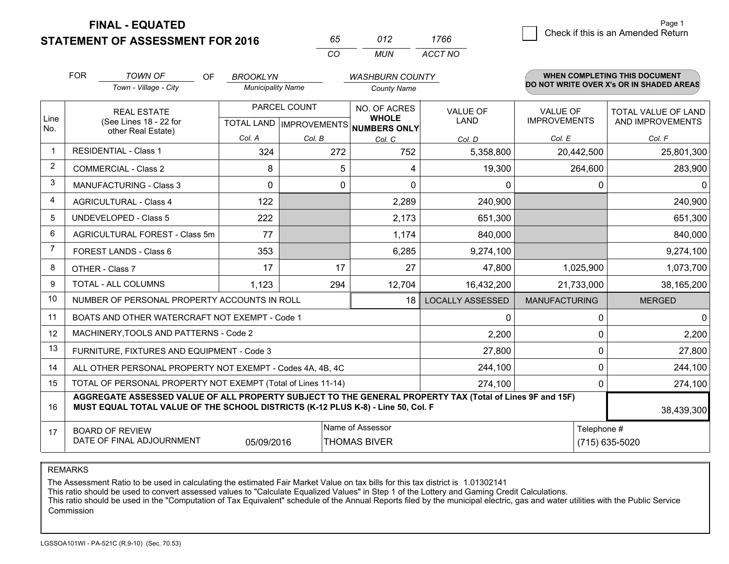**FINAL - EQUATED**

**STATEMENT OF ASSESSMENT FOR 2016** 

| 65.      | N12 | 1766    |
|----------|-----|---------|
| $\alpha$ | MUN | ACCT NO |

|              | <b>FOR</b>                                                                                                                                                                                   | <b>TOWN OF</b><br>OF<br><b>BROOKLYN</b><br><b>WASHBURN COUNTY</b> |                                                      |        |                              |                         |                                        | <b>WHEN COMPLETING THIS DOCUMENT</b>           |  |  |
|--------------|----------------------------------------------------------------------------------------------------------------------------------------------------------------------------------------------|-------------------------------------------------------------------|------------------------------------------------------|--------|------------------------------|-------------------------|----------------------------------------|------------------------------------------------|--|--|
|              |                                                                                                                                                                                              | Town - Village - City                                             | <b>Municipality Name</b>                             |        | <b>County Name</b>           |                         |                                        | DO NOT WRITE OVER X's OR IN SHADED AREAS       |  |  |
| Line<br>No.  | <b>REAL ESTATE</b><br>(See Lines 18 - 22 for                                                                                                                                                 |                                                                   | PARCEL COUNT<br>TOTAL LAND IMPROVEMENTS NUMBERS ONLY |        | NO. OF ACRES<br><b>WHOLE</b> | <b>VALUE OF</b><br>LAND | <b>VALUE OF</b><br><b>IMPROVEMENTS</b> | <b>TOTAL VALUE OF LAND</b><br>AND IMPROVEMENTS |  |  |
|              |                                                                                                                                                                                              | other Real Estate)                                                | Col. A                                               | Col. B | Col. C                       | Col. D                  | Col. E                                 | Col. F                                         |  |  |
| $\mathbf{1}$ |                                                                                                                                                                                              | <b>RESIDENTIAL - Class 1</b>                                      | 324                                                  | 272    | 752                          | 5,358,800               | 20,442,500                             | 25,801,300                                     |  |  |
| 2            |                                                                                                                                                                                              | <b>COMMERCIAL - Class 2</b>                                       | 8                                                    | 5      | 4                            | 19,300                  | 264,600                                | 283,900                                        |  |  |
| 3            |                                                                                                                                                                                              | <b>MANUFACTURING - Class 3</b>                                    | $\mathbf 0$                                          | 0      | $\mathbf{0}$                 | 0                       | 0                                      | $\mathbf 0$                                    |  |  |
| 4            |                                                                                                                                                                                              | <b>AGRICULTURAL - Class 4</b>                                     | 122                                                  |        | 2,289                        | 240,900                 |                                        | 240,900                                        |  |  |
| 5            |                                                                                                                                                                                              | <b>UNDEVELOPED - Class 5</b>                                      | 222                                                  |        | 2,173                        | 651,300                 |                                        | 651,300                                        |  |  |
| 6            |                                                                                                                                                                                              | AGRICULTURAL FOREST - Class 5m                                    | 77                                                   |        | 1,174                        | 840,000                 |                                        | 840,000                                        |  |  |
| 7            | FOREST LANDS - Class 6                                                                                                                                                                       |                                                                   | 353                                                  |        | 6,285                        | 9,274,100               |                                        | 9,274,100                                      |  |  |
| 8            |                                                                                                                                                                                              | OTHER - Class 7                                                   | 17                                                   | 17     | 27                           | 47,800                  | 1,025,900                              | 1,073,700                                      |  |  |
| 9            |                                                                                                                                                                                              | TOTAL - ALL COLUMNS                                               | 1,123                                                | 294    | 12,704                       | 16,432,200              | 21,733,000                             | 38,165,200                                     |  |  |
| 10           |                                                                                                                                                                                              | NUMBER OF PERSONAL PROPERTY ACCOUNTS IN ROLL                      |                                                      |        | 18                           | <b>LOCALLY ASSESSED</b> | <b>MANUFACTURING</b>                   | <b>MERGED</b>                                  |  |  |
| 11           |                                                                                                                                                                                              | BOATS AND OTHER WATERCRAFT NOT EXEMPT - Code 1                    |                                                      |        |                              | 0                       | $\mathbf 0$                            | $\mathbf 0$                                    |  |  |
| 12           |                                                                                                                                                                                              | MACHINERY, TOOLS AND PATTERNS - Code 2                            |                                                      |        |                              | 2,200                   | $\mathbf 0$                            | 2,200                                          |  |  |
| 13           |                                                                                                                                                                                              | FURNITURE, FIXTURES AND EQUIPMENT - Code 3                        |                                                      |        |                              | 27,800                  | $\Omega$                               | 27,800                                         |  |  |
| 14           |                                                                                                                                                                                              | ALL OTHER PERSONAL PROPERTY NOT EXEMPT - Codes 4A, 4B, 4C         | 244,100                                              | 0      | 244,100                      |                         |                                        |                                                |  |  |
| 15           | TOTAL OF PERSONAL PROPERTY NOT EXEMPT (Total of Lines 11-14)                                                                                                                                 |                                                                   |                                                      |        |                              |                         | 0                                      | 274,100                                        |  |  |
| 16           | AGGREGATE ASSESSED VALUE OF ALL PROPERTY SUBJECT TO THE GENERAL PROPERTY TAX (Total of Lines 9F and 15F)<br>MUST EQUAL TOTAL VALUE OF THE SCHOOL DISTRICTS (K-12 PLUS K-8) - Line 50, Col. F |                                                                   |                                                      |        |                              |                         |                                        | 38,439,300                                     |  |  |
| 17           | Name of Assessor<br>Telephone #<br><b>BOARD OF REVIEW</b><br>DATE OF FINAL ADJOURNMENT<br>05/09/2016<br><b>THOMAS BIVER</b>                                                                  |                                                                   |                                                      |        |                              |                         |                                        | (715) 635-5020                                 |  |  |

REMARKS

The Assessment Ratio to be used in calculating the estimated Fair Market Value on tax bills for this tax district is 1.01302141

This ratio should be used to convert assessed values to "Calculate Equalized Values" in Step 1 of the Lottery and Gaming Credit Calculations.<br>This ratio should be used in the "Computation of Tax Equivalent" schedule of the Commission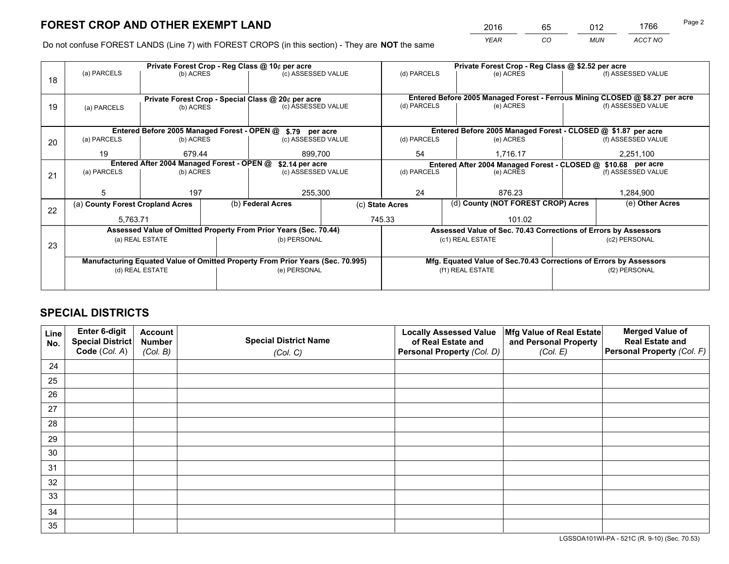*YEAR CO MUN ACCT NO* <sup>2016</sup> <sup>65</sup> <sup>012</sup> <sup>1766</sup>

Do not confuse FOREST LANDS (Line 7) with FOREST CROPS (in this section) - They are **NOT** the same

|                 |             |                                                                        | Private Forest Crop - Reg Class @ 10¢ per acre             |                                                                 |                                                                                                                                                                                                                                                                                                                                                                                             | Private Forest Crop - Reg Class @ \$2.52 per acre                  |                                      |                                                                                                                                                                        |  |
|-----------------|-------------|------------------------------------------------------------------------|------------------------------------------------------------|-----------------------------------------------------------------|---------------------------------------------------------------------------------------------------------------------------------------------------------------------------------------------------------------------------------------------------------------------------------------------------------------------------------------------------------------------------------------------|--------------------------------------------------------------------|--------------------------------------|------------------------------------------------------------------------------------------------------------------------------------------------------------------------|--|
|                 |             |                                                                        |                                                            |                                                                 | (d) PARCELS                                                                                                                                                                                                                                                                                                                                                                                 | (e) ACRES                                                          |                                      | (f) ASSESSED VALUE                                                                                                                                                     |  |
|                 |             |                                                                        |                                                            |                                                                 |                                                                                                                                                                                                                                                                                                                                                                                             |                                                                    |                                      |                                                                                                                                                                        |  |
|                 |             |                                                                        |                                                            |                                                                 | Entered Before 2005 Managed Forest - Ferrous Mining CLOSED @ \$8.27 per acre                                                                                                                                                                                                                                                                                                                |                                                                    |                                      |                                                                                                                                                                        |  |
| (a) PARCELS     |             |                                                                        |                                                            |                                                                 | (d) PARCELS                                                                                                                                                                                                                                                                                                                                                                                 | (e) ACRES                                                          |                                      | (f) ASSESSED VALUE                                                                                                                                                     |  |
|                 |             |                                                                        |                                                            |                                                                 |                                                                                                                                                                                                                                                                                                                                                                                             |                                                                    |                                      |                                                                                                                                                                        |  |
|                 |             |                                                                        |                                                            |                                                                 |                                                                                                                                                                                                                                                                                                                                                                                             |                                                                    |                                      |                                                                                                                                                                        |  |
| (a) PARCELS     |             |                                                                        |                                                            |                                                                 | (d) PARCELS                                                                                                                                                                                                                                                                                                                                                                                 | (e) ACRES                                                          |                                      | (f) ASSESSED VALUE                                                                                                                                                     |  |
| 19              |             |                                                                        | 899.700                                                    |                                                                 | 54                                                                                                                                                                                                                                                                                                                                                                                          | 1.716.17                                                           |                                      | 2,251,100                                                                                                                                                              |  |
|                 |             |                                                                        |                                                            |                                                                 | Entered After 2004 Managed Forest - CLOSED @ \$10.68 per acre                                                                                                                                                                                                                                                                                                                               |                                                                    |                                      |                                                                                                                                                                        |  |
| (a) PARCELS     |             |                                                                        | (c) ASSESSED VALUE                                         |                                                                 |                                                                                                                                                                                                                                                                                                                                                                                             | (e) ACRES                                                          |                                      |                                                                                                                                                                        |  |
|                 |             |                                                                        |                                                            |                                                                 |                                                                                                                                                                                                                                                                                                                                                                                             |                                                                    |                                      |                                                                                                                                                                        |  |
| 5               |             |                                                                        | 255,300                                                    |                                                                 |                                                                                                                                                                                                                                                                                                                                                                                             | 876.23                                                             |                                      | 1,284,900                                                                                                                                                              |  |
|                 |             |                                                                        |                                                            |                                                                 |                                                                                                                                                                                                                                                                                                                                                                                             |                                                                    |                                      | (e) Other Acres                                                                                                                                                        |  |
|                 |             |                                                                        |                                                            |                                                                 | 101.02                                                                                                                                                                                                                                                                                                                                                                                      |                                                                    |                                      |                                                                                                                                                                        |  |
|                 |             |                                                                        |                                                            |                                                                 |                                                                                                                                                                                                                                                                                                                                                                                             |                                                                    |                                      |                                                                                                                                                                        |  |
|                 |             |                                                                        |                                                            |                                                                 |                                                                                                                                                                                                                                                                                                                                                                                             |                                                                    | (c2) PERSONAL                        |                                                                                                                                                                        |  |
| 23              |             |                                                                        |                                                            |                                                                 |                                                                                                                                                                                                                                                                                                                                                                                             |                                                                    |                                      |                                                                                                                                                                        |  |
|                 |             |                                                                        |                                                            |                                                                 |                                                                                                                                                                                                                                                                                                                                                                                             | Mfg. Equated Value of Sec.70.43 Corrections of Errors by Assessors |                                      |                                                                                                                                                                        |  |
| (d) REAL ESTATE |             |                                                                        |                                                            |                                                                 |                                                                                                                                                                                                                                                                                                                                                                                             |                                                                    | (f2) PERSONAL                        |                                                                                                                                                                        |  |
|                 |             |                                                                        |                                                            |                                                                 |                                                                                                                                                                                                                                                                                                                                                                                             |                                                                    |                                      |                                                                                                                                                                        |  |
|                 | (a) PARCELS | 197<br>(a) County Forest Cropland Acres<br>5,763.71<br>(a) REAL ESTATE | (b) ACRES<br>(b) ACRES<br>(b) ACRES<br>679.44<br>(b) ACRES | Entered After 2004 Managed Forest - OPEN @<br>(b) Federal Acres | (c) ASSESSED VALUE<br>Private Forest Crop - Special Class @ 20¢ per acre<br>(c) ASSESSED VALUE<br>Entered Before 2005 Managed Forest - OPEN @ \$.79 per acre<br>(c) ASSESSED VALUE<br>\$2.14 per acre<br>Assessed Value of Omitted Property From Prior Years (Sec. 70.44)<br>(b) PERSONAL<br>Manufacturing Equated Value of Omitted Property From Prior Years (Sec. 70.995)<br>(e) PERSONAL | (d) PARCELS<br>24<br>(c) State Acres<br>745.33                     | (c1) REAL ESTATE<br>(f1) REAL ESTATE | Entered Before 2005 Managed Forest - CLOSED @ \$1.87 per acre<br>(d) County (NOT FOREST CROP) Acres<br>Assessed Value of Sec. 70.43 Corrections of Errors by Assessors |  |

## **SPECIAL DISTRICTS**

| Line<br>No. | Enter 6-digit<br>Special District<br>Code (Col. A) | <b>Account</b><br><b>Number</b> | <b>Special District Name</b> | <b>Locally Assessed Value</b><br>of Real Estate and | Mfg Value of Real Estate<br>and Personal Property | <b>Merged Value of</b><br><b>Real Estate and</b><br>Personal Property (Col. F) |
|-------------|----------------------------------------------------|---------------------------------|------------------------------|-----------------------------------------------------|---------------------------------------------------|--------------------------------------------------------------------------------|
|             |                                                    | (Col. B)                        | (Col. C)                     | Personal Property (Col. D)                          | (Col. E)                                          |                                                                                |
| 24          |                                                    |                                 |                              |                                                     |                                                   |                                                                                |
| 25          |                                                    |                                 |                              |                                                     |                                                   |                                                                                |
| 26          |                                                    |                                 |                              |                                                     |                                                   |                                                                                |
| 27          |                                                    |                                 |                              |                                                     |                                                   |                                                                                |
| 28          |                                                    |                                 |                              |                                                     |                                                   |                                                                                |
| 29          |                                                    |                                 |                              |                                                     |                                                   |                                                                                |
| 30          |                                                    |                                 |                              |                                                     |                                                   |                                                                                |
| 31          |                                                    |                                 |                              |                                                     |                                                   |                                                                                |
| 32          |                                                    |                                 |                              |                                                     |                                                   |                                                                                |
| 33          |                                                    |                                 |                              |                                                     |                                                   |                                                                                |
| 34          |                                                    |                                 |                              |                                                     |                                                   |                                                                                |
| 35          |                                                    |                                 |                              |                                                     |                                                   |                                                                                |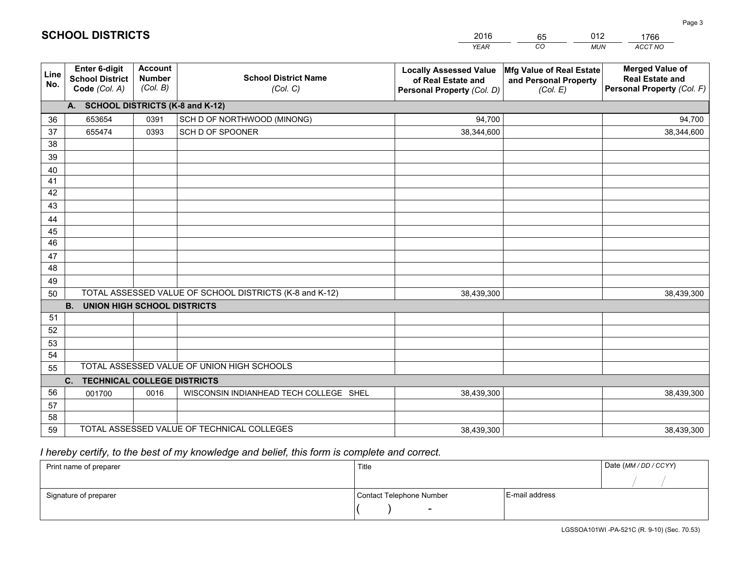|             |                                                          |                                             |                                                         | <b>YEAR</b>                                                                       | CO<br><b>MUN</b>                                              | ACCT NO                                                                        |
|-------------|----------------------------------------------------------|---------------------------------------------|---------------------------------------------------------|-----------------------------------------------------------------------------------|---------------------------------------------------------------|--------------------------------------------------------------------------------|
| Line<br>No. | Enter 6-digit<br><b>School District</b><br>Code (Col. A) | <b>Account</b><br><b>Number</b><br>(Col. B) | <b>School District Name</b><br>(Col. C)                 | <b>Locally Assessed Value</b><br>of Real Estate and<br>Personal Property (Col. D) | Mfg Value of Real Estate<br>and Personal Property<br>(Col. E) | <b>Merged Value of</b><br><b>Real Estate and</b><br>Personal Property (Col. F) |
|             | A. SCHOOL DISTRICTS (K-8 and K-12)                       |                                             |                                                         |                                                                                   |                                                               |                                                                                |
| 36          | 653654                                                   | 0391                                        | SCH D OF NORTHWOOD (MINONG)                             | 94,700                                                                            |                                                               | 94,700                                                                         |
| 37          | 655474                                                   | 0393                                        | SCH D OF SPOONER                                        | 38,344,600                                                                        |                                                               | 38,344,600                                                                     |
| 38          |                                                          |                                             |                                                         |                                                                                   |                                                               |                                                                                |
| 39          |                                                          |                                             |                                                         |                                                                                   |                                                               |                                                                                |
| 40          |                                                          |                                             |                                                         |                                                                                   |                                                               |                                                                                |
| 41          |                                                          |                                             |                                                         |                                                                                   |                                                               |                                                                                |
| 42          |                                                          |                                             |                                                         |                                                                                   |                                                               |                                                                                |
| 43          |                                                          |                                             |                                                         |                                                                                   |                                                               |                                                                                |
| 44          |                                                          |                                             |                                                         |                                                                                   |                                                               |                                                                                |
| 45          |                                                          |                                             |                                                         |                                                                                   |                                                               |                                                                                |
| 46          |                                                          |                                             |                                                         |                                                                                   |                                                               |                                                                                |
| 47          |                                                          |                                             |                                                         |                                                                                   |                                                               |                                                                                |
| 48          |                                                          |                                             |                                                         |                                                                                   |                                                               |                                                                                |
| 49          |                                                          |                                             |                                                         |                                                                                   |                                                               |                                                                                |
| 50          | B <sub>1</sub><br><b>UNION HIGH SCHOOL DISTRICTS</b>     |                                             | TOTAL ASSESSED VALUE OF SCHOOL DISTRICTS (K-8 and K-12) | 38,439,300                                                                        |                                                               | 38,439,300                                                                     |
| 51          |                                                          |                                             |                                                         |                                                                                   |                                                               |                                                                                |
| 52          |                                                          |                                             |                                                         |                                                                                   |                                                               |                                                                                |
| 53          |                                                          |                                             |                                                         |                                                                                   |                                                               |                                                                                |
| 54          |                                                          |                                             |                                                         |                                                                                   |                                                               |                                                                                |
| 55          |                                                          |                                             | TOTAL ASSESSED VALUE OF UNION HIGH SCHOOLS              |                                                                                   |                                                               |                                                                                |
|             | C. TECHNICAL COLLEGE DISTRICTS                           |                                             |                                                         |                                                                                   |                                                               |                                                                                |
| 56          | 001700                                                   | 0016                                        | WISCONSIN INDIANHEAD TECH COLLEGE SHEL                  | 38,439,300                                                                        |                                                               | 38,439,300                                                                     |
| 57          |                                                          |                                             |                                                         |                                                                                   |                                                               |                                                                                |
| 58          |                                                          |                                             |                                                         |                                                                                   |                                                               |                                                                                |
| 59          |                                                          |                                             | TOTAL ASSESSED VALUE OF TECHNICAL COLLEGES              | 38,439,300                                                                        |                                                               | 38,439,300                                                                     |

2016

65

012

 *I hereby certify, to the best of my knowledge and belief, this form is complete and correct.*

**SCHOOL DISTRICTS**

| Print name of preparer | Title                    |                | Date (MM / DD / CCYY) |
|------------------------|--------------------------|----------------|-----------------------|
|                        |                          |                |                       |
| Signature of preparer  | Contact Telephone Number | E-mail address |                       |
|                        | $\overline{\phantom{0}}$ |                |                       |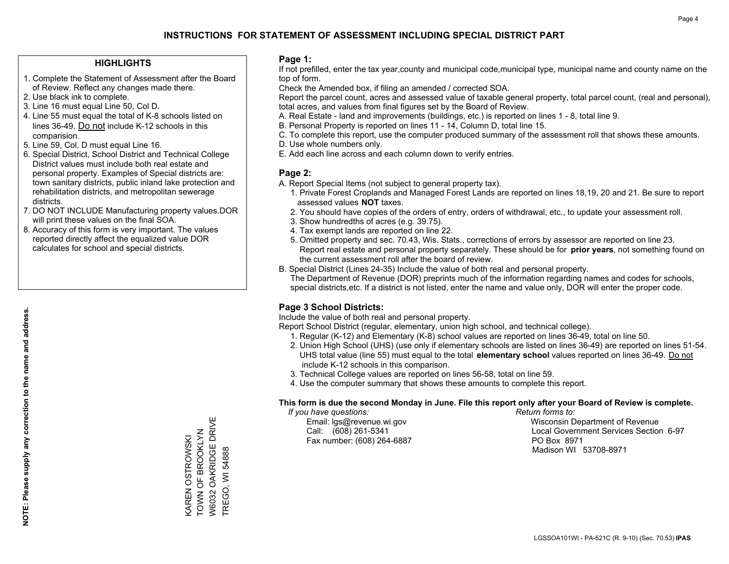### **HIGHLIGHTS**

- 1. Complete the Statement of Assessment after the Board of Review. Reflect any changes made there.
- 2. Use black ink to complete.

**NOTE: Please supply any correction to the name and address.**

NOTE: Please supply any correction to the name and address.

- 3. Line 16 must equal Line 50, Col D.
- 4. Line 55 must equal the total of K-8 schools listed on lines 36-49. Do not include K-12 schools in this comparision.
- 5. Line 59, Col. D must equal Line 16.
- 6. Special District, School District and Technical College District values must include both real estate and personal property. Examples of Special districts are: town sanitary districts, public inland lake protection and rehabilitation districts, and metropolitan sewerage districts.
- 7. DO NOT INCLUDE Manufacturing property values.DOR will print these values on the final SOA.
- 8. Accuracy of this form is very important. The values reported directly affect the equalized value DOR calculates for school and special districts.

### **Page 1:**

 If not prefilled, enter the tax year,county and municipal code,municipal type, municipal name and county name on the top of form.

Check the Amended box, if filing an amended / corrected SOA.

 Report the parcel count, acres and assessed value of taxable general property, total parcel count, (real and personal), total acres, and values from final figures set by the Board of Review.

- A. Real Estate land and improvements (buildings, etc.) is reported on lines 1 8, total line 9.
- B. Personal Property is reported on lines 11 14, Column D, total line 15.
- C. To complete this report, use the computer produced summary of the assessment roll that shows these amounts.
- D. Use whole numbers only.
- E. Add each line across and each column down to verify entries.

### **Page 2:**

- A. Report Special Items (not subject to general property tax).
- 1. Private Forest Croplands and Managed Forest Lands are reported on lines 18,19, 20 and 21. Be sure to report assessed values **NOT** taxes.
- 2. You should have copies of the orders of entry, orders of withdrawal, etc., to update your assessment roll.
	- 3. Show hundredths of acres (e.g. 39.75).
- 4. Tax exempt lands are reported on line 22.
- 5. Omitted property and sec. 70.43, Wis. Stats., corrections of errors by assessor are reported on line 23. Report real estate and personal property separately. These should be for **prior years**, not something found on the current assessment roll after the board of review.
- B. Special District (Lines 24-35) Include the value of both real and personal property.

 The Department of Revenue (DOR) preprints much of the information regarding names and codes for schools, special districts,etc. If a district is not listed, enter the name and value only, DOR will enter the proper code.

## **Page 3 School Districts:**

Include the value of both real and personal property.

Report School District (regular, elementary, union high school, and technical college).

- 1. Regular (K-12) and Elementary (K-8) school values are reported on lines 36-49, total on line 50.
- 2. Union High School (UHS) (use only if elementary schools are listed on lines 36-49) are reported on lines 51-54. UHS total value (line 55) must equal to the total **elementary school** values reported on lines 36-49. Do notinclude K-12 schools in this comparison.
- 3. Technical College values are reported on lines 56-58, total on line 59.
- 4. Use the computer summary that shows these amounts to complete this report.

### **This form is due the second Monday in June. File this report only after your Board of Review is complete.**

 *If you have questions: Return forms to:*

Fax number: (608) 264-6887 PO Box 8971

 Email: lgs@revenue.wi.gov Wisconsin Department of Revenue Call: (608) 261-5341 Local Government Services Section 6-97Madison WI 53708-8971

TREGO, WI 54888

**TREGO, WI 54888**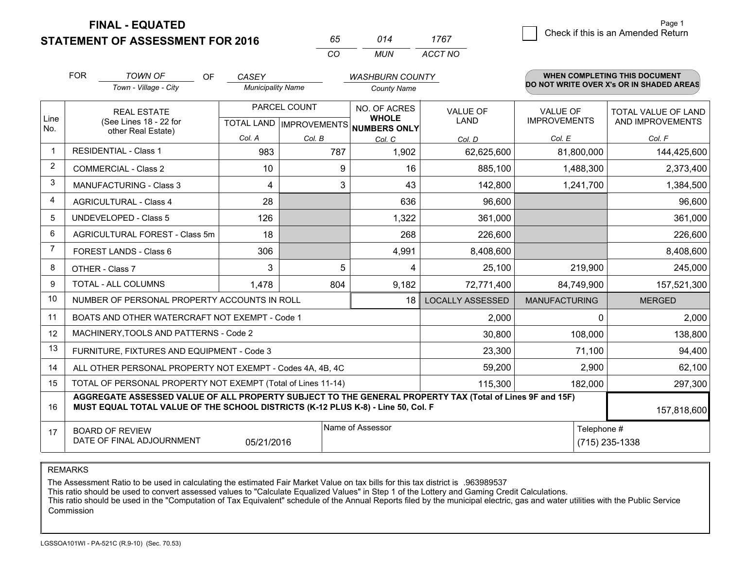**FINAL - EQUATED**

**STATEMENT OF ASSESSMENT FOR 2016** 

| 65.      | 014   | 1767    |
|----------|-------|---------|
| $\alpha$ | MI IN | ACCT NO |

|             | <b>FOR</b>                                                              | <b>TOWN OF</b><br><b>OF</b>                                                                                                                                                                  | CASEY                                     |        | <b>WASHBURN COUNTY</b>                              |                                |                                        | <b>WHEN COMPLETING THIS DOCUMENT</b>     |
|-------------|-------------------------------------------------------------------------|----------------------------------------------------------------------------------------------------------------------------------------------------------------------------------------------|-------------------------------------------|--------|-----------------------------------------------------|--------------------------------|----------------------------------------|------------------------------------------|
|             |                                                                         | Town - Village - City                                                                                                                                                                        | <b>Municipality Name</b>                  |        | <b>County Name</b>                                  |                                |                                        | DO NOT WRITE OVER X's OR IN SHADED AREAS |
| Line<br>No. | <b>REAL ESTATE</b><br>(See Lines 18 - 22 for                            |                                                                                                                                                                                              | PARCEL COUNT<br>TOTAL LAND   IMPROVEMENTS |        | NO. OF ACRES<br><b>WHOLE</b><br><b>NUMBERS ONLY</b> | <b>VALUE OF</b><br><b>LAND</b> | <b>VALUE OF</b><br><b>IMPROVEMENTS</b> | TOTAL VALUE OF LAND<br>AND IMPROVEMENTS  |
|             |                                                                         | other Real Estate)                                                                                                                                                                           | Col. A                                    | Col. B | Col. C                                              | Col. D                         | Col. E                                 | Col. F                                   |
| $\mathbf 1$ |                                                                         | <b>RESIDENTIAL - Class 1</b>                                                                                                                                                                 | 983                                       | 787    | 1,902                                               | 62,625,600                     | 81,800,000                             | 144,425,600                              |
| 2           |                                                                         | <b>COMMERCIAL - Class 2</b>                                                                                                                                                                  | 10                                        | 9      | 16                                                  | 885,100                        | 1,488,300                              | 2,373,400                                |
| 3           |                                                                         | MANUFACTURING - Class 3                                                                                                                                                                      | 4                                         | 3      | 43                                                  | 142,800                        | 1,241,700                              | 1,384,500                                |
| 4           |                                                                         | <b>AGRICULTURAL - Class 4</b>                                                                                                                                                                | 28                                        |        | 636                                                 | 96,600                         |                                        | 96,600                                   |
| 5           |                                                                         | UNDEVELOPED - Class 5                                                                                                                                                                        | 126                                       |        | 1,322                                               | 361,000                        |                                        | 361,000                                  |
| 6           |                                                                         | AGRICULTURAL FOREST - Class 5m                                                                                                                                                               | 18                                        |        | 268                                                 | 226,600                        |                                        | 226,600                                  |
| 7           |                                                                         | FOREST LANDS - Class 6                                                                                                                                                                       | 306                                       |        | 4,991                                               | 8,408,600                      |                                        | 8,408,600                                |
| 8           |                                                                         | OTHER - Class 7                                                                                                                                                                              | 3                                         | 5      | 4                                                   | 25,100                         | 219,900                                | 245,000                                  |
| 9           |                                                                         | TOTAL - ALL COLUMNS                                                                                                                                                                          | 1,478                                     | 804    | 9,182                                               | 72,771,400                     | 84,749,900                             | 157,521,300                              |
| 10          |                                                                         | NUMBER OF PERSONAL PROPERTY ACCOUNTS IN ROLL                                                                                                                                                 |                                           |        | 18                                                  | <b>LOCALLY ASSESSED</b>        | <b>MANUFACTURING</b>                   | <b>MERGED</b>                            |
| 11          |                                                                         | BOATS AND OTHER WATERCRAFT NOT EXEMPT - Code 1                                                                                                                                               |                                           |        |                                                     | 2,000                          | $\Omega$                               | 2,000                                    |
| 12          |                                                                         | MACHINERY, TOOLS AND PATTERNS - Code 2                                                                                                                                                       |                                           |        |                                                     | 30,800                         | 108,000                                | 138,800                                  |
| 13          |                                                                         | FURNITURE, FIXTURES AND EQUIPMENT - Code 3                                                                                                                                                   |                                           |        |                                                     | 23,300                         | 71,100                                 | 94,400                                   |
| 14          |                                                                         | ALL OTHER PERSONAL PROPERTY NOT EXEMPT - Codes 4A, 4B, 4C                                                                                                                                    | 59,200                                    | 2,900  | 62,100                                              |                                |                                        |                                          |
| 15          | TOTAL OF PERSONAL PROPERTY NOT EXEMPT (Total of Lines 11-14)<br>115,300 |                                                                                                                                                                                              |                                           |        |                                                     |                                | 182,000                                | 297,300                                  |
| 16          |                                                                         | AGGREGATE ASSESSED VALUE OF ALL PROPERTY SUBJECT TO THE GENERAL PROPERTY TAX (Total of Lines 9F and 15F)<br>MUST EQUAL TOTAL VALUE OF THE SCHOOL DISTRICTS (K-12 PLUS K-8) - Line 50, Col. F |                                           |        |                                                     |                                |                                        | 157,818,600                              |
| 17          |                                                                         | <b>BOARD OF REVIEW</b><br>DATE OF FINAL ADJOURNMENT                                                                                                                                          | 05/21/2016                                |        | Name of Assessor                                    |                                | Telephone #                            | (715) 235-1338                           |

REMARKS

The Assessment Ratio to be used in calculating the estimated Fair Market Value on tax bills for this tax district is .963989537<br>This ratio should be used to convert assessed values to "Calculate Equalized Values" in Step 1 Commission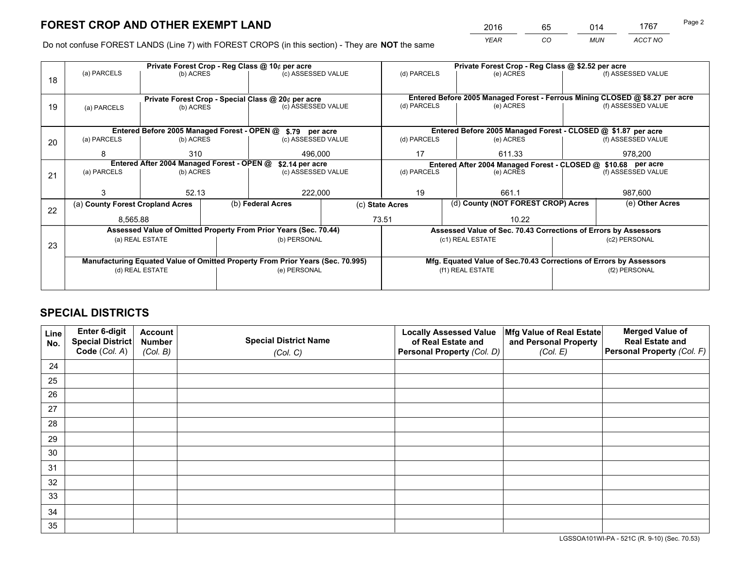*YEAR CO MUN ACCT NO* <sup>2016</sup> <sup>65</sup> <sup>014</sup> <sup>1767</sup> Page 2

Do not confuse FOREST LANDS (Line 7) with FOREST CROPS (in this section) - They are **NOT** the same

|             |             |                                                                                    |                                                           |                                                                                              | Private Forest Crop - Reg Class @ \$2.52 per acre                                                                                                                                                                                                                                                                                                                                                                 |                                                                              |                           |                                                                                                                                                                        |  |
|-------------|-------------|------------------------------------------------------------------------------------|-----------------------------------------------------------|----------------------------------------------------------------------------------------------|-------------------------------------------------------------------------------------------------------------------------------------------------------------------------------------------------------------------------------------------------------------------------------------------------------------------------------------------------------------------------------------------------------------------|------------------------------------------------------------------------------|---------------------------|------------------------------------------------------------------------------------------------------------------------------------------------------------------------|--|
|             |             |                                                                                    |                                                           |                                                                                              |                                                                                                                                                                                                                                                                                                                                                                                                                   | (e) ACRES                                                                    |                           | (f) ASSESSED VALUE                                                                                                                                                     |  |
|             |             |                                                                                    |                                                           |                                                                                              |                                                                                                                                                                                                                                                                                                                                                                                                                   |                                                                              |                           |                                                                                                                                                                        |  |
|             |             |                                                                                    |                                                           |                                                                                              |                                                                                                                                                                                                                                                                                                                                                                                                                   | Entered Before 2005 Managed Forest - Ferrous Mining CLOSED @ \$8.27 per acre |                           |                                                                                                                                                                        |  |
| (a) PARCELS |             |                                                                                    |                                                           |                                                                                              | (d) PARCELS                                                                                                                                                                                                                                                                                                                                                                                                       | (e) ACRES                                                                    |                           | (f) ASSESSED VALUE                                                                                                                                                     |  |
|             |             |                                                                                    |                                                           |                                                                                              |                                                                                                                                                                                                                                                                                                                                                                                                                   |                                                                              |                           |                                                                                                                                                                        |  |
|             |             |                                                                                    |                                                           |                                                                                              |                                                                                                                                                                                                                                                                                                                                                                                                                   |                                                                              |                           |                                                                                                                                                                        |  |
| (a) PARCELS |             |                                                                                    |                                                           |                                                                                              | (d) PARCELS                                                                                                                                                                                                                                                                                                                                                                                                       | (e) ACRES                                                                    |                           | (f) ASSESSED VALUE                                                                                                                                                     |  |
| 8           | 310         |                                                                                    | 496,000                                                   |                                                                                              | 17                                                                                                                                                                                                                                                                                                                                                                                                                | 611.33                                                                       |                           | 978,200                                                                                                                                                                |  |
|             |             |                                                                                    |                                                           |                                                                                              | Entered After 2004 Managed Forest - CLOSED @ \$10.68 per acre<br>(f) ASSESSED VALUE                                                                                                                                                                                                                                                                                                                               |                                                                              |                           |                                                                                                                                                                        |  |
| (a) PARCELS |             |                                                                                    |                                                           |                                                                                              |                                                                                                                                                                                                                                                                                                                                                                                                                   | (e) ACRES                                                                    |                           |                                                                                                                                                                        |  |
|             |             |                                                                                    |                                                           |                                                                                              |                                                                                                                                                                                                                                                                                                                                                                                                                   |                                                                              |                           |                                                                                                                                                                        |  |
| 3           |             |                                                                                    | 222,000                                                   |                                                                                              |                                                                                                                                                                                                                                                                                                                                                                                                                   |                                                                              | 987,600                   |                                                                                                                                                                        |  |
|             |             |                                                                                    | (b) Federal Acres                                         |                                                                                              |                                                                                                                                                                                                                                                                                                                                                                                                                   |                                                                              |                           | (e) Other Acres                                                                                                                                                        |  |
|             |             |                                                                                    | 73.51                                                     |                                                                                              | 10.22                                                                                                                                                                                                                                                                                                                                                                                                             |                                                                              |                           |                                                                                                                                                                        |  |
|             |             |                                                                                    |                                                           |                                                                                              |                                                                                                                                                                                                                                                                                                                                                                                                                   |                                                                              |                           |                                                                                                                                                                        |  |
|             |             |                                                                                    |                                                           |                                                                                              |                                                                                                                                                                                                                                                                                                                                                                                                                   |                                                                              | (c2) PERSONAL             |                                                                                                                                                                        |  |
| 23          |             |                                                                                    |                                                           |                                                                                              |                                                                                                                                                                                                                                                                                                                                                                                                                   |                                                                              |                           |                                                                                                                                                                        |  |
|             |             |                                                                                    |                                                           |                                                                                              |                                                                                                                                                                                                                                                                                                                                                                                                                   | Mfg. Equated Value of Sec.70.43 Corrections of Errors by Assessors           |                           |                                                                                                                                                                        |  |
|             |             |                                                                                    |                                                           |                                                                                              | (f1) REAL ESTATE                                                                                                                                                                                                                                                                                                                                                                                                  |                                                                              |                           | (f2) PERSONAL                                                                                                                                                          |  |
|             |             |                                                                                    |                                                           |                                                                                              |                                                                                                                                                                                                                                                                                                                                                                                                                   |                                                                              |                           |                                                                                                                                                                        |  |
|             | (a) PARCELS | (a) County Forest Cropland Acres<br>8,565.88<br>(a) REAL ESTATE<br>(d) REAL ESTATE | (b) ACRES<br>(b) ACRES<br>(b) ACRES<br>(b) ACRES<br>52.13 | Private Forest Crop - Reg Class @ 10¢ per acre<br>Entered After 2004 Managed Forest - OPEN @ | (c) ASSESSED VALUE<br>Private Forest Crop - Special Class @ 20¢ per acre<br>(c) ASSESSED VALUE<br>Entered Before 2005 Managed Forest - OPEN @ \$.79 per acre<br>(c) ASSESSED VALUE<br>\$2.14 per acre<br>(c) ASSESSED VALUE<br>Assessed Value of Omitted Property From Prior Years (Sec. 70.44)<br>(b) PERSONAL<br>Manufacturing Equated Value of Omitted Property From Prior Years (Sec. 70.995)<br>(e) PERSONAL | (d) PARCELS<br>(d) PARCELS<br>19<br>(c) State Acres                          | 661.1<br>(c1) REAL ESTATE | Entered Before 2005 Managed Forest - CLOSED @ \$1.87 per acre<br>(d) County (NOT FOREST CROP) Acres<br>Assessed Value of Sec. 70.43 Corrections of Errors by Assessors |  |

## **SPECIAL DISTRICTS**

| Line<br>No. | Enter 6-digit<br><b>Special District</b> | <b>Account</b><br><b>Number</b> | <b>Special District Name</b> | <b>Locally Assessed Value</b><br>of Real Estate and | Mfg Value of Real Estate<br>and Personal Property | <b>Merged Value of</b><br><b>Real Estate and</b> |
|-------------|------------------------------------------|---------------------------------|------------------------------|-----------------------------------------------------|---------------------------------------------------|--------------------------------------------------|
|             | Code (Col. A)                            | (Col. B)                        | (Col. C)                     | Personal Property (Col. D)                          | (Col. E)                                          | Personal Property (Col. F)                       |
| 24          |                                          |                                 |                              |                                                     |                                                   |                                                  |
| 25          |                                          |                                 |                              |                                                     |                                                   |                                                  |
| 26          |                                          |                                 |                              |                                                     |                                                   |                                                  |
| 27          |                                          |                                 |                              |                                                     |                                                   |                                                  |
| 28          |                                          |                                 |                              |                                                     |                                                   |                                                  |
| 29          |                                          |                                 |                              |                                                     |                                                   |                                                  |
| 30          |                                          |                                 |                              |                                                     |                                                   |                                                  |
| 31          |                                          |                                 |                              |                                                     |                                                   |                                                  |
| 32          |                                          |                                 |                              |                                                     |                                                   |                                                  |
| 33          |                                          |                                 |                              |                                                     |                                                   |                                                  |
| 34          |                                          |                                 |                              |                                                     |                                                   |                                                  |
| 35          |                                          |                                 |                              |                                                     |                                                   |                                                  |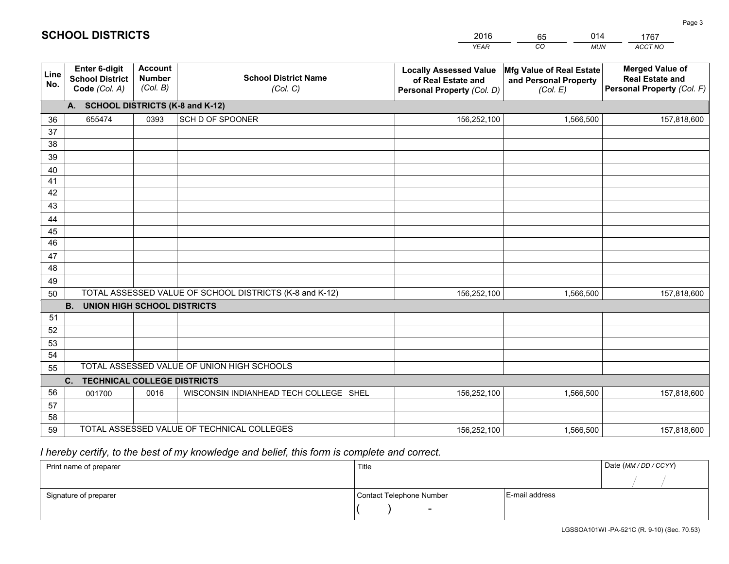|             |                                                                 |                                             |                                                         | <b>YEAR</b>                                                                       | CO<br><b>MUN</b>                                              | ACCT NO                                                                        |
|-------------|-----------------------------------------------------------------|---------------------------------------------|---------------------------------------------------------|-----------------------------------------------------------------------------------|---------------------------------------------------------------|--------------------------------------------------------------------------------|
| Line<br>No. | <b>Enter 6-digit</b><br><b>School District</b><br>Code (Col. A) | <b>Account</b><br><b>Number</b><br>(Col. B) | <b>School District Name</b><br>(Col. C)                 | <b>Locally Assessed Value</b><br>of Real Estate and<br>Personal Property (Col. D) | Mfg Value of Real Estate<br>and Personal Property<br>(Col. E) | <b>Merged Value of</b><br><b>Real Estate and</b><br>Personal Property (Col. F) |
|             | A. SCHOOL DISTRICTS (K-8 and K-12)                              |                                             |                                                         |                                                                                   |                                                               |                                                                                |
| 36          | 655474                                                          | 0393                                        | SCH D OF SPOONER                                        | 156,252,100                                                                       | 1,566,500                                                     | 157,818,600                                                                    |
| 37          |                                                                 |                                             |                                                         |                                                                                   |                                                               |                                                                                |
| 38          |                                                                 |                                             |                                                         |                                                                                   |                                                               |                                                                                |
| 39          |                                                                 |                                             |                                                         |                                                                                   |                                                               |                                                                                |
| 40          |                                                                 |                                             |                                                         |                                                                                   |                                                               |                                                                                |
| 41<br>42    |                                                                 |                                             |                                                         |                                                                                   |                                                               |                                                                                |
| 43          |                                                                 |                                             |                                                         |                                                                                   |                                                               |                                                                                |
|             |                                                                 |                                             |                                                         |                                                                                   |                                                               |                                                                                |
| 44<br>45    |                                                                 |                                             |                                                         |                                                                                   |                                                               |                                                                                |
| 46          |                                                                 |                                             |                                                         |                                                                                   |                                                               |                                                                                |
| 47          |                                                                 |                                             |                                                         |                                                                                   |                                                               |                                                                                |
| 48          |                                                                 |                                             |                                                         |                                                                                   |                                                               |                                                                                |
| 49          |                                                                 |                                             |                                                         |                                                                                   |                                                               |                                                                                |
| 50          |                                                                 |                                             | TOTAL ASSESSED VALUE OF SCHOOL DISTRICTS (K-8 and K-12) | 156,252,100                                                                       | 1,566,500                                                     | 157,818,600                                                                    |
|             | <b>B.</b><br><b>UNION HIGH SCHOOL DISTRICTS</b>                 |                                             |                                                         |                                                                                   |                                                               |                                                                                |
| 51          |                                                                 |                                             |                                                         |                                                                                   |                                                               |                                                                                |
| 52          |                                                                 |                                             |                                                         |                                                                                   |                                                               |                                                                                |
| 53          |                                                                 |                                             |                                                         |                                                                                   |                                                               |                                                                                |
| 54          |                                                                 |                                             |                                                         |                                                                                   |                                                               |                                                                                |
| 55          |                                                                 |                                             | TOTAL ASSESSED VALUE OF UNION HIGH SCHOOLS              |                                                                                   |                                                               |                                                                                |
|             | C.<br><b>TECHNICAL COLLEGE DISTRICTS</b>                        |                                             |                                                         |                                                                                   |                                                               |                                                                                |
| 56          | 001700                                                          | 0016                                        | WISCONSIN INDIANHEAD TECH COLLEGE SHEL                  | 156,252,100                                                                       | 1,566,500                                                     | 157,818,600                                                                    |
| 57<br>58    |                                                                 |                                             |                                                         |                                                                                   |                                                               |                                                                                |
| 59          |                                                                 |                                             | TOTAL ASSESSED VALUE OF TECHNICAL COLLEGES              | 156,252,100                                                                       | 1,566,500                                                     | 157,818,600                                                                    |
|             |                                                                 |                                             |                                                         |                                                                                   |                                                               |                                                                                |

2016

65

014

 *I hereby certify, to the best of my knowledge and belief, this form is complete and correct.*

**SCHOOL DISTRICTS**

| Print name of preparer | Title                    |                | Date (MM / DD / CCYY) |
|------------------------|--------------------------|----------------|-----------------------|
|                        |                          |                |                       |
| Signature of preparer  | Contact Telephone Number | E-mail address |                       |
|                        | $\overline{\phantom{0}}$ |                |                       |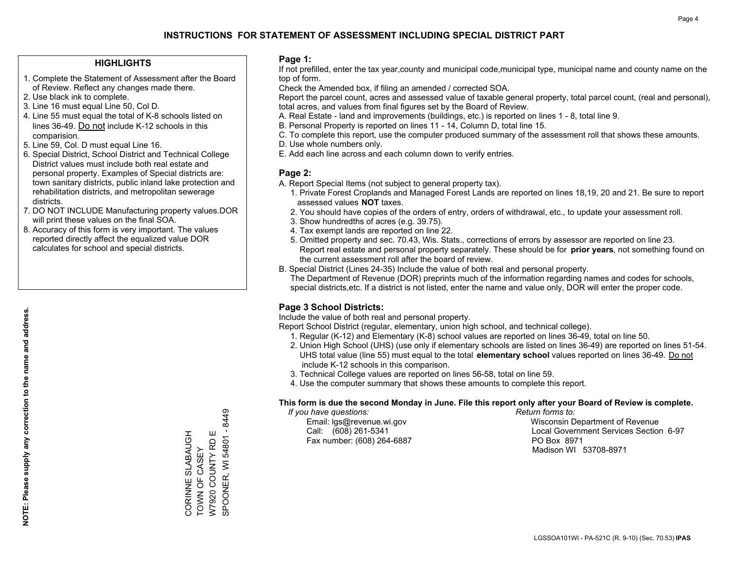### **HIGHLIGHTS**

- 1. Complete the Statement of Assessment after the Board of Review. Reflect any changes made there.
- 2. Use black ink to complete.
- 3. Line 16 must equal Line 50, Col D.
- 4. Line 55 must equal the total of K-8 schools listed on lines 36-49. Do not include K-12 schools in this comparision.
- 5. Line 59, Col. D must equal Line 16.
- 6. Special District, School District and Technical College District values must include both real estate and personal property. Examples of Special districts are: town sanitary districts, public inland lake protection and rehabilitation districts, and metropolitan sewerage districts.
- 7. DO NOT INCLUDE Manufacturing property values.DOR will print these values on the final SOA.
- 8. Accuracy of this form is very important. The values reported directly affect the equalized value DOR calculates for school and special districts.

### **Page 1:**

 If not prefilled, enter the tax year,county and municipal code,municipal type, municipal name and county name on the top of form.

Check the Amended box, if filing an amended / corrected SOA.

 Report the parcel count, acres and assessed value of taxable general property, total parcel count, (real and personal), total acres, and values from final figures set by the Board of Review.

- A. Real Estate land and improvements (buildings, etc.) is reported on lines 1 8, total line 9.
- B. Personal Property is reported on lines 11 14, Column D, total line 15.
- C. To complete this report, use the computer produced summary of the assessment roll that shows these amounts.
- D. Use whole numbers only.
- E. Add each line across and each column down to verify entries.

### **Page 2:**

- A. Report Special Items (not subject to general property tax).
- 1. Private Forest Croplands and Managed Forest Lands are reported on lines 18,19, 20 and 21. Be sure to report assessed values **NOT** taxes.
- 2. You should have copies of the orders of entry, orders of withdrawal, etc., to update your assessment roll.
	- 3. Show hundredths of acres (e.g. 39.75).
- 4. Tax exempt lands are reported on line 22.
- 5. Omitted property and sec. 70.43, Wis. Stats., corrections of errors by assessor are reported on line 23. Report real estate and personal property separately. These should be for **prior years**, not something found on the current assessment roll after the board of review.
- B. Special District (Lines 24-35) Include the value of both real and personal property.
- The Department of Revenue (DOR) preprints much of the information regarding names and codes for schools, special districts,etc. If a district is not listed, enter the name and value only, DOR will enter the proper code.

## **Page 3 School Districts:**

Include the value of both real and personal property.

Report School District (regular, elementary, union high school, and technical college).

- 1. Regular (K-12) and Elementary (K-8) school values are reported on lines 36-49, total on line 50.
- 2. Union High School (UHS) (use only if elementary schools are listed on lines 36-49) are reported on lines 51-54. UHS total value (line 55) must equal to the total **elementary school** values reported on lines 36-49. Do notinclude K-12 schools in this comparison.
- 3. Technical College values are reported on lines 56-58, total on line 59.
- 4. Use the computer summary that shows these amounts to complete this report.

### **This form is due the second Monday in June. File this report only after your Board of Review is complete.**

 *If you have questions: Return forms to:*

Fax number: (608) 264-6887 PO Box 8971

 Email: lgs@revenue.wi.gov Wisconsin Department of Revenue Call: (608) 261-5341 Local Government Services Section 6-97Madison WI 53708-8971

SPOONER, WI 54801 - 8449 SPOONER, WI 54801 - 8449 W7920 COUNTY RD E CORINNE SLABAUGH<br>TOWN OF CASEY CORINNE SLABAUGH W7920 COUNTY RD E TOWN OF CASEY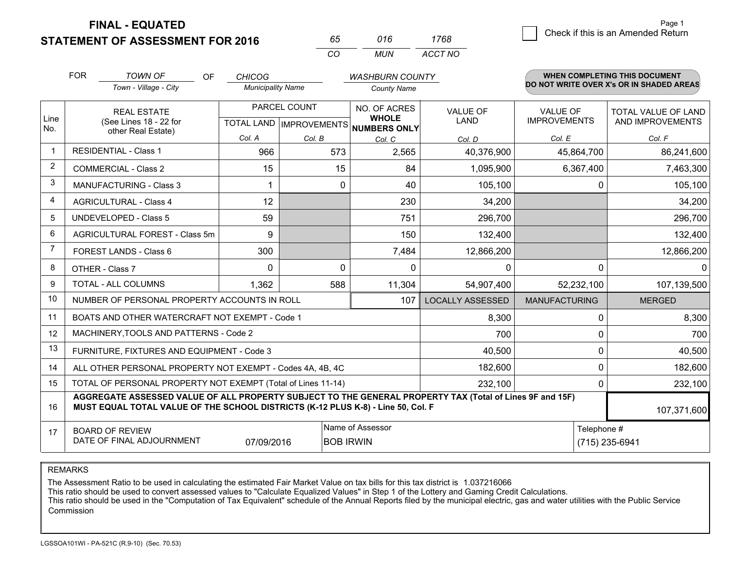**FINAL - EQUATED**

**STATEMENT OF ASSESSMENT FOR 2016** 

| 65.      | 016 | 1768    |
|----------|-----|---------|
| $\alpha$ | MUN | ACCT NO |

|                | <b>FOR</b>                                                                                                               | <b>TOWN OF</b><br><b>OF</b>                                                                                                                                                                  | <b>CHICOG</b>            |                                           | <b>WASHBURN COUNTY</b>                       |                                |                                 | <b>WHEN COMPLETING THIS DOCUMENT</b>     |
|----------------|--------------------------------------------------------------------------------------------------------------------------|----------------------------------------------------------------------------------------------------------------------------------------------------------------------------------------------|--------------------------|-------------------------------------------|----------------------------------------------|--------------------------------|---------------------------------|------------------------------------------|
|                |                                                                                                                          | Town - Village - City                                                                                                                                                                        | <b>Municipality Name</b> |                                           | <b>County Name</b>                           |                                |                                 | DO NOT WRITE OVER X's OR IN SHADED AREAS |
| Line<br>No.    |                                                                                                                          | <b>REAL ESTATE</b><br>(See Lines 18 - 22 for                                                                                                                                                 |                          | PARCEL COUNT<br>TOTAL LAND   IMPROVEMENTS | NO. OF ACRES<br><b>WHOLE</b><br>NUMBERS ONLY | <b>VALUE OF</b><br><b>LAND</b> | VALUE OF<br><b>IMPROVEMENTS</b> | TOTAL VALUE OF LAND<br>AND IMPROVEMENTS  |
|                |                                                                                                                          | other Real Estate)                                                                                                                                                                           | Col. A                   | Col. B                                    | Col. C                                       | Col. D                         | Col. E                          | Col. F                                   |
| -1             |                                                                                                                          | <b>RESIDENTIAL - Class 1</b>                                                                                                                                                                 | 966                      | 573                                       | 2,565                                        | 40,376,900                     | 45,864,700                      | 86,241,600                               |
| 2              |                                                                                                                          | <b>COMMERCIAL - Class 2</b>                                                                                                                                                                  | 15                       | 15                                        | 84                                           | 1,095,900                      | 6,367,400                       | 7,463,300                                |
| 3              |                                                                                                                          | <b>MANUFACTURING - Class 3</b>                                                                                                                                                               |                          | 0                                         | 40                                           | 105,100                        | 0                               | 105,100                                  |
| 4              |                                                                                                                          | <b>AGRICULTURAL - Class 4</b>                                                                                                                                                                | 12                       |                                           | 230                                          | 34,200                         |                                 | 34,200                                   |
| 5              |                                                                                                                          | <b>UNDEVELOPED - Class 5</b>                                                                                                                                                                 | 59                       |                                           | 751                                          | 296,700                        |                                 | 296,700                                  |
| 6              |                                                                                                                          | AGRICULTURAL FOREST - Class 5m                                                                                                                                                               | 9                        |                                           | 150                                          | 132,400                        |                                 | 132,400                                  |
| $\overline{7}$ |                                                                                                                          | FOREST LANDS - Class 6                                                                                                                                                                       | 300                      |                                           | 7,484                                        | 12,866,200                     |                                 | 12,866,200                               |
| 8              |                                                                                                                          | OTHER - Class 7                                                                                                                                                                              | $\Omega$                 | $\Omega$                                  | $\Omega$                                     | 0                              | $\Omega$                        | ∩                                        |
| 9              |                                                                                                                          | TOTAL - ALL COLUMNS                                                                                                                                                                          | 1,362                    | 588                                       | 11,304                                       | 54,907,400                     | 52,232,100                      | 107,139,500                              |
| 10             |                                                                                                                          | NUMBER OF PERSONAL PROPERTY ACCOUNTS IN ROLL                                                                                                                                                 |                          |                                           | 107                                          | <b>LOCALLY ASSESSED</b>        | <b>MANUFACTURING</b>            | <b>MERGED</b>                            |
| 11             |                                                                                                                          | BOATS AND OTHER WATERCRAFT NOT EXEMPT - Code 1                                                                                                                                               |                          |                                           |                                              | 8,300                          | 0                               | 8,300                                    |
| 12             |                                                                                                                          | MACHINERY, TOOLS AND PATTERNS - Code 2                                                                                                                                                       |                          |                                           |                                              | 700                            | 0                               | 700                                      |
| 13             |                                                                                                                          | FURNITURE, FIXTURES AND EQUIPMENT - Code 3                                                                                                                                                   |                          |                                           |                                              | 40,500                         | 0                               | 40,500                                   |
| 14             | 182,600<br>ALL OTHER PERSONAL PROPERTY NOT EXEMPT - Codes 4A, 4B, 4C                                                     |                                                                                                                                                                                              |                          |                                           |                                              |                                | $\Omega$                        | 182,600                                  |
| 15             | TOTAL OF PERSONAL PROPERTY NOT EXEMPT (Total of Lines 11-14)<br>232,100                                                  |                                                                                                                                                                                              |                          |                                           |                                              |                                | 0                               | 232,100                                  |
| 16             |                                                                                                                          | AGGREGATE ASSESSED VALUE OF ALL PROPERTY SUBJECT TO THE GENERAL PROPERTY TAX (Total of Lines 9F and 15F)<br>MUST EQUAL TOTAL VALUE OF THE SCHOOL DISTRICTS (K-12 PLUS K-8) - Line 50, Col. F |                          |                                           |                                              |                                |                                 | 107,371,600                              |
| 17             | Name of Assessor<br>Telephone #<br><b>BOARD OF REVIEW</b><br>DATE OF FINAL ADJOURNMENT<br>07/09/2016<br><b>BOB IRWIN</b> |                                                                                                                                                                                              |                          |                                           |                                              |                                |                                 | (715) 235-6941                           |

REMARKS

The Assessment Ratio to be used in calculating the estimated Fair Market Value on tax bills for this tax district is 1.037216066<br>This ratio should be used to convert assessed values to "Calculate Equalized Values" in Step Commission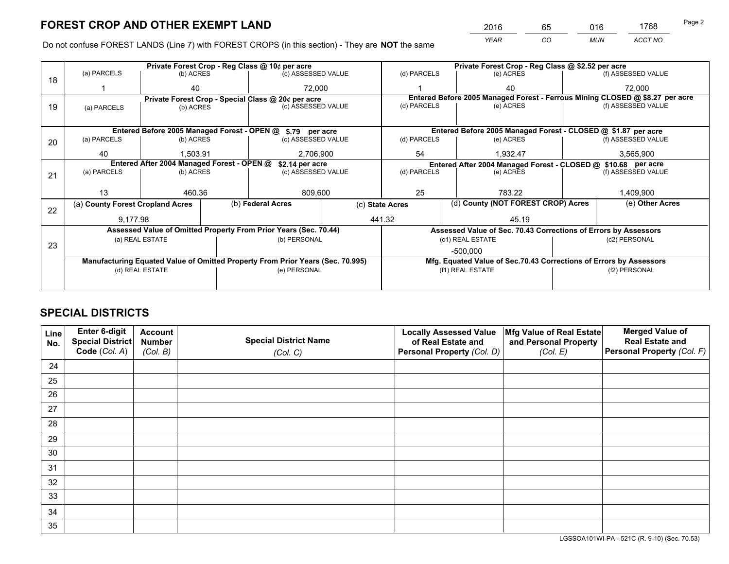*YEAR CO MUN ACCT NO* <sup>2016</sup> <sup>65</sup> <sup>016</sup> <sup>1768</sup>

Do not confuse FOREST LANDS (Line 7) with FOREST CROPS (in this section) - They are **NOT** the same

|             |                                  |                                                                                    |                                                                        |                                                                                                                   |                                                                                                                                                                                                                                                                                                                                                                                                                                                     | Private Forest Crop - Reg Class @ \$2.52 per acre                  |                                                               |                                                                                                                                                                                                                                                                                                                         |  |
|-------------|----------------------------------|------------------------------------------------------------------------------------|------------------------------------------------------------------------|-------------------------------------------------------------------------------------------------------------------|-----------------------------------------------------------------------------------------------------------------------------------------------------------------------------------------------------------------------------------------------------------------------------------------------------------------------------------------------------------------------------------------------------------------------------------------------------|--------------------------------------------------------------------|---------------------------------------------------------------|-------------------------------------------------------------------------------------------------------------------------------------------------------------------------------------------------------------------------------------------------------------------------------------------------------------------------|--|
|             |                                  |                                                                                    |                                                                        |                                                                                                                   | (d) PARCELS                                                                                                                                                                                                                                                                                                                                                                                                                                         | (e) ACRES                                                          |                                                               | (f) ASSESSED VALUE                                                                                                                                                                                                                                                                                                      |  |
|             | 40                               |                                                                                    |                                                                        |                                                                                                                   |                                                                                                                                                                                                                                                                                                                                                                                                                                                     | 40                                                                 |                                                               | 72,000                                                                                                                                                                                                                                                                                                                  |  |
|             |                                  |                                                                                    |                                                                        |                                                                                                                   |                                                                                                                                                                                                                                                                                                                                                                                                                                                     |                                                                    |                                                               |                                                                                                                                                                                                                                                                                                                         |  |
| (a) PARCELS |                                  |                                                                                    |                                                                        |                                                                                                                   |                                                                                                                                                                                                                                                                                                                                                                                                                                                     | (e) ACRES                                                          |                                                               | (f) ASSESSED VALUE                                                                                                                                                                                                                                                                                                      |  |
|             |                                  |                                                                                    |                                                                        |                                                                                                                   |                                                                                                                                                                                                                                                                                                                                                                                                                                                     |                                                                    |                                                               |                                                                                                                                                                                                                                                                                                                         |  |
|             |                                  |                                                                                    |                                                                        |                                                                                                                   |                                                                                                                                                                                                                                                                                                                                                                                                                                                     |                                                                    |                                                               |                                                                                                                                                                                                                                                                                                                         |  |
| (a) PARCELS |                                  |                                                                                    |                                                                        |                                                                                                                   | (d) PARCELS                                                                                                                                                                                                                                                                                                                                                                                                                                         | (e) ACRES                                                          |                                                               | (f) ASSESSED VALUE                                                                                                                                                                                                                                                                                                      |  |
|             |                                  |                                                                                    |                                                                        |                                                                                                                   |                                                                                                                                                                                                                                                                                                                                                                                                                                                     |                                                                    |                                                               | 3,565,900                                                                                                                                                                                                                                                                                                               |  |
|             |                                  |                                                                                    |                                                                        |                                                                                                                   |                                                                                                                                                                                                                                                                                                                                                                                                                                                     |                                                                    |                                                               |                                                                                                                                                                                                                                                                                                                         |  |
|             |                                  |                                                                                    |                                                                        |                                                                                                                   |                                                                                                                                                                                                                                                                                                                                                                                                                                                     |                                                                    |                                                               | (f) ASSESSED VALUE                                                                                                                                                                                                                                                                                                      |  |
|             |                                  |                                                                                    |                                                                        |                                                                                                                   |                                                                                                                                                                                                                                                                                                                                                                                                                                                     |                                                                    |                                                               |                                                                                                                                                                                                                                                                                                                         |  |
| 13          |                                  |                                                                                    |                                                                        |                                                                                                                   | 25<br>783.22                                                                                                                                                                                                                                                                                                                                                                                                                                        |                                                                    | 1,409,900                                                     |                                                                                                                                                                                                                                                                                                                         |  |
|             |                                  |                                                                                    |                                                                        |                                                                                                                   |                                                                                                                                                                                                                                                                                                                                                                                                                                                     |                                                                    |                                                               | (e) Other Acres                                                                                                                                                                                                                                                                                                         |  |
|             |                                  |                                                                                    |                                                                        | 441.32                                                                                                            |                                                                                                                                                                                                                                                                                                                                                                                                                                                     | 45.19                                                              |                                                               |                                                                                                                                                                                                                                                                                                                         |  |
|             |                                  |                                                                                    |                                                                        |                                                                                                                   |                                                                                                                                                                                                                                                                                                                                                                                                                                                     |                                                                    |                                                               |                                                                                                                                                                                                                                                                                                                         |  |
|             |                                  |                                                                                    |                                                                        |                                                                                                                   |                                                                                                                                                                                                                                                                                                                                                                                                                                                     |                                                                    | (c2) PERSONAL                                                 |                                                                                                                                                                                                                                                                                                                         |  |
|             |                                  |                                                                                    |                                                                        |                                                                                                                   |                                                                                                                                                                                                                                                                                                                                                                                                                                                     | -500.000                                                           |                                                               |                                                                                                                                                                                                                                                                                                                         |  |
|             |                                  |                                                                                    |                                                                        |                                                                                                                   |                                                                                                                                                                                                                                                                                                                                                                                                                                                     | Mfg. Equated Value of Sec.70.43 Corrections of Errors by Assessors |                                                               |                                                                                                                                                                                                                                                                                                                         |  |
|             |                                  |                                                                                    |                                                                        |                                                                                                                   |                                                                                                                                                                                                                                                                                                                                                                                                                                                     |                                                                    |                                                               | (f2) PERSONAL                                                                                                                                                                                                                                                                                                           |  |
|             |                                  |                                                                                    |                                                                        |                                                                                                                   |                                                                                                                                                                                                                                                                                                                                                                                                                                                     |                                                                    |                                                               |                                                                                                                                                                                                                                                                                                                         |  |
|             | (a) PARCELS<br>40<br>(a) PARCELS | (a) County Forest Cropland Acres<br>9,177.98<br>(a) REAL ESTATE<br>(d) REAL ESTATE | (b) ACRES<br>(b) ACRES<br>(b) ACRES<br>1.503.91<br>(b) ACRES<br>460.36 | Private Forest Crop - Reg Class @ 10¢ per acre<br>Entered After 2004 Managed Forest - OPEN @<br>(b) Federal Acres | (c) ASSESSED VALUE<br>72.000<br>Private Forest Crop - Special Class @ 20¢ per acre<br>(c) ASSESSED VALUE<br>Entered Before 2005 Managed Forest - OPEN @ \$.79 per acre<br>(c) ASSESSED VALUE<br>2,706,900<br>\$2.14 per acre<br>(c) ASSESSED VALUE<br>809,600<br>Assessed Value of Omitted Property From Prior Years (Sec. 70.44)<br>(b) PERSONAL<br>Manufacturing Equated Value of Omitted Property From Prior Years (Sec. 70.995)<br>(e) PERSONAL | (d) PARCELS<br>54<br>(d) PARCELS<br>(c) State Acres                | 1.932.47<br>(e) ACRES<br>(c1) REAL ESTATE<br>(f1) REAL ESTATE | Entered Before 2005 Managed Forest - Ferrous Mining CLOSED @ \$8.27 per acre<br>Entered Before 2005 Managed Forest - CLOSED @ \$1.87 per acre<br>Entered After 2004 Managed Forest - CLOSED @ \$10.68 per acre<br>(d) County (NOT FOREST CROP) Acres<br>Assessed Value of Sec. 70.43 Corrections of Errors by Assessors |  |

## **SPECIAL DISTRICTS**

| Line<br>No. | Enter 6-digit<br>Special District<br>Code (Col. A) | <b>Account</b><br><b>Number</b><br>(Col. B) | <b>Special District Name</b><br>(Col. C) | <b>Locally Assessed Value</b><br>of Real Estate and<br>Personal Property (Col. D) | Mfg Value of Real Estate<br>and Personal Property<br>(Col. E) | <b>Merged Value of</b><br><b>Real Estate and</b><br>Personal Property (Col. F) |
|-------------|----------------------------------------------------|---------------------------------------------|------------------------------------------|-----------------------------------------------------------------------------------|---------------------------------------------------------------|--------------------------------------------------------------------------------|
| 24          |                                                    |                                             |                                          |                                                                                   |                                                               |                                                                                |
| 25          |                                                    |                                             |                                          |                                                                                   |                                                               |                                                                                |
| 26          |                                                    |                                             |                                          |                                                                                   |                                                               |                                                                                |
| 27          |                                                    |                                             |                                          |                                                                                   |                                                               |                                                                                |
| 28          |                                                    |                                             |                                          |                                                                                   |                                                               |                                                                                |
| 29          |                                                    |                                             |                                          |                                                                                   |                                                               |                                                                                |
| 30          |                                                    |                                             |                                          |                                                                                   |                                                               |                                                                                |
| 31          |                                                    |                                             |                                          |                                                                                   |                                                               |                                                                                |
| 32          |                                                    |                                             |                                          |                                                                                   |                                                               |                                                                                |
| 33          |                                                    |                                             |                                          |                                                                                   |                                                               |                                                                                |
| 34          |                                                    |                                             |                                          |                                                                                   |                                                               |                                                                                |
| 35          |                                                    |                                             |                                          |                                                                                   |                                                               |                                                                                |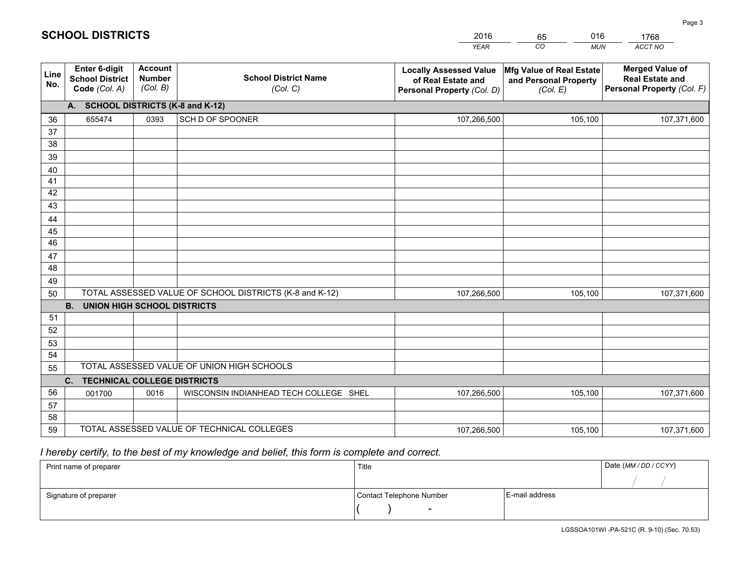|                 |                                                                 |                                             |                                                         | <b>YEAR</b>                                                                       | CO<br><b>MUN</b>                                              | ACCT NO                                                                        |
|-----------------|-----------------------------------------------------------------|---------------------------------------------|---------------------------------------------------------|-----------------------------------------------------------------------------------|---------------------------------------------------------------|--------------------------------------------------------------------------------|
| Line<br>No.     | <b>Enter 6-digit</b><br><b>School District</b><br>Code (Col. A) | <b>Account</b><br><b>Number</b><br>(Col. B) | <b>School District Name</b><br>(Col. C)                 | <b>Locally Assessed Value</b><br>of Real Estate and<br>Personal Property (Col. D) | Mfg Value of Real Estate<br>and Personal Property<br>(Col. E) | <b>Merged Value of</b><br><b>Real Estate and</b><br>Personal Property (Col. F) |
|                 | A. SCHOOL DISTRICTS (K-8 and K-12)                              |                                             |                                                         |                                                                                   |                                                               |                                                                                |
| 36              | 655474                                                          | 0393                                        | SCH D OF SPOONER                                        | 107,266,500                                                                       | 105,100                                                       | 107,371,600                                                                    |
| 37              |                                                                 |                                             |                                                         |                                                                                   |                                                               |                                                                                |
| 38              |                                                                 |                                             |                                                         |                                                                                   |                                                               |                                                                                |
| 39              |                                                                 |                                             |                                                         |                                                                                   |                                                               |                                                                                |
| 40              |                                                                 |                                             |                                                         |                                                                                   |                                                               |                                                                                |
| 41<br>42        |                                                                 |                                             |                                                         |                                                                                   |                                                               |                                                                                |
| 43              |                                                                 |                                             |                                                         |                                                                                   |                                                               |                                                                                |
| 44              |                                                                 |                                             |                                                         |                                                                                   |                                                               |                                                                                |
| 45              |                                                                 |                                             |                                                         |                                                                                   |                                                               |                                                                                |
| $\overline{46}$ |                                                                 |                                             |                                                         |                                                                                   |                                                               |                                                                                |
| 47              |                                                                 |                                             |                                                         |                                                                                   |                                                               |                                                                                |
| 48              |                                                                 |                                             |                                                         |                                                                                   |                                                               |                                                                                |
| 49              |                                                                 |                                             |                                                         |                                                                                   |                                                               |                                                                                |
| 50              |                                                                 |                                             | TOTAL ASSESSED VALUE OF SCHOOL DISTRICTS (K-8 and K-12) | 107,266,500                                                                       | 105,100                                                       | 107,371,600                                                                    |
|                 | <b>B.</b><br><b>UNION HIGH SCHOOL DISTRICTS</b>                 |                                             |                                                         |                                                                                   |                                                               |                                                                                |
| 51              |                                                                 |                                             |                                                         |                                                                                   |                                                               |                                                                                |
| 52              |                                                                 |                                             |                                                         |                                                                                   |                                                               |                                                                                |
| 53              |                                                                 |                                             |                                                         |                                                                                   |                                                               |                                                                                |
| 54              |                                                                 |                                             | TOTAL ASSESSED VALUE OF UNION HIGH SCHOOLS              |                                                                                   |                                                               |                                                                                |
| 55              |                                                                 |                                             |                                                         |                                                                                   |                                                               |                                                                                |
| 56              | C.<br><b>TECHNICAL COLLEGE DISTRICTS</b><br>001700              | 0016                                        | WISCONSIN INDIANHEAD TECH COLLEGE SHEL                  | 107,266,500                                                                       | 105,100                                                       | 107,371,600                                                                    |
| 57              |                                                                 |                                             |                                                         |                                                                                   |                                                               |                                                                                |
| 58              |                                                                 |                                             |                                                         |                                                                                   |                                                               |                                                                                |
| 59              |                                                                 |                                             | TOTAL ASSESSED VALUE OF TECHNICAL COLLEGES              | 107,266,500                                                                       | 105,100                                                       | 107,371,600                                                                    |

2016

65

016

# *I hereby certify, to the best of my knowledge and belief, this form is complete and correct.*

**SCHOOL DISTRICTS**

| Print name of preparer | Title                    | Date (MM / DD / CCYY) |  |
|------------------------|--------------------------|-----------------------|--|
|                        |                          |                       |  |
| Signature of preparer  | Contact Telephone Number | E-mail address        |  |
|                        | $\overline{\phantom{0}}$ |                       |  |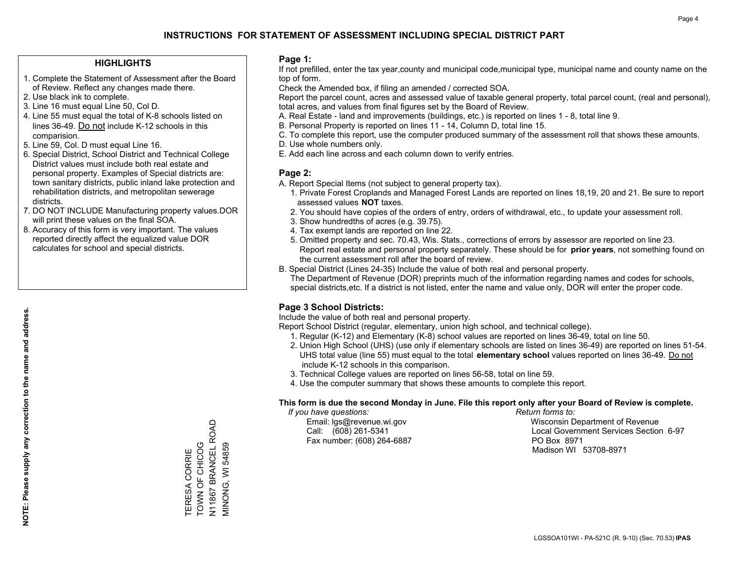### **HIGHLIGHTS**

- 1. Complete the Statement of Assessment after the Board of Review. Reflect any changes made there.
- 2. Use black ink to complete.
- 3. Line 16 must equal Line 50, Col D.
- 4. Line 55 must equal the total of K-8 schools listed on lines 36-49. Do not include K-12 schools in this comparision.
- 5. Line 59, Col. D must equal Line 16.
- 6. Special District, School District and Technical College District values must include both real estate and personal property. Examples of Special districts are: town sanitary districts, public inland lake protection and rehabilitation districts, and metropolitan sewerage districts.
- 7. DO NOT INCLUDE Manufacturing property values.DOR will print these values on the final SOA.

TERESA CORRIE TOWN OF CHICOG N11867 BRANCEL ROAD MINONG, WI 54859

TERESA CORRIE<br>TOWN OF CHICOG

, UT1867 BRANCEL ROAD<br>V11867 BRANCEL ROAD

**VIINONG, WI 54859** 

 8. Accuracy of this form is very important. The values reported directly affect the equalized value DOR calculates for school and special districts.

### **Page 1:**

 If not prefilled, enter the tax year,county and municipal code,municipal type, municipal name and county name on the top of form.

Check the Amended box, if filing an amended / corrected SOA.

 Report the parcel count, acres and assessed value of taxable general property, total parcel count, (real and personal), total acres, and values from final figures set by the Board of Review.

- A. Real Estate land and improvements (buildings, etc.) is reported on lines 1 8, total line 9.
- B. Personal Property is reported on lines 11 14, Column D, total line 15.
- C. To complete this report, use the computer produced summary of the assessment roll that shows these amounts.
- D. Use whole numbers only.
- E. Add each line across and each column down to verify entries.

### **Page 2:**

- A. Report Special Items (not subject to general property tax).
- 1. Private Forest Croplands and Managed Forest Lands are reported on lines 18,19, 20 and 21. Be sure to report assessed values **NOT** taxes.
- 2. You should have copies of the orders of entry, orders of withdrawal, etc., to update your assessment roll.
	- 3. Show hundredths of acres (e.g. 39.75).
- 4. Tax exempt lands are reported on line 22.
- 5. Omitted property and sec. 70.43, Wis. Stats., corrections of errors by assessor are reported on line 23. Report real estate and personal property separately. These should be for **prior years**, not something found on the current assessment roll after the board of review.
- B. Special District (Lines 24-35) Include the value of both real and personal property.
- The Department of Revenue (DOR) preprints much of the information regarding names and codes for schools, special districts,etc. If a district is not listed, enter the name and value only, DOR will enter the proper code.

## **Page 3 School Districts:**

Include the value of both real and personal property.

Report School District (regular, elementary, union high school, and technical college).

- 1. Regular (K-12) and Elementary (K-8) school values are reported on lines 36-49, total on line 50.
- 2. Union High School (UHS) (use only if elementary schools are listed on lines 36-49) are reported on lines 51-54. UHS total value (line 55) must equal to the total **elementary school** values reported on lines 36-49. Do notinclude K-12 schools in this comparison.
- 3. Technical College values are reported on lines 56-58, total on line 59.
- 4. Use the computer summary that shows these amounts to complete this report.

### **This form is due the second Monday in June. File this report only after your Board of Review is complete.**

 *If you have questions: Return forms to:*

Fax number: (608) 264-6887 PO Box 8971

 Email: lgs@revenue.wi.gov Wisconsin Department of Revenue Call: (608) 261-5341 Local Government Services Section 6-97Madison WI 53708-8971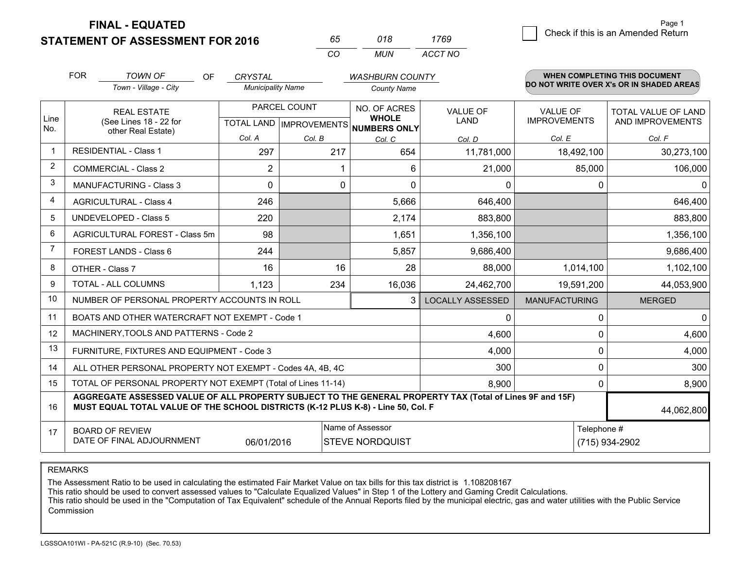**FINAL - EQUATED**

**STATEMENT OF ASSESSMENT FOR 2016** 

| 65. | 018   | 1769    |  |  |
|-----|-------|---------|--|--|
| (   | MI IN | ACCT NO |  |  |

|             | <b>FOR</b>                                                                                                                                                                                   | <b>TOWN OF</b><br><b>OF</b>                    | <b>CRYSTAL</b>           |                                           | <b>WASHBURN COUNTY</b>                              |                                |                                        | <b>WHEN COMPLETING THIS DOCUMENT</b>           |
|-------------|----------------------------------------------------------------------------------------------------------------------------------------------------------------------------------------------|------------------------------------------------|--------------------------|-------------------------------------------|-----------------------------------------------------|--------------------------------|----------------------------------------|------------------------------------------------|
|             |                                                                                                                                                                                              | Town - Village - City                          | <b>Municipality Name</b> |                                           | <b>County Name</b>                                  |                                |                                        | DO NOT WRITE OVER X's OR IN SHADED AREAS       |
| Line<br>No. |                                                                                                                                                                                              | <b>REAL ESTATE</b><br>(See Lines 18 - 22 for   |                          | PARCEL COUNT<br>TOTAL LAND   IMPROVEMENTS | NO. OF ACRES<br><b>WHOLE</b><br><b>NUMBERS ONLY</b> | <b>VALUE OF</b><br><b>LAND</b> | <b>VALUE OF</b><br><b>IMPROVEMENTS</b> | <b>TOTAL VALUE OF LAND</b><br>AND IMPROVEMENTS |
|             |                                                                                                                                                                                              | other Real Estate)                             | Col. A                   | Col. B                                    | Col. C                                              | Col. D                         | Col. E                                 | Col. F                                         |
| -1          |                                                                                                                                                                                              | <b>RESIDENTIAL - Class 1</b>                   | 297                      | 217                                       | 654                                                 | 11,781,000                     | 18,492,100                             | 30,273,100                                     |
| 2           |                                                                                                                                                                                              | <b>COMMERCIAL - Class 2</b>                    | $\overline{2}$           | 1                                         | 6                                                   | 21,000                         | 85,000                                 | 106,000                                        |
| 3           |                                                                                                                                                                                              | <b>MANUFACTURING - Class 3</b>                 | 0                        | 0                                         | 0                                                   | 0                              | 0                                      | $\mathbf{0}$                                   |
| 4           |                                                                                                                                                                                              | <b>AGRICULTURAL - Class 4</b>                  | 246                      |                                           | 5,666                                               | 646,400                        |                                        | 646,400                                        |
| 5           |                                                                                                                                                                                              | <b>UNDEVELOPED - Class 5</b>                   | 220                      |                                           | 2,174                                               | 883,800                        |                                        | 883,800                                        |
| 6           |                                                                                                                                                                                              | AGRICULTURAL FOREST - Class 5m                 | 98                       |                                           | 1,651                                               | 1,356,100                      |                                        | 1,356,100                                      |
| 7           |                                                                                                                                                                                              | FOREST LANDS - Class 6                         | 244                      |                                           | 5,857                                               | 9,686,400                      |                                        | 9,686,400                                      |
| 8           |                                                                                                                                                                                              | OTHER - Class 7                                | 16                       | 16                                        | 28                                                  | 88,000                         | 1,014,100                              | 1,102,100                                      |
| 9           |                                                                                                                                                                                              | TOTAL - ALL COLUMNS                            | 1,123                    | 234                                       | 16,036                                              | 24,462,700                     | 19,591,200                             | 44,053,900                                     |
| 10          |                                                                                                                                                                                              | NUMBER OF PERSONAL PROPERTY ACCOUNTS IN ROLL   |                          |                                           | 3                                                   | <b>LOCALLY ASSESSED</b>        | <b>MANUFACTURING</b>                   | <b>MERGED</b>                                  |
| 11          |                                                                                                                                                                                              | BOATS AND OTHER WATERCRAFT NOT EXEMPT - Code 1 |                          |                                           |                                                     | 0                              | $\Omega$                               | 0                                              |
| 12          |                                                                                                                                                                                              | MACHINERY, TOOLS AND PATTERNS - Code 2         |                          |                                           |                                                     | 4,600                          | $\Omega$                               | 4,600                                          |
| 13          |                                                                                                                                                                                              | FURNITURE, FIXTURES AND EQUIPMENT - Code 3     |                          |                                           |                                                     | 4,000                          | $\Omega$                               | 4,000                                          |
| 14          | 300<br>ALL OTHER PERSONAL PROPERTY NOT EXEMPT - Codes 4A, 4B, 4C                                                                                                                             |                                                |                          |                                           |                                                     |                                |                                        | 300<br>0                                       |
| 15          | TOTAL OF PERSONAL PROPERTY NOT EXEMPT (Total of Lines 11-14)<br>8,900                                                                                                                        |                                                |                          |                                           |                                                     |                                |                                        | 8,900<br>$\Omega$                              |
| 16          | AGGREGATE ASSESSED VALUE OF ALL PROPERTY SUBJECT TO THE GENERAL PROPERTY TAX (Total of Lines 9F and 15F)<br>MUST EQUAL TOTAL VALUE OF THE SCHOOL DISTRICTS (K-12 PLUS K-8) - Line 50, Col. F |                                                |                          |                                           |                                                     |                                |                                        | 44,062,800                                     |
| 17          |                                                                                                                                                                                              | <b>BOARD OF REVIEW</b>                         |                          |                                           | Name of Assessor                                    |                                | Telephone #                            |                                                |
|             | DATE OF FINAL ADJOURNMENT<br>06/01/2016<br><b>STEVE NORDQUIST</b><br>(715) 934-2902                                                                                                          |                                                |                          |                                           |                                                     |                                |                                        |                                                |

REMARKS

The Assessment Ratio to be used in calculating the estimated Fair Market Value on tax bills for this tax district is 1.108208167<br>This ratio should be used to convert assessed values to "Calculate Equalized Values" in Step Commission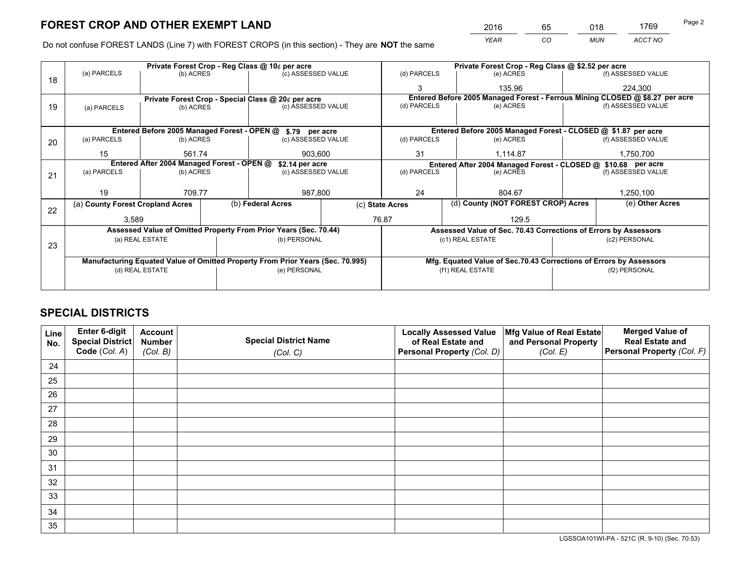*YEAR CO MUN ACCT NO* <sup>2016</sup> <sup>65</sup> <sup>018</sup> <sup>1769</sup>

Do not confuse FOREST LANDS (Line 7) with FOREST CROPS (in this section) - They are **NOT** the same

|    |                                                                                |                                             |  | Private Forest Crop - Reg Class @ 10¢ per acre                   |                 | Private Forest Crop - Reg Class @ \$2.52 per acre                            |                                                               |                                                                 |                    |
|----|--------------------------------------------------------------------------------|---------------------------------------------|--|------------------------------------------------------------------|-----------------|------------------------------------------------------------------------------|---------------------------------------------------------------|-----------------------------------------------------------------|--------------------|
| 18 | (a) PARCELS                                                                    | (b) ACRES                                   |  | (c) ASSESSED VALUE                                               |                 | (d) PARCELS                                                                  | (e) ACRES                                                     |                                                                 | (f) ASSESSED VALUE |
|    |                                                                                |                                             |  |                                                                  |                 | 3                                                                            | 135.96                                                        |                                                                 | 224.300            |
|    |                                                                                |                                             |  | Private Forest Crop - Special Class @ 20¢ per acre               |                 | Entered Before 2005 Managed Forest - Ferrous Mining CLOSED @ \$8.27 per acre |                                                               |                                                                 |                    |
| 19 | (a) PARCELS                                                                    | (b) ACRES                                   |  | (c) ASSESSED VALUE                                               |                 | (d) PARCELS                                                                  | (e) ACRES                                                     |                                                                 | (f) ASSESSED VALUE |
|    |                                                                                |                                             |  |                                                                  |                 |                                                                              |                                                               |                                                                 |                    |
|    |                                                                                | Entered Before 2005 Managed Forest - OPEN @ |  | \$.79 per acre                                                   |                 |                                                                              | Entered Before 2005 Managed Forest - CLOSED @ \$1.87 per acre |                                                                 |                    |
| 20 | (b) ACRES<br>(a) PARCELS                                                       |                                             |  | (c) ASSESSED VALUE                                               |                 | (d) PARCELS                                                                  | (e) ACRES                                                     |                                                                 | (f) ASSESSED VALUE |
|    | 15                                                                             | 561.74                                      |  | 903,600                                                          |                 | 31                                                                           | 1,114.87                                                      |                                                                 | 1,750,700          |
|    | Entered After 2004 Managed Forest - OPEN @<br>\$2.14 per acre                  |                                             |  |                                                                  |                 | Entered After 2004 Managed Forest - CLOSED @ \$10.68 per acre                |                                                               |                                                                 |                    |
| 21 | (a) PARCELS                                                                    | (b) ACRES                                   |  | (c) ASSESSED VALUE                                               |                 | (d) PARCELS<br>(e) ACRES                                                     |                                                               | (f) ASSESSED VALUE                                              |                    |
|    |                                                                                |                                             |  |                                                                  |                 |                                                                              |                                                               |                                                                 |                    |
|    | 19                                                                             | 709.77                                      |  | 987,800                                                          |                 | 24                                                                           | 804.67                                                        |                                                                 | 1,250,100          |
|    |                                                                                | (a) County Forest Cropland Acres            |  | (b) Federal Acres                                                | (c) State Acres |                                                                              | (d) County (NOT FOREST CROP) Acres                            |                                                                 | (e) Other Acres    |
| 22 | 3,589                                                                          |                                             |  |                                                                  |                 | 76.87<br>129.5                                                               |                                                               |                                                                 |                    |
|    |                                                                                |                                             |  | Assessed Value of Omitted Property From Prior Years (Sec. 70.44) |                 |                                                                              |                                                               | Assessed Value of Sec. 70.43 Corrections of Errors by Assessors |                    |
|    |                                                                                |                                             |  |                                                                  |                 |                                                                              |                                                               | (c2) PERSONAL                                                   |                    |
| 23 | (a) REAL ESTATE                                                                |                                             |  | (b) PERSONAL                                                     |                 | (c1) REAL ESTATE                                                             |                                                               |                                                                 |                    |
|    |                                                                                |                                             |  |                                                                  |                 |                                                                              |                                                               |                                                                 |                    |
|    | Manufacturing Equated Value of Omitted Property From Prior Years (Sec. 70.995) |                                             |  |                                                                  |                 | Mfg. Equated Value of Sec.70.43 Corrections of Errors by Assessors           |                                                               |                                                                 |                    |
|    | (d) REAL ESTATE                                                                |                                             |  | (e) PERSONAL                                                     |                 | (f1) REAL ESTATE                                                             |                                                               | (f2) PERSONAL                                                   |                    |
|    |                                                                                |                                             |  |                                                                  |                 |                                                                              |                                                               |                                                                 |                    |

## **SPECIAL DISTRICTS**

| Line<br>No. | Enter 6-digit<br>Special District<br>Code (Col. A) | <b>Account</b><br><b>Number</b><br>(Col. B) | <b>Special District Name</b><br>(Col. C) | <b>Locally Assessed Value</b><br>of Real Estate and<br>Personal Property (Col. D) | Mfg Value of Real Estate<br>and Personal Property<br>(Col. E) | <b>Merged Value of</b><br><b>Real Estate and</b><br>Personal Property (Col. F) |
|-------------|----------------------------------------------------|---------------------------------------------|------------------------------------------|-----------------------------------------------------------------------------------|---------------------------------------------------------------|--------------------------------------------------------------------------------|
| 24          |                                                    |                                             |                                          |                                                                                   |                                                               |                                                                                |
| 25          |                                                    |                                             |                                          |                                                                                   |                                                               |                                                                                |
| 26          |                                                    |                                             |                                          |                                                                                   |                                                               |                                                                                |
| 27          |                                                    |                                             |                                          |                                                                                   |                                                               |                                                                                |
| 28          |                                                    |                                             |                                          |                                                                                   |                                                               |                                                                                |
| 29          |                                                    |                                             |                                          |                                                                                   |                                                               |                                                                                |
| 30          |                                                    |                                             |                                          |                                                                                   |                                                               |                                                                                |
| 31          |                                                    |                                             |                                          |                                                                                   |                                                               |                                                                                |
| 32          |                                                    |                                             |                                          |                                                                                   |                                                               |                                                                                |
| 33          |                                                    |                                             |                                          |                                                                                   |                                                               |                                                                                |
| 34          |                                                    |                                             |                                          |                                                                                   |                                                               |                                                                                |
| 35          |                                                    |                                             |                                          |                                                                                   |                                                               |                                                                                |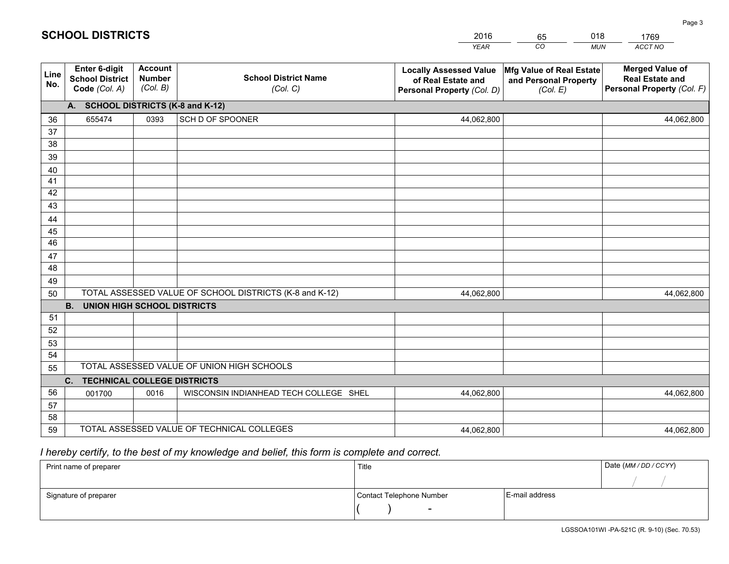|             |                                                          |                                             |                                                         | <b>YEAR</b>                                                                       | CO<br><b>MUN</b>                                              | ACCT NO                                                                        |  |  |  |
|-------------|----------------------------------------------------------|---------------------------------------------|---------------------------------------------------------|-----------------------------------------------------------------------------------|---------------------------------------------------------------|--------------------------------------------------------------------------------|--|--|--|
| Line<br>No. | Enter 6-digit<br><b>School District</b><br>Code (Col. A) | <b>Account</b><br><b>Number</b><br>(Col. B) | <b>School District Name</b><br>(Col. C)                 | <b>Locally Assessed Value</b><br>of Real Estate and<br>Personal Property (Col. D) | Mfg Value of Real Estate<br>and Personal Property<br>(Col. E) | <b>Merged Value of</b><br><b>Real Estate and</b><br>Personal Property (Col. F) |  |  |  |
|             | A. SCHOOL DISTRICTS (K-8 and K-12)                       |                                             |                                                         |                                                                                   |                                                               |                                                                                |  |  |  |
| 36          | 655474                                                   | 0393                                        | SCH D OF SPOONER                                        | 44,062,800                                                                        |                                                               | 44,062,800                                                                     |  |  |  |
| 37          |                                                          |                                             |                                                         |                                                                                   |                                                               |                                                                                |  |  |  |
| 38          |                                                          |                                             |                                                         |                                                                                   |                                                               |                                                                                |  |  |  |
| 39          |                                                          |                                             |                                                         |                                                                                   |                                                               |                                                                                |  |  |  |
| 40          |                                                          |                                             |                                                         |                                                                                   |                                                               |                                                                                |  |  |  |
| 41          |                                                          |                                             |                                                         |                                                                                   |                                                               |                                                                                |  |  |  |
| 42<br>43    |                                                          |                                             |                                                         |                                                                                   |                                                               |                                                                                |  |  |  |
|             |                                                          |                                             |                                                         |                                                                                   |                                                               |                                                                                |  |  |  |
| 44<br>45    |                                                          |                                             |                                                         |                                                                                   |                                                               |                                                                                |  |  |  |
| 46          |                                                          |                                             |                                                         |                                                                                   |                                                               |                                                                                |  |  |  |
| 47          |                                                          |                                             |                                                         |                                                                                   |                                                               |                                                                                |  |  |  |
| 48          |                                                          |                                             |                                                         |                                                                                   |                                                               |                                                                                |  |  |  |
| 49          |                                                          |                                             |                                                         |                                                                                   |                                                               |                                                                                |  |  |  |
| 50          |                                                          |                                             | TOTAL ASSESSED VALUE OF SCHOOL DISTRICTS (K-8 and K-12) | 44,062,800                                                                        |                                                               | 44,062,800                                                                     |  |  |  |
|             | B <sub>1</sub><br><b>UNION HIGH SCHOOL DISTRICTS</b>     |                                             |                                                         |                                                                                   |                                                               |                                                                                |  |  |  |
| 51          |                                                          |                                             |                                                         |                                                                                   |                                                               |                                                                                |  |  |  |
| 52          |                                                          |                                             |                                                         |                                                                                   |                                                               |                                                                                |  |  |  |
| 53          |                                                          |                                             |                                                         |                                                                                   |                                                               |                                                                                |  |  |  |
| 54          |                                                          |                                             |                                                         |                                                                                   |                                                               |                                                                                |  |  |  |
|             | TOTAL ASSESSED VALUE OF UNION HIGH SCHOOLS<br>55         |                                             |                                                         |                                                                                   |                                                               |                                                                                |  |  |  |
|             | C. TECHNICAL COLLEGE DISTRICTS                           |                                             |                                                         |                                                                                   |                                                               |                                                                                |  |  |  |
| 56          | 001700                                                   | 0016                                        | WISCONSIN INDIANHEAD TECH COLLEGE SHEL                  | 44,062,800                                                                        |                                                               | 44,062,800                                                                     |  |  |  |
| 57<br>58    |                                                          |                                             |                                                         |                                                                                   |                                                               |                                                                                |  |  |  |
| 59          |                                                          |                                             | TOTAL ASSESSED VALUE OF TECHNICAL COLLEGES              | 44,062,800                                                                        |                                                               | 44,062,800                                                                     |  |  |  |
|             |                                                          |                                             |                                                         |                                                                                   |                                                               |                                                                                |  |  |  |

2016

65

018

# *I hereby certify, to the best of my knowledge and belief, this form is complete and correct.*

**SCHOOL DISTRICTS**

| Print name of preparer | Title                    | Date (MM / DD / CCYY) |  |
|------------------------|--------------------------|-----------------------|--|
|                        |                          |                       |  |
| Signature of preparer  | Contact Telephone Number | E-mail address        |  |
|                        | $\overline{\phantom{0}}$ |                       |  |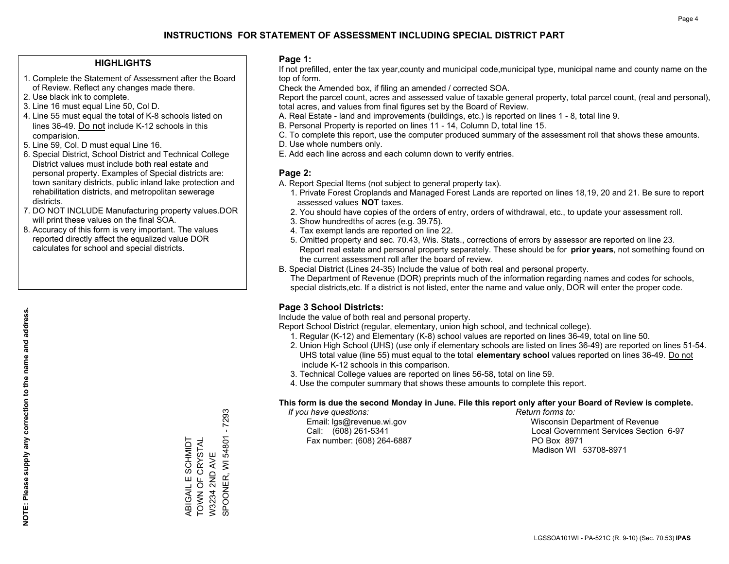### **HIGHLIGHTS**

- 1. Complete the Statement of Assessment after the Board of Review. Reflect any changes made there.
- 2. Use black ink to complete.
- 3. Line 16 must equal Line 50, Col D.
- 4. Line 55 must equal the total of K-8 schools listed on lines 36-49. Do not include K-12 schools in this comparision.
- 5. Line 59, Col. D must equal Line 16.
- 6. Special District, School District and Technical College District values must include both real estate and personal property. Examples of Special districts are: town sanitary districts, public inland lake protection and rehabilitation districts, and metropolitan sewerage districts.
- 7. DO NOT INCLUDE Manufacturing property values.DOR will print these values on the final SOA.

ABIGAIL E SCHMIDT TOWN OF CRYSTAL W3234 2ND AVE

ABIGAIL E SCHMIDT<br>TOWN OF CRYSTAL W3234 2ND AVE SPOONER, WI 54801 - 7293

SPOONER, WI 54801 - 7293

 8. Accuracy of this form is very important. The values reported directly affect the equalized value DOR calculates for school and special districts.

### **Page 1:**

 If not prefilled, enter the tax year,county and municipal code,municipal type, municipal name and county name on the top of form.

Check the Amended box, if filing an amended / corrected SOA.

 Report the parcel count, acres and assessed value of taxable general property, total parcel count, (real and personal), total acres, and values from final figures set by the Board of Review.

- A. Real Estate land and improvements (buildings, etc.) is reported on lines 1 8, total line 9.
- B. Personal Property is reported on lines 11 14, Column D, total line 15.
- C. To complete this report, use the computer produced summary of the assessment roll that shows these amounts.
- D. Use whole numbers only.
- E. Add each line across and each column down to verify entries.

### **Page 2:**

- A. Report Special Items (not subject to general property tax).
- 1. Private Forest Croplands and Managed Forest Lands are reported on lines 18,19, 20 and 21. Be sure to report assessed values **NOT** taxes.
- 2. You should have copies of the orders of entry, orders of withdrawal, etc., to update your assessment roll.
	- 3. Show hundredths of acres (e.g. 39.75).
- 4. Tax exempt lands are reported on line 22.
- 5. Omitted property and sec. 70.43, Wis. Stats., corrections of errors by assessor are reported on line 23. Report real estate and personal property separately. These should be for **prior years**, not something found on the current assessment roll after the board of review.
- B. Special District (Lines 24-35) Include the value of both real and personal property.
- The Department of Revenue (DOR) preprints much of the information regarding names and codes for schools, special districts,etc. If a district is not listed, enter the name and value only, DOR will enter the proper code.

## **Page 3 School Districts:**

Include the value of both real and personal property.

Report School District (regular, elementary, union high school, and technical college).

- 1. Regular (K-12) and Elementary (K-8) school values are reported on lines 36-49, total on line 50.
- 2. Union High School (UHS) (use only if elementary schools are listed on lines 36-49) are reported on lines 51-54. UHS total value (line 55) must equal to the total **elementary school** values reported on lines 36-49. Do notinclude K-12 schools in this comparison.
- 3. Technical College values are reported on lines 56-58, total on line 59.
- 4. Use the computer summary that shows these amounts to complete this report.

### **This form is due the second Monday in June. File this report only after your Board of Review is complete.**

 *If you have questions: Return forms to:*

Fax number: (608) 264-6887 PO Box 8971

 Email: lgs@revenue.wi.gov Wisconsin Department of Revenue Call: (608) 261-5341 Local Government Services Section 6-97Madison WI 53708-8971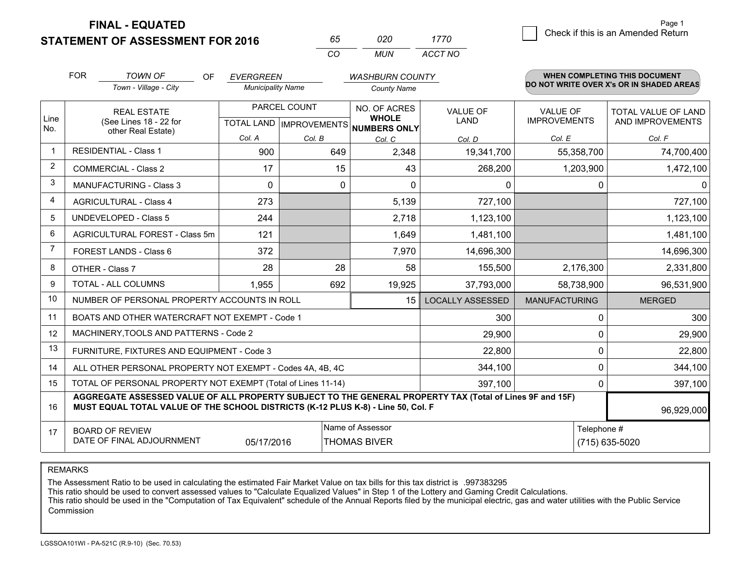**STATEMENT OF ASSESSMENT FOR 2016** 

**FINAL - EQUATED**

| 65  | 020 | 1770    |
|-----|-----|---------|
| CO. | MUN | ACCT NO |

|                | <b>FOR</b>                                                                                                                                                                                   | <b>TOWN OF</b><br><b>OF</b>                                  | <b>EVERGREEN</b>         |              | <b>WASHBURN COUNTY</b>                                               |                                |                                 | <b>WHEN COMPLETING THIS DOCUMENT</b>     |
|----------------|----------------------------------------------------------------------------------------------------------------------------------------------------------------------------------------------|--------------------------------------------------------------|--------------------------|--------------|----------------------------------------------------------------------|--------------------------------|---------------------------------|------------------------------------------|
|                |                                                                                                                                                                                              | Town - Village - City                                        | <b>Municipality Name</b> |              | <b>County Name</b>                                                   |                                |                                 | DO NOT WRITE OVER X's OR IN SHADED AREAS |
| Line<br>No.    |                                                                                                                                                                                              | <b>REAL ESTATE</b><br>(See Lines 18 - 22 for                 |                          | PARCEL COUNT | NO. OF ACRES<br><b>WHOLE</b><br>TOTAL LAND IMPROVEMENTS NUMBERS ONLY | <b>VALUE OF</b><br><b>LAND</b> | VALUE OF<br><b>IMPROVEMENTS</b> | TOTAL VALUE OF LAND<br>AND IMPROVEMENTS  |
|                |                                                                                                                                                                                              | other Real Estate)                                           | Col. A                   | Col. B       | Col. C                                                               | Col. D                         | Col. E                          | Col. F                                   |
| $\mathbf 1$    |                                                                                                                                                                                              | <b>RESIDENTIAL - Class 1</b>                                 | 900                      | 649          | 2,348                                                                | 19,341,700                     | 55,358,700                      | 74,700,400                               |
| $\overline{2}$ |                                                                                                                                                                                              | <b>COMMERCIAL - Class 2</b>                                  | 17                       | 15           | 43                                                                   | 268,200                        | 1,203,900                       | 1,472,100                                |
| 3              |                                                                                                                                                                                              | <b>MANUFACTURING - Class 3</b>                               | $\Omega$                 | $\mathbf 0$  | $\Omega$                                                             | 0                              | 0                               | $\Omega$                                 |
| $\overline{4}$ |                                                                                                                                                                                              | <b>AGRICULTURAL - Class 4</b>                                | 273                      |              | 5,139                                                                | 727,100                        |                                 | 727,100                                  |
| 5              |                                                                                                                                                                                              | <b>UNDEVELOPED - Class 5</b>                                 | 244                      |              | 2,718                                                                | 1,123,100                      |                                 | 1,123,100                                |
| 6              |                                                                                                                                                                                              | AGRICULTURAL FOREST - Class 5m                               | 121                      |              | 1,649                                                                | 1,481,100                      |                                 | 1,481,100                                |
| 7              |                                                                                                                                                                                              | FOREST LANDS - Class 6                                       | 372                      |              | 7,970                                                                | 14,696,300                     |                                 | 14,696,300                               |
| 8              |                                                                                                                                                                                              | OTHER - Class 7                                              | 28                       | 28           | 58                                                                   | 155,500                        | 2,176,300                       | 2,331,800                                |
| 9              |                                                                                                                                                                                              | TOTAL - ALL COLUMNS                                          | 1,955                    | 692          | 19,925                                                               | 37,793,000                     | 58,738,900                      | 96,531,900                               |
| 10             |                                                                                                                                                                                              | NUMBER OF PERSONAL PROPERTY ACCOUNTS IN ROLL                 |                          |              | 15                                                                   | <b>LOCALLY ASSESSED</b>        | <b>MANUFACTURING</b>            | <b>MERGED</b>                            |
| 11             |                                                                                                                                                                                              | BOATS AND OTHER WATERCRAFT NOT EXEMPT - Code 1               |                          |              |                                                                      | 300                            | 0                               | 300                                      |
| 12             |                                                                                                                                                                                              | MACHINERY, TOOLS AND PATTERNS - Code 2                       |                          |              |                                                                      | 29,900                         | 0                               | 29,900                                   |
| 13             |                                                                                                                                                                                              | FURNITURE, FIXTURES AND EQUIPMENT - Code 3                   |                          |              |                                                                      | 22,800                         | 0                               | 22,800                                   |
| 14             |                                                                                                                                                                                              | ALL OTHER PERSONAL PROPERTY NOT EXEMPT - Codes 4A, 4B, 4C    |                          |              |                                                                      | 344,100                        | 0                               | 344,100                                  |
| 15             |                                                                                                                                                                                              | TOTAL OF PERSONAL PROPERTY NOT EXEMPT (Total of Lines 11-14) |                          |              | 397,100                                                              | 0                              | 397,100                         |                                          |
| 16             | AGGREGATE ASSESSED VALUE OF ALL PROPERTY SUBJECT TO THE GENERAL PROPERTY TAX (Total of Lines 9F and 15F)<br>MUST EQUAL TOTAL VALUE OF THE SCHOOL DISTRICTS (K-12 PLUS K-8) - Line 50, Col. F |                                                              |                          |              |                                                                      |                                |                                 | 96,929,000                               |
| 17             | <b>BOARD OF REVIEW</b><br>DATE OF FINAL ADJOURNMENT<br>05/17/2016                                                                                                                            |                                                              |                          |              | Name of Assessor<br><b>THOMAS BIVER</b>                              |                                | Telephone #                     | (715) 635-5020                           |

REMARKS

The Assessment Ratio to be used in calculating the estimated Fair Market Value on tax bills for this tax district is .997383295

This ratio should be used to convert assessed values to "Calculate Equalized Values" in Step 1 of the Lottery and Gaming Credit Calculations.<br>This ratio should be used in the "Computation of Tax Equivalent" schedule of the Commission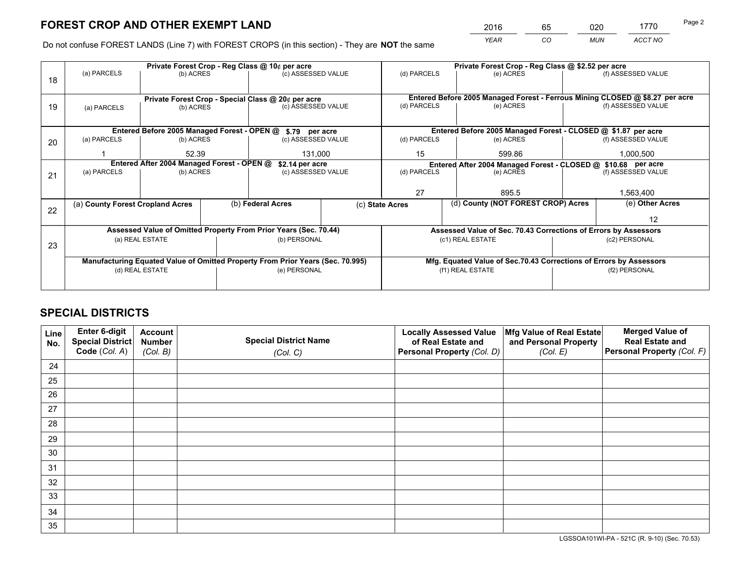*YEAR CO MUN ACCT NO* <sup>2016</sup> <sup>65</sup> <sup>020</sup> <sup>1770</sup>

Do not confuse FOREST LANDS (Line 7) with FOREST CROPS (in this section) - They are **NOT** the same

|    |                                                                                |                 |                                                    | Private Forest Crop - Reg Class @ 10¢ per acre                   |                                                                    | Private Forest Crop - Reg Class @ \$2.52 per acre             |                                                                              |  |                    |  |
|----|--------------------------------------------------------------------------------|-----------------|----------------------------------------------------|------------------------------------------------------------------|--------------------------------------------------------------------|---------------------------------------------------------------|------------------------------------------------------------------------------|--|--------------------|--|
| 18 | (a) PARCELS                                                                    | (b) ACRES       |                                                    | (c) ASSESSED VALUE                                               |                                                                    | (d) PARCELS                                                   | (e) ACRES                                                                    |  | (f) ASSESSED VALUE |  |
|    |                                                                                |                 |                                                    |                                                                  |                                                                    |                                                               |                                                                              |  |                    |  |
|    |                                                                                |                 | Private Forest Crop - Special Class @ 20¢ per acre |                                                                  |                                                                    |                                                               | Entered Before 2005 Managed Forest - Ferrous Mining CLOSED @ \$8.27 per acre |  |                    |  |
| 19 | (a) PARCELS                                                                    | (b) ACRES       |                                                    | (c) ASSESSED VALUE                                               |                                                                    | (d) PARCELS                                                   | (e) ACRES                                                                    |  | (f) ASSESSED VALUE |  |
|    |                                                                                |                 |                                                    |                                                                  |                                                                    |                                                               |                                                                              |  |                    |  |
|    |                                                                                |                 |                                                    | Entered Before 2005 Managed Forest - OPEN @ \$.79 per acre       |                                                                    |                                                               | Entered Before 2005 Managed Forest - CLOSED @ \$1.87 per acre                |  |                    |  |
| 20 | (a) PARCELS                                                                    | (b) ACRES       |                                                    | (c) ASSESSED VALUE                                               |                                                                    | (d) PARCELS                                                   | (e) ACRES                                                                    |  | (f) ASSESSED VALUE |  |
|    |                                                                                | 52.39           |                                                    | 131,000                                                          |                                                                    | 15                                                            | 599.86                                                                       |  | 1,000,500          |  |
|    | Entered After 2004 Managed Forest - OPEN @<br>\$2.14 per acre                  |                 |                                                    |                                                                  |                                                                    | Entered After 2004 Managed Forest - CLOSED @ \$10.68 per acre |                                                                              |  |                    |  |
| 21 | (a) PARCELS                                                                    | (b) ACRES       |                                                    | (c) ASSESSED VALUE                                               |                                                                    | (d) PARCELS<br>(e) ACRES                                      |                                                                              |  | (f) ASSESSED VALUE |  |
|    |                                                                                |                 |                                                    |                                                                  |                                                                    |                                                               |                                                                              |  |                    |  |
|    |                                                                                |                 |                                                    |                                                                  |                                                                    | 27<br>895.5                                                   |                                                                              |  | 1,563,400          |  |
|    | (a) County Forest Cropland Acres                                               |                 |                                                    | (b) Federal Acres                                                | (c) State Acres                                                    |                                                               | (d) County (NOT FOREST CROP) Acres                                           |  | (e) Other Acres    |  |
| 22 |                                                                                |                 |                                                    |                                                                  |                                                                    |                                                               |                                                                              |  | 12                 |  |
|    |                                                                                |                 |                                                    | Assessed Value of Omitted Property From Prior Years (Sec. 70.44) |                                                                    |                                                               | Assessed Value of Sec. 70.43 Corrections of Errors by Assessors              |  |                    |  |
| 23 |                                                                                | (a) REAL ESTATE |                                                    | (b) PERSONAL                                                     |                                                                    | (c1) REAL ESTATE<br>(c2) PERSONAL                             |                                                                              |  |                    |  |
|    |                                                                                |                 |                                                    |                                                                  |                                                                    |                                                               |                                                                              |  |                    |  |
|    | Manufacturing Equated Value of Omitted Property From Prior Years (Sec. 70.995) |                 |                                                    |                                                                  | Mfg. Equated Value of Sec.70.43 Corrections of Errors by Assessors |                                                               |                                                                              |  |                    |  |
|    | (e) PERSONAL<br>(d) REAL ESTATE                                                |                 |                                                    | (f1) REAL ESTATE                                                 |                                                                    | (f2) PERSONAL                                                 |                                                                              |  |                    |  |
|    |                                                                                |                 |                                                    |                                                                  |                                                                    |                                                               |                                                                              |  |                    |  |

## **SPECIAL DISTRICTS**

| Line<br>No. | Enter 6-digit<br>Special District<br>Code (Col. A) | <b>Account</b><br><b>Number</b> | <b>Special District Name</b> | <b>Locally Assessed Value</b><br>of Real Estate and | Mfg Value of Real Estate<br>and Personal Property | <b>Merged Value of</b><br><b>Real Estate and</b><br>Personal Property (Col. F) |
|-------------|----------------------------------------------------|---------------------------------|------------------------------|-----------------------------------------------------|---------------------------------------------------|--------------------------------------------------------------------------------|
|             |                                                    | (Col. B)                        | (Col. C)                     | Personal Property (Col. D)                          | (Col. E)                                          |                                                                                |
| 24          |                                                    |                                 |                              |                                                     |                                                   |                                                                                |
| 25          |                                                    |                                 |                              |                                                     |                                                   |                                                                                |
| 26          |                                                    |                                 |                              |                                                     |                                                   |                                                                                |
| 27          |                                                    |                                 |                              |                                                     |                                                   |                                                                                |
| 28          |                                                    |                                 |                              |                                                     |                                                   |                                                                                |
| 29          |                                                    |                                 |                              |                                                     |                                                   |                                                                                |
| 30          |                                                    |                                 |                              |                                                     |                                                   |                                                                                |
| 31          |                                                    |                                 |                              |                                                     |                                                   |                                                                                |
| 32          |                                                    |                                 |                              |                                                     |                                                   |                                                                                |
| 33          |                                                    |                                 |                              |                                                     |                                                   |                                                                                |
| 34          |                                                    |                                 |                              |                                                     |                                                   |                                                                                |
| 35          |                                                    |                                 |                              |                                                     |                                                   |                                                                                |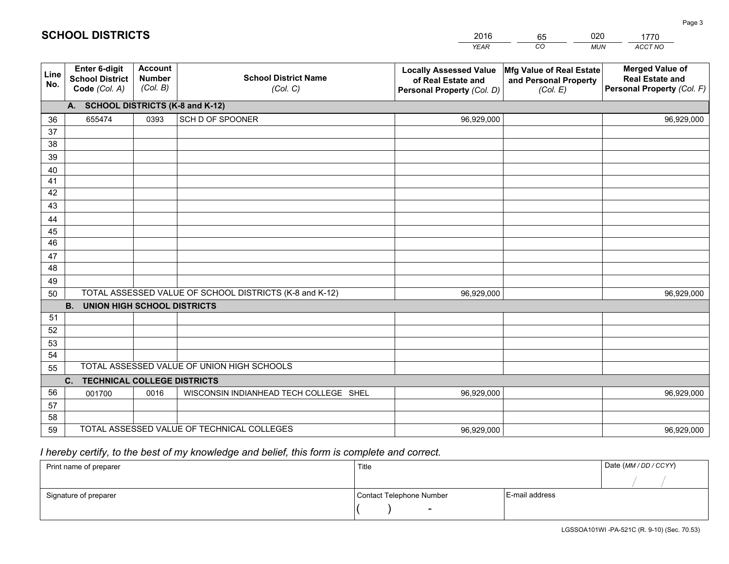|             |                                                                 |                                             |                                                         | <b>YEAR</b>                                                                       | CO<br><b>MUN</b>                                              | ACCT NO                                                                        |
|-------------|-----------------------------------------------------------------|---------------------------------------------|---------------------------------------------------------|-----------------------------------------------------------------------------------|---------------------------------------------------------------|--------------------------------------------------------------------------------|
| Line<br>No. | <b>Enter 6-digit</b><br><b>School District</b><br>Code (Col. A) | <b>Account</b><br><b>Number</b><br>(Col. B) | <b>School District Name</b><br>(Col. C)                 | <b>Locally Assessed Value</b><br>of Real Estate and<br>Personal Property (Col. D) | Mfg Value of Real Estate<br>and Personal Property<br>(Col. E) | <b>Merged Value of</b><br><b>Real Estate and</b><br>Personal Property (Col. F) |
|             | A. SCHOOL DISTRICTS (K-8 and K-12)                              |                                             |                                                         |                                                                                   |                                                               |                                                                                |
| 36          | 655474                                                          | 0393                                        | SCH D OF SPOONER                                        | 96,929,000                                                                        |                                                               | 96,929,000                                                                     |
| 37          |                                                                 |                                             |                                                         |                                                                                   |                                                               |                                                                                |
| 38          |                                                                 |                                             |                                                         |                                                                                   |                                                               |                                                                                |
| 39          |                                                                 |                                             |                                                         |                                                                                   |                                                               |                                                                                |
| 40          |                                                                 |                                             |                                                         |                                                                                   |                                                               |                                                                                |
| 41          |                                                                 |                                             |                                                         |                                                                                   |                                                               |                                                                                |
| 42          |                                                                 |                                             |                                                         |                                                                                   |                                                               |                                                                                |
| 43          |                                                                 |                                             |                                                         |                                                                                   |                                                               |                                                                                |
| 44<br>45    |                                                                 |                                             |                                                         |                                                                                   |                                                               |                                                                                |
| 46          |                                                                 |                                             |                                                         |                                                                                   |                                                               |                                                                                |
| 47          |                                                                 |                                             |                                                         |                                                                                   |                                                               |                                                                                |
| 48          |                                                                 |                                             |                                                         |                                                                                   |                                                               |                                                                                |
| 49          |                                                                 |                                             |                                                         |                                                                                   |                                                               |                                                                                |
| 50          |                                                                 |                                             | TOTAL ASSESSED VALUE OF SCHOOL DISTRICTS (K-8 and K-12) | 96,929,000                                                                        |                                                               | 96,929,000                                                                     |
|             | <b>B.</b><br><b>UNION HIGH SCHOOL DISTRICTS</b>                 |                                             |                                                         |                                                                                   |                                                               |                                                                                |
| 51          |                                                                 |                                             |                                                         |                                                                                   |                                                               |                                                                                |
| 52          |                                                                 |                                             |                                                         |                                                                                   |                                                               |                                                                                |
| 53          |                                                                 |                                             |                                                         |                                                                                   |                                                               |                                                                                |
| 54          |                                                                 |                                             |                                                         |                                                                                   |                                                               |                                                                                |
| 55          |                                                                 |                                             | TOTAL ASSESSED VALUE OF UNION HIGH SCHOOLS              |                                                                                   |                                                               |                                                                                |
|             | C.<br><b>TECHNICAL COLLEGE DISTRICTS</b>                        |                                             |                                                         |                                                                                   |                                                               |                                                                                |
| 56          | 001700                                                          | 0016                                        | WISCONSIN INDIANHEAD TECH COLLEGE SHEL                  | 96,929,000                                                                        |                                                               | 96,929,000                                                                     |
| 57          |                                                                 |                                             |                                                         |                                                                                   |                                                               |                                                                                |
| 58          |                                                                 |                                             |                                                         |                                                                                   |                                                               |                                                                                |
| 59          |                                                                 |                                             | TOTAL ASSESSED VALUE OF TECHNICAL COLLEGES              | 96,929,000                                                                        |                                                               | 96,929,000                                                                     |

65

020

## *I hereby certify, to the best of my knowledge and belief, this form is complete and correct.*

**SCHOOL DISTRICTS**

| Print name of preparer | Title                    |                | Date (MM / DD / CCYY) |
|------------------------|--------------------------|----------------|-----------------------|
|                        |                          |                |                       |
| Signature of preparer  | Contact Telephone Number | E-mail address |                       |
|                        | $\overline{\phantom{0}}$ |                |                       |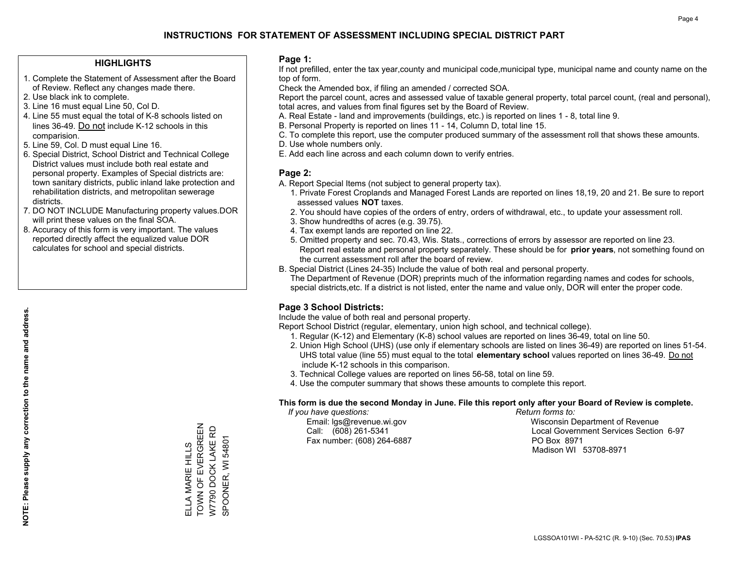#### **HIGHLIGHTS**

- 1. Complete the Statement of Assessment after the Board of Review. Reflect any changes made there.
- 2. Use black ink to complete.
- 3. Line 16 must equal Line 50, Col D.
- 4. Line 55 must equal the total of K-8 schools listed on lines 36-49. Do not include K-12 schools in this comparision.
- 5. Line 59, Col. D must equal Line 16.
- 6. Special District, School District and Technical College District values must include both real estate and personal property. Examples of Special districts are: town sanitary districts, public inland lake protection and rehabilitation districts, and metropolitan sewerage districts.
- 7. DO NOT INCLUDE Manufacturing property values.DOR will print these values on the final SOA.

ELLA MARIE HILLS TOWN OF EVERGREEN W7790 DOCK LAKE RD SPOONER, WI 54801

ELLA MARIE HILLS<br>TOWN OF EVERGREEN<br>W7790 DOCK LAKE RD

SPOONER, WI 54801

 8. Accuracy of this form is very important. The values reported directly affect the equalized value DOR calculates for school and special districts.

#### **Page 1:**

 If not prefilled, enter the tax year,county and municipal code,municipal type, municipal name and county name on the top of form.

Check the Amended box, if filing an amended / corrected SOA.

 Report the parcel count, acres and assessed value of taxable general property, total parcel count, (real and personal), total acres, and values from final figures set by the Board of Review.

- A. Real Estate land and improvements (buildings, etc.) is reported on lines 1 8, total line 9.
- B. Personal Property is reported on lines 11 14, Column D, total line 15.
- C. To complete this report, use the computer produced summary of the assessment roll that shows these amounts.
- D. Use whole numbers only.
- E. Add each line across and each column down to verify entries.

#### **Page 2:**

- A. Report Special Items (not subject to general property tax).
- 1. Private Forest Croplands and Managed Forest Lands are reported on lines 18,19, 20 and 21. Be sure to report assessed values **NOT** taxes.
- 2. You should have copies of the orders of entry, orders of withdrawal, etc., to update your assessment roll.
	- 3. Show hundredths of acres (e.g. 39.75).
- 4. Tax exempt lands are reported on line 22.
- 5. Omitted property and sec. 70.43, Wis. Stats., corrections of errors by assessor are reported on line 23. Report real estate and personal property separately. These should be for **prior years**, not something found on the current assessment roll after the board of review.
- B. Special District (Lines 24-35) Include the value of both real and personal property.

 The Department of Revenue (DOR) preprints much of the information regarding names and codes for schools, special districts,etc. If a district is not listed, enter the name and value only, DOR will enter the proper code.

### **Page 3 School Districts:**

Include the value of both real and personal property.

Report School District (regular, elementary, union high school, and technical college).

- 1. Regular (K-12) and Elementary (K-8) school values are reported on lines 36-49, total on line 50.
- 2. Union High School (UHS) (use only if elementary schools are listed on lines 36-49) are reported on lines 51-54. UHS total value (line 55) must equal to the total **elementary school** values reported on lines 36-49. Do notinclude K-12 schools in this comparison.
- 3. Technical College values are reported on lines 56-58, total on line 59.
- 4. Use the computer summary that shows these amounts to complete this report.

#### **This form is due the second Monday in June. File this report only after your Board of Review is complete.**

 *If you have questions: Return forms to:*

Fax number: (608) 264-6887 PO Box 8971

 Email: lgs@revenue.wi.gov Wisconsin Department of Revenue Call: (608) 261-5341 Local Government Services Section 6-97Madison WI 53708-8971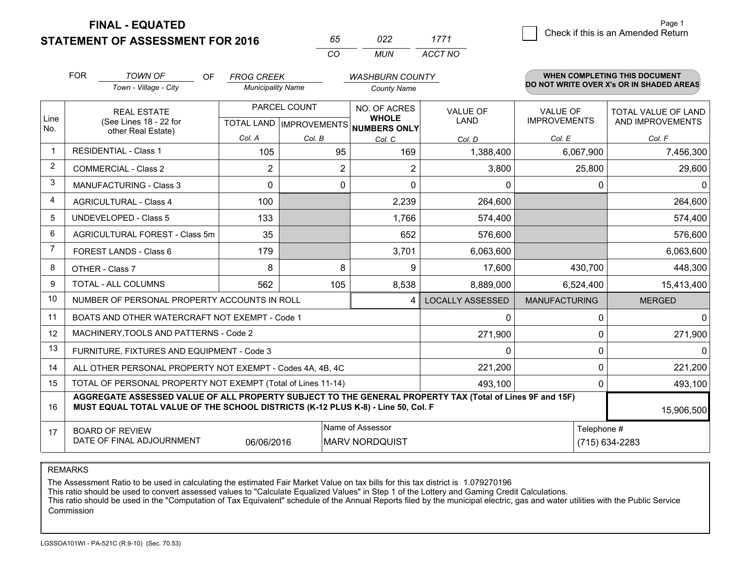**STATEMENT OF ASSESSMENT FOR 2016 FINAL - EQUATED**

*CO MUN <sup>65</sup> <sup>022</sup> ACCT NO1771*

|                | <b>FOR</b>                                                                                                                                                                                   | <b>TOWN OF</b><br>OF                                         | <b>FROG CREEK</b>                                    |          | <b>WASHBURN COUNTY</b>       |                         |                                        | <b>WHEN COMPLETING THIS DOCUMENT</b>           |
|----------------|----------------------------------------------------------------------------------------------------------------------------------------------------------------------------------------------|--------------------------------------------------------------|------------------------------------------------------|----------|------------------------------|-------------------------|----------------------------------------|------------------------------------------------|
|                |                                                                                                                                                                                              | Town - Village - City                                        | <b>Municipality Name</b>                             |          | <b>County Name</b>           |                         |                                        | DO NOT WRITE OVER X's OR IN SHADED AREAS       |
| Line<br>No.    | <b>REAL ESTATE</b><br>(See Lines 18 - 22 for                                                                                                                                                 |                                                              | PARCEL COUNT<br>TOTAL LAND IMPROVEMENTS NUMBERS ONLY |          | NO. OF ACRES<br><b>WHOLE</b> | <b>VALUE OF</b><br>LAND | <b>VALUE OF</b><br><b>IMPROVEMENTS</b> | <b>TOTAL VALUE OF LAND</b><br>AND IMPROVEMENTS |
|                |                                                                                                                                                                                              | other Real Estate)                                           | Col. A                                               | Col. B   | Col. C                       | Col. D                  | Col. E                                 | Col. F                                         |
| $\overline{1}$ |                                                                                                                                                                                              | <b>RESIDENTIAL - Class 1</b>                                 | 105                                                  | 95       | 169                          | 1,388,400               | 6,067,900                              | 7,456,300                                      |
| 2              |                                                                                                                                                                                              | <b>COMMERCIAL - Class 2</b>                                  | $\overline{2}$                                       | 2        | 2                            | 3,800                   | 25,800                                 | 29,600                                         |
| 3              |                                                                                                                                                                                              | <b>MANUFACTURING - Class 3</b>                               | $\Omega$                                             | $\Omega$ | $\Omega$                     | $\mathbf{0}$            | 0                                      | $\mathbf{0}$                                   |
| $\overline{4}$ |                                                                                                                                                                                              | <b>AGRICULTURAL - Class 4</b>                                | 100                                                  |          | 2,239                        | 264,600                 |                                        | 264,600                                        |
| 5              |                                                                                                                                                                                              | <b>UNDEVELOPED - Class 5</b>                                 | 133                                                  |          | 1,766                        | 574,400                 |                                        | 574,400                                        |
| 6              |                                                                                                                                                                                              | AGRICULTURAL FOREST - Class 5m                               | 35                                                   |          | 652                          | 576,600                 |                                        | 576,600                                        |
| 7              |                                                                                                                                                                                              | FOREST LANDS - Class 6                                       | 179                                                  |          | 3,701                        | 6,063,600               |                                        | 6,063,600                                      |
| 8              |                                                                                                                                                                                              | OTHER - Class 7                                              | 8                                                    | 8        | 9                            | 17,600                  | 430,700                                | 448,300                                        |
| 9              |                                                                                                                                                                                              | TOTAL - ALL COLUMNS                                          | 562                                                  | 105      | 8,538                        | 8,889,000               | 6,524,400                              | 15,413,400                                     |
| 10             |                                                                                                                                                                                              | NUMBER OF PERSONAL PROPERTY ACCOUNTS IN ROLL                 |                                                      |          | 4                            | <b>LOCALLY ASSESSED</b> | <b>MANUFACTURING</b>                   | <b>MERGED</b>                                  |
| 11             |                                                                                                                                                                                              | BOATS AND OTHER WATERCRAFT NOT EXEMPT - Code 1               |                                                      |          |                              | 0                       | $\mathbf 0$                            | $\mathbf 0$                                    |
| 12             |                                                                                                                                                                                              | MACHINERY, TOOLS AND PATTERNS - Code 2                       |                                                      |          |                              | 271,900                 | $\Omega$                               | 271,900                                        |
| 13             |                                                                                                                                                                                              | FURNITURE, FIXTURES AND EQUIPMENT - Code 3                   |                                                      |          |                              | 0                       | 0                                      | $\mathbf 0$                                    |
| 14             |                                                                                                                                                                                              | ALL OTHER PERSONAL PROPERTY NOT EXEMPT - Codes 4A, 4B, 4C    |                                                      |          |                              | 221,200                 | $\mathbf 0$                            | 221,200                                        |
| 15             |                                                                                                                                                                                              | TOTAL OF PERSONAL PROPERTY NOT EXEMPT (Total of Lines 11-14) |                                                      |          |                              | 493,100                 | 0                                      | 493,100                                        |
| 16             | AGGREGATE ASSESSED VALUE OF ALL PROPERTY SUBJECT TO THE GENERAL PROPERTY TAX (Total of Lines 9F and 15F)<br>MUST EQUAL TOTAL VALUE OF THE SCHOOL DISTRICTS (K-12 PLUS K-8) - Line 50, Col. F |                                                              |                                                      |          |                              |                         |                                        | 15,906,500                                     |
| 17             | Name of Assessor<br><b>BOARD OF REVIEW</b><br>DATE OF FINAL ADJOURNMENT<br>06/06/2016<br><b>MARV NORDQUIST</b>                                                                               |                                                              |                                                      |          |                              |                         | Telephone #                            | (715) 634-2283                                 |

REMARKS

The Assessment Ratio to be used in calculating the estimated Fair Market Value on tax bills for this tax district is 1.079270196<br>This ratio should be used to convert assessed values to "Calculate Equalized Values" in Step Commission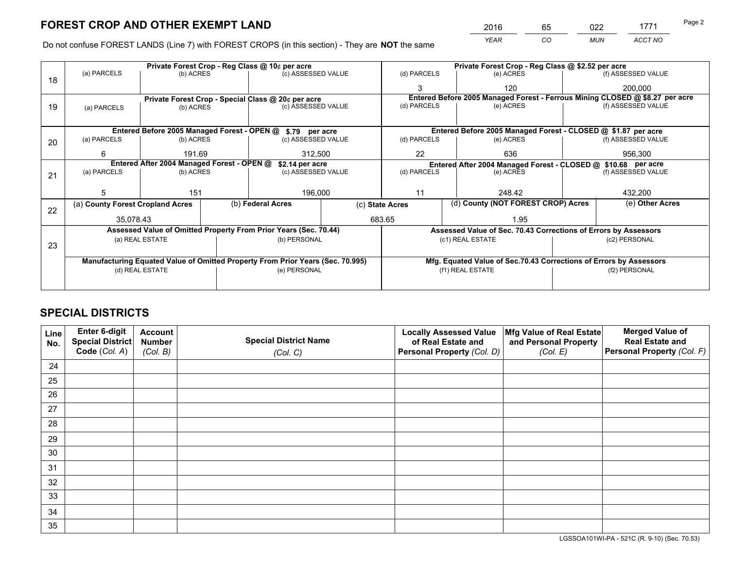*YEAR CO MUN ACCT NO* <sup>2016</sup> <sup>65</sup> <sup>022</sup> <sup>1771</sup>

Do not confuse FOREST LANDS (Line 7) with FOREST CROPS (in this section) - They are **NOT** the same

|    |                                                                                |                                                               |                   | Private Forest Crop - Reg Class @ 10¢ per acre                   |    | Private Forest Crop - Reg Class @ \$2.52 per acre                            |                                                               |                                                                    |               |                    |
|----|--------------------------------------------------------------------------------|---------------------------------------------------------------|-------------------|------------------------------------------------------------------|----|------------------------------------------------------------------------------|---------------------------------------------------------------|--------------------------------------------------------------------|---------------|--------------------|
| 18 | (a) PARCELS                                                                    | (b) ACRES                                                     |                   | (c) ASSESSED VALUE                                               |    | (d) PARCELS                                                                  |                                                               | (e) ACRES                                                          |               | (f) ASSESSED VALUE |
|    |                                                                                |                                                               |                   |                                                                  |    |                                                                              |                                                               | 120                                                                |               | 200,000            |
|    |                                                                                |                                                               |                   | Private Forest Crop - Special Class @ 20¢ per acre               |    | Entered Before 2005 Managed Forest - Ferrous Mining CLOSED @ \$8.27 per acre |                                                               |                                                                    |               |                    |
| 19 | (a) PARCELS                                                                    | (b) ACRES                                                     |                   | (c) ASSESSED VALUE                                               |    | (d) PARCELS                                                                  |                                                               | (e) ACRES                                                          |               | (f) ASSESSED VALUE |
|    |                                                                                |                                                               |                   |                                                                  |    |                                                                              |                                                               |                                                                    |               |                    |
|    |                                                                                |                                                               |                   | Entered Before 2005 Managed Forest - OPEN @ \$.79 per acre       |    |                                                                              |                                                               | Entered Before 2005 Managed Forest - CLOSED @ \$1.87 per acre      |               |                    |
| 20 | (a) PARCELS                                                                    | (b) ACRES                                                     |                   | (c) ASSESSED VALUE                                               |    | (d) PARCELS                                                                  |                                                               | (e) ACRES                                                          |               | (f) ASSESSED VALUE |
|    | 6                                                                              |                                                               | 191.69<br>312,500 |                                                                  | 22 |                                                                              | 636                                                           |                                                                    | 956,300       |                    |
|    |                                                                                | Entered After 2004 Managed Forest - OPEN @<br>\$2.14 per acre |                   |                                                                  |    |                                                                              | Entered After 2004 Managed Forest - CLOSED @ \$10.68 per acre |                                                                    |               |                    |
| 21 | (a) PARCELS                                                                    | (b) ACRES                                                     |                   | (c) ASSESSED VALUE                                               |    | (d) PARCELS<br>(e) ACRES                                                     |                                                               | (f) ASSESSED VALUE                                                 |               |                    |
|    |                                                                                |                                                               |                   |                                                                  |    |                                                                              |                                                               |                                                                    |               |                    |
|    | 5                                                                              | 151                                                           |                   | 196,000                                                          |    | 11                                                                           |                                                               | 248.42                                                             |               | 432,200            |
| 22 | (a) County Forest Cropland Acres                                               |                                                               |                   | (b) Federal Acres                                                |    | (d) County (NOT FOREST CROP) Acres<br>(c) State Acres                        |                                                               | (e) Other Acres                                                    |               |                    |
|    | 35,078.43                                                                      |                                                               |                   | 683.65                                                           |    |                                                                              |                                                               | 1.95                                                               |               |                    |
|    |                                                                                |                                                               |                   | Assessed Value of Omitted Property From Prior Years (Sec. 70.44) |    |                                                                              |                                                               | Assessed Value of Sec. 70.43 Corrections of Errors by Assessors    |               |                    |
|    |                                                                                | (a) REAL ESTATE                                               |                   | (b) PERSONAL                                                     |    |                                                                              |                                                               | (c1) REAL ESTATE                                                   |               | (c2) PERSONAL      |
| 23 |                                                                                |                                                               |                   |                                                                  |    |                                                                              |                                                               |                                                                    |               |                    |
|    | Manufacturing Equated Value of Omitted Property From Prior Years (Sec. 70.995) |                                                               |                   |                                                                  |    |                                                                              |                                                               | Mfg. Equated Value of Sec.70.43 Corrections of Errors by Assessors |               |                    |
|    |                                                                                | (d) REAL ESTATE                                               |                   | (e) PERSONAL                                                     |    | (f1) REAL ESTATE                                                             |                                                               |                                                                    | (f2) PERSONAL |                    |
|    |                                                                                |                                                               |                   |                                                                  |    |                                                                              |                                                               |                                                                    |               |                    |
|    |                                                                                |                                                               |                   |                                                                  |    |                                                                              |                                                               |                                                                    |               |                    |

## **SPECIAL DISTRICTS**

| Line<br>No. | Enter 6-digit<br><b>Special District</b> | <b>Account</b><br><b>Number</b> | <b>Special District Name</b> | <b>Locally Assessed Value</b><br>of Real Estate and | Mfg Value of Real Estate<br>and Personal Property | <b>Merged Value of</b><br><b>Real Estate and</b> |
|-------------|------------------------------------------|---------------------------------|------------------------------|-----------------------------------------------------|---------------------------------------------------|--------------------------------------------------|
|             | Code (Col. A)                            | (Col. B)                        | (Col. C)                     | Personal Property (Col. D)                          | (Col. E)                                          | Personal Property (Col. F)                       |
| 24          |                                          |                                 |                              |                                                     |                                                   |                                                  |
| 25          |                                          |                                 |                              |                                                     |                                                   |                                                  |
| 26          |                                          |                                 |                              |                                                     |                                                   |                                                  |
| 27          |                                          |                                 |                              |                                                     |                                                   |                                                  |
| 28          |                                          |                                 |                              |                                                     |                                                   |                                                  |
| 29          |                                          |                                 |                              |                                                     |                                                   |                                                  |
| 30          |                                          |                                 |                              |                                                     |                                                   |                                                  |
| 31          |                                          |                                 |                              |                                                     |                                                   |                                                  |
| 32          |                                          |                                 |                              |                                                     |                                                   |                                                  |
| 33          |                                          |                                 |                              |                                                     |                                                   |                                                  |
| 34          |                                          |                                 |                              |                                                     |                                                   |                                                  |
| 35          |                                          |                                 |                              |                                                     |                                                   |                                                  |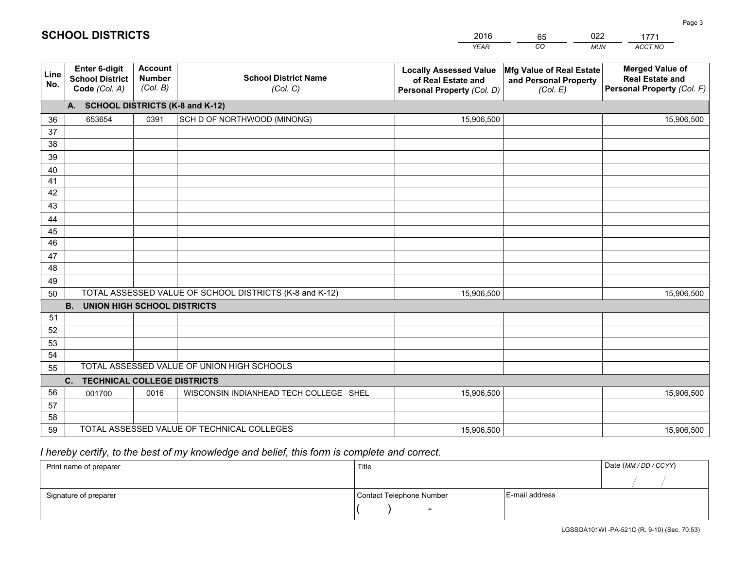|             |                                                          |                                             |                                                         | <b>YEAR</b>                                                                       | CO<br><b>MUN</b>                                              | ACCT NO                                                                        |
|-------------|----------------------------------------------------------|---------------------------------------------|---------------------------------------------------------|-----------------------------------------------------------------------------------|---------------------------------------------------------------|--------------------------------------------------------------------------------|
| Line<br>No. | Enter 6-digit<br><b>School District</b><br>Code (Col. A) | <b>Account</b><br><b>Number</b><br>(Col. B) | <b>School District Name</b><br>(Col. C)                 | <b>Locally Assessed Value</b><br>of Real Estate and<br>Personal Property (Col. D) | Mfg Value of Real Estate<br>and Personal Property<br>(Col. E) | <b>Merged Value of</b><br><b>Real Estate and</b><br>Personal Property (Col. F) |
|             | A. SCHOOL DISTRICTS (K-8 and K-12)                       |                                             |                                                         |                                                                                   |                                                               |                                                                                |
| 36          | 653654                                                   | 0391                                        | SCH D OF NORTHWOOD (MINONG)                             | 15,906,500                                                                        |                                                               | 15,906,500                                                                     |
| 37          |                                                          |                                             |                                                         |                                                                                   |                                                               |                                                                                |
| 38          |                                                          |                                             |                                                         |                                                                                   |                                                               |                                                                                |
| 39          |                                                          |                                             |                                                         |                                                                                   |                                                               |                                                                                |
| 40          |                                                          |                                             |                                                         |                                                                                   |                                                               |                                                                                |
| 41          |                                                          |                                             |                                                         |                                                                                   |                                                               |                                                                                |
| 42          |                                                          |                                             |                                                         |                                                                                   |                                                               |                                                                                |
| 43          |                                                          |                                             |                                                         |                                                                                   |                                                               |                                                                                |
| 44          |                                                          |                                             |                                                         |                                                                                   |                                                               |                                                                                |
| 45<br>46    |                                                          |                                             |                                                         |                                                                                   |                                                               |                                                                                |
|             |                                                          |                                             |                                                         |                                                                                   |                                                               |                                                                                |
| 47<br>48    |                                                          |                                             |                                                         |                                                                                   |                                                               |                                                                                |
|             |                                                          |                                             |                                                         |                                                                                   |                                                               |                                                                                |
| 49<br>50    |                                                          |                                             | TOTAL ASSESSED VALUE OF SCHOOL DISTRICTS (K-8 and K-12) | 15,906,500                                                                        |                                                               | 15,906,500                                                                     |
|             | <b>B.</b><br><b>UNION HIGH SCHOOL DISTRICTS</b>          |                                             |                                                         |                                                                                   |                                                               |                                                                                |
| 51          |                                                          |                                             |                                                         |                                                                                   |                                                               |                                                                                |
| 52          |                                                          |                                             |                                                         |                                                                                   |                                                               |                                                                                |
| 53          |                                                          |                                             |                                                         |                                                                                   |                                                               |                                                                                |
| 54          |                                                          |                                             |                                                         |                                                                                   |                                                               |                                                                                |
| 55          |                                                          |                                             | TOTAL ASSESSED VALUE OF UNION HIGH SCHOOLS              |                                                                                   |                                                               |                                                                                |
|             | C. TECHNICAL COLLEGE DISTRICTS                           |                                             |                                                         |                                                                                   |                                                               |                                                                                |
| 56          | 001700                                                   | 0016                                        | WISCONSIN INDIANHEAD TECH COLLEGE SHEL                  | 15,906,500                                                                        |                                                               | 15,906,500                                                                     |
| 57          |                                                          |                                             |                                                         |                                                                                   |                                                               |                                                                                |
| 58          |                                                          |                                             |                                                         |                                                                                   |                                                               |                                                                                |
| 59          |                                                          |                                             | TOTAL ASSESSED VALUE OF TECHNICAL COLLEGES              | 15,906,500                                                                        |                                                               | 15,906,500                                                                     |

65

022

 *I hereby certify, to the best of my knowledge and belief, this form is complete and correct.*

**SCHOOL DISTRICTS**

| Print name of preparer | Title                    |                | Date (MM / DD / CCYY) |
|------------------------|--------------------------|----------------|-----------------------|
|                        |                          |                |                       |
| Signature of preparer  | Contact Telephone Number | E-mail address |                       |
|                        |                          |                |                       |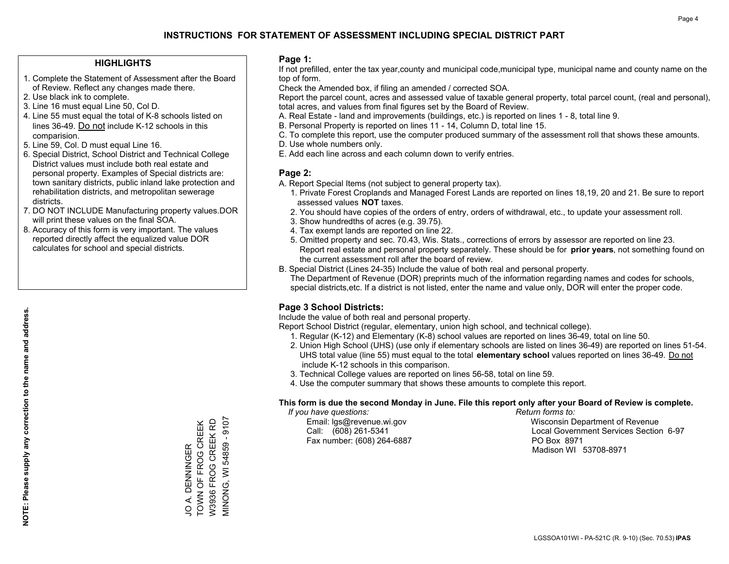#### **HIGHLIGHTS**

- 1. Complete the Statement of Assessment after the Board of Review. Reflect any changes made there.
- 2. Use black ink to complete.

**NOTE: Please supply any correction to the name and address.**

NOTE: Please supply any correction to the name and address.

- 3. Line 16 must equal Line 50, Col D.
- 4. Line 55 must equal the total of K-8 schools listed on lines 36-49. Do not include K-12 schools in this comparision.
- 5. Line 59, Col. D must equal Line 16.
- 6. Special District, School District and Technical College District values must include both real estate and personal property. Examples of Special districts are: town sanitary districts, public inland lake protection and rehabilitation districts, and metropolitan sewerage districts.
- 7. DO NOT INCLUDE Manufacturing property values.DOR will print these values on the final SOA.
- 8. Accuracy of this form is very important. The values reported directly affect the equalized value DOR calculates for school and special districts.

#### **Page 1:**

 If not prefilled, enter the tax year,county and municipal code,municipal type, municipal name and county name on the top of form.

Check the Amended box, if filing an amended / corrected SOA.

 Report the parcel count, acres and assessed value of taxable general property, total parcel count, (real and personal), total acres, and values from final figures set by the Board of Review.

- A. Real Estate land and improvements (buildings, etc.) is reported on lines 1 8, total line 9.
- B. Personal Property is reported on lines 11 14, Column D, total line 15.
- C. To complete this report, use the computer produced summary of the assessment roll that shows these amounts.
- D. Use whole numbers only.
- E. Add each line across and each column down to verify entries.

### **Page 2:**

- A. Report Special Items (not subject to general property tax).
- 1. Private Forest Croplands and Managed Forest Lands are reported on lines 18,19, 20 and 21. Be sure to report assessed values **NOT** taxes.
- 2. You should have copies of the orders of entry, orders of withdrawal, etc., to update your assessment roll.
	- 3. Show hundredths of acres (e.g. 39.75).
- 4. Tax exempt lands are reported on line 22.
- 5. Omitted property and sec. 70.43, Wis. Stats., corrections of errors by assessor are reported on line 23. Report real estate and personal property separately. These should be for **prior years**, not something found on the current assessment roll after the board of review.
- B. Special District (Lines 24-35) Include the value of both real and personal property.
- The Department of Revenue (DOR) preprints much of the information regarding names and codes for schools, special districts,etc. If a district is not listed, enter the name and value only, DOR will enter the proper code.

## **Page 3 School Districts:**

Include the value of both real and personal property.

Report School District (regular, elementary, union high school, and technical college).

- 1. Regular (K-12) and Elementary (K-8) school values are reported on lines 36-49, total on line 50.
- 2. Union High School (UHS) (use only if elementary schools are listed on lines 36-49) are reported on lines 51-54. UHS total value (line 55) must equal to the total **elementary school** values reported on lines 36-49. Do notinclude K-12 schools in this comparison.
- 3. Technical College values are reported on lines 56-58, total on line 59.
- 4. Use the computer summary that shows these amounts to complete this report.

#### **This form is due the second Monday in June. File this report only after your Board of Review is complete.**

 *If you have questions: Return forms to:*

Fax number: (608) 264-6887 PO Box 8971

 Email: lgs@revenue.wi.gov Wisconsin Department of Revenue Call: (608) 261-5341 Local Government Services Section 6-97Madison WI 53708-8971

JO A. DENNINGER<br>TOWN OF FROG CREEK<br>W3936 FROG CREEK RD TOWN OF FROG CREEK JO A. DENNINGER

W3936 FROG CREEK RD MINONG, WI 54859 - 9107

VIINONG, WI 54859 - 9107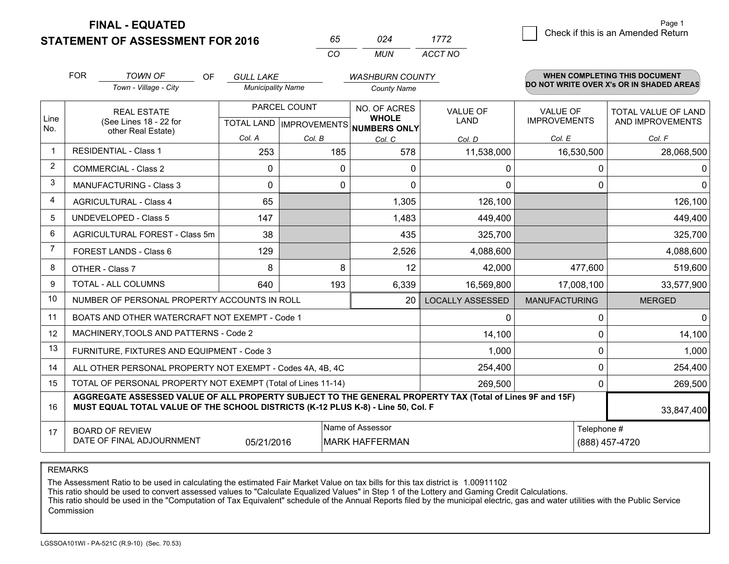**FINAL - EQUATED**

**STATEMENT OF ASSESSMENT FOR 2016** 

| ドト       |       | 7/72    |
|----------|-------|---------|
| $\cdots$ | MI IN | ACCT NO |

|                | <b>FOR</b>                                                                                                                                                                                   | <b>TOWN OF</b><br><b>OF</b>                                  | <b>GULL LAKE</b>                          |          | <b>WASHBURN COUNTY</b>                       |                                |                                 | <b>WHEN COMPLETING THIS DOCUMENT</b>     |
|----------------|----------------------------------------------------------------------------------------------------------------------------------------------------------------------------------------------|--------------------------------------------------------------|-------------------------------------------|----------|----------------------------------------------|--------------------------------|---------------------------------|------------------------------------------|
|                |                                                                                                                                                                                              | Town - Village - City                                        | <b>Municipality Name</b>                  |          | <b>County Name</b>                           |                                |                                 | DO NOT WRITE OVER X's OR IN SHADED AREAS |
| Line<br>No.    | <b>REAL ESTATE</b><br>(See Lines 18 - 22 for                                                                                                                                                 |                                                              | PARCEL COUNT<br>TOTAL LAND   IMPROVEMENTS |          | NO. OF ACRES<br><b>WHOLE</b><br>NUMBERS ONLY | <b>VALUE OF</b><br><b>LAND</b> | VALUE OF<br><b>IMPROVEMENTS</b> | TOTAL VALUE OF LAND<br>AND IMPROVEMENTS  |
|                |                                                                                                                                                                                              | other Real Estate)                                           | Col. A                                    | Col. B   | Col. C                                       | Col. D                         | Col. E                          | Col. F                                   |
|                | <b>RESIDENTIAL - Class 1</b>                                                                                                                                                                 |                                                              | 253                                       | 185      | 578                                          | 11,538,000                     | 16,530,500                      | 28,068,500                               |
| 2              |                                                                                                                                                                                              | <b>COMMERCIAL - Class 2</b>                                  | $\Omega$                                  | $\Omega$ | 0                                            | 0                              | 0                               | $\Omega$                                 |
| 3              |                                                                                                                                                                                              | <b>MANUFACTURING - Class 3</b>                               | $\Omega$                                  | 0        | $\Omega$                                     | 0                              | $\Omega$                        | $\overline{0}$                           |
| 4              |                                                                                                                                                                                              | <b>AGRICULTURAL - Class 4</b>                                | 65                                        |          | 1,305                                        | 126,100                        |                                 | 126,100                                  |
| 5              |                                                                                                                                                                                              | <b>UNDEVELOPED - Class 5</b>                                 | 147                                       |          | 1,483                                        | 449,400                        |                                 | 449,400                                  |
| 6              |                                                                                                                                                                                              | AGRICULTURAL FOREST - Class 5m                               | 38                                        |          | 435                                          | 325,700                        |                                 | 325,700                                  |
| $\overline{7}$ |                                                                                                                                                                                              | FOREST LANDS - Class 6                                       | 129                                       |          | 2,526                                        | 4,088,600                      |                                 | 4,088,600                                |
| 8              |                                                                                                                                                                                              | OTHER - Class 7                                              | 8                                         | 8        | 12                                           | 42,000                         | 477,600                         | 519,600                                  |
| 9              |                                                                                                                                                                                              | TOTAL - ALL COLUMNS                                          | 640                                       | 193      | 6,339                                        | 16,569,800                     | 17,008,100                      | 33,577,900                               |
| 10             |                                                                                                                                                                                              | NUMBER OF PERSONAL PROPERTY ACCOUNTS IN ROLL                 |                                           |          | 20                                           | <b>LOCALLY ASSESSED</b>        | <b>MANUFACTURING</b>            | <b>MERGED</b>                            |
| 11             |                                                                                                                                                                                              | BOATS AND OTHER WATERCRAFT NOT EXEMPT - Code 1               |                                           |          |                                              | 0                              | 0                               | $\overline{0}$                           |
| 12             |                                                                                                                                                                                              | MACHINERY, TOOLS AND PATTERNS - Code 2                       |                                           |          |                                              | 14,100                         | 0                               | 14,100                                   |
| 13             |                                                                                                                                                                                              | FURNITURE, FIXTURES AND EQUIPMENT - Code 3                   |                                           |          |                                              | 1,000                          | 0                               | 1,000                                    |
| 14             |                                                                                                                                                                                              | ALL OTHER PERSONAL PROPERTY NOT EXEMPT - Codes 4A, 4B, 4C    |                                           |          |                                              | 254,400                        | 0                               | 254,400                                  |
| 15             |                                                                                                                                                                                              | TOTAL OF PERSONAL PROPERTY NOT EXEMPT (Total of Lines 11-14) |                                           |          |                                              | 269,500                        | 0                               | 269,500                                  |
| 16             | AGGREGATE ASSESSED VALUE OF ALL PROPERTY SUBJECT TO THE GENERAL PROPERTY TAX (Total of Lines 9F and 15F)<br>MUST EQUAL TOTAL VALUE OF THE SCHOOL DISTRICTS (K-12 PLUS K-8) - Line 50, Col. F |                                                              |                                           |          |                                              |                                |                                 | 33,847,400                               |
| 17             | Name of Assessor<br>Telephone #<br><b>BOARD OF REVIEW</b><br>DATE OF FINAL ADJOURNMENT<br>05/21/2016<br><b>MARK HAFFERMAN</b>                                                                |                                                              |                                           |          |                                              |                                | (888) 457-4720                  |                                          |

REMARKS

The Assessment Ratio to be used in calculating the estimated Fair Market Value on tax bills for this tax district is 1.00911102

This ratio should be used to convert assessed values to "Calculate Equalized Values" in Step 1 of the Lottery and Gaming Credit Calculations.<br>This ratio should be used in the "Computation of Tax Equivalent" schedule of the Commission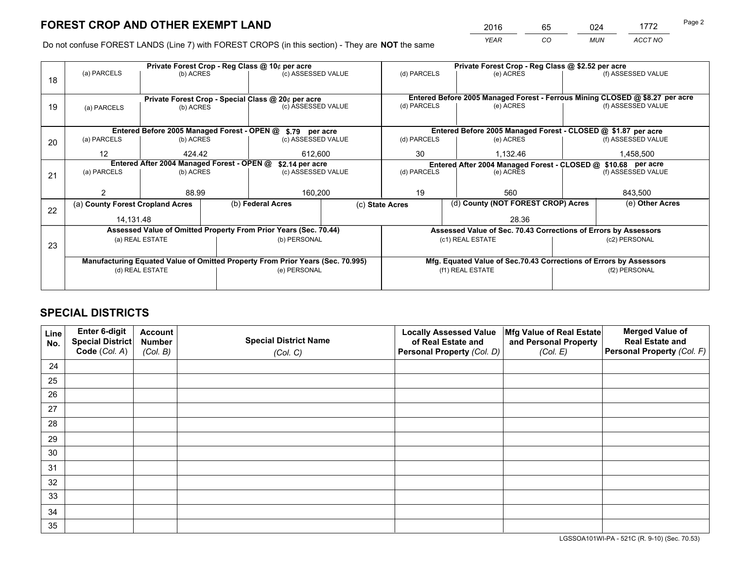*YEAR CO MUN ACCT NO* <sup>2016</sup> <sup>65</sup> <sup>024</sup> <sup>1772</sup>

Do not confuse FOREST LANDS (Line 7) with FOREST CROPS (in this section) - They are **NOT** the same

|    |                                  |                                                                                       |  | Private Forest Crop - Reg Class @ 10¢ per acre                                 | Private Forest Crop - Reg Class @ \$2.52 per acre |                                                               |                                                                    |                    |                                                                              |
|----|----------------------------------|---------------------------------------------------------------------------------------|--|--------------------------------------------------------------------------------|---------------------------------------------------|---------------------------------------------------------------|--------------------------------------------------------------------|--------------------|------------------------------------------------------------------------------|
| 18 | (a) PARCELS                      | (b) ACRES                                                                             |  | (c) ASSESSED VALUE                                                             | (d) PARCELS                                       |                                                               | (e) ACRES                                                          |                    | (f) ASSESSED VALUE                                                           |
|    |                                  |                                                                                       |  |                                                                                |                                                   |                                                               |                                                                    |                    |                                                                              |
|    |                                  |                                                                                       |  |                                                                                |                                                   |                                                               |                                                                    |                    | Entered Before 2005 Managed Forest - Ferrous Mining CLOSED @ \$8.27 per acre |
| 19 | (a) PARCELS                      | Private Forest Crop - Special Class @ 20¢ per acre<br>(c) ASSESSED VALUE<br>(b) ACRES |  | (d) PARCELS                                                                    |                                                   | (e) ACRES                                                     |                                                                    | (f) ASSESSED VALUE |                                                                              |
|    |                                  |                                                                                       |  |                                                                                |                                                   |                                                               |                                                                    |                    |                                                                              |
|    |                                  |                                                                                       |  | Entered Before 2005 Managed Forest - OPEN @ \$.79 per acre                     |                                                   |                                                               | Entered Before 2005 Managed Forest - CLOSED @ \$1.87 per acre      |                    |                                                                              |
| 20 | (a) PARCELS                      | (b) ACRES                                                                             |  | (c) ASSESSED VALUE                                                             | (d) PARCELS                                       |                                                               | (e) ACRES                                                          |                    | (f) ASSESSED VALUE                                                           |
|    | 12                               | 424.42                                                                                |  | 612,600                                                                        | 30                                                |                                                               | 1,132.46                                                           |                    | 1,458,500                                                                    |
|    |                                  | Entered After 2004 Managed Forest - OPEN @                                            |  | \$2.14 per acre                                                                |                                                   | Entered After 2004 Managed Forest - CLOSED @ \$10.68 per acre |                                                                    |                    |                                                                              |
|    | (a) PARCELS                      | (b) ACRES                                                                             |  | (c) ASSESSED VALUE                                                             | (d) PARCELS<br>(f) ASSESSED VALUE<br>(e) ACRES    |                                                               |                                                                    |                    |                                                                              |
| 21 |                                  |                                                                                       |  |                                                                                |                                                   |                                                               |                                                                    |                    |                                                                              |
|    |                                  | 88.99                                                                                 |  | 160,200                                                                        | 19                                                |                                                               | 560                                                                |                    | 843,500                                                                      |
|    | (a) County Forest Cropland Acres |                                                                                       |  | (b) Federal Acres                                                              | (c) State Acres                                   |                                                               | (d) County (NOT FOREST CROP) Acres                                 |                    | (e) Other Acres                                                              |
| 22 |                                  |                                                                                       |  |                                                                                |                                                   |                                                               |                                                                    |                    |                                                                              |
|    | 14.131.48                        |                                                                                       |  |                                                                                |                                                   |                                                               | 28.36                                                              |                    |                                                                              |
|    |                                  |                                                                                       |  | Assessed Value of Omitted Property From Prior Years (Sec. 70.44)               |                                                   |                                                               | Assessed Value of Sec. 70.43 Corrections of Errors by Assessors    |                    |                                                                              |
|    |                                  | (a) REAL ESTATE                                                                       |  | (b) PERSONAL                                                                   |                                                   | (c1) REAL ESTATE                                              |                                                                    |                    | (c2) PERSONAL                                                                |
| 23 |                                  |                                                                                       |  |                                                                                |                                                   |                                                               |                                                                    |                    |                                                                              |
|    |                                  |                                                                                       |  | Manufacturing Equated Value of Omitted Property From Prior Years (Sec. 70.995) |                                                   |                                                               | Mfg. Equated Value of Sec.70.43 Corrections of Errors by Assessors |                    |                                                                              |
|    | (d) REAL ESTATE                  |                                                                                       |  | (e) PERSONAL                                                                   |                                                   | (f1) REAL ESTATE                                              |                                                                    |                    | (f2) PERSONAL                                                                |
|    |                                  |                                                                                       |  |                                                                                |                                                   |                                                               |                                                                    |                    |                                                                              |
|    |                                  |                                                                                       |  |                                                                                |                                                   |                                                               |                                                                    |                    |                                                                              |

## **SPECIAL DISTRICTS**

| Line<br>No. | Enter 6-digit<br><b>Special District</b> | <b>Account</b><br><b>Number</b> | <b>Special District Name</b> | <b>Locally Assessed Value</b><br>of Real Estate and | Mfg Value of Real Estate<br>and Personal Property | <b>Merged Value of</b><br><b>Real Estate and</b> |
|-------------|------------------------------------------|---------------------------------|------------------------------|-----------------------------------------------------|---------------------------------------------------|--------------------------------------------------|
|             | Code (Col. A)                            | (Col. B)                        | (Col. C)                     | Personal Property (Col. D)                          | (Col. E)                                          | Personal Property (Col. F)                       |
| 24          |                                          |                                 |                              |                                                     |                                                   |                                                  |
| 25          |                                          |                                 |                              |                                                     |                                                   |                                                  |
| 26          |                                          |                                 |                              |                                                     |                                                   |                                                  |
| 27          |                                          |                                 |                              |                                                     |                                                   |                                                  |
| 28          |                                          |                                 |                              |                                                     |                                                   |                                                  |
| 29          |                                          |                                 |                              |                                                     |                                                   |                                                  |
| 30          |                                          |                                 |                              |                                                     |                                                   |                                                  |
| 31          |                                          |                                 |                              |                                                     |                                                   |                                                  |
| 32          |                                          |                                 |                              |                                                     |                                                   |                                                  |
| 33          |                                          |                                 |                              |                                                     |                                                   |                                                  |
| 34          |                                          |                                 |                              |                                                     |                                                   |                                                  |
| 35          |                                          |                                 |                              |                                                     |                                                   |                                                  |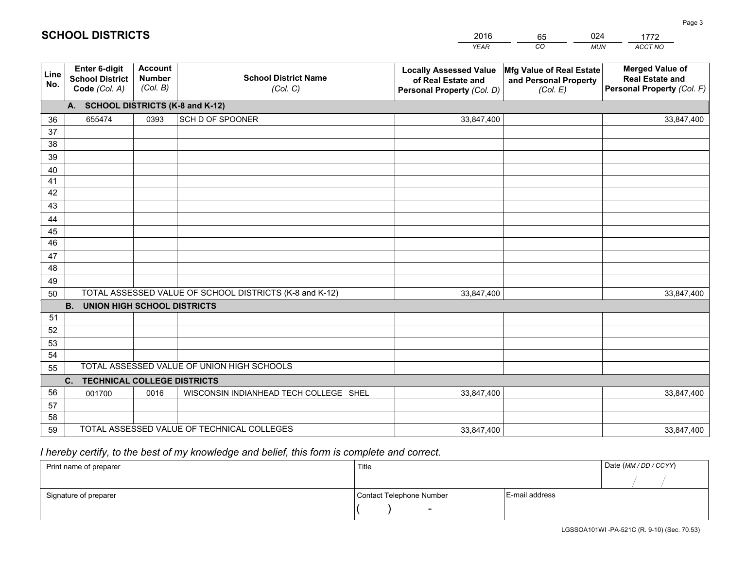|             |                                                                 |                                             |                                                         | <b>YEAR</b>                                                                       | CO<br><b>MUN</b>                                              | ACCT NO                                                                        |
|-------------|-----------------------------------------------------------------|---------------------------------------------|---------------------------------------------------------|-----------------------------------------------------------------------------------|---------------------------------------------------------------|--------------------------------------------------------------------------------|
| Line<br>No. | <b>Enter 6-digit</b><br><b>School District</b><br>Code (Col. A) | <b>Account</b><br><b>Number</b><br>(Col. B) | <b>School District Name</b><br>(Col. C)                 | <b>Locally Assessed Value</b><br>of Real Estate and<br>Personal Property (Col. D) | Mfg Value of Real Estate<br>and Personal Property<br>(Col. E) | <b>Merged Value of</b><br><b>Real Estate and</b><br>Personal Property (Col. F) |
|             | A. SCHOOL DISTRICTS (K-8 and K-12)                              |                                             |                                                         |                                                                                   |                                                               |                                                                                |
| 36          | 655474                                                          | 0393                                        | SCH D OF SPOONER                                        | 33,847,400                                                                        |                                                               | 33,847,400                                                                     |
| 37          |                                                                 |                                             |                                                         |                                                                                   |                                                               |                                                                                |
| 38          |                                                                 |                                             |                                                         |                                                                                   |                                                               |                                                                                |
| 39          |                                                                 |                                             |                                                         |                                                                                   |                                                               |                                                                                |
| 40          |                                                                 |                                             |                                                         |                                                                                   |                                                               |                                                                                |
| 41<br>42    |                                                                 |                                             |                                                         |                                                                                   |                                                               |                                                                                |
| 43          |                                                                 |                                             |                                                         |                                                                                   |                                                               |                                                                                |
| 44          |                                                                 |                                             |                                                         |                                                                                   |                                                               |                                                                                |
| 45          |                                                                 |                                             |                                                         |                                                                                   |                                                               |                                                                                |
| 46          |                                                                 |                                             |                                                         |                                                                                   |                                                               |                                                                                |
| 47          |                                                                 |                                             |                                                         |                                                                                   |                                                               |                                                                                |
| 48          |                                                                 |                                             |                                                         |                                                                                   |                                                               |                                                                                |
| 49          |                                                                 |                                             |                                                         |                                                                                   |                                                               |                                                                                |
| 50          |                                                                 |                                             | TOTAL ASSESSED VALUE OF SCHOOL DISTRICTS (K-8 and K-12) | 33,847,400                                                                        |                                                               | 33,847,400                                                                     |
|             | <b>B.</b><br><b>UNION HIGH SCHOOL DISTRICTS</b>                 |                                             |                                                         |                                                                                   |                                                               |                                                                                |
| 51          |                                                                 |                                             |                                                         |                                                                                   |                                                               |                                                                                |
| 52          |                                                                 |                                             |                                                         |                                                                                   |                                                               |                                                                                |
| 53          |                                                                 |                                             |                                                         |                                                                                   |                                                               |                                                                                |
| 54          |                                                                 |                                             | TOTAL ASSESSED VALUE OF UNION HIGH SCHOOLS              |                                                                                   |                                                               |                                                                                |
| 55          |                                                                 |                                             |                                                         |                                                                                   |                                                               |                                                                                |
|             | C.<br><b>TECHNICAL COLLEGE DISTRICTS</b>                        |                                             |                                                         |                                                                                   |                                                               |                                                                                |
| 56<br>57    | 001700                                                          | 0016                                        | WISCONSIN INDIANHEAD TECH COLLEGE SHEL                  | 33,847,400                                                                        |                                                               | 33,847,400                                                                     |
| 58          |                                                                 |                                             |                                                         |                                                                                   |                                                               |                                                                                |
| 59          |                                                                 |                                             | TOTAL ASSESSED VALUE OF TECHNICAL COLLEGES              | 33,847,400                                                                        |                                                               | 33,847,400                                                                     |

65

024

 *I hereby certify, to the best of my knowledge and belief, this form is complete and correct.*

**SCHOOL DISTRICTS**

| Print name of preparer | Title                    |                | Date (MM / DD / CCYY) |
|------------------------|--------------------------|----------------|-----------------------|
|                        |                          |                |                       |
| Signature of preparer  | Contact Telephone Number | E-mail address |                       |
|                        | $\sim$                   |                |                       |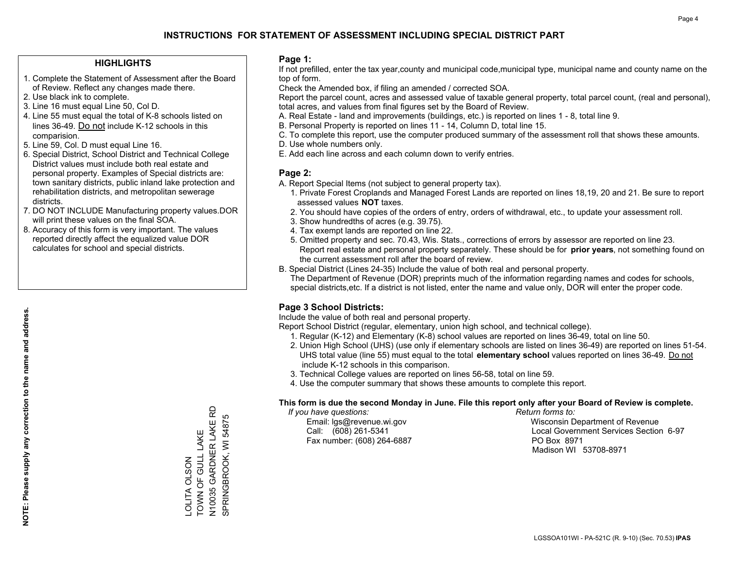#### **HIGHLIGHTS**

- 1. Complete the Statement of Assessment after the Board of Review. Reflect any changes made there.
- 2. Use black ink to complete.
- 3. Line 16 must equal Line 50, Col D.
- 4. Line 55 must equal the total of K-8 schools listed on lines 36-49. Do not include K-12 schools in this comparision.
- 5. Line 59, Col. D must equal Line 16.
- 6. Special District, School District and Technical College District values must include both real estate and personal property. Examples of Special districts are: town sanitary districts, public inland lake protection and rehabilitation districts, and metropolitan sewerage districts.
- 7. DO NOT INCLUDE Manufacturing property values.DOR will print these values on the final SOA.

LOLITA OLSON

TOWN OF GULL LAKE N10035 GARDNER LAKE RD SPRINGBROOK, WI 54875

TOWN OF GULL LAKE OLITA OLSON

N10035 GARDNER LAKE RD<br>SPRINGBROOK, WI 54875

 8. Accuracy of this form is very important. The values reported directly affect the equalized value DOR calculates for school and special districts.

#### **Page 1:**

 If not prefilled, enter the tax year,county and municipal code,municipal type, municipal name and county name on the top of form.

Check the Amended box, if filing an amended / corrected SOA.

 Report the parcel count, acres and assessed value of taxable general property, total parcel count, (real and personal), total acres, and values from final figures set by the Board of Review.

- A. Real Estate land and improvements (buildings, etc.) is reported on lines 1 8, total line 9.
- B. Personal Property is reported on lines 11 14, Column D, total line 15.
- C. To complete this report, use the computer produced summary of the assessment roll that shows these amounts.
- D. Use whole numbers only.
- E. Add each line across and each column down to verify entries.

#### **Page 2:**

- A. Report Special Items (not subject to general property tax).
- 1. Private Forest Croplands and Managed Forest Lands are reported on lines 18,19, 20 and 21. Be sure to report assessed values **NOT** taxes.
- 2. You should have copies of the orders of entry, orders of withdrawal, etc., to update your assessment roll.
	- 3. Show hundredths of acres (e.g. 39.75).
- 4. Tax exempt lands are reported on line 22.
- 5. Omitted property and sec. 70.43, Wis. Stats., corrections of errors by assessor are reported on line 23. Report real estate and personal property separately. These should be for **prior years**, not something found on the current assessment roll after the board of review.
- B. Special District (Lines 24-35) Include the value of both real and personal property.
- The Department of Revenue (DOR) preprints much of the information regarding names and codes for schools, special districts,etc. If a district is not listed, enter the name and value only, DOR will enter the proper code.

### **Page 3 School Districts:**

Include the value of both real and personal property.

Report School District (regular, elementary, union high school, and technical college).

- 1. Regular (K-12) and Elementary (K-8) school values are reported on lines 36-49, total on line 50.
- 2. Union High School (UHS) (use only if elementary schools are listed on lines 36-49) are reported on lines 51-54. UHS total value (line 55) must equal to the total **elementary school** values reported on lines 36-49. Do notinclude K-12 schools in this comparison.
- 3. Technical College values are reported on lines 56-58, total on line 59.
- 4. Use the computer summary that shows these amounts to complete this report.

#### **This form is due the second Monday in June. File this report only after your Board of Review is complete.**

 *If you have questions: Return forms to:*

Fax number: (608) 264-6887 PO Box 8971

 Email: lgs@revenue.wi.gov Wisconsin Department of Revenue Call: (608) 261-5341 Local Government Services Section 6-97Madison WI 53708-8971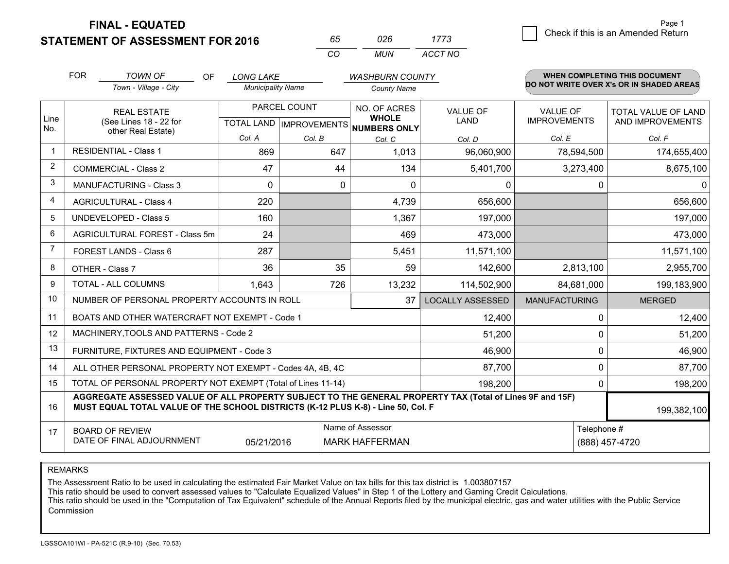**FINAL - EQUATED**

**STATEMENT OF ASSESSMENT FOR 2016** 

| 65.     | 026 | 1773    |
|---------|-----|---------|
| ( ) ( ) | MUN | ACCT NO |

|                | <b>FOR</b>                                                                                                                                                                                   | <b>TOWN OF</b><br>OF                                         | <b>LONG LAKE</b>                          |        | <b>WASHBURN COUNTY</b>                              |                                |                                        | <b>WHEN COMPLETING THIS DOCUMENT</b>           |
|----------------|----------------------------------------------------------------------------------------------------------------------------------------------------------------------------------------------|--------------------------------------------------------------|-------------------------------------------|--------|-----------------------------------------------------|--------------------------------|----------------------------------------|------------------------------------------------|
|                |                                                                                                                                                                                              | Town - Village - City                                        | <b>Municipality Name</b>                  |        | <b>County Name</b>                                  |                                |                                        | DO NOT WRITE OVER X's OR IN SHADED AREAS       |
| Line<br>No.    | <b>REAL ESTATE</b><br>(See Lines 18 - 22 for                                                                                                                                                 |                                                              | PARCEL COUNT<br>TOTAL LAND   IMPROVEMENTS |        | NO. OF ACRES<br><b>WHOLE</b><br><b>NUMBERS ONLY</b> | <b>VALUE OF</b><br><b>LAND</b> | <b>VALUE OF</b><br><b>IMPROVEMENTS</b> | <b>TOTAL VALUE OF LAND</b><br>AND IMPROVEMENTS |
|                |                                                                                                                                                                                              | other Real Estate)                                           | Col. A                                    | Col. B | Col. C                                              | Col. D                         | Col. E                                 | Col. F                                         |
| -1             |                                                                                                                                                                                              | <b>RESIDENTIAL - Class 1</b>                                 | 869                                       | 647    | 1,013                                               | 96,060,900                     | 78,594,500                             | 174,655,400                                    |
| 2              |                                                                                                                                                                                              | <b>COMMERCIAL - Class 2</b>                                  | 47                                        | 44     | 134                                                 | 5,401,700                      | 3,273,400                              | 8,675,100                                      |
| 3              |                                                                                                                                                                                              | <b>MANUFACTURING - Class 3</b>                               | $\Omega$                                  | 0      | $\Omega$                                            | 0                              | 0                                      | 0                                              |
| 4              |                                                                                                                                                                                              | <b>AGRICULTURAL - Class 4</b>                                | 220                                       |        | 4,739                                               | 656,600                        |                                        | 656,600                                        |
| 5              |                                                                                                                                                                                              | <b>UNDEVELOPED - Class 5</b>                                 | 160                                       |        | 1,367                                               | 197,000                        |                                        | 197,000                                        |
| 6              |                                                                                                                                                                                              | AGRICULTURAL FOREST - Class 5m                               | 24                                        |        | 469                                                 | 473,000                        |                                        | 473,000                                        |
| $\overline{7}$ |                                                                                                                                                                                              | FOREST LANDS - Class 6                                       | 287                                       |        | 5,451                                               | 11,571,100                     |                                        | 11,571,100                                     |
| 8              |                                                                                                                                                                                              | OTHER - Class 7                                              | 36                                        | 35     | 59                                                  | 142,600                        | 2,813,100                              | 2,955,700                                      |
| 9              |                                                                                                                                                                                              | TOTAL - ALL COLUMNS                                          | 1,643                                     | 726    | 13,232                                              | 114,502,900                    | 84,681,000                             | 199,183,900                                    |
| 10             |                                                                                                                                                                                              | NUMBER OF PERSONAL PROPERTY ACCOUNTS IN ROLL                 |                                           |        | 37                                                  | <b>LOCALLY ASSESSED</b>        | <b>MANUFACTURING</b>                   | <b>MERGED</b>                                  |
| 11             |                                                                                                                                                                                              | BOATS AND OTHER WATERCRAFT NOT EXEMPT - Code 1               |                                           |        |                                                     | 12,400                         | 0                                      | 12,400                                         |
| 12             |                                                                                                                                                                                              | MACHINERY, TOOLS AND PATTERNS - Code 2                       |                                           |        |                                                     | 51,200                         | $\Omega$                               | 51,200                                         |
| 13             |                                                                                                                                                                                              | FURNITURE, FIXTURES AND EQUIPMENT - Code 3                   |                                           |        |                                                     | 46,900                         | $\Omega$                               | 46,900                                         |
| 14             |                                                                                                                                                                                              | ALL OTHER PERSONAL PROPERTY NOT EXEMPT - Codes 4A, 4B, 4C    |                                           |        |                                                     | 87,700                         | 0                                      | 87,700                                         |
| 15             |                                                                                                                                                                                              | TOTAL OF PERSONAL PROPERTY NOT EXEMPT (Total of Lines 11-14) |                                           |        |                                                     | 198,200                        | $\Omega$                               | 198,200                                        |
| 16             | AGGREGATE ASSESSED VALUE OF ALL PROPERTY SUBJECT TO THE GENERAL PROPERTY TAX (Total of Lines 9F and 15F)<br>MUST EQUAL TOTAL VALUE OF THE SCHOOL DISTRICTS (K-12 PLUS K-8) - Line 50, Col. F |                                                              |                                           |        |                                                     |                                |                                        | 199,382,100                                    |
| 17             | Name of Assessor<br>Telephone #<br><b>BOARD OF REVIEW</b><br>DATE OF FINAL ADJOURNMENT<br>05/21/2016<br><b>MARK HAFFERMAN</b>                                                                |                                                              |                                           |        |                                                     | (888) 457-4720                 |                                        |                                                |
|                |                                                                                                                                                                                              |                                                              |                                           |        |                                                     |                                |                                        |                                                |

REMARKS

The Assessment Ratio to be used in calculating the estimated Fair Market Value on tax bills for this tax district is 1.003807157<br>This ratio should be used to convert assessed values to "Calculate Equalized Values" in Step Commission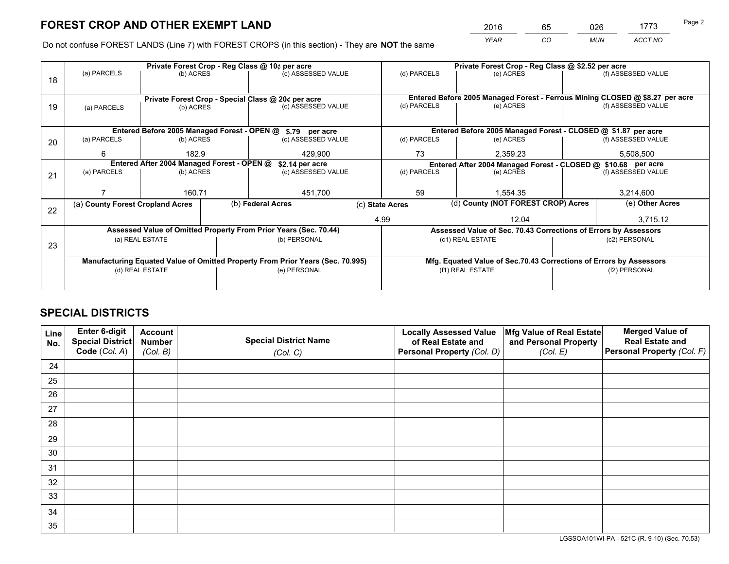*YEAR CO MUN ACCT NO* <sup>2016</sup> <sup>65</sup> <sup>026</sup> <sup>1773</sup>

Do not confuse FOREST LANDS (Line 7) with FOREST CROPS (in this section) - They are **NOT** the same

|    |                                                               |                 |  | Private Forest Crop - Reg Class @ 10¢ per acre                                 |                                                                              | Private Forest Crop - Reg Class @ \$2.52 per acre |                                                               |                                                                    |           |                    |
|----|---------------------------------------------------------------|-----------------|--|--------------------------------------------------------------------------------|------------------------------------------------------------------------------|---------------------------------------------------|---------------------------------------------------------------|--------------------------------------------------------------------|-----------|--------------------|
| 18 | (a) PARCELS                                                   | (b) ACRES       |  | (c) ASSESSED VALUE                                                             |                                                                              | (d) PARCELS                                       |                                                               | (e) ACRES                                                          |           | (f) ASSESSED VALUE |
|    |                                                               |                 |  |                                                                                |                                                                              |                                                   |                                                               |                                                                    |           |                    |
|    | Private Forest Crop - Special Class @ 20¢ per acre            |                 |  |                                                                                | Entered Before 2005 Managed Forest - Ferrous Mining CLOSED @ \$8.27 per acre |                                                   |                                                               |                                                                    |           |                    |
| 19 | (a) PARCELS                                                   | (b) ACRES       |  | (c) ASSESSED VALUE                                                             |                                                                              | (d) PARCELS                                       |                                                               | (e) ACRES                                                          |           | (f) ASSESSED VALUE |
|    |                                                               |                 |  |                                                                                |                                                                              |                                                   |                                                               |                                                                    |           |                    |
|    | Entered Before 2005 Managed Forest - OPEN @ \$.79 per acre    |                 |  |                                                                                |                                                                              |                                                   |                                                               | Entered Before 2005 Managed Forest - CLOSED @ \$1.87 per acre      |           |                    |
| 20 | (a) PARCELS                                                   | (b) ACRES       |  | (c) ASSESSED VALUE                                                             |                                                                              | (d) PARCELS                                       |                                                               | (e) ACRES                                                          |           | (f) ASSESSED VALUE |
|    | 6                                                             | 182.9           |  | 429.900                                                                        |                                                                              | 73                                                | 2,359.23                                                      |                                                                    | 5,508,500 |                    |
|    | Entered After 2004 Managed Forest - OPEN @<br>\$2.14 per acre |                 |  |                                                                                |                                                                              |                                                   | Entered After 2004 Managed Forest - CLOSED @ \$10.68 per acre |                                                                    |           |                    |
| 21 | (a) PARCELS                                                   | (b) ACRES       |  | (c) ASSESSED VALUE                                                             |                                                                              | (d) PARCELS<br>(e) ACRES                          |                                                               | (f) ASSESSED VALUE                                                 |           |                    |
|    |                                                               |                 |  |                                                                                |                                                                              |                                                   |                                                               |                                                                    |           |                    |
|    |                                                               | 160.71          |  | 451,700                                                                        |                                                                              | 59                                                |                                                               | 1.554.35                                                           |           | 3,214,600          |
| 22 | (a) County Forest Cropland Acres                              |                 |  | (b) Federal Acres                                                              |                                                                              | (c) State Acres                                   |                                                               | (d) County (NOT FOREST CROP) Acres                                 |           | (e) Other Acres    |
|    |                                                               |                 |  |                                                                                |                                                                              | 4.99                                              |                                                               | 12.04                                                              |           | 3,715.12           |
|    |                                                               |                 |  | Assessed Value of Omitted Property From Prior Years (Sec. 70.44)               |                                                                              |                                                   |                                                               | Assessed Value of Sec. 70.43 Corrections of Errors by Assessors    |           |                    |
| 23 |                                                               | (a) REAL ESTATE |  | (b) PERSONAL                                                                   |                                                                              |                                                   | (c1) REAL ESTATE                                              |                                                                    |           | (c2) PERSONAL      |
|    |                                                               |                 |  |                                                                                |                                                                              |                                                   |                                                               |                                                                    |           |                    |
|    |                                                               |                 |  | Manufacturing Equated Value of Omitted Property From Prior Years (Sec. 70.995) |                                                                              |                                                   |                                                               | Mfg. Equated Value of Sec.70.43 Corrections of Errors by Assessors |           |                    |
|    | (d) REAL ESTATE                                               |                 |  | (e) PERSONAL                                                                   |                                                                              |                                                   | (f1) REAL ESTATE                                              |                                                                    |           | (f2) PERSONAL      |
|    |                                                               |                 |  |                                                                                |                                                                              |                                                   |                                                               |                                                                    |           |                    |

## **SPECIAL DISTRICTS**

| Line<br>No. | Enter 6-digit<br><b>Special District</b> | <b>Account</b><br><b>Number</b> | <b>Special District Name</b> | <b>Locally Assessed Value</b><br>of Real Estate and | Mfg Value of Real Estate<br>and Personal Property | <b>Merged Value of</b><br><b>Real Estate and</b> |
|-------------|------------------------------------------|---------------------------------|------------------------------|-----------------------------------------------------|---------------------------------------------------|--------------------------------------------------|
|             | Code (Col. A)                            | (Col. B)                        | (Col. C)                     | Personal Property (Col. D)                          | (Col. E)                                          | Personal Property (Col. F)                       |
| 24          |                                          |                                 |                              |                                                     |                                                   |                                                  |
| 25          |                                          |                                 |                              |                                                     |                                                   |                                                  |
| 26          |                                          |                                 |                              |                                                     |                                                   |                                                  |
| 27          |                                          |                                 |                              |                                                     |                                                   |                                                  |
| 28          |                                          |                                 |                              |                                                     |                                                   |                                                  |
| 29          |                                          |                                 |                              |                                                     |                                                   |                                                  |
| 30          |                                          |                                 |                              |                                                     |                                                   |                                                  |
| 31          |                                          |                                 |                              |                                                     |                                                   |                                                  |
| 32          |                                          |                                 |                              |                                                     |                                                   |                                                  |
| 33          |                                          |                                 |                              |                                                     |                                                   |                                                  |
| 34          |                                          |                                 |                              |                                                     |                                                   |                                                  |
| 35          |                                          |                                 |                              |                                                     |                                                   |                                                  |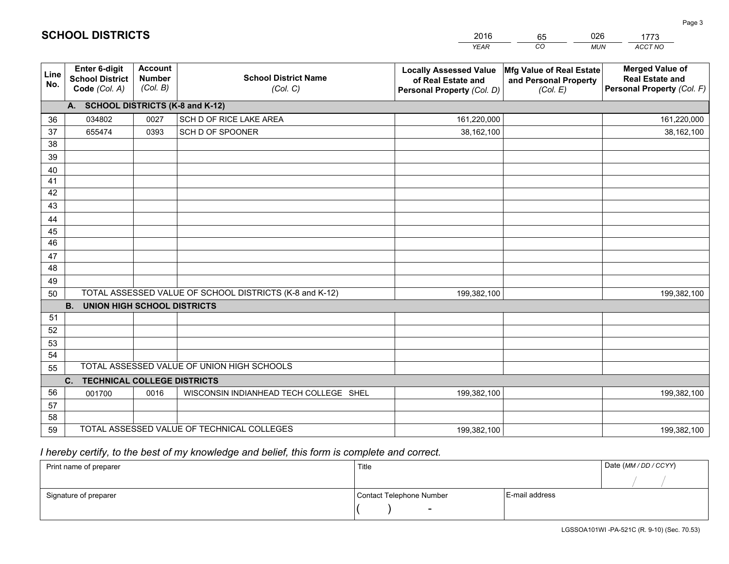|             |                                                          |                                             |                                                         | <b>YEAR</b>                                                                       | CO<br><b>MUN</b>                                              | ACCT NO                                                                        |
|-------------|----------------------------------------------------------|---------------------------------------------|---------------------------------------------------------|-----------------------------------------------------------------------------------|---------------------------------------------------------------|--------------------------------------------------------------------------------|
| Line<br>No. | Enter 6-digit<br><b>School District</b><br>Code (Col. A) | <b>Account</b><br><b>Number</b><br>(Col. B) | <b>School District Name</b><br>(Col. C)                 | <b>Locally Assessed Value</b><br>of Real Estate and<br>Personal Property (Col. D) | Mfg Value of Real Estate<br>and Personal Property<br>(Col. E) | <b>Merged Value of</b><br><b>Real Estate and</b><br>Personal Property (Col. F) |
|             | A. SCHOOL DISTRICTS (K-8 and K-12)                       |                                             |                                                         |                                                                                   |                                                               |                                                                                |
| 36          | 034802                                                   | 0027                                        | SCH D OF RICE LAKE AREA                                 | 161,220,000                                                                       |                                                               | 161,220,000                                                                    |
| 37          | 655474                                                   | 0393                                        | SCH D OF SPOONER                                        | 38,162,100                                                                        |                                                               | 38,162,100                                                                     |
| 38          |                                                          |                                             |                                                         |                                                                                   |                                                               |                                                                                |
| 39          |                                                          |                                             |                                                         |                                                                                   |                                                               |                                                                                |
| 40          |                                                          |                                             |                                                         |                                                                                   |                                                               |                                                                                |
| 41          |                                                          |                                             |                                                         |                                                                                   |                                                               |                                                                                |
| 42          |                                                          |                                             |                                                         |                                                                                   |                                                               |                                                                                |
| 43          |                                                          |                                             |                                                         |                                                                                   |                                                               |                                                                                |
| 44          |                                                          |                                             |                                                         |                                                                                   |                                                               |                                                                                |
| 45          |                                                          |                                             |                                                         |                                                                                   |                                                               |                                                                                |
| 46          |                                                          |                                             |                                                         |                                                                                   |                                                               |                                                                                |
| 47          |                                                          |                                             |                                                         |                                                                                   |                                                               |                                                                                |
| 48          |                                                          |                                             |                                                         |                                                                                   |                                                               |                                                                                |
| 49          |                                                          |                                             | TOTAL ASSESSED VALUE OF SCHOOL DISTRICTS (K-8 and K-12) |                                                                                   |                                                               |                                                                                |
| 50          | <b>B.</b><br><b>UNION HIGH SCHOOL DISTRICTS</b>          |                                             |                                                         | 199,382,100                                                                       |                                                               | 199,382,100                                                                    |
| 51          |                                                          |                                             |                                                         |                                                                                   |                                                               |                                                                                |
| 52          |                                                          |                                             |                                                         |                                                                                   |                                                               |                                                                                |
| 53          |                                                          |                                             |                                                         |                                                                                   |                                                               |                                                                                |
| 54          |                                                          |                                             |                                                         |                                                                                   |                                                               |                                                                                |
| 55          |                                                          |                                             | TOTAL ASSESSED VALUE OF UNION HIGH SCHOOLS              |                                                                                   |                                                               |                                                                                |
|             | C. TECHNICAL COLLEGE DISTRICTS                           |                                             |                                                         |                                                                                   |                                                               |                                                                                |
| 56          | 001700                                                   | 0016                                        | WISCONSIN INDIANHEAD TECH COLLEGE SHEL                  | 199,382,100                                                                       |                                                               | 199,382,100                                                                    |
| 57          |                                                          |                                             |                                                         |                                                                                   |                                                               |                                                                                |
| 58          |                                                          |                                             |                                                         |                                                                                   |                                                               |                                                                                |
| 59          |                                                          |                                             | TOTAL ASSESSED VALUE OF TECHNICAL COLLEGES              | 199,382,100                                                                       |                                                               | 199,382,100                                                                    |

65

026

 *I hereby certify, to the best of my knowledge and belief, this form is complete and correct.*

**SCHOOL DISTRICTS**

| Print name of preparer | Title                    |                | Date (MM / DD / CCYY) |
|------------------------|--------------------------|----------------|-----------------------|
|                        |                          |                |                       |
| Signature of preparer  | Contact Telephone Number | E-mail address |                       |
|                        | $\sim$                   |                |                       |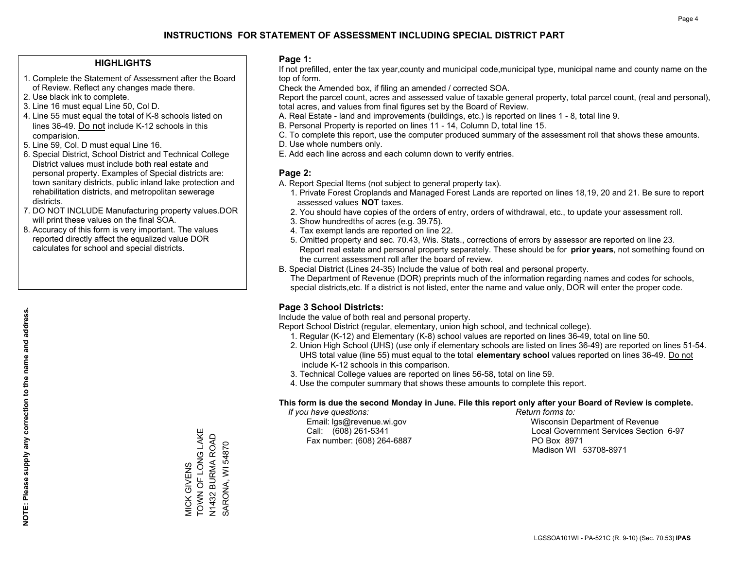#### **HIGHLIGHTS**

- 1. Complete the Statement of Assessment after the Board of Review. Reflect any changes made there.
- 2. Use black ink to complete.
- 3. Line 16 must equal Line 50, Col D.
- 4. Line 55 must equal the total of K-8 schools listed on lines 36-49. Do not include K-12 schools in this comparision.
- 5. Line 59, Col. D must equal Line 16.
- 6. Special District, School District and Technical College District values must include both real estate and personal property. Examples of Special districts are: town sanitary districts, public inland lake protection and rehabilitation districts, and metropolitan sewerage districts.
- 7. DO NOT INCLUDE Manufacturing property values.DOR will print these values on the final SOA.

MICK GIVENS

TOWN OF LONG LAKE N1432 BURMA ROAD SARONA, WI 54870

VIICK GIVENS<br>TOWN OF LONG LAKE SARONA, WI 54870

 8. Accuracy of this form is very important. The values reported directly affect the equalized value DOR calculates for school and special districts.

#### **Page 1:**

 If not prefilled, enter the tax year,county and municipal code,municipal type, municipal name and county name on the top of form.

Check the Amended box, if filing an amended / corrected SOA.

 Report the parcel count, acres and assessed value of taxable general property, total parcel count, (real and personal), total acres, and values from final figures set by the Board of Review.

- A. Real Estate land and improvements (buildings, etc.) is reported on lines 1 8, total line 9.
- B. Personal Property is reported on lines 11 14, Column D, total line 15.
- C. To complete this report, use the computer produced summary of the assessment roll that shows these amounts.
- D. Use whole numbers only.
- E. Add each line across and each column down to verify entries.

#### **Page 2:**

- A. Report Special Items (not subject to general property tax).
- 1. Private Forest Croplands and Managed Forest Lands are reported on lines 18,19, 20 and 21. Be sure to report assessed values **NOT** taxes.
- 2. You should have copies of the orders of entry, orders of withdrawal, etc., to update your assessment roll.
	- 3. Show hundredths of acres (e.g. 39.75).
- 4. Tax exempt lands are reported on line 22.
- 5. Omitted property and sec. 70.43, Wis. Stats., corrections of errors by assessor are reported on line 23. Report real estate and personal property separately. These should be for **prior years**, not something found on the current assessment roll after the board of review.
- B. Special District (Lines 24-35) Include the value of both real and personal property.
- The Department of Revenue (DOR) preprints much of the information regarding names and codes for schools, special districts,etc. If a district is not listed, enter the name and value only, DOR will enter the proper code.

### **Page 3 School Districts:**

Include the value of both real and personal property.

Report School District (regular, elementary, union high school, and technical college).

- 1. Regular (K-12) and Elementary (K-8) school values are reported on lines 36-49, total on line 50.
- 2. Union High School (UHS) (use only if elementary schools are listed on lines 36-49) are reported on lines 51-54. UHS total value (line 55) must equal to the total **elementary school** values reported on lines 36-49. Do notinclude K-12 schools in this comparison.
- 3. Technical College values are reported on lines 56-58, total on line 59.
- 4. Use the computer summary that shows these amounts to complete this report.

#### **This form is due the second Monday in June. File this report only after your Board of Review is complete.**

 *If you have questions: Return forms to:*

Fax number: (608) 264-6887 PO Box 8971

 Email: lgs@revenue.wi.gov Wisconsin Department of Revenue Call: (608) 261-5341 Local Government Services Section 6-97Madison WI 53708-8971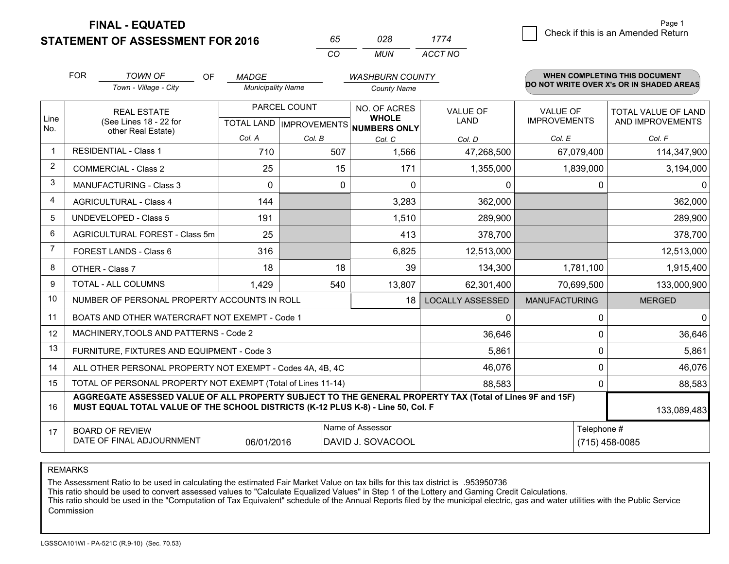**FINAL - EQUATED**

**STATEMENT OF ASSESSMENT FOR 2016** 

| 65.      | 028.  | 1774    |
|----------|-------|---------|
| $\alpha$ | MI IN | ACCT NO |

|                | <b>FOR</b>                                                                                                                                                                                   | <b>TOWN OF</b><br><b>OF</b>                                  | <b>MADGE</b>             |                                           | <b>WASHBURN COUNTY</b>                              |                                |                                        | <b>WHEN COMPLETING THIS DOCUMENT</b>           |
|----------------|----------------------------------------------------------------------------------------------------------------------------------------------------------------------------------------------|--------------------------------------------------------------|--------------------------|-------------------------------------------|-----------------------------------------------------|--------------------------------|----------------------------------------|------------------------------------------------|
|                |                                                                                                                                                                                              | Town - Village - City                                        | <b>Municipality Name</b> |                                           | <b>County Name</b>                                  |                                |                                        | DO NOT WRITE OVER X's OR IN SHADED AREAS       |
| Line<br>No.    |                                                                                                                                                                                              | <b>REAL ESTATE</b><br>(See Lines 18 - 22 for                 |                          | PARCEL COUNT<br>TOTAL LAND   IMPROVEMENTS | NO. OF ACRES<br><b>WHOLE</b><br><b>NUMBERS ONLY</b> | <b>VALUE OF</b><br><b>LAND</b> | <b>VALUE OF</b><br><b>IMPROVEMENTS</b> | <b>TOTAL VALUE OF LAND</b><br>AND IMPROVEMENTS |
|                |                                                                                                                                                                                              | other Real Estate)                                           | Col. A                   | Col. B                                    | Col. C                                              | Col. D                         | Col. E                                 | Col. F                                         |
| -1             |                                                                                                                                                                                              | <b>RESIDENTIAL - Class 1</b>                                 | 710                      | 507                                       | 1,566                                               | 47,268,500                     | 67,079,400                             | 114,347,900                                    |
| 2              |                                                                                                                                                                                              | <b>COMMERCIAL - Class 2</b>                                  | 25                       | 15                                        | 171                                                 | 1,355,000                      | 1,839,000                              | 3,194,000                                      |
| 3              |                                                                                                                                                                                              | <b>MANUFACTURING - Class 3</b>                               | 0                        | 0                                         | 0                                                   | 0                              |                                        | 0<br>0                                         |
| 4              |                                                                                                                                                                                              | <b>AGRICULTURAL - Class 4</b>                                | 144                      |                                           | 3,283                                               | 362,000                        |                                        | 362,000                                        |
| 5              |                                                                                                                                                                                              | <b>UNDEVELOPED - Class 5</b>                                 | 191                      |                                           | 1,510                                               | 289,900                        |                                        | 289,900                                        |
| 6              |                                                                                                                                                                                              | AGRICULTURAL FOREST - Class 5m                               | 25                       |                                           | 413                                                 | 378,700                        |                                        | 378,700                                        |
| $\overline{7}$ |                                                                                                                                                                                              | FOREST LANDS - Class 6                                       | 316                      |                                           | 6,825                                               | 12,513,000                     |                                        | 12,513,000                                     |
| 8              |                                                                                                                                                                                              | OTHER - Class 7                                              | 18                       | 18                                        | 39                                                  | 134,300                        | 1,781,100                              | 1,915,400                                      |
| 9              |                                                                                                                                                                                              | TOTAL - ALL COLUMNS                                          | 1,429                    | 540                                       | 13,807                                              | 62,301,400                     | 70,699,500                             | 133,000,900                                    |
| 10             |                                                                                                                                                                                              | NUMBER OF PERSONAL PROPERTY ACCOUNTS IN ROLL                 |                          |                                           | 18                                                  | <b>LOCALLY ASSESSED</b>        | <b>MANUFACTURING</b>                   | <b>MERGED</b>                                  |
| 11             |                                                                                                                                                                                              | BOATS AND OTHER WATERCRAFT NOT EXEMPT - Code 1               |                          |                                           |                                                     | 0                              | 0                                      | $\mathbf{0}$                                   |
| 12             |                                                                                                                                                                                              | MACHINERY, TOOLS AND PATTERNS - Code 2                       |                          |                                           |                                                     | 36,646                         |                                        | 36,646<br>$\Omega$                             |
| 13             |                                                                                                                                                                                              | FURNITURE, FIXTURES AND EQUIPMENT - Code 3                   |                          |                                           |                                                     | 5,861                          |                                        | 5,861<br>0                                     |
| 14             |                                                                                                                                                                                              | ALL OTHER PERSONAL PROPERTY NOT EXEMPT - Codes 4A, 4B, 4C    |                          |                                           |                                                     | 46,076                         |                                        | 46,076<br>$\Omega$                             |
| 15             |                                                                                                                                                                                              | TOTAL OF PERSONAL PROPERTY NOT EXEMPT (Total of Lines 11-14) |                          |                                           | 88,583                                              |                                | 88,583<br>$\Omega$                     |                                                |
| 16             | AGGREGATE ASSESSED VALUE OF ALL PROPERTY SUBJECT TO THE GENERAL PROPERTY TAX (Total of Lines 9F and 15F)<br>MUST EQUAL TOTAL VALUE OF THE SCHOOL DISTRICTS (K-12 PLUS K-8) - Line 50, Col. F |                                                              |                          |                                           |                                                     |                                | 133,089,483                            |                                                |
| 17             | Name of Assessor<br><b>BOARD OF REVIEW</b><br>DATE OF FINAL ADJOURNMENT<br>06/01/2016<br>DAVID J. SOVACOOL                                                                                   |                                                              |                          |                                           |                                                     |                                | Telephone #                            | $(715)$ 458-0085                               |

REMARKS

The Assessment Ratio to be used in calculating the estimated Fair Market Value on tax bills for this tax district is .953950736<br>This ratio should be used to convert assessed values to "Calculate Equalized Values" in Step 1 Commission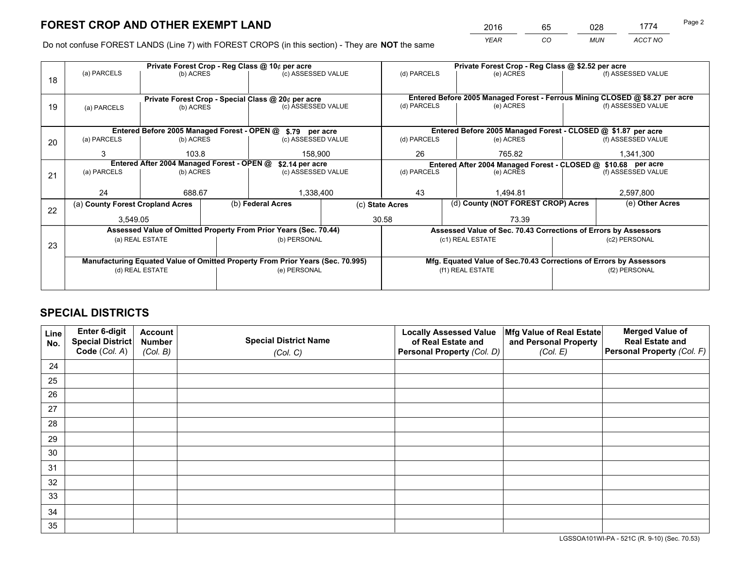*YEAR CO MUN ACCT NO* <sup>2016</sup> <sup>65</sup> <sup>028</sup> <sup>1774</sup>

Do not confuse FOREST LANDS (Line 7) with FOREST CROPS (in this section) - They are **NOT** the same

|    | Private Forest Crop - Reg Class @ 10¢ per acre                                 |           |  |                                                                  |                                                               | Private Forest Crop - Reg Class @ \$2.52 per acre                            |                                                                    |  |                    |  |
|----|--------------------------------------------------------------------------------|-----------|--|------------------------------------------------------------------|---------------------------------------------------------------|------------------------------------------------------------------------------|--------------------------------------------------------------------|--|--------------------|--|
| 18 | (a) PARCELS                                                                    | (b) ACRES |  | (c) ASSESSED VALUE                                               |                                                               | (d) PARCELS                                                                  | (e) ACRES                                                          |  | (f) ASSESSED VALUE |  |
|    |                                                                                |           |  | Private Forest Crop - Special Class @ 20¢ per acre               |                                                               | Entered Before 2005 Managed Forest - Ferrous Mining CLOSED @ \$8.27 per acre |                                                                    |  |                    |  |
| 19 | (a) PARCELS                                                                    | (b) ACRES |  | (c) ASSESSED VALUE                                               |                                                               | (d) PARCELS                                                                  | (e) ACRES                                                          |  | (f) ASSESSED VALUE |  |
|    | Entered Before 2005 Managed Forest - OPEN @ \$.79 per acre                     |           |  |                                                                  |                                                               | Entered Before 2005 Managed Forest - CLOSED @ \$1.87 per acre                |                                                                    |  |                    |  |
| 20 | (a) PARCELS                                                                    | (b) ACRES |  | (c) ASSESSED VALUE                                               |                                                               | (d) PARCELS                                                                  | (e) ACRES                                                          |  | (f) ASSESSED VALUE |  |
|    | 3                                                                              | 103.8     |  | 158,900                                                          |                                                               | 26<br>765.82                                                                 |                                                                    |  | 1,341,300          |  |
|    | Entered After 2004 Managed Forest - OPEN @<br>\$2.14 per acre                  |           |  |                                                                  | Entered After 2004 Managed Forest - CLOSED @ \$10.68 per acre |                                                                              |                                                                    |  |                    |  |
| 21 | (a) PARCELS                                                                    | (b) ACRES |  | (c) ASSESSED VALUE                                               |                                                               | (d) PARCELS<br>(e) ACRES                                                     |                                                                    |  | (f) ASSESSED VALUE |  |
|    | 24                                                                             | 688.67    |  | 1,338,400                                                        |                                                               | 43                                                                           | 1.494.81                                                           |  | 2,597,800          |  |
|    | (a) County Forest Cropland Acres                                               |           |  | (b) Federal Acres                                                |                                                               | (c) State Acres                                                              | (d) County (NOT FOREST CROP) Acres                                 |  | (e) Other Acres    |  |
| 22 | 3,549.05                                                                       |           |  |                                                                  |                                                               | 30.58<br>73.39                                                               |                                                                    |  |                    |  |
|    |                                                                                |           |  | Assessed Value of Omitted Property From Prior Years (Sec. 70.44) |                                                               |                                                                              | Assessed Value of Sec. 70.43 Corrections of Errors by Assessors    |  |                    |  |
| 23 | (a) REAL ESTATE                                                                |           |  | (b) PERSONAL                                                     |                                                               | (c1) REAL ESTATE                                                             |                                                                    |  | (c2) PERSONAL      |  |
|    | Manufacturing Equated Value of Omitted Property From Prior Years (Sec. 70.995) |           |  |                                                                  |                                                               |                                                                              | Mfg. Equated Value of Sec.70.43 Corrections of Errors by Assessors |  |                    |  |
|    | (d) REAL ESTATE                                                                |           |  | (e) PERSONAL                                                     |                                                               | (f1) REAL ESTATE                                                             |                                                                    |  | (f2) PERSONAL      |  |
|    |                                                                                |           |  |                                                                  |                                                               |                                                                              |                                                                    |  |                    |  |

## **SPECIAL DISTRICTS**

| Line<br>No. | Enter 6-digit<br><b>Special District</b> | <b>Account</b><br><b>Number</b> | <b>Special District Name</b> | <b>Locally Assessed Value</b><br>of Real Estate and | Mfg Value of Real Estate<br>and Personal Property | <b>Merged Value of</b><br><b>Real Estate and</b> |
|-------------|------------------------------------------|---------------------------------|------------------------------|-----------------------------------------------------|---------------------------------------------------|--------------------------------------------------|
|             | Code (Col. A)                            | (Col. B)                        | (Col. C)                     | Personal Property (Col. D)                          | (Col. E)                                          | Personal Property (Col. F)                       |
| 24          |                                          |                                 |                              |                                                     |                                                   |                                                  |
| 25          |                                          |                                 |                              |                                                     |                                                   |                                                  |
| 26          |                                          |                                 |                              |                                                     |                                                   |                                                  |
| 27          |                                          |                                 |                              |                                                     |                                                   |                                                  |
| 28          |                                          |                                 |                              |                                                     |                                                   |                                                  |
| 29          |                                          |                                 |                              |                                                     |                                                   |                                                  |
| 30          |                                          |                                 |                              |                                                     |                                                   |                                                  |
| 31          |                                          |                                 |                              |                                                     |                                                   |                                                  |
| 32          |                                          |                                 |                              |                                                     |                                                   |                                                  |
| 33          |                                          |                                 |                              |                                                     |                                                   |                                                  |
| 34          |                                          |                                 |                              |                                                     |                                                   |                                                  |
| 35          |                                          |                                 |                              |                                                     |                                                   |                                                  |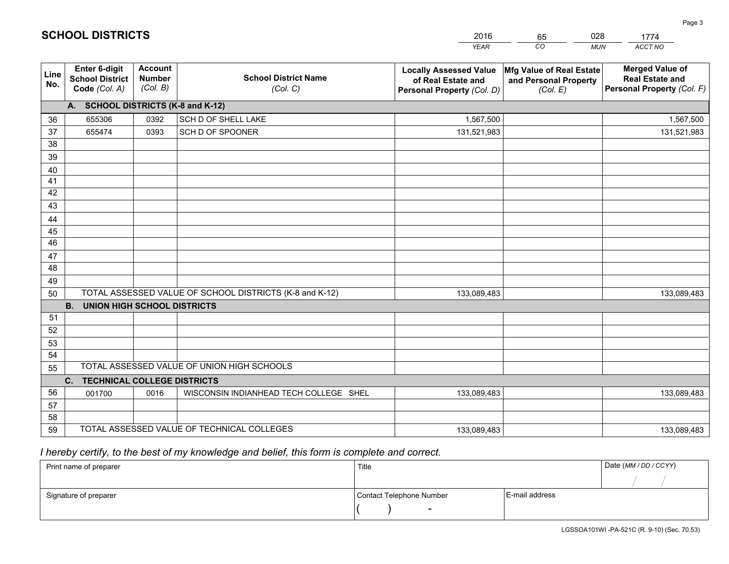|                       |                                                                 |                                             |                                                         | <b>YEAR</b>                                                                       | CO<br><b>MUN</b>                                              | ACCT NO                                                                        |
|-----------------------|-----------------------------------------------------------------|---------------------------------------------|---------------------------------------------------------|-----------------------------------------------------------------------------------|---------------------------------------------------------------|--------------------------------------------------------------------------------|
| Line<br>No.           | <b>Enter 6-digit</b><br><b>School District</b><br>Code (Col. A) | <b>Account</b><br><b>Number</b><br>(Col. B) | <b>School District Name</b><br>(Col. C)                 | <b>Locally Assessed Value</b><br>of Real Estate and<br>Personal Property (Col. D) | Mfg Value of Real Estate<br>and Personal Property<br>(Col. E) | <b>Merged Value of</b><br><b>Real Estate and</b><br>Personal Property (Col. F) |
|                       | A. SCHOOL DISTRICTS (K-8 and K-12)                              |                                             |                                                         |                                                                                   |                                                               |                                                                                |
| 36                    | 655306                                                          | 0392                                        | SCH D OF SHELL LAKE                                     | 1,567,500                                                                         |                                                               | 1,567,500                                                                      |
| 37                    | 655474                                                          | 0393                                        | SCH D OF SPOONER                                        | 131,521,983                                                                       |                                                               | 131,521,983                                                                    |
| 38                    |                                                                 |                                             |                                                         |                                                                                   |                                                               |                                                                                |
| 39                    |                                                                 |                                             |                                                         |                                                                                   |                                                               |                                                                                |
| 40                    |                                                                 |                                             |                                                         |                                                                                   |                                                               |                                                                                |
| 41                    |                                                                 |                                             |                                                         |                                                                                   |                                                               |                                                                                |
| 42                    |                                                                 |                                             |                                                         |                                                                                   |                                                               |                                                                                |
| 43                    |                                                                 |                                             |                                                         |                                                                                   |                                                               |                                                                                |
| 44                    |                                                                 |                                             |                                                         |                                                                                   |                                                               |                                                                                |
| 45<br>$\overline{46}$ |                                                                 |                                             |                                                         |                                                                                   |                                                               |                                                                                |
| 47                    |                                                                 |                                             |                                                         |                                                                                   |                                                               |                                                                                |
| 48                    |                                                                 |                                             |                                                         |                                                                                   |                                                               |                                                                                |
| 49                    |                                                                 |                                             |                                                         |                                                                                   |                                                               |                                                                                |
| 50                    |                                                                 |                                             | TOTAL ASSESSED VALUE OF SCHOOL DISTRICTS (K-8 and K-12) | 133,089,483                                                                       |                                                               | 133,089,483                                                                    |
|                       | <b>B.</b><br><b>UNION HIGH SCHOOL DISTRICTS</b>                 |                                             |                                                         |                                                                                   |                                                               |                                                                                |
| 51                    |                                                                 |                                             |                                                         |                                                                                   |                                                               |                                                                                |
| 52                    |                                                                 |                                             |                                                         |                                                                                   |                                                               |                                                                                |
| 53                    |                                                                 |                                             |                                                         |                                                                                   |                                                               |                                                                                |
| 54                    |                                                                 |                                             |                                                         |                                                                                   |                                                               |                                                                                |
| 55                    |                                                                 |                                             | TOTAL ASSESSED VALUE OF UNION HIGH SCHOOLS              |                                                                                   |                                                               |                                                                                |
|                       | C.<br><b>TECHNICAL COLLEGE DISTRICTS</b>                        |                                             |                                                         |                                                                                   |                                                               |                                                                                |
| 56                    | 001700                                                          | 0016                                        | WISCONSIN INDIANHEAD TECH COLLEGE SHEL                  | 133,089,483                                                                       |                                                               | 133,089,483                                                                    |
| 57                    |                                                                 |                                             |                                                         |                                                                                   |                                                               |                                                                                |
| 58                    |                                                                 |                                             |                                                         |                                                                                   |                                                               |                                                                                |
| 59                    |                                                                 |                                             | TOTAL ASSESSED VALUE OF TECHNICAL COLLEGES              | 133,089,483                                                                       |                                                               | 133,089,483                                                                    |

65

028

 *I hereby certify, to the best of my knowledge and belief, this form is complete and correct.*

**SCHOOL DISTRICTS**

| Print name of preparer | Title                    |                | Date (MM / DD / CCYY) |
|------------------------|--------------------------|----------------|-----------------------|
|                        |                          |                |                       |
| Signature of preparer  | Contact Telephone Number | E-mail address |                       |
|                        | $\sim$                   |                |                       |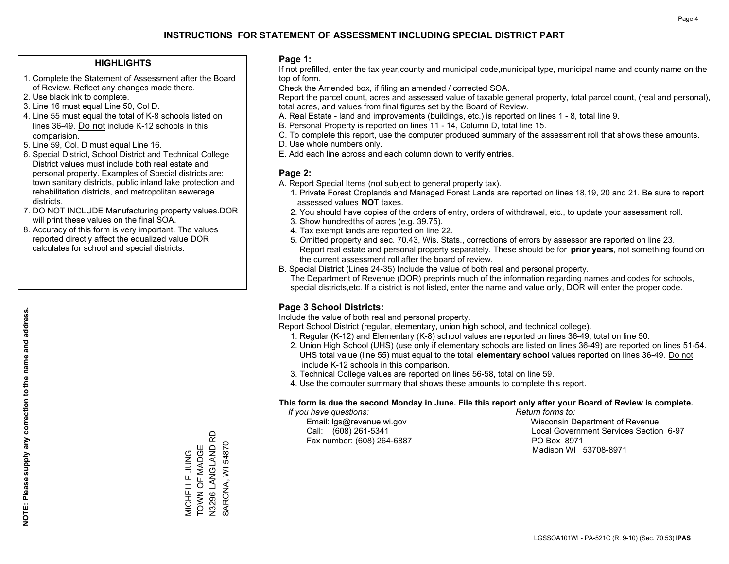#### **HIGHLIGHTS**

- 1. Complete the Statement of Assessment after the Board of Review. Reflect any changes made there.
- 2. Use black ink to complete.
- 3. Line 16 must equal Line 50, Col D.
- 4. Line 55 must equal the total of K-8 schools listed on lines 36-49. Do not include K-12 schools in this comparision.
- 5. Line 59, Col. D must equal Line 16.
- 6. Special District, School District and Technical College District values must include both real estate and personal property. Examples of Special districts are: town sanitary districts, public inland lake protection and rehabilitation districts, and metropolitan sewerage districts.
- 7. DO NOT INCLUDE Manufacturing property values.DOR will print these values on the final SOA.

MICHELLE JUNG TOWN OF MADGE N3296 LANGLAND RD SARONA, WI 54870

MICHELLE JUNG<br>TOWN OF MADGE<br>N3296 LANGLAND RD

SARONA, WI 54870

 8. Accuracy of this form is very important. The values reported directly affect the equalized value DOR calculates for school and special districts.

#### **Page 1:**

 If not prefilled, enter the tax year,county and municipal code,municipal type, municipal name and county name on the top of form.

Check the Amended box, if filing an amended / corrected SOA.

 Report the parcel count, acres and assessed value of taxable general property, total parcel count, (real and personal), total acres, and values from final figures set by the Board of Review.

- A. Real Estate land and improvements (buildings, etc.) is reported on lines 1 8, total line 9.
- B. Personal Property is reported on lines 11 14, Column D, total line 15.
- C. To complete this report, use the computer produced summary of the assessment roll that shows these amounts.
- D. Use whole numbers only.
- E. Add each line across and each column down to verify entries.

#### **Page 2:**

- A. Report Special Items (not subject to general property tax).
- 1. Private Forest Croplands and Managed Forest Lands are reported on lines 18,19, 20 and 21. Be sure to report assessed values **NOT** taxes.
- 2. You should have copies of the orders of entry, orders of withdrawal, etc., to update your assessment roll.
	- 3. Show hundredths of acres (e.g. 39.75).
- 4. Tax exempt lands are reported on line 22.
- 5. Omitted property and sec. 70.43, Wis. Stats., corrections of errors by assessor are reported on line 23. Report real estate and personal property separately. These should be for **prior years**, not something found on the current assessment roll after the board of review.
- B. Special District (Lines 24-35) Include the value of both real and personal property.

 The Department of Revenue (DOR) preprints much of the information regarding names and codes for schools, special districts,etc. If a district is not listed, enter the name and value only, DOR will enter the proper code.

### **Page 3 School Districts:**

Include the value of both real and personal property.

Report School District (regular, elementary, union high school, and technical college).

- 1. Regular (K-12) and Elementary (K-8) school values are reported on lines 36-49, total on line 50.
- 2. Union High School (UHS) (use only if elementary schools are listed on lines 36-49) are reported on lines 51-54. UHS total value (line 55) must equal to the total **elementary school** values reported on lines 36-49. Do notinclude K-12 schools in this comparison.
- 3. Technical College values are reported on lines 56-58, total on line 59.
- 4. Use the computer summary that shows these amounts to complete this report.

#### **This form is due the second Monday in June. File this report only after your Board of Review is complete.**

 *If you have questions: Return forms to:*

Fax number: (608) 264-6887 PO Box 8971

 Email: lgs@revenue.wi.gov Wisconsin Department of Revenue Call: (608) 261-5341 Local Government Services Section 6-97Madison WI 53708-8971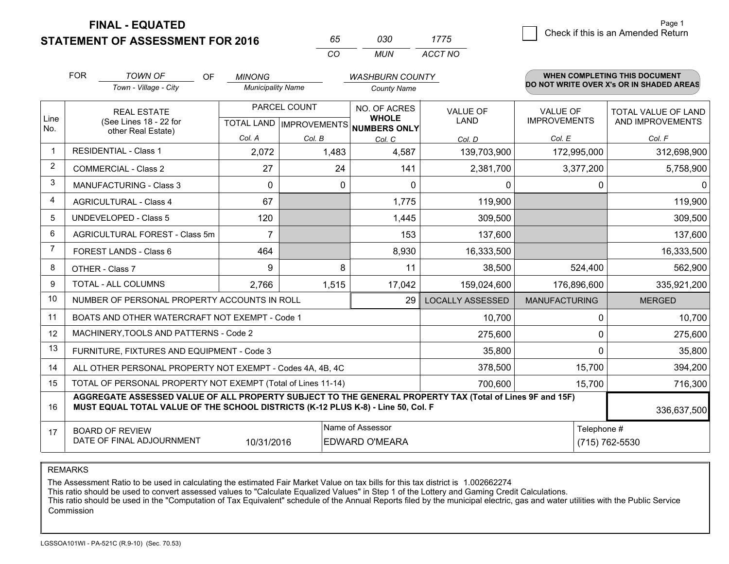**FINAL - EQUATED**

**STATEMENT OF ASSESSMENT FOR 2016** 

| 65       | กจก | 1775    |
|----------|-----|---------|
| $\alpha$ | MUN | ACCT NO |

|      | <b>FOR</b>                                                                                                                                                                                   | <b>TOWN OF</b><br>OF                                         | <b>MINONG</b>            |                                           | <b>WASHBURN COUNTY</b>       |                                |                                        | <b>WHEN COMPLETING THIS DOCUMENT</b>           |
|------|----------------------------------------------------------------------------------------------------------------------------------------------------------------------------------------------|--------------------------------------------------------------|--------------------------|-------------------------------------------|------------------------------|--------------------------------|----------------------------------------|------------------------------------------------|
|      |                                                                                                                                                                                              | Town - Village - City                                        | <b>Municipality Name</b> |                                           | <b>County Name</b>           |                                |                                        | DO NOT WRITE OVER X's OR IN SHADED AREAS       |
| Line |                                                                                                                                                                                              | <b>REAL ESTATE</b><br>(See Lines 18 - 22 for                 |                          | PARCEL COUNT<br>TOTAL LAND   IMPROVEMENTS | NO. OF ACRES<br><b>WHOLE</b> | <b>VALUE OF</b><br><b>LAND</b> | <b>VALUE OF</b><br><b>IMPROVEMENTS</b> | <b>TOTAL VALUE OF LAND</b><br>AND IMPROVEMENTS |
| No.  |                                                                                                                                                                                              | other Real Estate)                                           | Col. A                   | Col. B                                    | NUMBERS ONLY<br>Col. C       | Col. D                         | Col. E                                 | Col. F                                         |
|      |                                                                                                                                                                                              | <b>RESIDENTIAL - Class 1</b>                                 | 2,072                    | 1,483                                     | 4,587                        | 139,703,900                    | 172,995,000                            | 312,698,900                                    |
| 2    |                                                                                                                                                                                              | <b>COMMERCIAL - Class 2</b>                                  | 27                       | 24                                        | 141                          | 2,381,700                      | 3,377,200                              | 5,758,900                                      |
| 3    |                                                                                                                                                                                              | MANUFACTURING - Class 3                                      | 0                        | 0                                         | $\Omega$                     | 0                              | 0                                      | $\mathbf{0}$                                   |
| 4    |                                                                                                                                                                                              | <b>AGRICULTURAL - Class 4</b>                                | 67                       |                                           | 1,775                        | 119,900                        |                                        | 119,900                                        |
| 5    |                                                                                                                                                                                              | <b>UNDEVELOPED - Class 5</b>                                 | 120                      |                                           | 1,445                        | 309,500                        |                                        | 309,500                                        |
| 6    |                                                                                                                                                                                              | AGRICULTURAL FOREST - Class 5m                               | $\overline{7}$           |                                           | 153                          | 137,600                        |                                        | 137,600                                        |
| 7    |                                                                                                                                                                                              | FOREST LANDS - Class 6                                       | 464                      |                                           | 8,930                        | 16,333,500                     |                                        | 16,333,500                                     |
| 8    |                                                                                                                                                                                              | OTHER - Class 7                                              | 9                        | 8                                         | 11                           | 38,500                         | 524,400                                | 562,900                                        |
| 9    |                                                                                                                                                                                              | TOTAL - ALL COLUMNS                                          | 2,766                    | 1,515                                     | 17,042                       | 159,024,600                    | 176,896,600                            | 335,921,200                                    |
| 10   |                                                                                                                                                                                              | NUMBER OF PERSONAL PROPERTY ACCOUNTS IN ROLL                 |                          |                                           | 29                           | <b>LOCALLY ASSESSED</b>        | <b>MANUFACTURING</b>                   | <b>MERGED</b>                                  |
| 11   |                                                                                                                                                                                              | BOATS AND OTHER WATERCRAFT NOT EXEMPT - Code 1               |                          |                                           |                              | 10,700                         | 0                                      | 10,700                                         |
| 12   |                                                                                                                                                                                              | MACHINERY, TOOLS AND PATTERNS - Code 2                       |                          |                                           |                              | 275,600                        | $\Omega$                               | 275,600                                        |
| 13   |                                                                                                                                                                                              | FURNITURE, FIXTURES AND EQUIPMENT - Code 3                   |                          |                                           |                              | 35,800                         | $\Omega$                               | 35,800                                         |
| 14   |                                                                                                                                                                                              | ALL OTHER PERSONAL PROPERTY NOT EXEMPT - Codes 4A, 4B, 4C    |                          |                                           |                              | 378,500                        | 15,700                                 | 394,200                                        |
| 15   |                                                                                                                                                                                              | TOTAL OF PERSONAL PROPERTY NOT EXEMPT (Total of Lines 11-14) |                          |                                           | 700,600                      | 15,700                         | 716,300                                |                                                |
| 16   | AGGREGATE ASSESSED VALUE OF ALL PROPERTY SUBJECT TO THE GENERAL PROPERTY TAX (Total of Lines 9F and 15F)<br>MUST EQUAL TOTAL VALUE OF THE SCHOOL DISTRICTS (K-12 PLUS K-8) - Line 50, Col. F |                                                              |                          |                                           |                              |                                | 336,637,500                            |                                                |
| 17   | Name of Assessor<br><b>BOARD OF REVIEW</b><br>DATE OF FINAL ADJOURNMENT<br>10/31/2016<br><b>EDWARD O'MEARA</b>                                                                               |                                                              |                          |                                           |                              |                                | Telephone #                            | (715) 762-5530                                 |

REMARKS

The Assessment Ratio to be used in calculating the estimated Fair Market Value on tax bills for this tax district is 1.002662274<br>This ratio should be used to convert assessed values to "Calculate Equalized Values" in Step Commission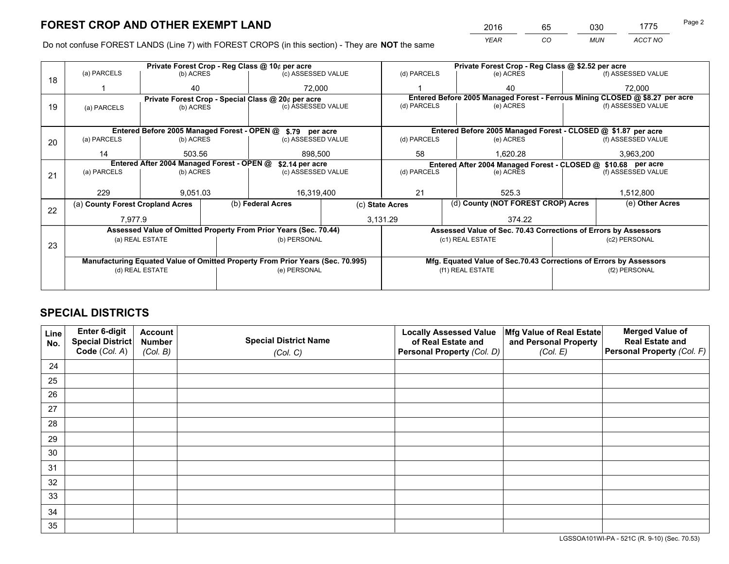*YEAR CO MUN ACCT NO* <sup>2016</sup> <sup>65</sup> <sup>030</sup> <sup>1775</sup>

Do not confuse FOREST LANDS (Line 7) with FOREST CROPS (in this section) - They are **NOT** the same

|    | Private Forest Crop - Reg Class @ 10¢ per acre                                 |                 |  |                                                                  |                 | Private Forest Crop - Reg Class @ \$2.52 per acre |                                                                              |               |                    |  |
|----|--------------------------------------------------------------------------------|-----------------|--|------------------------------------------------------------------|-----------------|---------------------------------------------------|------------------------------------------------------------------------------|---------------|--------------------|--|
| 18 | (a) PARCELS                                                                    | (b) ACRES       |  | (c) ASSESSED VALUE                                               |                 | (d) PARCELS                                       | (e) ACRES                                                                    |               | (f) ASSESSED VALUE |  |
|    |                                                                                | 40              |  | 72.000                                                           |                 |                                                   | 40                                                                           |               | 72,000             |  |
|    |                                                                                |                 |  | Private Forest Crop - Special Class @ 20¢ per acre               |                 |                                                   | Entered Before 2005 Managed Forest - Ferrous Mining CLOSED @ \$8.27 per acre |               |                    |  |
| 19 | (a) PARCELS                                                                    | (b) ACRES       |  | (c) ASSESSED VALUE                                               |                 | (d) PARCELS                                       | (e) ACRES                                                                    |               | (f) ASSESSED VALUE |  |
|    |                                                                                |                 |  |                                                                  |                 |                                                   |                                                                              |               |                    |  |
|    |                                                                                |                 |  | Entered Before 2005 Managed Forest - OPEN @ \$.79 per acre       |                 |                                                   | Entered Before 2005 Managed Forest - CLOSED @ \$1.87 per acre                |               |                    |  |
| 20 | (a) PARCELS                                                                    | (b) ACRES       |  | (c) ASSESSED VALUE                                               |                 | (d) PARCELS                                       | (e) ACRES                                                                    |               | (f) ASSESSED VALUE |  |
|    | 14                                                                             | 503.56          |  | 898.500                                                          |                 | 58                                                | 1,620.28                                                                     |               | 3,963,200          |  |
|    | Entered After 2004 Managed Forest - OPEN @<br>\$2.14 per acre                  |                 |  | Entered After 2004 Managed Forest - CLOSED @ \$10.68 per acre    |                 |                                                   |                                                                              |               |                    |  |
| 21 | (a) PARCELS                                                                    | (b) ACRES       |  | (c) ASSESSED VALUE                                               |                 | (d) PARCELS<br>(e) ACRES                          |                                                                              |               | (f) ASSESSED VALUE |  |
|    |                                                                                |                 |  |                                                                  |                 |                                                   |                                                                              |               |                    |  |
|    | 229                                                                            | 9,051.03        |  | 16,319,400                                                       |                 | 21                                                | 525.3                                                                        |               | 1,512,800          |  |
| 22 | (a) County Forest Cropland Acres                                               |                 |  | (b) Federal Acres                                                | (c) State Acres |                                                   | (d) County (NOT FOREST CROP) Acres                                           |               | (e) Other Acres    |  |
|    | 7,977.9                                                                        |                 |  | 3,131.29                                                         |                 | 374.22                                            |                                                                              |               |                    |  |
|    |                                                                                |                 |  | Assessed Value of Omitted Property From Prior Years (Sec. 70.44) |                 |                                                   | Assessed Value of Sec. 70.43 Corrections of Errors by Assessors              |               |                    |  |
|    |                                                                                | (a) REAL ESTATE |  | (b) PERSONAL                                                     |                 |                                                   | (c1) REAL ESTATE                                                             |               | (c2) PERSONAL      |  |
| 23 |                                                                                |                 |  |                                                                  |                 |                                                   |                                                                              |               |                    |  |
|    | Manufacturing Equated Value of Omitted Property From Prior Years (Sec. 70.995) |                 |  |                                                                  |                 |                                                   | Mfg. Equated Value of Sec.70.43 Corrections of Errors by Assessors           |               |                    |  |
|    | (d) REAL ESTATE                                                                |                 |  | (e) PERSONAL                                                     |                 | (f1) REAL ESTATE                                  |                                                                              | (f2) PERSONAL |                    |  |
|    |                                                                                |                 |  |                                                                  |                 |                                                   |                                                                              |               |                    |  |

## **SPECIAL DISTRICTS**

| Line<br>No. | Enter 6-digit<br>Special District<br>Code (Col. A) | <b>Account</b><br><b>Number</b><br>(Col. B) | <b>Special District Name</b><br>(Col. C) | <b>Locally Assessed Value</b><br>of Real Estate and<br>Personal Property (Col. D) | Mfg Value of Real Estate<br>and Personal Property<br>(Col. E) | <b>Merged Value of</b><br><b>Real Estate and</b><br>Personal Property (Col. F) |
|-------------|----------------------------------------------------|---------------------------------------------|------------------------------------------|-----------------------------------------------------------------------------------|---------------------------------------------------------------|--------------------------------------------------------------------------------|
| 24          |                                                    |                                             |                                          |                                                                                   |                                                               |                                                                                |
| 25          |                                                    |                                             |                                          |                                                                                   |                                                               |                                                                                |
| 26          |                                                    |                                             |                                          |                                                                                   |                                                               |                                                                                |
| 27          |                                                    |                                             |                                          |                                                                                   |                                                               |                                                                                |
| 28          |                                                    |                                             |                                          |                                                                                   |                                                               |                                                                                |
| 29          |                                                    |                                             |                                          |                                                                                   |                                                               |                                                                                |
| 30          |                                                    |                                             |                                          |                                                                                   |                                                               |                                                                                |
| 31          |                                                    |                                             |                                          |                                                                                   |                                                               |                                                                                |
| 32          |                                                    |                                             |                                          |                                                                                   |                                                               |                                                                                |
| 33          |                                                    |                                             |                                          |                                                                                   |                                                               |                                                                                |
| 34          |                                                    |                                             |                                          |                                                                                   |                                                               |                                                                                |
| 35          |                                                    |                                             |                                          |                                                                                   |                                                               |                                                                                |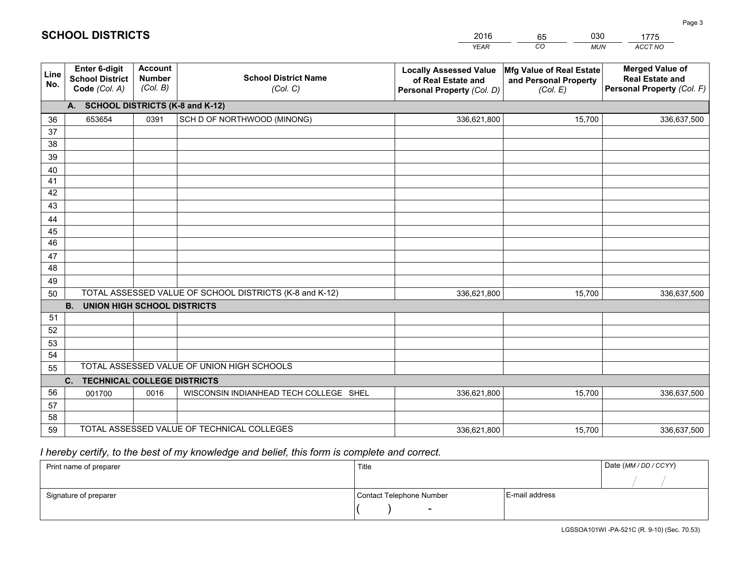|                 |                                                                 |                                             |                                                         | <b>YEAR</b>                                                                       | CO<br><b>MUN</b>                                              | ACCT NO                                                                        |
|-----------------|-----------------------------------------------------------------|---------------------------------------------|---------------------------------------------------------|-----------------------------------------------------------------------------------|---------------------------------------------------------------|--------------------------------------------------------------------------------|
| Line<br>No.     | <b>Enter 6-digit</b><br><b>School District</b><br>Code (Col. A) | <b>Account</b><br><b>Number</b><br>(Col. B) | <b>School District Name</b><br>(Col. C)                 | <b>Locally Assessed Value</b><br>of Real Estate and<br>Personal Property (Col. D) | Mfg Value of Real Estate<br>and Personal Property<br>(Col. E) | <b>Merged Value of</b><br><b>Real Estate and</b><br>Personal Property (Col. F) |
|                 | A. SCHOOL DISTRICTS (K-8 and K-12)                              |                                             |                                                         |                                                                                   |                                                               |                                                                                |
| 36              | 653654                                                          | 0391                                        | SCH D OF NORTHWOOD (MINONG)                             | 336,621,800                                                                       | 15,700                                                        | 336,637,500                                                                    |
| 37              |                                                                 |                                             |                                                         |                                                                                   |                                                               |                                                                                |
| 38              |                                                                 |                                             |                                                         |                                                                                   |                                                               |                                                                                |
| 39              |                                                                 |                                             |                                                         |                                                                                   |                                                               |                                                                                |
| 40              |                                                                 |                                             |                                                         |                                                                                   |                                                               |                                                                                |
| 41<br>42        |                                                                 |                                             |                                                         |                                                                                   |                                                               |                                                                                |
| 43              |                                                                 |                                             |                                                         |                                                                                   |                                                               |                                                                                |
| 44              |                                                                 |                                             |                                                         |                                                                                   |                                                               |                                                                                |
| 45              |                                                                 |                                             |                                                         |                                                                                   |                                                               |                                                                                |
| $\overline{46}$ |                                                                 |                                             |                                                         |                                                                                   |                                                               |                                                                                |
| 47              |                                                                 |                                             |                                                         |                                                                                   |                                                               |                                                                                |
| 48              |                                                                 |                                             |                                                         |                                                                                   |                                                               |                                                                                |
| 49              |                                                                 |                                             |                                                         |                                                                                   |                                                               |                                                                                |
| 50              |                                                                 |                                             | TOTAL ASSESSED VALUE OF SCHOOL DISTRICTS (K-8 and K-12) | 336,621,800                                                                       | 15,700                                                        | 336,637,500                                                                    |
|                 | <b>B.</b><br><b>UNION HIGH SCHOOL DISTRICTS</b>                 |                                             |                                                         |                                                                                   |                                                               |                                                                                |
| 51              |                                                                 |                                             |                                                         |                                                                                   |                                                               |                                                                                |
| 52              |                                                                 |                                             |                                                         |                                                                                   |                                                               |                                                                                |
| 53              |                                                                 |                                             |                                                         |                                                                                   |                                                               |                                                                                |
| 54              |                                                                 |                                             |                                                         |                                                                                   |                                                               |                                                                                |
|                 | TOTAL ASSESSED VALUE OF UNION HIGH SCHOOLS<br>55                |                                             |                                                         |                                                                                   |                                                               |                                                                                |
| 56              | C.<br><b>TECHNICAL COLLEGE DISTRICTS</b>                        |                                             |                                                         |                                                                                   |                                                               |                                                                                |
| 57              | 001700                                                          | 0016                                        | WISCONSIN INDIANHEAD TECH COLLEGE SHEL                  | 336,621,800                                                                       | 15,700                                                        | 336,637,500                                                                    |
| 58              |                                                                 |                                             |                                                         |                                                                                   |                                                               |                                                                                |
| 59              |                                                                 |                                             | TOTAL ASSESSED VALUE OF TECHNICAL COLLEGES              | 336,621,800                                                                       | 15,700                                                        | 336,637,500                                                                    |
|                 |                                                                 |                                             |                                                         |                                                                                   |                                                               |                                                                                |

65

030

 *I hereby certify, to the best of my knowledge and belief, this form is complete and correct.*

**SCHOOL DISTRICTS**

| Print name of preparer | Title                    |                | Date (MM / DD / CCYY) |
|------------------------|--------------------------|----------------|-----------------------|
|                        |                          |                |                       |
| Signature of preparer  | Contact Telephone Number | E-mail address |                       |
|                        | $\overline{\phantom{a}}$ |                |                       |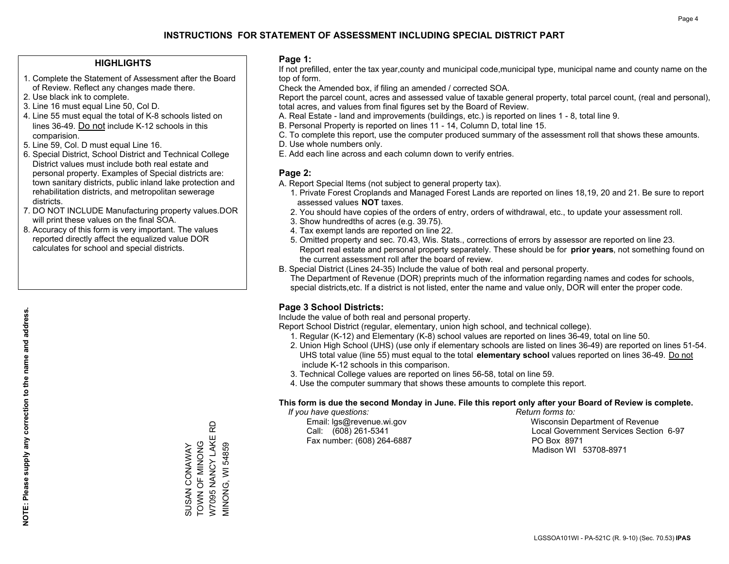#### **HIGHLIGHTS**

- 1. Complete the Statement of Assessment after the Board of Review. Reflect any changes made there.
- 2. Use black ink to complete.

**NOTE: Please supply any correction to the name and address.**

NOTE: Please supply any correction to the name and address.

- 3. Line 16 must equal Line 50, Col D.
- 4. Line 55 must equal the total of K-8 schools listed on lines 36-49. Do not include K-12 schools in this comparision.
- 5. Line 59, Col. D must equal Line 16.
- 6. Special District, School District and Technical College District values must include both real estate and personal property. Examples of Special districts are: town sanitary districts, public inland lake protection and rehabilitation districts, and metropolitan sewerage districts.
- 7. DO NOT INCLUDE Manufacturing property values.DOR will print these values on the final SOA.
- 8. Accuracy of this form is very important. The values reported directly affect the equalized value DOR calculates for school and special districts.

#### **Page 1:**

 If not prefilled, enter the tax year,county and municipal code,municipal type, municipal name and county name on the top of form.

Check the Amended box, if filing an amended / corrected SOA.

 Report the parcel count, acres and assessed value of taxable general property, total parcel count, (real and personal), total acres, and values from final figures set by the Board of Review.

- A. Real Estate land and improvements (buildings, etc.) is reported on lines 1 8, total line 9.
- B. Personal Property is reported on lines 11 14, Column D, total line 15.
- C. To complete this report, use the computer produced summary of the assessment roll that shows these amounts.
- D. Use whole numbers only.
- E. Add each line across and each column down to verify entries.

#### **Page 2:**

- A. Report Special Items (not subject to general property tax).
- 1. Private Forest Croplands and Managed Forest Lands are reported on lines 18,19, 20 and 21. Be sure to report assessed values **NOT** taxes.
- 2. You should have copies of the orders of entry, orders of withdrawal, etc., to update your assessment roll.
	- 3. Show hundredths of acres (e.g. 39.75).
- 4. Tax exempt lands are reported on line 22.
- 5. Omitted property and sec. 70.43, Wis. Stats., corrections of errors by assessor are reported on line 23. Report real estate and personal property separately. These should be for **prior years**, not something found on the current assessment roll after the board of review.
- B. Special District (Lines 24-35) Include the value of both real and personal property.
- The Department of Revenue (DOR) preprints much of the information regarding names and codes for schools, special districts,etc. If a district is not listed, enter the name and value only, DOR will enter the proper code.

### **Page 3 School Districts:**

Include the value of both real and personal property.

Report School District (regular, elementary, union high school, and technical college).

- 1. Regular (K-12) and Elementary (K-8) school values are reported on lines 36-49, total on line 50.
- 2. Union High School (UHS) (use only if elementary schools are listed on lines 36-49) are reported on lines 51-54. UHS total value (line 55) must equal to the total **elementary school** values reported on lines 36-49. Do notinclude K-12 schools in this comparison.
- 3. Technical College values are reported on lines 56-58, total on line 59.
- 4. Use the computer summary that shows these amounts to complete this report.

#### **This form is due the second Monday in June. File this report only after your Board of Review is complete.**

 *If you have questions: Return forms to:*

Fax number: (608) 264-6887 PO Box 8971

 Email: lgs@revenue.wi.gov Wisconsin Department of Revenue Call: (608) 261-5341 Local Government Services Section 6-97Madison WI 53708-8971

W7095 NANCY LAKE RD W7095 NANCY LAKE RD TOWN OF MINONG SUSAN CONAWAY<br>TOWN OF MINONG MINONG, WI 54859 SUSAN CONAWAY MINONG, WI 54859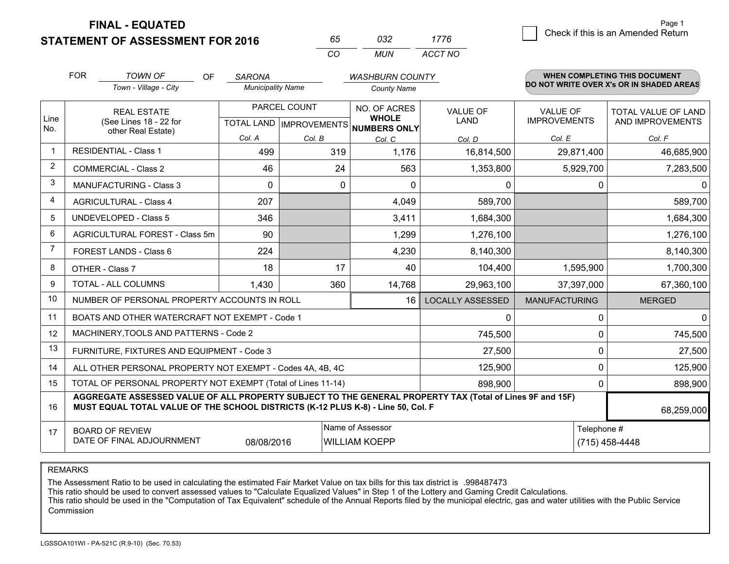**FINAL - EQUATED**

**STATEMENT OF ASSESSMENT FOR 2016** 

| 65.      | กจว | 1776    |
|----------|-----|---------|
| $\alpha$ | MUN | ACCT NO |

|                | <b>FOR</b>                                                                                                                                                                                   | <b>TOWN OF</b><br><b>OF</b>                                        | <b>SARONA</b>            |              | <b>WASHBURN COUNTY</b>                                                   |                         |                                        | <b>WHEN COMPLETING THIS DOCUMENT</b>     |
|----------------|----------------------------------------------------------------------------------------------------------------------------------------------------------------------------------------------|--------------------------------------------------------------------|--------------------------|--------------|--------------------------------------------------------------------------|-------------------------|----------------------------------------|------------------------------------------|
|                |                                                                                                                                                                                              | Town - Village - City                                              | <b>Municipality Name</b> |              | <b>County Name</b>                                                       |                         |                                        | DO NOT WRITE OVER X's OR IN SHADED AREAS |
| Line<br>No.    |                                                                                                                                                                                              | <b>REAL ESTATE</b><br>(See Lines 18 - 22 for<br>other Real Estate) |                          | PARCEL COUNT | NO. OF ACRES<br><b>WHOLE</b><br>TOTAL LAND   IMPROVEMENTS   NUMBERS ONLY | VALUE OF<br><b>LAND</b> | <b>VALUE OF</b><br><b>IMPROVEMENTS</b> | TOTAL VALUE OF LAND<br>AND IMPROVEMENTS  |
|                |                                                                                                                                                                                              | Col. A                                                             | Col. B                   | Col. C       | Col. D                                                                   | Col. E                  | Col. F                                 |                                          |
| $\mathbf 1$    |                                                                                                                                                                                              | <b>RESIDENTIAL - Class 1</b>                                       | 499                      | 319          | 1,176                                                                    | 16,814,500              | 29,871,400                             | 46,685,900                               |
| $\overline{2}$ |                                                                                                                                                                                              | <b>COMMERCIAL - Class 2</b>                                        | 46                       | 24           | 563                                                                      | 1,353,800               | 5,929,700                              | 7,283,500                                |
| 3              |                                                                                                                                                                                              | <b>MANUFACTURING - Class 3</b>                                     | $\Omega$                 | 0            | 0                                                                        | 0                       |                                        | 0<br>0                                   |
| 4              |                                                                                                                                                                                              | <b>AGRICULTURAL - Class 4</b>                                      | 207                      |              | 4,049                                                                    | 589,700                 |                                        | 589,700                                  |
| 5              |                                                                                                                                                                                              | <b>UNDEVELOPED - Class 5</b>                                       | 346                      |              | 3,411                                                                    | 1,684,300               |                                        | 1,684,300                                |
| 6              |                                                                                                                                                                                              | AGRICULTURAL FOREST - Class 5m                                     | 90                       |              | 1,299                                                                    | 1,276,100               |                                        | 1,276,100                                |
| 7              |                                                                                                                                                                                              | FOREST LANDS - Class 6                                             | 224                      |              | 4,230                                                                    | 8,140,300               |                                        | 8,140,300                                |
| 8              |                                                                                                                                                                                              | OTHER - Class 7                                                    | 18                       | 17           | 40                                                                       | 104,400                 | 1,595,900                              | 1,700,300                                |
| 9              |                                                                                                                                                                                              | TOTAL - ALL COLUMNS                                                | 1,430                    | 360          | 14,768                                                                   | 29,963,100              | 37,397,000                             | 67,360,100                               |
| 10             |                                                                                                                                                                                              | NUMBER OF PERSONAL PROPERTY ACCOUNTS IN ROLL                       |                          |              | $16 \mid$                                                                | <b>LOCALLY ASSESSED</b> | <b>MANUFACTURING</b>                   | <b>MERGED</b>                            |
| 11             |                                                                                                                                                                                              | BOATS AND OTHER WATERCRAFT NOT EXEMPT - Code 1                     |                          |              |                                                                          | $\mathbf{0}$            |                                        | 0<br>$\Omega$                            |
| 12             |                                                                                                                                                                                              | MACHINERY, TOOLS AND PATTERNS - Code 2                             |                          |              |                                                                          | 745,500                 |                                        | 745,500<br>0                             |
| 13             |                                                                                                                                                                                              | FURNITURE, FIXTURES AND EQUIPMENT - Code 3                         |                          |              |                                                                          | 27,500                  |                                        | 0<br>27,500                              |
| 14             |                                                                                                                                                                                              | ALL OTHER PERSONAL PROPERTY NOT EXEMPT - Codes 4A, 4B, 4C          |                          |              |                                                                          | 125,900                 |                                        | $\Omega$<br>125,900                      |
| 15             |                                                                                                                                                                                              | TOTAL OF PERSONAL PROPERTY NOT EXEMPT (Total of Lines 11-14)       | 898,900                  |              | 898,900<br>0                                                             |                         |                                        |                                          |
| 16             | AGGREGATE ASSESSED VALUE OF ALL PROPERTY SUBJECT TO THE GENERAL PROPERTY TAX (Total of Lines 9F and 15F)<br>MUST EQUAL TOTAL VALUE OF THE SCHOOL DISTRICTS (K-12 PLUS K-8) - Line 50, Col. F |                                                                    |                          |              |                                                                          |                         |                                        | 68,259,000                               |
| 17             | Name of Assessor<br><b>BOARD OF REVIEW</b><br>DATE OF FINAL ADJOURNMENT<br>08/08/2016<br><b>WILLIAM KOEPP</b>                                                                                |                                                                    |                          |              |                                                                          |                         | Telephone #<br>(715) 458-4448          |                                          |

REMARKS

The Assessment Ratio to be used in calculating the estimated Fair Market Value on tax bills for this tax district is .998487473<br>This ratio should be used to convert assessed values to "Calculate Equalized Values" in Step 1 Commission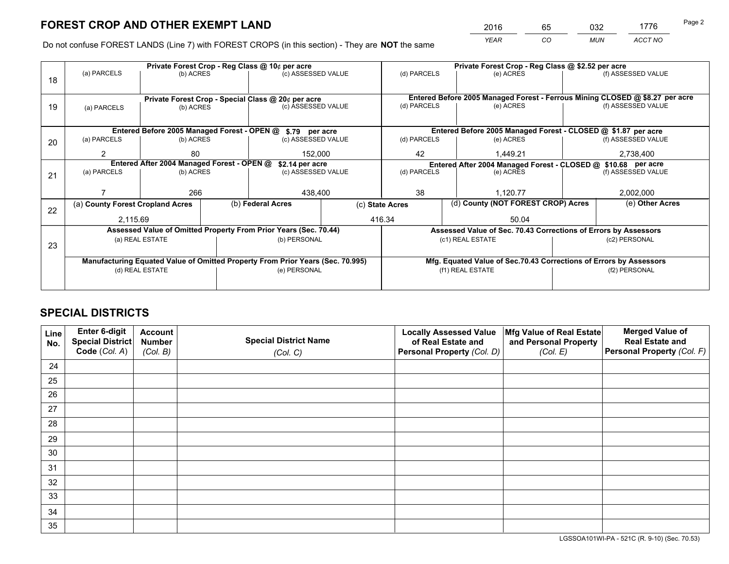*YEAR CO MUN ACCT NO* <sup>2016</sup> <sup>65</sup> <sup>032</sup> <sup>1776</sup>

Do not confuse FOREST LANDS (Line 7) with FOREST CROPS (in this section) - They are **NOT** the same

|    |                                                               |                 |  | Private Forest Crop - Reg Class @ 10¢ per acre                                 |  | Private Forest Crop - Reg Class @ \$2.52 per acre             |                                                                              |           |                                                               |  |  |
|----|---------------------------------------------------------------|-----------------|--|--------------------------------------------------------------------------------|--|---------------------------------------------------------------|------------------------------------------------------------------------------|-----------|---------------------------------------------------------------|--|--|
| 18 | (a) PARCELS                                                   | (b) ACRES       |  | (c) ASSESSED VALUE                                                             |  | (d) PARCELS                                                   | (e) ACRES                                                                    |           | (f) ASSESSED VALUE                                            |  |  |
|    |                                                               |                 |  |                                                                                |  |                                                               |                                                                              |           |                                                               |  |  |
|    |                                                               |                 |  | Private Forest Crop - Special Class @ 20¢ per acre                             |  |                                                               | Entered Before 2005 Managed Forest - Ferrous Mining CLOSED @ \$8.27 per acre |           |                                                               |  |  |
| 19 | (a) PARCELS                                                   | (b) ACRES       |  | (c) ASSESSED VALUE                                                             |  | (d) PARCELS                                                   | (e) ACRES                                                                    |           | (f) ASSESSED VALUE                                            |  |  |
|    |                                                               |                 |  |                                                                                |  |                                                               |                                                                              |           |                                                               |  |  |
|    | Entered Before 2005 Managed Forest - OPEN @ \$.79 per acre    |                 |  |                                                                                |  | Entered Before 2005 Managed Forest - CLOSED @ \$1.87 per acre |                                                                              |           |                                                               |  |  |
| 20 | (a) PARCELS                                                   | (b) ACRES       |  | (c) ASSESSED VALUE                                                             |  | (d) PARCELS                                                   | (e) ACRES                                                                    |           | (f) ASSESSED VALUE                                            |  |  |
|    | 2                                                             | 80              |  | 152,000                                                                        |  | 42                                                            | 1,449.21                                                                     | 2,738,400 |                                                               |  |  |
|    | Entered After 2004 Managed Forest - OPEN @<br>\$2.14 per acre |                 |  |                                                                                |  |                                                               |                                                                              |           | Entered After 2004 Managed Forest - CLOSED @ \$10.68 per acre |  |  |
| 21 | (a) PARCELS                                                   | (b) ACRES       |  | (c) ASSESSED VALUE                                                             |  | (d) PARCELS<br>(e) ACRES                                      |                                                                              |           | (f) ASSESSED VALUE                                            |  |  |
|    |                                                               |                 |  |                                                                                |  |                                                               |                                                                              |           |                                                               |  |  |
|    |                                                               | 266             |  | 438,400                                                                        |  | 38<br>1,120.77                                                |                                                                              |           | 2,002,000                                                     |  |  |
| 22 | (a) County Forest Cropland Acres                              |                 |  | (b) Federal Acres                                                              |  | (c) State Acres                                               | (d) County (NOT FOREST CROP) Acres                                           |           | (e) Other Acres                                               |  |  |
|    | 2,115.69                                                      |                 |  |                                                                                |  | 416.34                                                        | 50.04                                                                        |           |                                                               |  |  |
|    |                                                               |                 |  | Assessed Value of Omitted Property From Prior Years (Sec. 70.44)               |  |                                                               | Assessed Value of Sec. 70.43 Corrections of Errors by Assessors              |           |                                                               |  |  |
|    |                                                               | (a) REAL ESTATE |  | (b) PERSONAL                                                                   |  |                                                               | (c1) REAL ESTATE                                                             |           | (c2) PERSONAL                                                 |  |  |
| 23 |                                                               |                 |  |                                                                                |  |                                                               |                                                                              |           |                                                               |  |  |
|    |                                                               |                 |  | Manufacturing Equated Value of Omitted Property From Prior Years (Sec. 70.995) |  |                                                               | Mfg. Equated Value of Sec.70.43 Corrections of Errors by Assessors           |           |                                                               |  |  |
|    | (d) REAL ESTATE                                               |                 |  | (e) PERSONAL                                                                   |  |                                                               | (f1) REAL ESTATE                                                             |           | (f2) PERSONAL                                                 |  |  |
|    |                                                               |                 |  |                                                                                |  |                                                               |                                                                              |           |                                                               |  |  |
|    |                                                               |                 |  |                                                                                |  |                                                               |                                                                              |           |                                                               |  |  |

## **SPECIAL DISTRICTS**

| Line<br>No. | Enter 6-digit<br>Special District<br>Code (Col. A) | <b>Account</b><br><b>Number</b><br>(Col. B) | <b>Special District Name</b><br>(Col. C) | <b>Locally Assessed Value</b><br>of Real Estate and<br>Personal Property (Col. D) | Mfg Value of Real Estate<br>and Personal Property<br>(Col. E) | <b>Merged Value of</b><br><b>Real Estate and</b><br>Personal Property (Col. F) |
|-------------|----------------------------------------------------|---------------------------------------------|------------------------------------------|-----------------------------------------------------------------------------------|---------------------------------------------------------------|--------------------------------------------------------------------------------|
| 24          |                                                    |                                             |                                          |                                                                                   |                                                               |                                                                                |
| 25          |                                                    |                                             |                                          |                                                                                   |                                                               |                                                                                |
| 26          |                                                    |                                             |                                          |                                                                                   |                                                               |                                                                                |
| 27          |                                                    |                                             |                                          |                                                                                   |                                                               |                                                                                |
| 28          |                                                    |                                             |                                          |                                                                                   |                                                               |                                                                                |
| 29          |                                                    |                                             |                                          |                                                                                   |                                                               |                                                                                |
| 30          |                                                    |                                             |                                          |                                                                                   |                                                               |                                                                                |
| 31          |                                                    |                                             |                                          |                                                                                   |                                                               |                                                                                |
| 32          |                                                    |                                             |                                          |                                                                                   |                                                               |                                                                                |
| 33          |                                                    |                                             |                                          |                                                                                   |                                                               |                                                                                |
| 34          |                                                    |                                             |                                          |                                                                                   |                                                               |                                                                                |
| 35          |                                                    |                                             |                                          |                                                                                   |                                                               |                                                                                |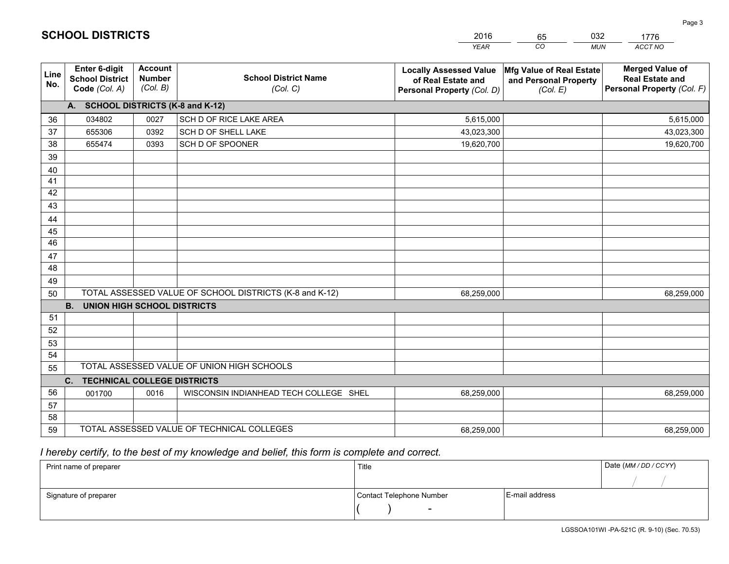|             |                                                          |                                             |                                                         | <b>YEAR</b>                                                                       | CO<br><b>MUN</b>                                              | ACCT NO                                                                        |
|-------------|----------------------------------------------------------|---------------------------------------------|---------------------------------------------------------|-----------------------------------------------------------------------------------|---------------------------------------------------------------|--------------------------------------------------------------------------------|
| Line<br>No. | Enter 6-digit<br><b>School District</b><br>Code (Col. A) | <b>Account</b><br><b>Number</b><br>(Col. B) | <b>School District Name</b><br>(Col. C)                 | <b>Locally Assessed Value</b><br>of Real Estate and<br>Personal Property (Col. D) | Mfg Value of Real Estate<br>and Personal Property<br>(Col. E) | <b>Merged Value of</b><br><b>Real Estate and</b><br>Personal Property (Col. F) |
|             | A. SCHOOL DISTRICTS (K-8 and K-12)                       |                                             |                                                         |                                                                                   |                                                               |                                                                                |
| 36          | 034802                                                   | 0027                                        | SCH D OF RICE LAKE AREA                                 | 5,615,000                                                                         |                                                               | 5,615,000                                                                      |
| 37          | 655306                                                   | 0392                                        | SCH D OF SHELL LAKE                                     | 43,023,300                                                                        |                                                               | 43,023,300                                                                     |
| 38          | 655474                                                   | 0393                                        | SCH D OF SPOONER                                        | 19,620,700                                                                        |                                                               | 19,620,700                                                                     |
| 39          |                                                          |                                             |                                                         |                                                                                   |                                                               |                                                                                |
| 40          |                                                          |                                             |                                                         |                                                                                   |                                                               |                                                                                |
| 41          |                                                          |                                             |                                                         |                                                                                   |                                                               |                                                                                |
| 42          |                                                          |                                             |                                                         |                                                                                   |                                                               |                                                                                |
| 43          |                                                          |                                             |                                                         |                                                                                   |                                                               |                                                                                |
| 44          |                                                          |                                             |                                                         |                                                                                   |                                                               |                                                                                |
| 45          |                                                          |                                             |                                                         |                                                                                   |                                                               |                                                                                |
| 46          |                                                          |                                             |                                                         |                                                                                   |                                                               |                                                                                |
| 47          |                                                          |                                             |                                                         |                                                                                   |                                                               |                                                                                |
| 48          |                                                          |                                             |                                                         |                                                                                   |                                                               |                                                                                |
| 49          |                                                          |                                             |                                                         |                                                                                   |                                                               |                                                                                |
| 50          |                                                          |                                             | TOTAL ASSESSED VALUE OF SCHOOL DISTRICTS (K-8 and K-12) | 68,259,000                                                                        |                                                               | 68,259,000                                                                     |
|             | <b>B.</b><br><b>UNION HIGH SCHOOL DISTRICTS</b>          |                                             |                                                         |                                                                                   |                                                               |                                                                                |
| 51          |                                                          |                                             |                                                         |                                                                                   |                                                               |                                                                                |
| 52          |                                                          |                                             |                                                         |                                                                                   |                                                               |                                                                                |
| 53<br>54    |                                                          |                                             |                                                         |                                                                                   |                                                               |                                                                                |
| 55          |                                                          |                                             | TOTAL ASSESSED VALUE OF UNION HIGH SCHOOLS              |                                                                                   |                                                               |                                                                                |
|             | C. TECHNICAL COLLEGE DISTRICTS                           |                                             |                                                         |                                                                                   |                                                               |                                                                                |
| 56          | 001700                                                   | 0016                                        | WISCONSIN INDIANHEAD TECH COLLEGE SHEL                  | 68,259,000                                                                        |                                                               | 68,259,000                                                                     |
| 57          |                                                          |                                             |                                                         |                                                                                   |                                                               |                                                                                |
| 58          |                                                          |                                             |                                                         |                                                                                   |                                                               |                                                                                |
| 59          |                                                          |                                             | TOTAL ASSESSED VALUE OF TECHNICAL COLLEGES              | 68,259,000                                                                        |                                                               | 68,259,000                                                                     |

65

032

 *I hereby certify, to the best of my knowledge and belief, this form is complete and correct.*

**SCHOOL DISTRICTS**

| Print name of preparer | Title                    |                | Date (MM/DD/CCYY) |
|------------------------|--------------------------|----------------|-------------------|
|                        |                          |                |                   |
| Signature of preparer  | Contact Telephone Number | E-mail address |                   |
|                        | $\overline{\phantom{a}}$ |                |                   |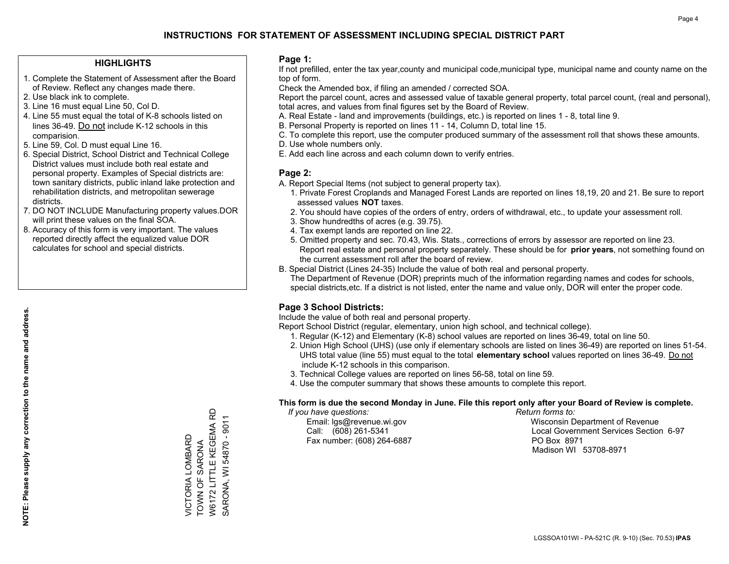#### **HIGHLIGHTS**

- 1. Complete the Statement of Assessment after the Board of Review. Reflect any changes made there.
- 2. Use black ink to complete.
- 3. Line 16 must equal Line 50, Col D.
- 4. Line 55 must equal the total of K-8 schools listed on lines 36-49. Do not include K-12 schools in this comparision.
- 5. Line 59, Col. D must equal Line 16.
- 6. Special District, School District and Technical College District values must include both real estate and personal property. Examples of Special districts are: town sanitary districts, public inland lake protection and rehabilitation districts, and metropolitan sewerage districts.
- 7. DO NOT INCLUDE Manufacturing property values.DOR will print these values on the final SOA.

VICTORIA LOMBARD TOWN OF SARONA

VICTORIA LOMBARD<br>TOWN OF SARONA

W6172 LITTLE KEGEMA RD SARONA, WI 54870 - 9011

W6172 LITTLE KEGEMA RD SARONA, WI 54870 - 9011

 8. Accuracy of this form is very important. The values reported directly affect the equalized value DOR calculates for school and special districts.

#### **Page 1:**

 If not prefilled, enter the tax year,county and municipal code,municipal type, municipal name and county name on the top of form.

Check the Amended box, if filing an amended / corrected SOA.

 Report the parcel count, acres and assessed value of taxable general property, total parcel count, (real and personal), total acres, and values from final figures set by the Board of Review.

- A. Real Estate land and improvements (buildings, etc.) is reported on lines 1 8, total line 9.
- B. Personal Property is reported on lines 11 14, Column D, total line 15.
- C. To complete this report, use the computer produced summary of the assessment roll that shows these amounts.
- D. Use whole numbers only.
- E. Add each line across and each column down to verify entries.

#### **Page 2:**

- A. Report Special Items (not subject to general property tax).
- 1. Private Forest Croplands and Managed Forest Lands are reported on lines 18,19, 20 and 21. Be sure to report assessed values **NOT** taxes.
- 2. You should have copies of the orders of entry, orders of withdrawal, etc., to update your assessment roll.
	- 3. Show hundredths of acres (e.g. 39.75).
- 4. Tax exempt lands are reported on line 22.
- 5. Omitted property and sec. 70.43, Wis. Stats., corrections of errors by assessor are reported on line 23. Report real estate and personal property separately. These should be for **prior years**, not something found on the current assessment roll after the board of review.
- B. Special District (Lines 24-35) Include the value of both real and personal property.
- The Department of Revenue (DOR) preprints much of the information regarding names and codes for schools, special districts,etc. If a district is not listed, enter the name and value only, DOR will enter the proper code.

### **Page 3 School Districts:**

Include the value of both real and personal property.

Report School District (regular, elementary, union high school, and technical college).

- 1. Regular (K-12) and Elementary (K-8) school values are reported on lines 36-49, total on line 50.
- 2. Union High School (UHS) (use only if elementary schools are listed on lines 36-49) are reported on lines 51-54. UHS total value (line 55) must equal to the total **elementary school** values reported on lines 36-49. Do notinclude K-12 schools in this comparison.
- 3. Technical College values are reported on lines 56-58, total on line 59.
- 4. Use the computer summary that shows these amounts to complete this report.

#### **This form is due the second Monday in June. File this report only after your Board of Review is complete.**

 *If you have questions: Return forms to:*

Fax number: (608) 264-6887 PO Box 8971

 Email: lgs@revenue.wi.gov Wisconsin Department of Revenue Call: (608) 261-5341 Local Government Services Section 6-97Madison WI 53708-8971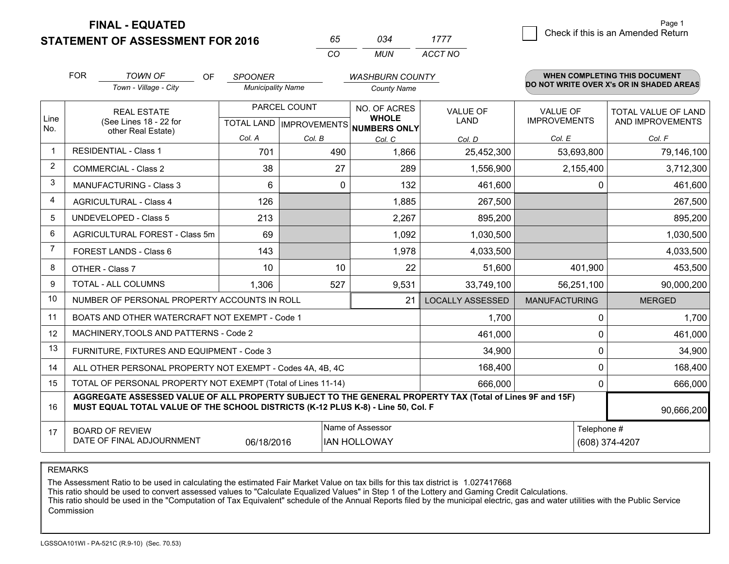**FINAL - EQUATED**

**STATEMENT OF ASSESSMENT FOR 2016** 

| 65.      | กจ⊿   | 1777    |
|----------|-------|---------|
| $\cdots$ | MI IN | ACCT NO |

|                                                                                  | <b>FOR</b>                                                                                                                                                                                   | <b>TOWN OF</b><br><b>OF</b>                                  | <b>SPOONER</b>                            |        | <b>WASHBURN COUNTY</b>                       |                         |                                        | <b>WHEN COMPLETING THIS DOCUMENT</b>     |
|----------------------------------------------------------------------------------|----------------------------------------------------------------------------------------------------------------------------------------------------------------------------------------------|--------------------------------------------------------------|-------------------------------------------|--------|----------------------------------------------|-------------------------|----------------------------------------|------------------------------------------|
|                                                                                  |                                                                                                                                                                                              | Town - Village - City                                        | <b>Municipality Name</b>                  |        | <b>County Name</b>                           |                         |                                        | DO NOT WRITE OVER X's OR IN SHADED AREAS |
| Line<br>No.                                                                      |                                                                                                                                                                                              | <b>REAL ESTATE</b><br>(See Lines 18 - 22 for                 | PARCEL COUNT<br>TOTAL LAND   IMPROVEMENTS |        | NO. OF ACRES<br><b>WHOLE</b><br>NUMBERS ONLY | VALUE OF<br><b>LAND</b> | <b>VALUE OF</b><br><b>IMPROVEMENTS</b> | TOTAL VALUE OF LAND<br>AND IMPROVEMENTS  |
|                                                                                  |                                                                                                                                                                                              | other Real Estate)                                           | Col. A                                    | Col. B | Col. C                                       | Col. D                  | Col. E                                 | Col. F                                   |
| -1                                                                               |                                                                                                                                                                                              | <b>RESIDENTIAL - Class 1</b>                                 | 701                                       | 490    | 1,866                                        | 25,452,300              | 53,693,800                             | 79,146,100                               |
| 2                                                                                |                                                                                                                                                                                              | <b>COMMERCIAL - Class 2</b>                                  | 38                                        | 27     | 289                                          | 1,556,900               | 2,155,400                              | 3,712,300                                |
| 3                                                                                |                                                                                                                                                                                              | <b>MANUFACTURING - Class 3</b>                               | 6                                         | 0      | 132                                          | 461,600                 |                                        | 461,600<br>0                             |
| 4                                                                                |                                                                                                                                                                                              | <b>AGRICULTURAL - Class 4</b>                                | 126                                       |        | 1,885                                        | 267,500                 |                                        | 267,500                                  |
| 5                                                                                |                                                                                                                                                                                              | <b>UNDEVELOPED - Class 5</b>                                 | 213                                       |        | 2,267                                        | 895,200                 |                                        | 895,200                                  |
| 6                                                                                |                                                                                                                                                                                              | AGRICULTURAL FOREST - Class 5m                               | 69                                        |        | 1,092                                        | 1,030,500               |                                        | 1,030,500                                |
| $\overline{7}$                                                                   |                                                                                                                                                                                              | FOREST LANDS - Class 6                                       | 143                                       |        | 1,978                                        | 4,033,500               |                                        | 4,033,500                                |
| 8                                                                                |                                                                                                                                                                                              | OTHER - Class 7                                              | 10                                        | 10     | 22                                           | 51,600                  | 401,900                                | 453,500                                  |
| 9                                                                                |                                                                                                                                                                                              | TOTAL - ALL COLUMNS                                          | 1,306                                     | 527    | 9,531                                        | 33,749,100              | 56,251,100                             | 90,000,200                               |
| 10                                                                               |                                                                                                                                                                                              | NUMBER OF PERSONAL PROPERTY ACCOUNTS IN ROLL                 |                                           |        | 21                                           | <b>LOCALLY ASSESSED</b> | <b>MANUFACTURING</b>                   | <b>MERGED</b>                            |
| 11                                                                               |                                                                                                                                                                                              | BOATS AND OTHER WATERCRAFT NOT EXEMPT - Code 1               |                                           |        |                                              | 1,700                   |                                        | 1,700<br>0                               |
| 12                                                                               |                                                                                                                                                                                              | MACHINERY, TOOLS AND PATTERNS - Code 2                       |                                           |        |                                              | 461,000                 |                                        | 461,000<br>$\Omega$                      |
| 13                                                                               |                                                                                                                                                                                              | FURNITURE, FIXTURES AND EQUIPMENT - Code 3                   |                                           |        |                                              | 34,900                  |                                        | 0<br>34,900                              |
| 14                                                                               |                                                                                                                                                                                              | ALL OTHER PERSONAL PROPERTY NOT EXEMPT - Codes 4A, 4B, 4C    |                                           |        |                                              | 168,400                 |                                        | 0<br>168,400                             |
| 15                                                                               |                                                                                                                                                                                              | TOTAL OF PERSONAL PROPERTY NOT EXEMPT (Total of Lines 11-14) |                                           |        |                                              | 666,000                 |                                        | 666,000<br>0                             |
| 16                                                                               | AGGREGATE ASSESSED VALUE OF ALL PROPERTY SUBJECT TO THE GENERAL PROPERTY TAX (Total of Lines 9F and 15F)<br>MUST EQUAL TOTAL VALUE OF THE SCHOOL DISTRICTS (K-12 PLUS K-8) - Line 50, Col. F |                                                              |                                           |        |                                              |                         |                                        | 90,666,200                               |
| 17                                                                               |                                                                                                                                                                                              | <b>BOARD OF REVIEW</b>                                       |                                           |        | Name of Assessor                             |                         |                                        | Telephone #                              |
| DATE OF FINAL ADJOURNMENT<br>06/18/2016<br><b>IAN HOLLOWAY</b><br>(608) 374-4207 |                                                                                                                                                                                              |                                                              |                                           |        |                                              |                         |                                        |                                          |

REMARKS

The Assessment Ratio to be used in calculating the estimated Fair Market Value on tax bills for this tax district is 1.027417668<br>This ratio should be used to convert assessed values to "Calculate Equalized Values" in Step Commission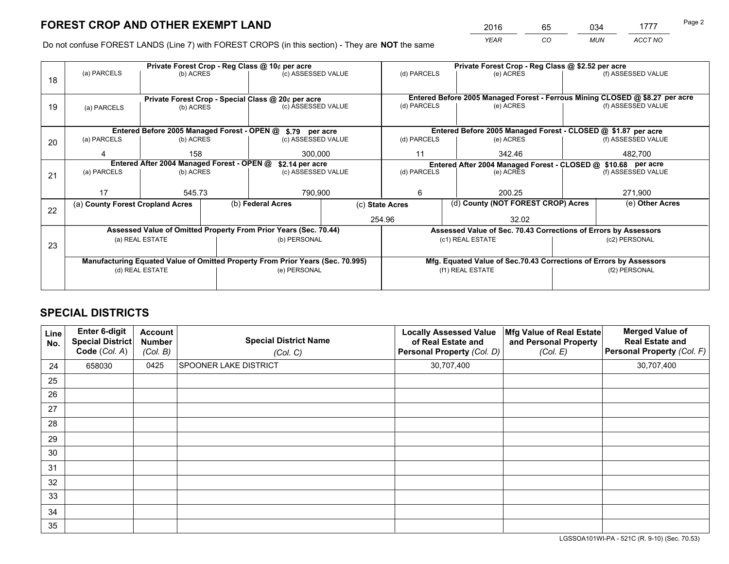*YEAR CO MUN ACCT NO* <sup>2016</sup> <sup>65</sup> <sup>034</sup> <sup>1777</sup> Page 2

Do not confuse FOREST LANDS (Line 7) with FOREST CROPS (in this section) - They are **NOT** the same

|    |                                                            |                                                               | Private Forest Crop - Reg Class @ \$2.52 per acre |                                                                                |  |                 |           |                                                                              |         |                    |  |
|----|------------------------------------------------------------|---------------------------------------------------------------|---------------------------------------------------|--------------------------------------------------------------------------------|--|-----------------|-----------|------------------------------------------------------------------------------|---------|--------------------|--|
| 18 | (a) PARCELS                                                | (b) ACRES                                                     |                                                   | (c) ASSESSED VALUE                                                             |  | (d) PARCELS     |           | (e) ACRES                                                                    |         | (f) ASSESSED VALUE |  |
|    |                                                            |                                                               |                                                   |                                                                                |  |                 |           |                                                                              |         |                    |  |
|    | Private Forest Crop - Special Class @ 20¢ per acre         |                                                               |                                                   |                                                                                |  |                 |           | Entered Before 2005 Managed Forest - Ferrous Mining CLOSED @ \$8.27 per acre |         |                    |  |
| 19 | (a) PARCELS                                                | (b) ACRES                                                     |                                                   | (c) ASSESSED VALUE                                                             |  | (d) PARCELS     |           | (e) ACRES                                                                    |         | (f) ASSESSED VALUE |  |
|    |                                                            |                                                               |                                                   |                                                                                |  |                 |           |                                                                              |         |                    |  |
|    | Entered Before 2005 Managed Forest - OPEN @ \$.79 per acre |                                                               |                                                   |                                                                                |  |                 |           | Entered Before 2005 Managed Forest - CLOSED @ \$1.87 per acre                |         |                    |  |
| 20 | (a) PARCELS                                                | (b) ACRES                                                     |                                                   | (c) ASSESSED VALUE                                                             |  | (d) PARCELS     |           | (e) ACRES                                                                    |         | (f) ASSESSED VALUE |  |
|    |                                                            | 158                                                           |                                                   | 300,000                                                                        |  | 11              | 342.46    |                                                                              | 482,700 |                    |  |
|    |                                                            | Entered After 2004 Managed Forest - OPEN @<br>\$2.14 per acre |                                                   |                                                                                |  |                 |           | Entered After 2004 Managed Forest - CLOSED @ \$10.68 per acre                |         |                    |  |
| 21 | (a) PARCELS                                                | (b) ACRES                                                     |                                                   | (c) ASSESSED VALUE                                                             |  | (d) PARCELS     | (e) ACRES |                                                                              |         | (f) ASSESSED VALUE |  |
|    |                                                            |                                                               |                                                   |                                                                                |  |                 |           |                                                                              |         |                    |  |
|    | 17                                                         | 545.73                                                        |                                                   | 790,900                                                                        |  | 6               |           | 200.25                                                                       |         | 271,900            |  |
| 22 | (a) County Forest Cropland Acres                           |                                                               |                                                   | (b) Federal Acres                                                              |  | (c) State Acres |           | (d) County (NOT FOREST CROP) Acres                                           |         | (e) Other Acres    |  |
|    |                                                            |                                                               |                                                   |                                                                                |  | 254.96          |           | 32.02                                                                        |         |                    |  |
|    |                                                            |                                                               |                                                   | Assessed Value of Omitted Property From Prior Years (Sec. 70.44)               |  |                 |           | Assessed Value of Sec. 70.43 Corrections of Errors by Assessors              |         |                    |  |
|    |                                                            | (a) REAL ESTATE                                               |                                                   | (b) PERSONAL                                                                   |  |                 |           | (c1) REAL ESTATE                                                             |         | (c2) PERSONAL      |  |
| 23 |                                                            |                                                               |                                                   |                                                                                |  |                 |           |                                                                              |         |                    |  |
|    |                                                            |                                                               |                                                   | Manufacturing Equated Value of Omitted Property From Prior Years (Sec. 70.995) |  |                 |           | Mfg. Equated Value of Sec.70.43 Corrections of Errors by Assessors           |         |                    |  |
|    |                                                            | (d) REAL ESTATE                                               |                                                   | (e) PERSONAL                                                                   |  |                 |           | (f1) REAL ESTATE                                                             |         | (f2) PERSONAL      |  |
|    |                                                            |                                                               |                                                   |                                                                                |  |                 |           |                                                                              |         |                    |  |

## **SPECIAL DISTRICTS**

| Line<br>No. | Enter 6-digit<br>Special District<br>Code (Col. A) | <b>Account</b><br><b>Number</b><br>(Col. B) | <b>Special District Name</b><br>(Col. C) | <b>Locally Assessed Value</b><br>of Real Estate and<br>Personal Property (Col. D) | Mfg Value of Real Estate<br>and Personal Property<br>(Col. E) | <b>Merged Value of</b><br><b>Real Estate and</b><br>Personal Property (Col. F) |
|-------------|----------------------------------------------------|---------------------------------------------|------------------------------------------|-----------------------------------------------------------------------------------|---------------------------------------------------------------|--------------------------------------------------------------------------------|
| 24          | 658030                                             | 0425                                        | <b>SPOONER LAKE DISTRICT</b>             | 30,707,400                                                                        |                                                               | 30,707,400                                                                     |
| 25          |                                                    |                                             |                                          |                                                                                   |                                                               |                                                                                |
| 26          |                                                    |                                             |                                          |                                                                                   |                                                               |                                                                                |
| 27          |                                                    |                                             |                                          |                                                                                   |                                                               |                                                                                |
| 28          |                                                    |                                             |                                          |                                                                                   |                                                               |                                                                                |
| 29          |                                                    |                                             |                                          |                                                                                   |                                                               |                                                                                |
| 30          |                                                    |                                             |                                          |                                                                                   |                                                               |                                                                                |
| 31          |                                                    |                                             |                                          |                                                                                   |                                                               |                                                                                |
| 32          |                                                    |                                             |                                          |                                                                                   |                                                               |                                                                                |
| 33          |                                                    |                                             |                                          |                                                                                   |                                                               |                                                                                |
| 34          |                                                    |                                             |                                          |                                                                                   |                                                               |                                                                                |
| 35          |                                                    |                                             |                                          |                                                                                   |                                                               |                                                                                |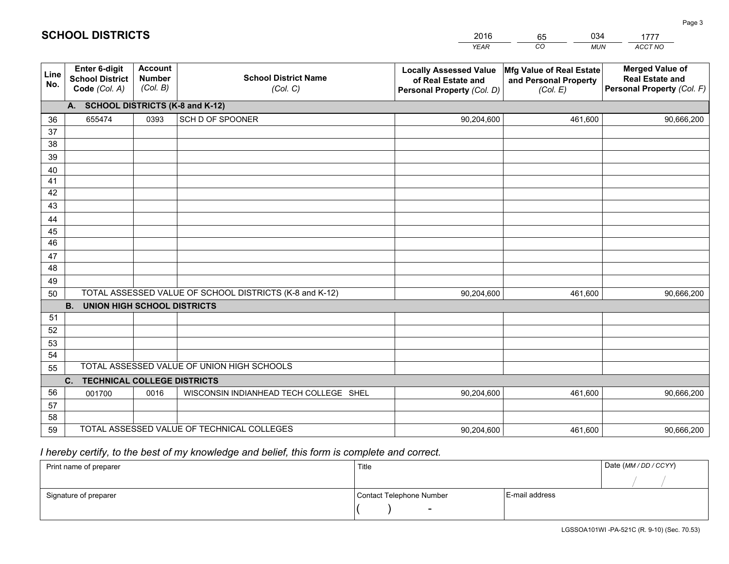|             |                                                                 |                                             |                                                         | <b>YEAR</b>                                                                       | CO<br><b>MUN</b>                                              | ACCT NO                                                                        |  |
|-------------|-----------------------------------------------------------------|---------------------------------------------|---------------------------------------------------------|-----------------------------------------------------------------------------------|---------------------------------------------------------------|--------------------------------------------------------------------------------|--|
| Line<br>No. | <b>Enter 6-digit</b><br><b>School District</b><br>Code (Col. A) | <b>Account</b><br><b>Number</b><br>(Col. B) | <b>School District Name</b><br>(Col. C)                 | <b>Locally Assessed Value</b><br>of Real Estate and<br>Personal Property (Col. D) | Mfg Value of Real Estate<br>and Personal Property<br>(Col. E) | <b>Merged Value of</b><br><b>Real Estate and</b><br>Personal Property (Col. F) |  |
|             | A. SCHOOL DISTRICTS (K-8 and K-12)                              |                                             |                                                         |                                                                                   |                                                               |                                                                                |  |
| 36          | 655474                                                          | 0393                                        | SCH D OF SPOONER                                        | 90,204,600                                                                        | 461,600                                                       | 90,666,200                                                                     |  |
| 37          |                                                                 |                                             |                                                         |                                                                                   |                                                               |                                                                                |  |
| 38          |                                                                 |                                             |                                                         |                                                                                   |                                                               |                                                                                |  |
| 39          |                                                                 |                                             |                                                         |                                                                                   |                                                               |                                                                                |  |
| 40          |                                                                 |                                             |                                                         |                                                                                   |                                                               |                                                                                |  |
| 41<br>42    |                                                                 |                                             |                                                         |                                                                                   |                                                               |                                                                                |  |
| 43          |                                                                 |                                             |                                                         |                                                                                   |                                                               |                                                                                |  |
|             |                                                                 |                                             |                                                         |                                                                                   |                                                               |                                                                                |  |
| 44<br>45    |                                                                 |                                             |                                                         |                                                                                   |                                                               |                                                                                |  |
| 46          |                                                                 |                                             |                                                         |                                                                                   |                                                               |                                                                                |  |
| 47          |                                                                 |                                             |                                                         |                                                                                   |                                                               |                                                                                |  |
| 48          |                                                                 |                                             |                                                         |                                                                                   |                                                               |                                                                                |  |
| 49          |                                                                 |                                             |                                                         |                                                                                   |                                                               |                                                                                |  |
| 50          |                                                                 |                                             | TOTAL ASSESSED VALUE OF SCHOOL DISTRICTS (K-8 and K-12) | 90,204,600                                                                        | 461,600                                                       | 90,666,200                                                                     |  |
|             | <b>B.</b><br>UNION HIGH SCHOOL DISTRICTS                        |                                             |                                                         |                                                                                   |                                                               |                                                                                |  |
| 51          |                                                                 |                                             |                                                         |                                                                                   |                                                               |                                                                                |  |
| 52          |                                                                 |                                             |                                                         |                                                                                   |                                                               |                                                                                |  |
| 53          |                                                                 |                                             |                                                         |                                                                                   |                                                               |                                                                                |  |
| 54          |                                                                 |                                             |                                                         |                                                                                   |                                                               |                                                                                |  |
| 55          | TOTAL ASSESSED VALUE OF UNION HIGH SCHOOLS                      |                                             |                                                         |                                                                                   |                                                               |                                                                                |  |
|             | C.<br><b>TECHNICAL COLLEGE DISTRICTS</b>                        |                                             |                                                         |                                                                                   |                                                               |                                                                                |  |
| 56          | 001700                                                          | 0016                                        | WISCONSIN INDIANHEAD TECH COLLEGE SHEL                  | 90,204,600                                                                        | 461,600                                                       | 90,666,200                                                                     |  |
| 57<br>58    |                                                                 |                                             |                                                         |                                                                                   |                                                               |                                                                                |  |
| 59          |                                                                 |                                             | TOTAL ASSESSED VALUE OF TECHNICAL COLLEGES              | 90,204,600                                                                        | 461,600                                                       | 90,666,200                                                                     |  |
|             |                                                                 |                                             |                                                         |                                                                                   |                                                               |                                                                                |  |

65

034

 *I hereby certify, to the best of my knowledge and belief, this form is complete and correct.*

**SCHOOL DISTRICTS**

| Print name of preparer | Title                    |                | Date (MM / DD / CCYY) |
|------------------------|--------------------------|----------------|-----------------------|
|                        |                          |                |                       |
| Signature of preparer  | Contact Telephone Number | E-mail address |                       |
|                        | $\overline{\phantom{0}}$ |                |                       |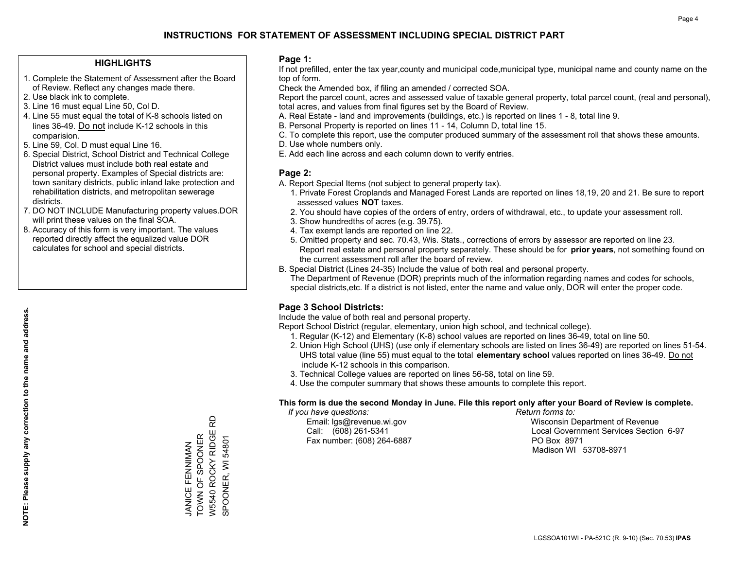#### **HIGHLIGHTS**

- 1. Complete the Statement of Assessment after the Board of Review. Reflect any changes made there.
- 2. Use black ink to complete.
- 3. Line 16 must equal Line 50, Col D.
- 4. Line 55 must equal the total of K-8 schools listed on lines 36-49. Do not include K-12 schools in this comparision.
- 5. Line 59, Col. D must equal Line 16.
- 6. Special District, School District and Technical College District values must include both real estate and personal property. Examples of Special districts are: town sanitary districts, public inland lake protection and rehabilitation districts, and metropolitan sewerage districts.
- 7. DO NOT INCLUDE Manufacturing property values.DOR will print these values on the final SOA.
- 8. Accuracy of this form is very important. The values reported directly affect the equalized value DOR calculates for school and special districts.

#### **Page 1:**

 If not prefilled, enter the tax year,county and municipal code,municipal type, municipal name and county name on the top of form.

Check the Amended box, if filing an amended / corrected SOA.

 Report the parcel count, acres and assessed value of taxable general property, total parcel count, (real and personal), total acres, and values from final figures set by the Board of Review.

- A. Real Estate land and improvements (buildings, etc.) is reported on lines 1 8, total line 9.
- B. Personal Property is reported on lines 11 14, Column D, total line 15.
- C. To complete this report, use the computer produced summary of the assessment roll that shows these amounts.
- D. Use whole numbers only.
- E. Add each line across and each column down to verify entries.

#### **Page 2:**

- A. Report Special Items (not subject to general property tax).
- 1. Private Forest Croplands and Managed Forest Lands are reported on lines 18,19, 20 and 21. Be sure to report assessed values **NOT** taxes.
- 2. You should have copies of the orders of entry, orders of withdrawal, etc., to update your assessment roll.
	- 3. Show hundredths of acres (e.g. 39.75).
- 4. Tax exempt lands are reported on line 22.
- 5. Omitted property and sec. 70.43, Wis. Stats., corrections of errors by assessor are reported on line 23. Report real estate and personal property separately. These should be for **prior years**, not something found on the current assessment roll after the board of review.
- B. Special District (Lines 24-35) Include the value of both real and personal property.
- The Department of Revenue (DOR) preprints much of the information regarding names and codes for schools, special districts,etc. If a district is not listed, enter the name and value only, DOR will enter the proper code.

### **Page 3 School Districts:**

Include the value of both real and personal property.

Report School District (regular, elementary, union high school, and technical college).

- 1. Regular (K-12) and Elementary (K-8) school values are reported on lines 36-49, total on line 50.
- 2. Union High School (UHS) (use only if elementary schools are listed on lines 36-49) are reported on lines 51-54. UHS total value (line 55) must equal to the total **elementary school** values reported on lines 36-49. Do notinclude K-12 schools in this comparison.
- 3. Technical College values are reported on lines 56-58, total on line 59.
- 4. Use the computer summary that shows these amounts to complete this report.

#### **This form is due the second Monday in June. File this report only after your Board of Review is complete.**

 *If you have questions: Return forms to:*

Fax number: (608) 264-6887 PO Box 8971

 Email: lgs@revenue.wi.gov Wisconsin Department of Revenue Call: (608) 261-5341 Local Government Services Section 6-97Madison WI 53708-8971

윤 W5540 ROCKY RIDGE RD W5540 ROCKY RIDGE **JANICE FENNIMAN<br>TOWN OF SPOONER** TOWN OF SPOONER SPOONER, WI 54801 SPOONER, WI 54801 JANICE FENNIMAN

**NOTE: Please supply any correction to the name and address.**

NOTE: Please supply any correction to the name and address.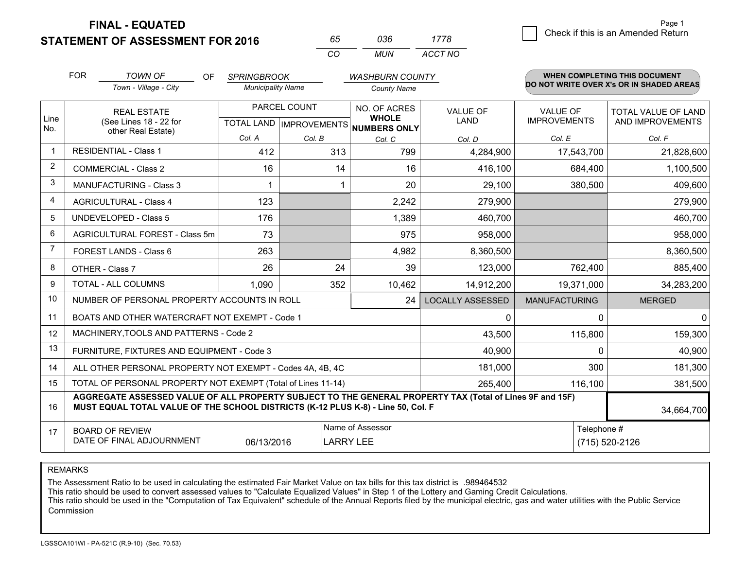**STATEMENT OF ASSESSMENT FOR 2016** 

**FINAL - EQUATED**

| 65. | การค | 1778    |
|-----|------|---------|
| CO. | MUN  | ACCT NO |

|                | <b>FOR</b>                                                                                                                                                                                                 | <b>TOWN OF</b><br><b>OF</b>                                  | <b>SPRINGBROOK</b>       |              | <b>WASHBURN COUNTY</b>                                               |                                |                                 | <b>WHEN COMPLETING THIS DOCUMENT</b>           |
|----------------|------------------------------------------------------------------------------------------------------------------------------------------------------------------------------------------------------------|--------------------------------------------------------------|--------------------------|--------------|----------------------------------------------------------------------|--------------------------------|---------------------------------|------------------------------------------------|
|                |                                                                                                                                                                                                            | Town - Village - City                                        | <b>Municipality Name</b> |              | <b>County Name</b>                                                   |                                |                                 | DO NOT WRITE OVER X's OR IN SHADED AREAS       |
| Line<br>No.    |                                                                                                                                                                                                            | <b>REAL ESTATE</b><br>(See Lines 18 - 22 for                 |                          | PARCEL COUNT | NO. OF ACRES<br><b>WHOLE</b><br>TOTAL LAND IMPROVEMENTS NUMBERS ONLY | <b>VALUE OF</b><br><b>LAND</b> | VALUE OF<br><b>IMPROVEMENTS</b> | <b>TOTAL VALUE OF LAND</b><br>AND IMPROVEMENTS |
|                | other Real Estate)                                                                                                                                                                                         |                                                              | Col. A                   | Col. B       | Col. C                                                               | Col. D                         | Col. E                          | Col. F                                         |
| $\overline{1}$ |                                                                                                                                                                                                            | <b>RESIDENTIAL - Class 1</b>                                 | 412                      | 313          | 799                                                                  | 4,284,900                      | 17,543,700                      | 21,828,600                                     |
| 2              |                                                                                                                                                                                                            | <b>COMMERCIAL - Class 2</b>                                  | 16                       | 14           | 16                                                                   | 416,100                        | 684,400                         | 1,100,500                                      |
| 3              |                                                                                                                                                                                                            | <b>MANUFACTURING - Class 3</b>                               |                          |              | 20                                                                   | 29,100                         | 380,500                         | 409,600                                        |
| 4              |                                                                                                                                                                                                            | <b>AGRICULTURAL - Class 4</b>                                | 123                      |              | 2,242                                                                | 279,900                        |                                 | 279,900                                        |
| 5              |                                                                                                                                                                                                            | UNDEVELOPED - Class 5                                        | 176                      |              | 1,389                                                                | 460,700                        |                                 | 460,700                                        |
| 6              |                                                                                                                                                                                                            | AGRICULTURAL FOREST - Class 5m                               | 73                       |              | 975                                                                  | 958,000                        |                                 | 958,000                                        |
| $\overline{7}$ |                                                                                                                                                                                                            | FOREST LANDS - Class 6                                       | 263                      |              | 4,982                                                                | 8,360,500                      |                                 | 8,360,500                                      |
| 8              |                                                                                                                                                                                                            | OTHER - Class 7                                              | 26                       | 24           | 39                                                                   | 123,000                        | 762,400                         | 885,400                                        |
| 9              |                                                                                                                                                                                                            | TOTAL - ALL COLUMNS                                          | 1,090                    | 352          | 10,462                                                               | 14,912,200                     | 19,371,000                      | 34,283,200                                     |
| 10             | NUMBER OF PERSONAL PROPERTY ACCOUNTS IN ROLL                                                                                                                                                               |                                                              |                          |              | 24                                                                   | <b>LOCALLY ASSESSED</b>        | <b>MANUFACTURING</b>            | <b>MERGED</b>                                  |
| 11             |                                                                                                                                                                                                            | BOATS AND OTHER WATERCRAFT NOT EXEMPT - Code 1               |                          |              | 0                                                                    | $\Omega$                       | $\mathbf 0$                     |                                                |
| 12             |                                                                                                                                                                                                            | MACHINERY, TOOLS AND PATTERNS - Code 2                       |                          |              |                                                                      | 43,500                         | 115,800                         | 159,300                                        |
| 13             |                                                                                                                                                                                                            | FURNITURE, FIXTURES AND EQUIPMENT - Code 3                   |                          |              | 40,900                                                               | $\Omega$                       | 40,900                          |                                                |
| 14             |                                                                                                                                                                                                            | ALL OTHER PERSONAL PROPERTY NOT EXEMPT - Codes 4A, 4B, 4C    |                          |              | 181,000                                                              | 300                            | 181,300                         |                                                |
| 15             |                                                                                                                                                                                                            | TOTAL OF PERSONAL PROPERTY NOT EXEMPT (Total of Lines 11-14) |                          |              | 265,400                                                              | 116,100                        | 381,500                         |                                                |
| 16             | AGGREGATE ASSESSED VALUE OF ALL PROPERTY SUBJECT TO THE GENERAL PROPERTY TAX (Total of Lines 9F and 15F)<br>MUST EQUAL TOTAL VALUE OF THE SCHOOL DISTRICTS (K-12 PLUS K-8) - Line 50, Col. F<br>34,664,700 |                                                              |                          |              |                                                                      |                                |                                 |                                                |
| 17             |                                                                                                                                                                                                            | <b>BOARD OF REVIEW</b><br>DATE OF FINAL ADJOURNMENT          | 06/13/2016               |              | Name of Assessor<br><b>LARRY LEE</b>                                 |                                | Telephone #                     | (715) 520-2126                                 |

REMARKS

The Assessment Ratio to be used in calculating the estimated Fair Market Value on tax bills for this tax district is .989464532

This ratio should be used to convert assessed values to "Calculate Equalized Values" in Step 1 of the Lottery and Gaming Credit Calculations.<br>This ratio should be used in the "Computation of Tax Equivalent" schedule of the Commission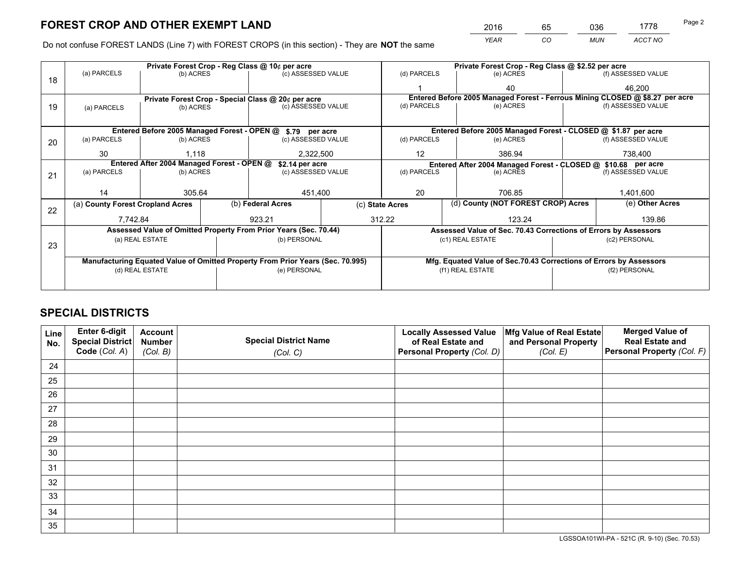*YEAR CO MUN ACCT NO* <sup>2016</sup> <sup>65</sup> <sup>036</sup> <sup>1778</sup>

Do not confuse FOREST LANDS (Line 7) with FOREST CROPS (in this section) - They are **NOT** the same

|    | Private Forest Crop - Reg Class @ 10¢ per acre                                 |                                 |                                                    |                                                                  |                    | Private Forest Crop - Reg Class @ \$2.52 per acre                                           |                                 |                 |                    |  |
|----|--------------------------------------------------------------------------------|---------------------------------|----------------------------------------------------|------------------------------------------------------------------|--------------------|---------------------------------------------------------------------------------------------|---------------------------------|-----------------|--------------------|--|
| 18 | (a) PARCELS<br>(b) ACRES                                                       |                                 |                                                    | (c) ASSESSED VALUE                                               |                    | (d) PARCELS                                                                                 | (e) ACRES                       |                 | (f) ASSESSED VALUE |  |
|    |                                                                                |                                 |                                                    |                                                                  |                    |                                                                                             | 40                              |                 | 46.200             |  |
|    |                                                                                |                                 | Private Forest Crop - Special Class @ 20¢ per acre |                                                                  |                    | Entered Before 2005 Managed Forest - Ferrous Mining CLOSED @ \$8.27 per acre<br>(d) PARCELS |                                 |                 |                    |  |
| 19 | (a) PARCELS                                                                    | (b) ACRES                       |                                                    |                                                                  | (c) ASSESSED VALUE |                                                                                             | (e) ACRES                       |                 | (f) ASSESSED VALUE |  |
|    |                                                                                |                                 |                                                    |                                                                  |                    |                                                                                             |                                 |                 |                    |  |
|    |                                                                                |                                 |                                                    | Entered Before 2005 Managed Forest - OPEN @ \$.79 per acre       |                    | Entered Before 2005 Managed Forest - CLOSED @ \$1.87 per acre                               |                                 |                 |                    |  |
| 20 | (a) PARCELS<br>(b) ACRES                                                       |                                 |                                                    | (c) ASSESSED VALUE                                               |                    | (d) PARCELS                                                                                 | (e) ACRES                       |                 | (f) ASSESSED VALUE |  |
|    | 30                                                                             | 1.118                           |                                                    | 2,322,500                                                        |                    | $12 \overline{ }$                                                                           | 386.94                          |                 | 738,400            |  |
|    | Entered After 2004 Managed Forest - OPEN @<br>\$2.14 per acre                  |                                 |                                                    |                                                                  |                    | Entered After 2004 Managed Forest - CLOSED @ \$10.68 per acre                               |                                 |                 |                    |  |
| 21 | (a) PARCELS                                                                    | (c) ASSESSED VALUE<br>(b) ACRES |                                                    |                                                                  | (d) PARCELS        |                                                                                             | (f) ASSESSED VALUE<br>(e) ACRES |                 |                    |  |
|    |                                                                                |                                 |                                                    |                                                                  |                    |                                                                                             |                                 |                 |                    |  |
|    | 14                                                                             | 305.64                          |                                                    | 451,400                                                          |                    | 20                                                                                          | 706.85                          |                 | 1,401,600          |  |
| 22 | (a) County Forest Cropland Acres                                               |                                 |                                                    | (b) Federal Acres<br>(c) State Acres                             |                    | (d) County (NOT FOREST CROP) Acres                                                          |                                 | (e) Other Acres |                    |  |
|    | 7,742.84                                                                       |                                 |                                                    | 923.21                                                           |                    | 312.22<br>123.24                                                                            |                                 |                 | 139.86             |  |
|    |                                                                                |                                 |                                                    | Assessed Value of Omitted Property From Prior Years (Sec. 70.44) |                    | Assessed Value of Sec. 70.43 Corrections of Errors by Assessors                             |                                 |                 |                    |  |
| 23 | (a) REAL ESTATE                                                                |                                 |                                                    | (b) PERSONAL                                                     |                    | (c1) REAL ESTATE                                                                            |                                 |                 | (c2) PERSONAL      |  |
|    |                                                                                |                                 |                                                    |                                                                  |                    |                                                                                             |                                 |                 |                    |  |
|    | Manufacturing Equated Value of Omitted Property From Prior Years (Sec. 70.995) |                                 |                                                    |                                                                  |                    | Mfg. Equated Value of Sec.70.43 Corrections of Errors by Assessors                          |                                 |                 |                    |  |
|    | (d) REAL ESTATE                                                                |                                 |                                                    | (e) PERSONAL                                                     |                    | (f1) REAL ESTATE                                                                            |                                 |                 | (f2) PERSONAL      |  |
|    |                                                                                |                                 |                                                    |                                                                  |                    |                                                                                             |                                 |                 |                    |  |

## **SPECIAL DISTRICTS**

| Line<br>No. | Enter 6-digit<br>Special District<br>Code (Col. A) | <b>Account</b><br><b>Number</b> | <b>Special District Name</b> | <b>Locally Assessed Value</b><br>of Real Estate and | Mfg Value of Real Estate<br>and Personal Property | <b>Merged Value of</b><br><b>Real Estate and</b><br>Personal Property (Col. F) |
|-------------|----------------------------------------------------|---------------------------------|------------------------------|-----------------------------------------------------|---------------------------------------------------|--------------------------------------------------------------------------------|
|             |                                                    | (Col. B)                        | (Col. C)                     | Personal Property (Col. D)                          | (Col. E)                                          |                                                                                |
| 24          |                                                    |                                 |                              |                                                     |                                                   |                                                                                |
| 25          |                                                    |                                 |                              |                                                     |                                                   |                                                                                |
| 26          |                                                    |                                 |                              |                                                     |                                                   |                                                                                |
| 27          |                                                    |                                 |                              |                                                     |                                                   |                                                                                |
| 28          |                                                    |                                 |                              |                                                     |                                                   |                                                                                |
| 29          |                                                    |                                 |                              |                                                     |                                                   |                                                                                |
| 30          |                                                    |                                 |                              |                                                     |                                                   |                                                                                |
| 31          |                                                    |                                 |                              |                                                     |                                                   |                                                                                |
| 32          |                                                    |                                 |                              |                                                     |                                                   |                                                                                |
| 33          |                                                    |                                 |                              |                                                     |                                                   |                                                                                |
| 34          |                                                    |                                 |                              |                                                     |                                                   |                                                                                |
| 35          |                                                    |                                 |                              |                                                     |                                                   |                                                                                |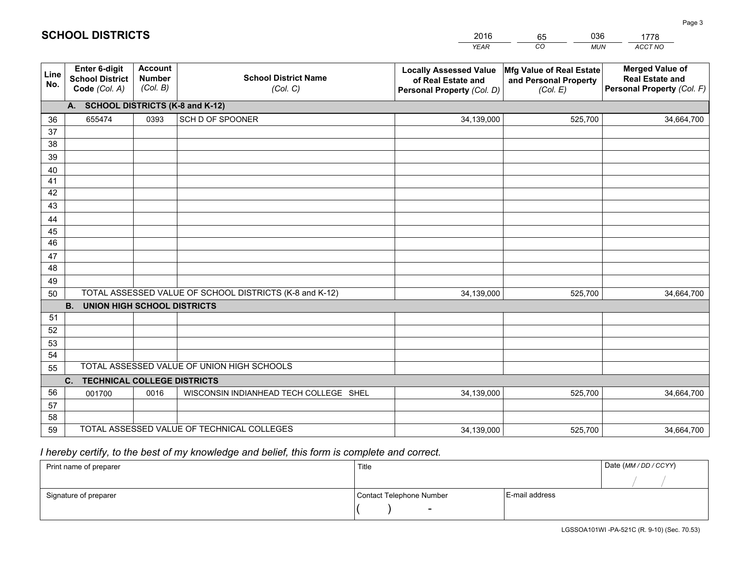|             |                                                                 |                                             |                                                         | <b>YEAR</b>                                                                       | CO<br><b>MUN</b>                                              | ACCT NO                                                                        |  |  |
|-------------|-----------------------------------------------------------------|---------------------------------------------|---------------------------------------------------------|-----------------------------------------------------------------------------------|---------------------------------------------------------------|--------------------------------------------------------------------------------|--|--|
| Line<br>No. | <b>Enter 6-digit</b><br><b>School District</b><br>Code (Col. A) | <b>Account</b><br><b>Number</b><br>(Col. B) | <b>School District Name</b><br>(Col. C)                 | <b>Locally Assessed Value</b><br>of Real Estate and<br>Personal Property (Col. D) | Mfg Value of Real Estate<br>and Personal Property<br>(Col. E) | <b>Merged Value of</b><br><b>Real Estate and</b><br>Personal Property (Col. F) |  |  |
|             | A. SCHOOL DISTRICTS (K-8 and K-12)                              |                                             |                                                         |                                                                                   |                                                               |                                                                                |  |  |
| 36          | 655474                                                          | 0393                                        | SCH D OF SPOONER                                        | 34,139,000                                                                        | 525,700                                                       | 34,664,700                                                                     |  |  |
| 37          |                                                                 |                                             |                                                         |                                                                                   |                                                               |                                                                                |  |  |
| 38          |                                                                 |                                             |                                                         |                                                                                   |                                                               |                                                                                |  |  |
| 39          |                                                                 |                                             |                                                         |                                                                                   |                                                               |                                                                                |  |  |
| 40          |                                                                 |                                             |                                                         |                                                                                   |                                                               |                                                                                |  |  |
| 41<br>42    |                                                                 |                                             |                                                         |                                                                                   |                                                               |                                                                                |  |  |
| 43          |                                                                 |                                             |                                                         |                                                                                   |                                                               |                                                                                |  |  |
|             |                                                                 |                                             |                                                         |                                                                                   |                                                               |                                                                                |  |  |
| 44<br>45    |                                                                 |                                             |                                                         |                                                                                   |                                                               |                                                                                |  |  |
| 46          |                                                                 |                                             |                                                         |                                                                                   |                                                               |                                                                                |  |  |
| 47          |                                                                 |                                             |                                                         |                                                                                   |                                                               |                                                                                |  |  |
| 48          |                                                                 |                                             |                                                         |                                                                                   |                                                               |                                                                                |  |  |
| 49          |                                                                 |                                             |                                                         |                                                                                   |                                                               |                                                                                |  |  |
| 50          |                                                                 |                                             | TOTAL ASSESSED VALUE OF SCHOOL DISTRICTS (K-8 and K-12) | 34,139,000                                                                        | 525,700                                                       | 34,664,700                                                                     |  |  |
|             | <b>B.</b><br>UNION HIGH SCHOOL DISTRICTS                        |                                             |                                                         |                                                                                   |                                                               |                                                                                |  |  |
| 51          |                                                                 |                                             |                                                         |                                                                                   |                                                               |                                                                                |  |  |
| 52          |                                                                 |                                             |                                                         |                                                                                   |                                                               |                                                                                |  |  |
| 53          |                                                                 |                                             |                                                         |                                                                                   |                                                               |                                                                                |  |  |
| 54          |                                                                 |                                             |                                                         |                                                                                   |                                                               |                                                                                |  |  |
| 55          | TOTAL ASSESSED VALUE OF UNION HIGH SCHOOLS                      |                                             |                                                         |                                                                                   |                                                               |                                                                                |  |  |
|             | C.<br><b>TECHNICAL COLLEGE DISTRICTS</b>                        |                                             |                                                         |                                                                                   |                                                               |                                                                                |  |  |
| 56          | 001700                                                          | 0016                                        | WISCONSIN INDIANHEAD TECH COLLEGE SHEL                  | 34,139,000                                                                        | 525,700                                                       | 34,664,700                                                                     |  |  |
| 57<br>58    |                                                                 |                                             |                                                         |                                                                                   |                                                               |                                                                                |  |  |
| 59          |                                                                 |                                             | TOTAL ASSESSED VALUE OF TECHNICAL COLLEGES              | 34,139,000                                                                        | 525,700                                                       | 34,664,700                                                                     |  |  |
|             |                                                                 |                                             |                                                         |                                                                                   |                                                               |                                                                                |  |  |

65

036

## *I hereby certify, to the best of my knowledge and belief, this form is complete and correct.*

**SCHOOL DISTRICTS**

| Print name of preparer | Title                    | Date (MM / DD / CCYY) |  |
|------------------------|--------------------------|-----------------------|--|
|                        |                          |                       |  |
| Signature of preparer  | Contact Telephone Number | E-mail address        |  |
|                        | $\sim$                   |                       |  |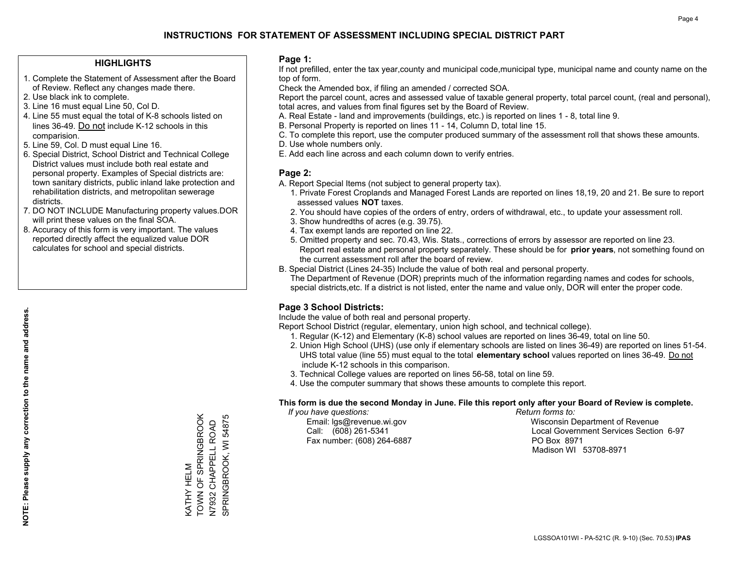#### **HIGHLIGHTS**

- 1. Complete the Statement of Assessment after the Board of Review. Reflect any changes made there.
- 2. Use black ink to complete.
- 3. Line 16 must equal Line 50, Col D.
- 4. Line 55 must equal the total of K-8 schools listed on lines 36-49. Do not include K-12 schools in this comparision.
- 5. Line 59, Col. D must equal Line 16.
- 6. Special District, School District and Technical College District values must include both real estate and personal property. Examples of Special districts are: town sanitary districts, public inland lake protection and rehabilitation districts, and metropolitan sewerage districts.
- 7. DO NOT INCLUDE Manufacturing property values.DOR will print these values on the final SOA.

KATHY HELM

TOWN OF SPRINGBROOK N7932 CHAPPELL ROAD SPRINGBROOK, WI 54875

SPRINGBROOK, WI 54875 N7932 CHAPPELL ROAD<br>N7932 CHAPPELL ROAD

KATHY HELM<br>TOWN OF SPRINGBROOK

 8. Accuracy of this form is very important. The values reported directly affect the equalized value DOR calculates for school and special districts.

#### **Page 1:**

 If not prefilled, enter the tax year,county and municipal code,municipal type, municipal name and county name on the top of form.

Check the Amended box, if filing an amended / corrected SOA.

 Report the parcel count, acres and assessed value of taxable general property, total parcel count, (real and personal), total acres, and values from final figures set by the Board of Review.

- A. Real Estate land and improvements (buildings, etc.) is reported on lines 1 8, total line 9.
- B. Personal Property is reported on lines 11 14, Column D, total line 15.
- C. To complete this report, use the computer produced summary of the assessment roll that shows these amounts.
- D. Use whole numbers only.
- E. Add each line across and each column down to verify entries.

### **Page 2:**

- A. Report Special Items (not subject to general property tax).
- 1. Private Forest Croplands and Managed Forest Lands are reported on lines 18,19, 20 and 21. Be sure to report assessed values **NOT** taxes.
- 2. You should have copies of the orders of entry, orders of withdrawal, etc., to update your assessment roll.
	- 3. Show hundredths of acres (e.g. 39.75).
- 4. Tax exempt lands are reported on line 22.
- 5. Omitted property and sec. 70.43, Wis. Stats., corrections of errors by assessor are reported on line 23. Report real estate and personal property separately. These should be for **prior years**, not something found on the current assessment roll after the board of review.
- B. Special District (Lines 24-35) Include the value of both real and personal property.
- The Department of Revenue (DOR) preprints much of the information regarding names and codes for schools, special districts,etc. If a district is not listed, enter the name and value only, DOR will enter the proper code.

## **Page 3 School Districts:**

Include the value of both real and personal property.

Report School District (regular, elementary, union high school, and technical college).

- 1. Regular (K-12) and Elementary (K-8) school values are reported on lines 36-49, total on line 50.
- 2. Union High School (UHS) (use only if elementary schools are listed on lines 36-49) are reported on lines 51-54. UHS total value (line 55) must equal to the total **elementary school** values reported on lines 36-49. Do notinclude K-12 schools in this comparison.
- 3. Technical College values are reported on lines 56-58, total on line 59.
- 4. Use the computer summary that shows these amounts to complete this report.

#### **This form is due the second Monday in June. File this report only after your Board of Review is complete.**

 *If you have questions: Return forms to:*

Fax number: (608) 264-6887 PO Box 8971

 Email: lgs@revenue.wi.gov Wisconsin Department of Revenue Call: (608) 261-5341 Local Government Services Section 6-97Madison WI 53708-8971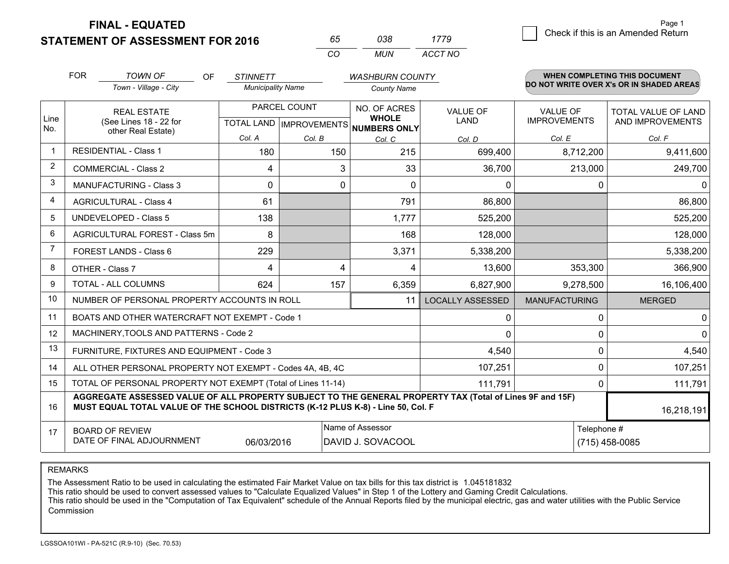**FINAL - EQUATED**

**STATEMENT OF ASSESSMENT FOR 2016** 

| 65. | 038. | 1779    |
|-----|------|---------|
| (   | MUN. | ACCT NO |

|             | <b>FOR</b>                                                                                                                                                                                   | <b>TOWN OF</b><br><b>OF</b>                               | <b>STINNETT</b>          |                                           | <b>WASHBURN COUNTY</b>                       |                         |                                        | <b>WHEN COMPLETING THIS DOCUMENT</b>           |
|-------------|----------------------------------------------------------------------------------------------------------------------------------------------------------------------------------------------|-----------------------------------------------------------|--------------------------|-------------------------------------------|----------------------------------------------|-------------------------|----------------------------------------|------------------------------------------------|
|             |                                                                                                                                                                                              | Town - Village - City                                     | <b>Municipality Name</b> |                                           | <b>County Name</b>                           |                         |                                        | DO NOT WRITE OVER X's OR IN SHADED AREAS       |
| Line<br>No. |                                                                                                                                                                                              | <b>REAL ESTATE</b><br>(See Lines 18 - 22 for              |                          | PARCEL COUNT<br>TOTAL LAND   IMPROVEMENTS | NO. OF ACRES<br><b>WHOLE</b><br>NUMBERS ONLY | <b>VALUE OF</b><br>LAND | <b>VALUE OF</b><br><b>IMPROVEMENTS</b> | <b>TOTAL VALUE OF LAND</b><br>AND IMPROVEMENTS |
|             |                                                                                                                                                                                              | other Real Estate)                                        | Col. A                   | Col. B                                    | Col. C                                       | Col. D                  | Col. E                                 | Col. F                                         |
| $\mathbf 1$ |                                                                                                                                                                                              | <b>RESIDENTIAL - Class 1</b>                              | 180                      | 150                                       | 215                                          | 699,400                 | 8,712,200                              | 9,411,600                                      |
| 2           |                                                                                                                                                                                              | <b>COMMERCIAL - Class 2</b>                               | 4                        | 3                                         | 33                                           | 36,700                  | 213,000                                | 249,700                                        |
| 3           |                                                                                                                                                                                              | <b>MANUFACTURING - Class 3</b>                            | $\Omega$                 | $\Omega$                                  | $\Omega$                                     | 0                       |                                        | $\mathbf{0}$<br>0                              |
| 4           |                                                                                                                                                                                              | <b>AGRICULTURAL - Class 4</b>                             | 61                       |                                           | 791                                          | 86,800                  |                                        | 86,800                                         |
| 5           |                                                                                                                                                                                              | <b>UNDEVELOPED - Class 5</b>                              | 138                      |                                           | 1,777                                        | 525,200                 |                                        | 525,200                                        |
| 6           |                                                                                                                                                                                              | AGRICULTURAL FOREST - Class 5m                            | 8                        |                                           | 168                                          | 128,000                 |                                        | 128,000                                        |
| 7           |                                                                                                                                                                                              | FOREST LANDS - Class 6                                    | 229                      |                                           | 3,371                                        | 5,338,200               |                                        | 5,338,200                                      |
| 8           |                                                                                                                                                                                              | OTHER - Class 7                                           | 4                        | 4                                         | 4                                            | 13,600                  | 353,300                                | 366,900                                        |
| 9           |                                                                                                                                                                                              | TOTAL - ALL COLUMNS                                       | 624                      | 157                                       | 6,359                                        | 6,827,900               | 9,278,500                              | 16,106,400                                     |
| 10          |                                                                                                                                                                                              | NUMBER OF PERSONAL PROPERTY ACCOUNTS IN ROLL              |                          |                                           | 11                                           | <b>LOCALLY ASSESSED</b> | <b>MANUFACTURING</b>                   | <b>MERGED</b>                                  |
| 11          |                                                                                                                                                                                              | BOATS AND OTHER WATERCRAFT NOT EXEMPT - Code 1            |                          |                                           |                                              | 0                       |                                        | $\Omega$<br>0                                  |
| 12          |                                                                                                                                                                                              | MACHINERY, TOOLS AND PATTERNS - Code 2                    |                          |                                           |                                              | 0                       |                                        | $\mathbf 0$<br>$\Omega$                        |
| 13          |                                                                                                                                                                                              | FURNITURE, FIXTURES AND EQUIPMENT - Code 3                |                          |                                           |                                              | 4,540                   |                                        | $\Omega$<br>4,540                              |
| 14          |                                                                                                                                                                                              | ALL OTHER PERSONAL PROPERTY NOT EXEMPT - Codes 4A, 4B, 4C |                          |                                           |                                              | 107,251                 |                                        | 0<br>107,251                                   |
| 15          | TOTAL OF PERSONAL PROPERTY NOT EXEMPT (Total of Lines 11-14)<br>111,791                                                                                                                      |                                                           |                          |                                           |                                              |                         |                                        | 111,791<br>0                                   |
| 16          | AGGREGATE ASSESSED VALUE OF ALL PROPERTY SUBJECT TO THE GENERAL PROPERTY TAX (Total of Lines 9F and 15F)<br>MUST EQUAL TOTAL VALUE OF THE SCHOOL DISTRICTS (K-12 PLUS K-8) - Line 50, Col. F |                                                           |                          |                                           |                                              |                         | 16,218,191                             |                                                |
| 17          | Name of Assessor<br>Telephone #<br><b>BOARD OF REVIEW</b><br>DATE OF FINAL ADJOURNMENT<br>06/03/2016<br>DAVID J. SOVACOOL<br>(715) 458-0085                                                  |                                                           |                          |                                           |                                              |                         |                                        |                                                |

#### REMARKS

The Assessment Ratio to be used in calculating the estimated Fair Market Value on tax bills for this tax district is 1.045181832<br>This ratio should be used to convert assessed values to "Calculate Equalized Values" in Step Commission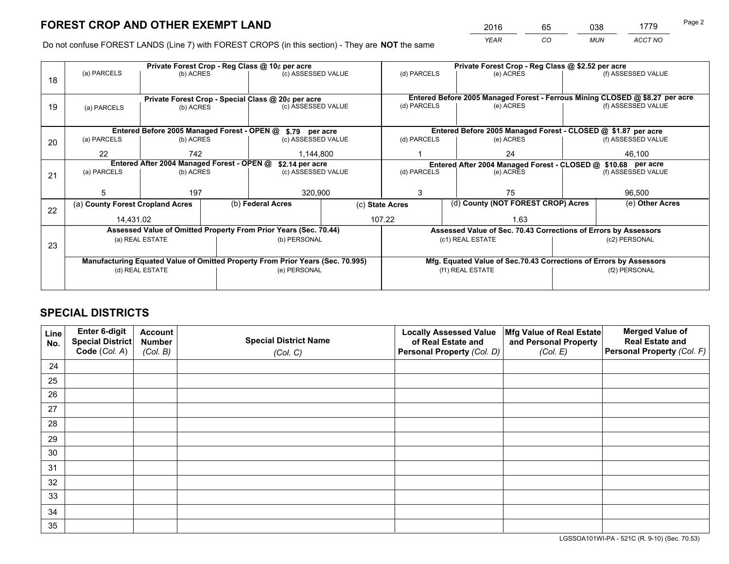*YEAR CO MUN ACCT NO* <sup>2016</sup> <sup>65</sup> <sup>038</sup> <sup>1779</sup>

Do not confuse FOREST LANDS (Line 7) with FOREST CROPS (in this section) - They are **NOT** the same

|    |                                                                                |                 |  | Private Forest Crop - Reg Class @ 10¢ per acre                   |  |                                                               | Private Forest Crop - Reg Class @ \$2.52 per acre                            |  |                    |  |
|----|--------------------------------------------------------------------------------|-----------------|--|------------------------------------------------------------------|--|---------------------------------------------------------------|------------------------------------------------------------------------------|--|--------------------|--|
| 18 | (a) PARCELS                                                                    | (b) ACRES       |  | (c) ASSESSED VALUE                                               |  | (d) PARCELS                                                   | (e) ACRES                                                                    |  | (f) ASSESSED VALUE |  |
|    |                                                                                |                 |  |                                                                  |  |                                                               |                                                                              |  |                    |  |
|    |                                                                                |                 |  | Private Forest Crop - Special Class @ 20¢ per acre               |  |                                                               | Entered Before 2005 Managed Forest - Ferrous Mining CLOSED @ \$8.27 per acre |  |                    |  |
| 19 | (a) PARCELS                                                                    | (b) ACRES       |  | (c) ASSESSED VALUE                                               |  | (d) PARCELS                                                   | (e) ACRES                                                                    |  | (f) ASSESSED VALUE |  |
|    |                                                                                |                 |  |                                                                  |  |                                                               |                                                                              |  |                    |  |
|    |                                                                                |                 |  | Entered Before 2005 Managed Forest - OPEN @ \$.79 per acre       |  |                                                               | Entered Before 2005 Managed Forest - CLOSED @ \$1.87 per acre                |  |                    |  |
| 20 | (a) PARCELS                                                                    | (b) ACRES       |  | (c) ASSESSED VALUE                                               |  | (d) PARCELS                                                   | (e) ACRES                                                                    |  | (f) ASSESSED VALUE |  |
|    | 22                                                                             | 742             |  | 1,144,800                                                        |  | 24                                                            |                                                                              |  | 46,100             |  |
|    | Entered After 2004 Managed Forest - OPEN @                                     |                 |  | \$2.14 per acre                                                  |  | Entered After 2004 Managed Forest - CLOSED @ \$10.68 per acre |                                                                              |  |                    |  |
| 21 | (a) PARCELS                                                                    | (b) ACRES       |  | (c) ASSESSED VALUE                                               |  | (d) PARCELS<br>(e) ACRES                                      |                                                                              |  | (f) ASSESSED VALUE |  |
|    |                                                                                |                 |  |                                                                  |  |                                                               |                                                                              |  |                    |  |
|    | 5                                                                              | 197             |  | 320,900                                                          |  | 3<br>75                                                       |                                                                              |  | 96,500             |  |
| 22 | (a) County Forest Cropland Acres                                               |                 |  | (b) Federal Acres                                                |  | (d) County (NOT FOREST CROP) Acres<br>(c) State Acres         |                                                                              |  | (e) Other Acres    |  |
|    | 14,431.02                                                                      |                 |  |                                                                  |  | 107.22<br>1.63                                                |                                                                              |  |                    |  |
|    |                                                                                |                 |  | Assessed Value of Omitted Property From Prior Years (Sec. 70.44) |  |                                                               | Assessed Value of Sec. 70.43 Corrections of Errors by Assessors              |  |                    |  |
|    |                                                                                | (a) REAL ESTATE |  | (b) PERSONAL                                                     |  |                                                               | (c1) REAL ESTATE                                                             |  | (c2) PERSONAL      |  |
| 23 |                                                                                |                 |  |                                                                  |  |                                                               |                                                                              |  |                    |  |
|    | Manufacturing Equated Value of Omitted Property From Prior Years (Sec. 70.995) |                 |  |                                                                  |  |                                                               | Mfg. Equated Value of Sec.70.43 Corrections of Errors by Assessors           |  |                    |  |
|    | (d) REAL ESTATE                                                                |                 |  | (e) PERSONAL                                                     |  | (f1) REAL ESTATE                                              |                                                                              |  | (f2) PERSONAL      |  |
|    |                                                                                |                 |  |                                                                  |  |                                                               |                                                                              |  |                    |  |
|    |                                                                                |                 |  |                                                                  |  |                                                               |                                                                              |  |                    |  |

## **SPECIAL DISTRICTS**

| Line<br>No. | Enter 6-digit<br>Special District<br>Code (Col. A) | <b>Account</b><br><b>Number</b> | <b>Special District Name</b> | <b>Locally Assessed Value</b><br>of Real Estate and | Mfg Value of Real Estate<br>and Personal Property | <b>Merged Value of</b><br><b>Real Estate and</b><br>Personal Property (Col. F) |
|-------------|----------------------------------------------------|---------------------------------|------------------------------|-----------------------------------------------------|---------------------------------------------------|--------------------------------------------------------------------------------|
|             |                                                    | (Col. B)                        | (Col. C)                     | Personal Property (Col. D)                          | (Col. E)                                          |                                                                                |
| 24          |                                                    |                                 |                              |                                                     |                                                   |                                                                                |
| 25          |                                                    |                                 |                              |                                                     |                                                   |                                                                                |
| 26          |                                                    |                                 |                              |                                                     |                                                   |                                                                                |
| 27          |                                                    |                                 |                              |                                                     |                                                   |                                                                                |
| 28          |                                                    |                                 |                              |                                                     |                                                   |                                                                                |
| 29          |                                                    |                                 |                              |                                                     |                                                   |                                                                                |
| 30          |                                                    |                                 |                              |                                                     |                                                   |                                                                                |
| 31          |                                                    |                                 |                              |                                                     |                                                   |                                                                                |
| 32          |                                                    |                                 |                              |                                                     |                                                   |                                                                                |
| 33          |                                                    |                                 |                              |                                                     |                                                   |                                                                                |
| 34          |                                                    |                                 |                              |                                                     |                                                   |                                                                                |
| 35          |                                                    |                                 |                              |                                                     |                                                   |                                                                                |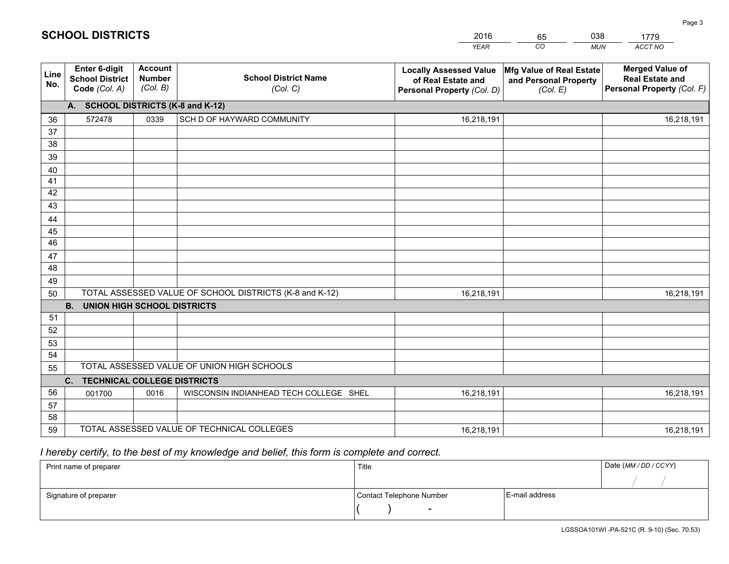|             |                                                          |                                             |                                                         | <b>YEAR</b>                                                                       | CO<br><b>MUN</b>                                              | ACCT NO                                                                        |
|-------------|----------------------------------------------------------|---------------------------------------------|---------------------------------------------------------|-----------------------------------------------------------------------------------|---------------------------------------------------------------|--------------------------------------------------------------------------------|
| Line<br>No. | Enter 6-digit<br><b>School District</b><br>Code (Col. A) | <b>Account</b><br><b>Number</b><br>(Col. B) | <b>School District Name</b><br>(Col. C)                 | <b>Locally Assessed Value</b><br>of Real Estate and<br>Personal Property (Col. D) | Mfg Value of Real Estate<br>and Personal Property<br>(Col. E) | <b>Merged Value of</b><br><b>Real Estate and</b><br>Personal Property (Col. F) |
|             | A. SCHOOL DISTRICTS (K-8 and K-12)                       |                                             |                                                         |                                                                                   |                                                               |                                                                                |
| 36          | 572478                                                   | 0339                                        | SCH D OF HAYWARD COMMUNITY                              | 16,218,191                                                                        |                                                               | 16,218,191                                                                     |
| 37          |                                                          |                                             |                                                         |                                                                                   |                                                               |                                                                                |
| 38          |                                                          |                                             |                                                         |                                                                                   |                                                               |                                                                                |
| 39          |                                                          |                                             |                                                         |                                                                                   |                                                               |                                                                                |
| 40          |                                                          |                                             |                                                         |                                                                                   |                                                               |                                                                                |
| 41          |                                                          |                                             |                                                         |                                                                                   |                                                               |                                                                                |
| 42          |                                                          |                                             |                                                         |                                                                                   |                                                               |                                                                                |
| 43          |                                                          |                                             |                                                         |                                                                                   |                                                               |                                                                                |
| 44<br>45    |                                                          |                                             |                                                         |                                                                                   |                                                               |                                                                                |
| 46          |                                                          |                                             |                                                         |                                                                                   |                                                               |                                                                                |
| 47          |                                                          |                                             |                                                         |                                                                                   |                                                               |                                                                                |
| 48          |                                                          |                                             |                                                         |                                                                                   |                                                               |                                                                                |
| 49          |                                                          |                                             |                                                         |                                                                                   |                                                               |                                                                                |
| 50          |                                                          |                                             | TOTAL ASSESSED VALUE OF SCHOOL DISTRICTS (K-8 and K-12) | 16,218,191                                                                        |                                                               | 16,218,191                                                                     |
|             | <b>B.</b><br><b>UNION HIGH SCHOOL DISTRICTS</b>          |                                             |                                                         |                                                                                   |                                                               |                                                                                |
| 51          |                                                          |                                             |                                                         |                                                                                   |                                                               |                                                                                |
| 52          |                                                          |                                             |                                                         |                                                                                   |                                                               |                                                                                |
| 53          |                                                          |                                             |                                                         |                                                                                   |                                                               |                                                                                |
| 54          |                                                          |                                             |                                                         |                                                                                   |                                                               |                                                                                |
| 55          |                                                          |                                             | TOTAL ASSESSED VALUE OF UNION HIGH SCHOOLS              |                                                                                   |                                                               |                                                                                |
|             | C. TECHNICAL COLLEGE DISTRICTS                           |                                             |                                                         |                                                                                   |                                                               |                                                                                |
| 56          | 001700                                                   | 0016                                        | WISCONSIN INDIANHEAD TECH COLLEGE SHEL                  | 16,218,191                                                                        |                                                               | 16,218,191                                                                     |
| 57          |                                                          |                                             |                                                         |                                                                                   |                                                               |                                                                                |
| 58          |                                                          |                                             |                                                         |                                                                                   |                                                               |                                                                                |
| 59          |                                                          |                                             | TOTAL ASSESSED VALUE OF TECHNICAL COLLEGES              | 16,218,191                                                                        |                                                               | 16,218,191                                                                     |

65

038

1779

Page 3

 *I hereby certify, to the best of my knowledge and belief, this form is complete and correct.*

**SCHOOL DISTRICTS**

| Print name of preparer | Title                    |                | Date (MM / DD / CCYY) |
|------------------------|--------------------------|----------------|-----------------------|
|                        |                          |                |                       |
| Signature of preparer  | Contact Telephone Number | E-mail address |                       |
|                        | $\sim$                   |                |                       |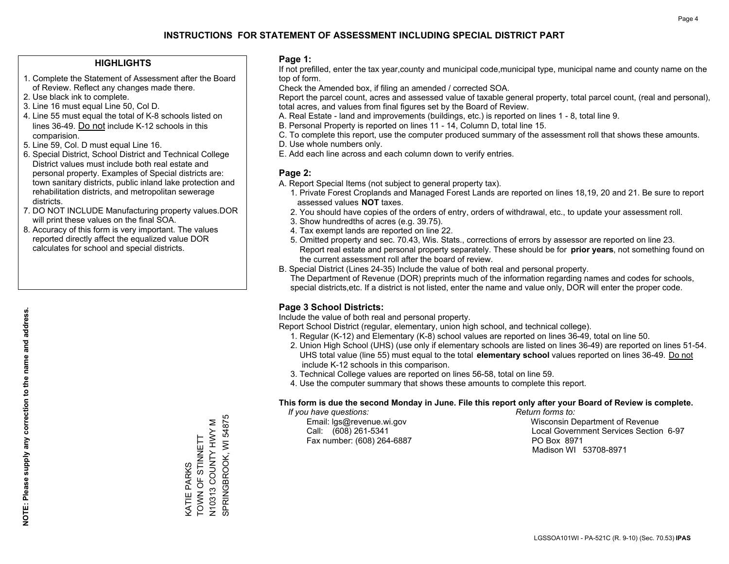#### **HIGHLIGHTS**

- 1. Complete the Statement of Assessment after the Board of Review. Reflect any changes made there.
- 2. Use black ink to complete.
- 3. Line 16 must equal Line 50, Col D.
- 4. Line 55 must equal the total of K-8 schools listed on lines 36-49. Do not include K-12 schools in this comparision.
- 5. Line 59, Col. D must equal Line 16.
- 6. Special District, School District and Technical College District values must include both real estate and personal property. Examples of Special districts are: town sanitary districts, public inland lake protection and rehabilitation districts, and metropolitan sewerage districts.
- 7. DO NOT INCLUDE Manufacturing property values.DOR will print these values on the final SOA.
- 8. Accuracy of this form is very important. The values reported directly affect the equalized value DOR calculates for school and special districts.

#### **Page 1:**

 If not prefilled, enter the tax year,county and municipal code,municipal type, municipal name and county name on the top of form.

Check the Amended box, if filing an amended / corrected SOA.

 Report the parcel count, acres and assessed value of taxable general property, total parcel count, (real and personal), total acres, and values from final figures set by the Board of Review.

- A. Real Estate land and improvements (buildings, etc.) is reported on lines 1 8, total line 9.
- B. Personal Property is reported on lines 11 14, Column D, total line 15.
- C. To complete this report, use the computer produced summary of the assessment roll that shows these amounts.
- D. Use whole numbers only.
- E. Add each line across and each column down to verify entries.

### **Page 2:**

- A. Report Special Items (not subject to general property tax).
- 1. Private Forest Croplands and Managed Forest Lands are reported on lines 18,19, 20 and 21. Be sure to report assessed values **NOT** taxes.
- 2. You should have copies of the orders of entry, orders of withdrawal, etc., to update your assessment roll.
	- 3. Show hundredths of acres (e.g. 39.75).
- 4. Tax exempt lands are reported on line 22.
- 5. Omitted property and sec. 70.43, Wis. Stats., corrections of errors by assessor are reported on line 23. Report real estate and personal property separately. These should be for **prior years**, not something found on the current assessment roll after the board of review.
- B. Special District (Lines 24-35) Include the value of both real and personal property.

 The Department of Revenue (DOR) preprints much of the information regarding names and codes for schools, special districts,etc. If a district is not listed, enter the name and value only, DOR will enter the proper code.

### **Page 3 School Districts:**

Include the value of both real and personal property.

Report School District (regular, elementary, union high school, and technical college).

- 1. Regular (K-12) and Elementary (K-8) school values are reported on lines 36-49, total on line 50.
- 2. Union High School (UHS) (use only if elementary schools are listed on lines 36-49) are reported on lines 51-54. UHS total value (line 55) must equal to the total **elementary school** values reported on lines 36-49. Do notinclude K-12 schools in this comparison.
- 3. Technical College values are reported on lines 56-58, total on line 59.
- 4. Use the computer summary that shows these amounts to complete this report.

#### **This form is due the second Monday in June. File this report only after your Board of Review is complete.**

 *If you have questions: Return forms to:*

Fax number: (608) 264-6887 PO Box 8971

 Email: lgs@revenue.wi.gov Wisconsin Department of Revenue Call: (608) 261-5341 Local Government Services Section 6-97Madison WI 53708-8971

N10313 COUNTY HWY M<br>SPRINGBROOK, WI 54875 SPRINGBROOK, WI 54875 N10313 COUNTY HWY M KATIE PARKS<br>TOWN OF STINNETT TOWN OF STINNETT KATIE PARKS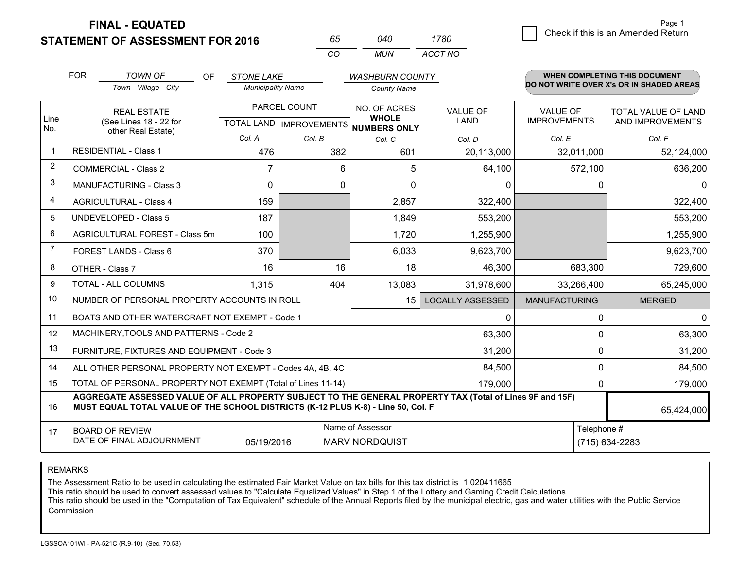**STATEMENT OF ASSESSMENT FOR 2016** 

**FINAL - EQUATED**

| 65  | 040 | 1780    |
|-----|-----|---------|
| CO. | MUN | ACCT NO |

|                | <b>FOR</b>                                                                                                                                                                                   | <b>TOWN OF</b><br><b>OF</b>                               | <b>STONE LAKE</b>                                    |        | <b>WASHBURN COUNTY</b>       |                                |                                        | <b>WHEN COMPLETING THIS DOCUMENT</b>     |
|----------------|----------------------------------------------------------------------------------------------------------------------------------------------------------------------------------------------|-----------------------------------------------------------|------------------------------------------------------|--------|------------------------------|--------------------------------|----------------------------------------|------------------------------------------|
|                |                                                                                                                                                                                              | Town - Village - City                                     | <b>Municipality Name</b>                             |        | <b>County Name</b>           |                                |                                        | DO NOT WRITE OVER X's OR IN SHADED AREAS |
| Line<br>No.    | <b>REAL ESTATE</b><br>(See Lines 18 - 22 for                                                                                                                                                 |                                                           | PARCEL COUNT<br>TOTAL LAND IMPROVEMENTS NUMBERS ONLY |        | NO. OF ACRES<br><b>WHOLE</b> | <b>VALUE OF</b><br><b>LAND</b> | <b>VALUE OF</b><br><b>IMPROVEMENTS</b> | TOTAL VALUE OF LAND<br>AND IMPROVEMENTS  |
|                |                                                                                                                                                                                              | other Real Estate)                                        | Col. A                                               | Col. B | Col. C                       | Col. D                         | Col. E                                 | Col. F                                   |
|                | <b>RESIDENTIAL - Class 1</b>                                                                                                                                                                 |                                                           | 476                                                  | 382    | 601                          | 20,113,000                     | 32,011,000                             | 52,124,000                               |
| 2              |                                                                                                                                                                                              | <b>COMMERCIAL - Class 2</b>                               | $\overline{7}$                                       | 6      | 5                            | 64,100                         | 572,100                                | 636,200                                  |
| 3              |                                                                                                                                                                                              | <b>MANUFACTURING - Class 3</b>                            | $\Omega$                                             | 0      | $\Omega$                     | 0                              | 0                                      | 0                                        |
| 4              |                                                                                                                                                                                              | <b>AGRICULTURAL - Class 4</b>                             | 159                                                  |        | 2,857                        | 322,400                        |                                        | 322,400                                  |
| 5              |                                                                                                                                                                                              | <b>UNDEVELOPED - Class 5</b>                              | 187                                                  |        | 1,849                        | 553,200                        |                                        | 553,200                                  |
| 6              |                                                                                                                                                                                              | AGRICULTURAL FOREST - Class 5m                            | 100                                                  |        | 1,720                        | 1,255,900                      |                                        | 1,255,900                                |
| $\overline{7}$ |                                                                                                                                                                                              | FOREST LANDS - Class 6                                    | 370                                                  |        | 6,033                        | 9,623,700                      |                                        | 9,623,700                                |
| 8              |                                                                                                                                                                                              | OTHER - Class 7                                           | 16                                                   | 16     | 18                           | 46,300                         | 683,300                                | 729,600                                  |
| 9              |                                                                                                                                                                                              | TOTAL - ALL COLUMNS                                       | 1,315                                                | 404    | 13,083                       | 31,978,600                     | 33,266,400                             | 65,245,000                               |
| 10             |                                                                                                                                                                                              | NUMBER OF PERSONAL PROPERTY ACCOUNTS IN ROLL              |                                                      |        | 15                           | <b>LOCALLY ASSESSED</b>        | <b>MANUFACTURING</b>                   | <b>MERGED</b>                            |
| 11             |                                                                                                                                                                                              | BOATS AND OTHER WATERCRAFT NOT EXEMPT - Code 1            |                                                      |        |                              | 0                              | 0                                      | $\overline{0}$                           |
| 12             |                                                                                                                                                                                              | MACHINERY, TOOLS AND PATTERNS - Code 2                    |                                                      |        |                              | 63,300                         | 0                                      | 63,300                                   |
| 13             |                                                                                                                                                                                              | FURNITURE, FIXTURES AND EQUIPMENT - Code 3                |                                                      |        |                              | 31,200                         | 0                                      | 31,200                                   |
| 14             |                                                                                                                                                                                              | ALL OTHER PERSONAL PROPERTY NOT EXEMPT - Codes 4A, 4B, 4C |                                                      |        |                              | 84,500                         | 0                                      | 84,500                                   |
| 15             | TOTAL OF PERSONAL PROPERTY NOT EXEMPT (Total of Lines 11-14)<br>179,000                                                                                                                      |                                                           |                                                      |        |                              |                                |                                        | 179,000<br>0                             |
| 16             | AGGREGATE ASSESSED VALUE OF ALL PROPERTY SUBJECT TO THE GENERAL PROPERTY TAX (Total of Lines 9F and 15F)<br>MUST EQUAL TOTAL VALUE OF THE SCHOOL DISTRICTS (K-12 PLUS K-8) - Line 50, Col. F |                                                           |                                                      |        |                              |                                | 65,424,000                             |                                          |
| 17             | Name of Assessor<br>Telephone #<br><b>BOARD OF REVIEW</b><br>DATE OF FINAL ADJOURNMENT<br>05/19/2016<br><b>MARV NORDQUIST</b>                                                                |                                                           |                                                      |        |                              |                                | (715) 634-2283                         |                                          |

REMARKS

The Assessment Ratio to be used in calculating the estimated Fair Market Value on tax bills for this tax district is 1.020411665

This ratio should be used to convert assessed values to "Calculate Equalized Values" in Step 1 of the Lottery and Gaming Credit Calculations.<br>This ratio should be used in the "Computation of Tax Equivalent" schedule of the Commission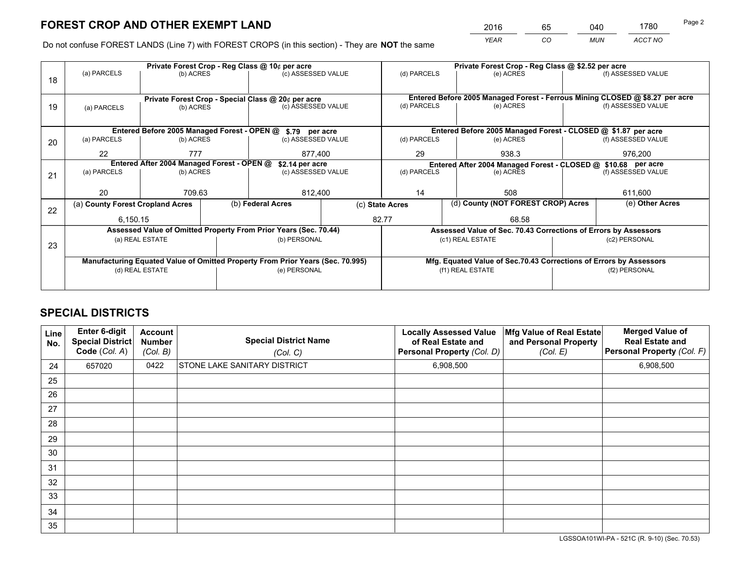*YEAR CO MUN ACCT NO* <sup>2016</sup> <sup>65</sup> <sup>040</sup> <sup>1780</sup>

Do not confuse FOREST LANDS (Line 7) with FOREST CROPS (in this section) - They are **NOT** the same

|    |                                                                                |                 |  | Private Forest Crop - Reg Class @ 10¢ per acre                           |                          | Private Forest Crop - Reg Class @ \$2.52 per acre     |                                                                              |                    |                    |  |
|----|--------------------------------------------------------------------------------|-----------------|--|--------------------------------------------------------------------------|--------------------------|-------------------------------------------------------|------------------------------------------------------------------------------|--------------------|--------------------|--|
| 18 | (a) PARCELS                                                                    | (b) ACRES       |  | (c) ASSESSED VALUE                                                       |                          | (d) PARCELS                                           | (e) ACRES                                                                    |                    | (f) ASSESSED VALUE |  |
|    |                                                                                |                 |  |                                                                          |                          |                                                       | Entered Before 2005 Managed Forest - Ferrous Mining CLOSED @ \$8.27 per acre |                    |                    |  |
| 19 | (a) PARCELS                                                                    | (b) ACRES       |  | Private Forest Crop - Special Class @ 20¢ per acre<br>(c) ASSESSED VALUE |                          | (d) PARCELS                                           | (e) ACRES                                                                    |                    | (f) ASSESSED VALUE |  |
|    |                                                                                |                 |  |                                                                          |                          |                                                       |                                                                              |                    |                    |  |
|    |                                                                                |                 |  |                                                                          |                          |                                                       |                                                                              |                    |                    |  |
|    |                                                                                |                 |  | Entered Before 2005 Managed Forest - OPEN @ \$.79 per acre               |                          |                                                       | Entered Before 2005 Managed Forest - CLOSED @ \$1.87 per acre                |                    |                    |  |
| 20 | (a) PARCELS                                                                    | (b) ACRES       |  | (c) ASSESSED VALUE                                                       |                          | (d) PARCELS                                           | (e) ACRES                                                                    |                    | (f) ASSESSED VALUE |  |
|    | 22                                                                             | 777             |  | 877,400                                                                  |                          | 29                                                    | 938.3                                                                        |                    | 976,200            |  |
|    | Entered After 2004 Managed Forest - OPEN @                                     | \$2.14 per acre |  | Entered After 2004 Managed Forest - CLOSED @ \$10.68 per acre            |                          |                                                       |                                                                              |                    |                    |  |
| 21 | (a) PARCELS                                                                    | (b) ACRES       |  | (c) ASSESSED VALUE                                                       | (d) PARCELS<br>(e) ACRES |                                                       |                                                                              | (f) ASSESSED VALUE |                    |  |
|    |                                                                                |                 |  |                                                                          |                          |                                                       |                                                                              |                    |                    |  |
|    | 20                                                                             | 709.63          |  | 812,400                                                                  |                          | 14<br>508                                             |                                                                              |                    | 611,600            |  |
|    | (a) County Forest Cropland Acres                                               |                 |  | (b) Federal Acres                                                        |                          | (d) County (NOT FOREST CROP) Acres<br>(c) State Acres |                                                                              |                    | (e) Other Acres    |  |
| 22 |                                                                                |                 |  |                                                                          |                          | 82.77                                                 | 68.58                                                                        |                    |                    |  |
|    | 6,150.15                                                                       |                 |  |                                                                          |                          |                                                       |                                                                              |                    |                    |  |
|    |                                                                                |                 |  | Assessed Value of Omitted Property From Prior Years (Sec. 70.44)         |                          |                                                       | Assessed Value of Sec. 70.43 Corrections of Errors by Assessors              |                    |                    |  |
| 23 |                                                                                | (a) REAL ESTATE |  | (b) PERSONAL                                                             |                          |                                                       | (c1) REAL ESTATE                                                             |                    | (c2) PERSONAL      |  |
|    |                                                                                |                 |  |                                                                          |                          |                                                       |                                                                              |                    |                    |  |
|    | Manufacturing Equated Value of Omitted Property From Prior Years (Sec. 70.995) |                 |  |                                                                          |                          |                                                       | Mfg. Equated Value of Sec.70.43 Corrections of Errors by Assessors           |                    |                    |  |
|    |                                                                                | (d) REAL ESTATE |  | (e) PERSONAL                                                             |                          | (f1) REAL ESTATE                                      |                                                                              |                    | (f2) PERSONAL      |  |
|    |                                                                                |                 |  |                                                                          |                          |                                                       |                                                                              |                    |                    |  |
|    |                                                                                |                 |  |                                                                          |                          |                                                       |                                                                              |                    |                    |  |

## **SPECIAL DISTRICTS**

| Line<br>No. | Enter 6-digit<br><b>Special District</b><br>Code (Col. A) | <b>Account</b><br><b>Number</b><br>(Col. B) | <b>Special District Name</b><br>(Col. C) | <b>Locally Assessed Value</b><br>of Real Estate and<br>Personal Property (Col. D) | Mfg Value of Real Estate<br>and Personal Property<br>(Col. E) | <b>Merged Value of</b><br><b>Real Estate and</b><br>Personal Property (Col. F) |
|-------------|-----------------------------------------------------------|---------------------------------------------|------------------------------------------|-----------------------------------------------------------------------------------|---------------------------------------------------------------|--------------------------------------------------------------------------------|
| 24          | 657020                                                    | 0422                                        | <b>STONE LAKE SANITARY DISTRICT</b>      | 6,908,500                                                                         |                                                               | 6,908,500                                                                      |
| 25          |                                                           |                                             |                                          |                                                                                   |                                                               |                                                                                |
| 26          |                                                           |                                             |                                          |                                                                                   |                                                               |                                                                                |
| 27          |                                                           |                                             |                                          |                                                                                   |                                                               |                                                                                |
| 28          |                                                           |                                             |                                          |                                                                                   |                                                               |                                                                                |
| 29          |                                                           |                                             |                                          |                                                                                   |                                                               |                                                                                |
| 30          |                                                           |                                             |                                          |                                                                                   |                                                               |                                                                                |
| 31          |                                                           |                                             |                                          |                                                                                   |                                                               |                                                                                |
| 32          |                                                           |                                             |                                          |                                                                                   |                                                               |                                                                                |
| 33          |                                                           |                                             |                                          |                                                                                   |                                                               |                                                                                |
| 34          |                                                           |                                             |                                          |                                                                                   |                                                               |                                                                                |
| 35          |                                                           |                                             |                                          |                                                                                   |                                                               |                                                                                |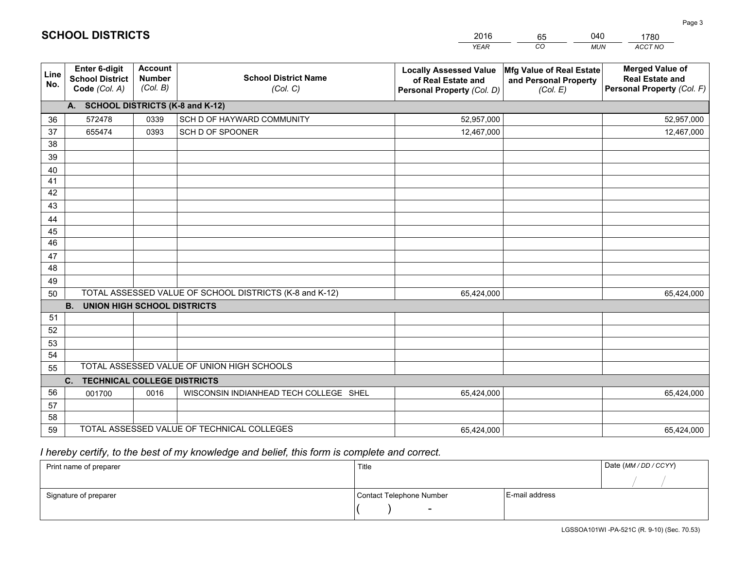|             |                                                          |                                             |                                                         | <b>YEAR</b>                                                                       | CO<br><b>MUN</b>                                              | ACCT NO                                                                        |
|-------------|----------------------------------------------------------|---------------------------------------------|---------------------------------------------------------|-----------------------------------------------------------------------------------|---------------------------------------------------------------|--------------------------------------------------------------------------------|
| Line<br>No. | Enter 6-digit<br><b>School District</b><br>Code (Col. A) | <b>Account</b><br><b>Number</b><br>(Col. B) | <b>School District Name</b><br>(Col. C)                 | <b>Locally Assessed Value</b><br>of Real Estate and<br>Personal Property (Col. D) | Mfg Value of Real Estate<br>and Personal Property<br>(Col. E) | <b>Merged Value of</b><br><b>Real Estate and</b><br>Personal Property (Col. F) |
|             | A. SCHOOL DISTRICTS (K-8 and K-12)                       |                                             |                                                         |                                                                                   |                                                               |                                                                                |
| 36          | 572478                                                   | 0339                                        | SCH D OF HAYWARD COMMUNITY                              | 52,957,000                                                                        |                                                               | 52,957,000                                                                     |
| 37          | 655474                                                   | 0393                                        | SCH D OF SPOONER                                        | 12,467,000                                                                        |                                                               | 12,467,000                                                                     |
| 38          |                                                          |                                             |                                                         |                                                                                   |                                                               |                                                                                |
| 39          |                                                          |                                             |                                                         |                                                                                   |                                                               |                                                                                |
| 40          |                                                          |                                             |                                                         |                                                                                   |                                                               |                                                                                |
| 41          |                                                          |                                             |                                                         |                                                                                   |                                                               |                                                                                |
| 42          |                                                          |                                             |                                                         |                                                                                   |                                                               |                                                                                |
| 43          |                                                          |                                             |                                                         |                                                                                   |                                                               |                                                                                |
| 44          |                                                          |                                             |                                                         |                                                                                   |                                                               |                                                                                |
| 45<br>46    |                                                          |                                             |                                                         |                                                                                   |                                                               |                                                                                |
|             |                                                          |                                             |                                                         |                                                                                   |                                                               |                                                                                |
| 47<br>48    |                                                          |                                             |                                                         |                                                                                   |                                                               |                                                                                |
| 49          |                                                          |                                             |                                                         |                                                                                   |                                                               |                                                                                |
| 50          |                                                          |                                             | TOTAL ASSESSED VALUE OF SCHOOL DISTRICTS (K-8 and K-12) | 65,424,000                                                                        |                                                               | 65,424,000                                                                     |
|             | <b>B.</b><br><b>UNION HIGH SCHOOL DISTRICTS</b>          |                                             |                                                         |                                                                                   |                                                               |                                                                                |
| 51          |                                                          |                                             |                                                         |                                                                                   |                                                               |                                                                                |
| 52          |                                                          |                                             |                                                         |                                                                                   |                                                               |                                                                                |
| 53          |                                                          |                                             |                                                         |                                                                                   |                                                               |                                                                                |
| 54          |                                                          |                                             |                                                         |                                                                                   |                                                               |                                                                                |
| 55          |                                                          |                                             | TOTAL ASSESSED VALUE OF UNION HIGH SCHOOLS              |                                                                                   |                                                               |                                                                                |
|             | <b>TECHNICAL COLLEGE DISTRICTS</b><br>C.                 |                                             |                                                         |                                                                                   |                                                               |                                                                                |
| 56          | 001700                                                   | 0016                                        | WISCONSIN INDIANHEAD TECH COLLEGE SHEL                  | 65,424,000                                                                        |                                                               | 65,424,000                                                                     |
| 57          |                                                          |                                             |                                                         |                                                                                   |                                                               |                                                                                |
| 58          |                                                          |                                             |                                                         |                                                                                   |                                                               |                                                                                |
| 59          |                                                          |                                             | TOTAL ASSESSED VALUE OF TECHNICAL COLLEGES              | 65,424,000                                                                        |                                                               | 65,424,000                                                                     |

65

040

 *I hereby certify, to the best of my knowledge and belief, this form is complete and correct.*

**SCHOOL DISTRICTS**

| Print name of preparer | Title                    |                | Date (MM / DD / CCYY) |
|------------------------|--------------------------|----------------|-----------------------|
|                        |                          |                |                       |
| Signature of preparer  | Contact Telephone Number | E-mail address |                       |
|                        | $\overline{\phantom{0}}$ |                |                       |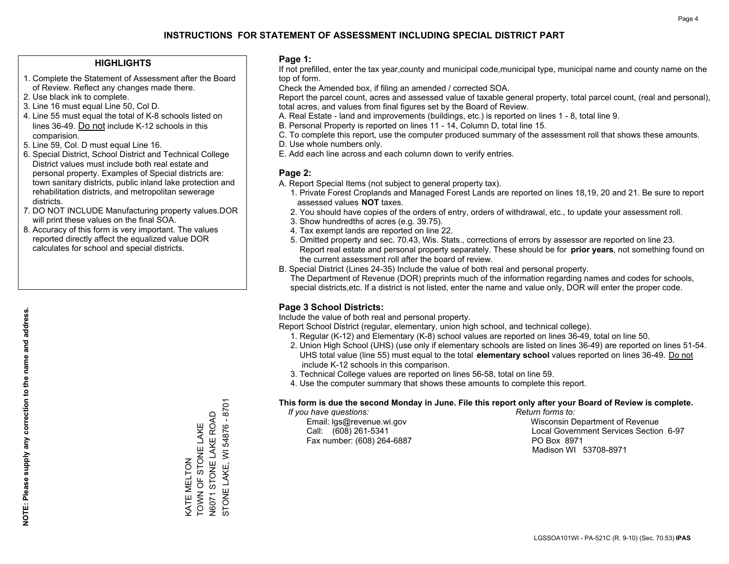#### **HIGHLIGHTS**

- 1. Complete the Statement of Assessment after the Board of Review. Reflect any changes made there.
- 2. Use black ink to complete.
- 3. Line 16 must equal Line 50, Col D.
- 4. Line 55 must equal the total of K-8 schools listed on lines 36-49. Do not include K-12 schools in this comparision.
- 5. Line 59, Col. D must equal Line 16.
- 6. Special District, School District and Technical College District values must include both real estate and personal property. Examples of Special districts are: town sanitary districts, public inland lake protection and rehabilitation districts, and metropolitan sewerage districts.
- 7. DO NOT INCLUDE Manufacturing property values.DOR will print these values on the final SOA.

KATE MELTON

TOWN OF STONE LAKE N6071 STONE LAKE ROAD STONE LAKE, WI 54876 - 8701

KATE MELTON<br>TOWN OF STONE LAKE

STONE LAKE, WI 54876 - 8701 V6071 STONE LAKE ROAD

 8. Accuracy of this form is very important. The values reported directly affect the equalized value DOR calculates for school and special districts.

#### **Page 1:**

 If not prefilled, enter the tax year,county and municipal code,municipal type, municipal name and county name on the top of form.

Check the Amended box, if filing an amended / corrected SOA.

 Report the parcel count, acres and assessed value of taxable general property, total parcel count, (real and personal), total acres, and values from final figures set by the Board of Review.

- A. Real Estate land and improvements (buildings, etc.) is reported on lines 1 8, total line 9.
- B. Personal Property is reported on lines 11 14, Column D, total line 15.
- C. To complete this report, use the computer produced summary of the assessment roll that shows these amounts.
- D. Use whole numbers only.
- E. Add each line across and each column down to verify entries.

#### **Page 2:**

- A. Report Special Items (not subject to general property tax).
- 1. Private Forest Croplands and Managed Forest Lands are reported on lines 18,19, 20 and 21. Be sure to report assessed values **NOT** taxes.
- 2. You should have copies of the orders of entry, orders of withdrawal, etc., to update your assessment roll.
	- 3. Show hundredths of acres (e.g. 39.75).
- 4. Tax exempt lands are reported on line 22.
- 5. Omitted property and sec. 70.43, Wis. Stats., corrections of errors by assessor are reported on line 23. Report real estate and personal property separately. These should be for **prior years**, not something found on the current assessment roll after the board of review.
- B. Special District (Lines 24-35) Include the value of both real and personal property.

 The Department of Revenue (DOR) preprints much of the information regarding names and codes for schools, special districts,etc. If a district is not listed, enter the name and value only, DOR will enter the proper code.

### **Page 3 School Districts:**

Include the value of both real and personal property.

Report School District (regular, elementary, union high school, and technical college).

- 1. Regular (K-12) and Elementary (K-8) school values are reported on lines 36-49, total on line 50.
- 2. Union High School (UHS) (use only if elementary schools are listed on lines 36-49) are reported on lines 51-54. UHS total value (line 55) must equal to the total **elementary school** values reported on lines 36-49. Do notinclude K-12 schools in this comparison.
- 3. Technical College values are reported on lines 56-58, total on line 59.
- 4. Use the computer summary that shows these amounts to complete this report.

#### **This form is due the second Monday in June. File this report only after your Board of Review is complete.**

 *If you have questions: Return forms to:*

Fax number: (608) 264-6887 PO Box 8971

 Email: lgs@revenue.wi.gov Wisconsin Department of Revenue Call: (608) 261-5341 Local Government Services Section 6-97Madison WI 53708-8971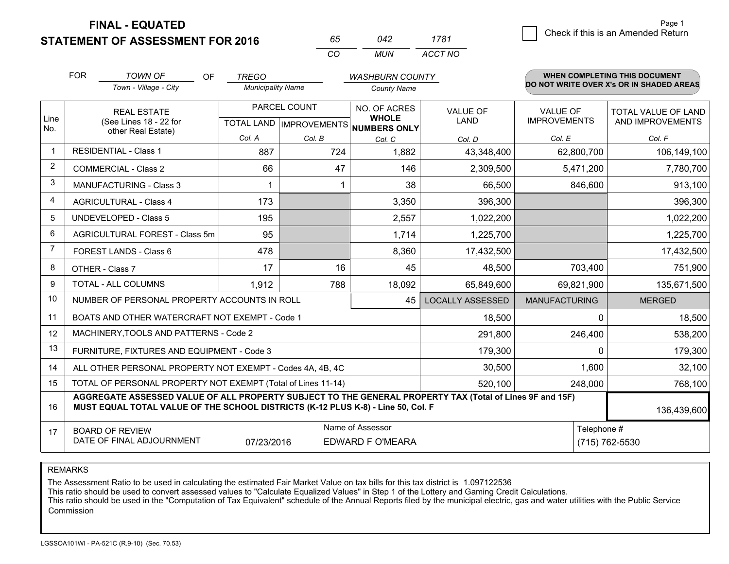**FINAL - EQUATED**

**STATEMENT OF ASSESSMENT FOR 2016** 

| nh.      | 242   | 1781    |
|----------|-------|---------|
| $\cdots$ | MI IN | ACCT NO |

|                | <b>FOR</b>                                                                                                                                                                                   | <b>TOWN OF</b><br><b>OF</b>                                  | <b>TREGO</b>             |                                                  | <b>WASHBURN COUNTY</b>                       |                         |                                        | <b>WHEN COMPLETING THIS DOCUMENT</b>     |
|----------------|----------------------------------------------------------------------------------------------------------------------------------------------------------------------------------------------|--------------------------------------------------------------|--------------------------|--------------------------------------------------|----------------------------------------------|-------------------------|----------------------------------------|------------------------------------------|
|                |                                                                                                                                                                                              | Town - Village - City                                        | <b>Municipality Name</b> |                                                  | <b>County Name</b>                           |                         |                                        | DO NOT WRITE OVER X's OR IN SHADED AREAS |
| Line<br>No.    |                                                                                                                                                                                              | <b>REAL ESTATE</b><br>(See Lines 18 - 22 for                 |                          | PARCEL COUNT<br><b>TOTAL LAND   IMPROVEMENTS</b> | NO. OF ACRES<br><b>WHOLE</b><br>NUMBERS ONLY | VALUE OF<br><b>LAND</b> | <b>VALUE OF</b><br><b>IMPROVEMENTS</b> | TOTAL VALUE OF LAND<br>AND IMPROVEMENTS  |
|                | other Real Estate)                                                                                                                                                                           | Col. A                                                       | Col. B                   | Col. C                                           | Col. D                                       | Col. E                  | Col. F                                 |                                          |
| -1             |                                                                                                                                                                                              | <b>RESIDENTIAL - Class 1</b>                                 | 887                      | 724                                              | 1,882                                        | 43,348,400              | 62,800,700                             | 106,149,100                              |
| 2              |                                                                                                                                                                                              | <b>COMMERCIAL - Class 2</b>                                  | 66                       | 47                                               | 146                                          | 2,309,500               | 5,471,200                              | 7,780,700                                |
| 3              |                                                                                                                                                                                              | <b>MANUFACTURING - Class 3</b>                               |                          |                                                  | 38                                           | 66,500                  | 846,600                                | 913,100                                  |
| 4              |                                                                                                                                                                                              | <b>AGRICULTURAL - Class 4</b>                                | 173                      |                                                  | 3,350                                        | 396,300                 |                                        | 396,300                                  |
| 5              |                                                                                                                                                                                              | <b>UNDEVELOPED - Class 5</b>                                 | 195                      |                                                  | 2,557                                        | 1,022,200               |                                        | 1,022,200                                |
| 6              |                                                                                                                                                                                              | AGRICULTURAL FOREST - Class 5m                               | 95                       |                                                  | 1,714                                        | 1,225,700               |                                        | 1,225,700                                |
| $\overline{7}$ |                                                                                                                                                                                              | FOREST LANDS - Class 6                                       | 478                      |                                                  | 8,360                                        | 17,432,500              |                                        | 17,432,500                               |
| 8              |                                                                                                                                                                                              | OTHER - Class 7                                              | 17                       | 16                                               | 45                                           | 48,500                  | 703,400                                | 751,900                                  |
| 9              |                                                                                                                                                                                              | TOTAL - ALL COLUMNS                                          | 1,912                    | 788                                              | 18,092                                       | 65,849,600              | 69,821,900                             | 135,671,500                              |
| 10             |                                                                                                                                                                                              | NUMBER OF PERSONAL PROPERTY ACCOUNTS IN ROLL                 |                          |                                                  | 45                                           | <b>LOCALLY ASSESSED</b> | <b>MANUFACTURING</b>                   | <b>MERGED</b>                            |
| 11             |                                                                                                                                                                                              | BOATS AND OTHER WATERCRAFT NOT EXEMPT - Code 1               |                          |                                                  |                                              | 18,500                  | 0                                      | 18,500                                   |
| 12             |                                                                                                                                                                                              | MACHINERY, TOOLS AND PATTERNS - Code 2                       |                          |                                                  |                                              | 291,800                 | 246,400                                | 538,200                                  |
| 13             |                                                                                                                                                                                              | FURNITURE, FIXTURES AND EQUIPMENT - Code 3                   |                          |                                                  |                                              | 179,300                 | $\Omega$                               | 179,300                                  |
| 14             |                                                                                                                                                                                              | ALL OTHER PERSONAL PROPERTY NOT EXEMPT - Codes 4A, 4B, 4C    |                          |                                                  |                                              | 30,500                  | 1,600                                  | 32,100                                   |
| 15             |                                                                                                                                                                                              | TOTAL OF PERSONAL PROPERTY NOT EXEMPT (Total of Lines 11-14) |                          |                                                  |                                              | 520,100                 | 248,000                                | 768,100                                  |
| 16             | AGGREGATE ASSESSED VALUE OF ALL PROPERTY SUBJECT TO THE GENERAL PROPERTY TAX (Total of Lines 9F and 15F)<br>MUST EQUAL TOTAL VALUE OF THE SCHOOL DISTRICTS (K-12 PLUS K-8) - Line 50, Col. F |                                                              |                          |                                                  |                                              |                         | 136,439,600                            |                                          |
| 17             | Name of Assessor<br>Telephone #<br><b>BOARD OF REVIEW</b><br>DATE OF FINAL ADJOURNMENT<br>07/23/2016<br>EDWARD F O'MEARA<br>(715) 762-5530                                                   |                                                              |                          |                                                  |                                              |                         |                                        |                                          |

REMARKS

The Assessment Ratio to be used in calculating the estimated Fair Market Value on tax bills for this tax district is 1.097122536<br>This ratio should be used to convert assessed values to "Calculate Equalized Values" in Step Commission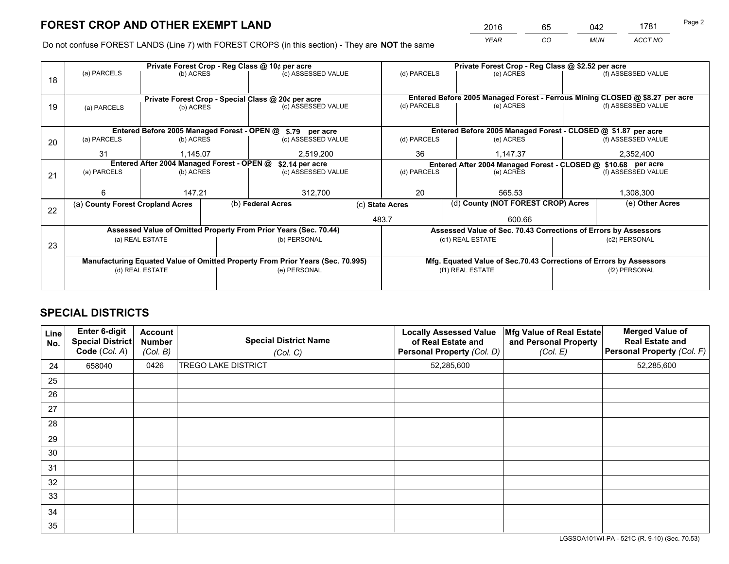*YEAR CO MUN ACCT NO* <sup>2016</sup> <sup>65</sup> <sup>042</sup> <sup>1781</sup>

Do not confuse FOREST LANDS (Line 7) with FOREST CROPS (in this section) - They are **NOT** the same

|    |                                                                                |                 |  | Private Forest Crop - Reg Class @ 10¢ per acre                   |                                                                              | Private Forest Crop - Reg Class @ \$2.52 per acre             |           |                                                                    |                                                                 |                    |
|----|--------------------------------------------------------------------------------|-----------------|--|------------------------------------------------------------------|------------------------------------------------------------------------------|---------------------------------------------------------------|-----------|--------------------------------------------------------------------|-----------------------------------------------------------------|--------------------|
| 18 | (a) PARCELS                                                                    | (b) ACRES       |  | (c) ASSESSED VALUE                                               |                                                                              | (d) PARCELS                                                   |           | (e) ACRES                                                          |                                                                 | (f) ASSESSED VALUE |
|    |                                                                                |                 |  |                                                                  |                                                                              |                                                               |           |                                                                    |                                                                 |                    |
|    | Private Forest Crop - Special Class @ 20¢ per acre                             |                 |  |                                                                  | Entered Before 2005 Managed Forest - Ferrous Mining CLOSED @ \$8.27 per acre |                                                               |           |                                                                    |                                                                 |                    |
| 19 | (a) PARCELS                                                                    | (b) ACRES       |  | (c) ASSESSED VALUE                                               |                                                                              | (d) PARCELS                                                   |           | (e) ACRES                                                          |                                                                 | (f) ASSESSED VALUE |
|    |                                                                                |                 |  |                                                                  |                                                                              |                                                               |           |                                                                    |                                                                 |                    |
|    |                                                                                |                 |  | Entered Before 2005 Managed Forest - OPEN @ \$.79 per acre       |                                                                              |                                                               |           | Entered Before 2005 Managed Forest - CLOSED @ \$1.87 per acre      |                                                                 |                    |
| 20 | (a) PARCELS                                                                    | (b) ACRES       |  | (c) ASSESSED VALUE                                               |                                                                              | (d) PARCELS                                                   |           | (e) ACRES                                                          |                                                                 | (f) ASSESSED VALUE |
|    | 31                                                                             | 1.145.07        |  |                                                                  | 36<br>2,519,200                                                              |                                                               |           | 1.147.37                                                           | 2,352,400                                                       |                    |
|    | Entered After 2004 Managed Forest - OPEN @<br>\$2.14 per acre                  |                 |  |                                                                  |                                                                              | Entered After 2004 Managed Forest - CLOSED @ \$10.68 per acre |           |                                                                    |                                                                 |                    |
| 21 | (a) PARCELS                                                                    | (b) ACRES       |  | (c) ASSESSED VALUE                                               | (d) PARCELS                                                                  |                                                               | (e) ACRES |                                                                    | (f) ASSESSED VALUE                                              |                    |
|    |                                                                                |                 |  |                                                                  |                                                                              |                                                               |           |                                                                    |                                                                 |                    |
|    | 6                                                                              | 147.21          |  | 312,700                                                          |                                                                              | 20                                                            |           | 565.53                                                             |                                                                 | 1,308,300          |
| 22 | (a) County Forest Cropland Acres                                               |                 |  | (b) Federal Acres                                                | (c) State Acres                                                              |                                                               |           | (d) County (NOT FOREST CROP) Acres                                 |                                                                 | (e) Other Acres    |
|    |                                                                                |                 |  |                                                                  |                                                                              | 483.7                                                         |           | 600.66                                                             |                                                                 |                    |
|    |                                                                                |                 |  | Assessed Value of Omitted Property From Prior Years (Sec. 70.44) |                                                                              |                                                               |           |                                                                    | Assessed Value of Sec. 70.43 Corrections of Errors by Assessors |                    |
| 23 |                                                                                | (a) REAL ESTATE |  | (b) PERSONAL                                                     |                                                                              |                                                               |           | (c1) REAL ESTATE                                                   |                                                                 | (c2) PERSONAL      |
|    |                                                                                |                 |  |                                                                  |                                                                              |                                                               |           |                                                                    |                                                                 |                    |
|    | Manufacturing Equated Value of Omitted Property From Prior Years (Sec. 70.995) |                 |  |                                                                  |                                                                              |                                                               |           | Mfg. Equated Value of Sec.70.43 Corrections of Errors by Assessors |                                                                 |                    |
|    | (d) REAL ESTATE                                                                |                 |  | (e) PERSONAL                                                     |                                                                              | (f1) REAL ESTATE                                              |           |                                                                    | (f2) PERSONAL                                                   |                    |
|    |                                                                                |                 |  |                                                                  |                                                                              |                                                               |           |                                                                    |                                                                 |                    |

## **SPECIAL DISTRICTS**

| <b>Line</b><br>No. | Enter 6-digit<br><b>Special District</b><br>Code (Col. A) | <b>Account</b><br><b>Number</b><br>(Col. B) | <b>Special District Name</b><br>(Col. C) | <b>Locally Assessed Value</b><br>of Real Estate and<br>Personal Property (Col. D) | Mfg Value of Real Estate<br>and Personal Property<br>(Col. E) | <b>Merged Value of</b><br><b>Real Estate and</b><br>Personal Property (Col. F) |
|--------------------|-----------------------------------------------------------|---------------------------------------------|------------------------------------------|-----------------------------------------------------------------------------------|---------------------------------------------------------------|--------------------------------------------------------------------------------|
| 24                 | 658040                                                    | 0426                                        | <b>TREGO LAKE DISTRICT</b>               | 52,285,600                                                                        |                                                               | 52,285,600                                                                     |
| 25                 |                                                           |                                             |                                          |                                                                                   |                                                               |                                                                                |
| 26                 |                                                           |                                             |                                          |                                                                                   |                                                               |                                                                                |
| 27                 |                                                           |                                             |                                          |                                                                                   |                                                               |                                                                                |
| 28                 |                                                           |                                             |                                          |                                                                                   |                                                               |                                                                                |
| 29                 |                                                           |                                             |                                          |                                                                                   |                                                               |                                                                                |
| 30                 |                                                           |                                             |                                          |                                                                                   |                                                               |                                                                                |
| 31                 |                                                           |                                             |                                          |                                                                                   |                                                               |                                                                                |
| 32                 |                                                           |                                             |                                          |                                                                                   |                                                               |                                                                                |
| 33                 |                                                           |                                             |                                          |                                                                                   |                                                               |                                                                                |
| 34                 |                                                           |                                             |                                          |                                                                                   |                                                               |                                                                                |
| 35                 |                                                           |                                             |                                          |                                                                                   |                                                               |                                                                                |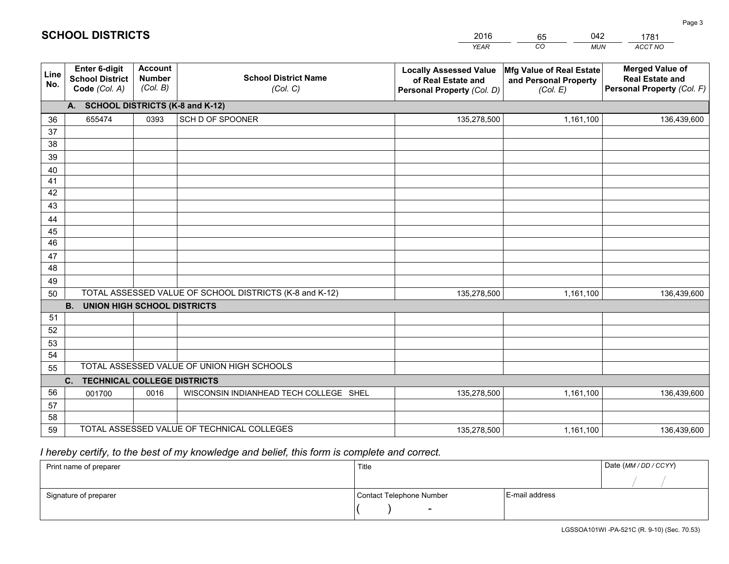|             |                                                          |                                             |                                                         | <b>YEAR</b>                                                                       | CO<br><b>MUN</b>                                              | ACCT NO                                                                        |
|-------------|----------------------------------------------------------|---------------------------------------------|---------------------------------------------------------|-----------------------------------------------------------------------------------|---------------------------------------------------------------|--------------------------------------------------------------------------------|
| Line<br>No. | Enter 6-digit<br><b>School District</b><br>Code (Col. A) | <b>Account</b><br><b>Number</b><br>(Col. B) | <b>School District Name</b><br>(Col. C)                 | <b>Locally Assessed Value</b><br>of Real Estate and<br>Personal Property (Col. D) | Mfg Value of Real Estate<br>and Personal Property<br>(Col. E) | <b>Merged Value of</b><br><b>Real Estate and</b><br>Personal Property (Col. F) |
|             | A. SCHOOL DISTRICTS (K-8 and K-12)                       |                                             |                                                         |                                                                                   |                                                               |                                                                                |
| 36          | 655474                                                   | 0393                                        | SCH D OF SPOONER                                        | 135,278,500                                                                       | 1,161,100                                                     | 136,439,600                                                                    |
| 37          |                                                          |                                             |                                                         |                                                                                   |                                                               |                                                                                |
| 38          |                                                          |                                             |                                                         |                                                                                   |                                                               |                                                                                |
| 39          |                                                          |                                             |                                                         |                                                                                   |                                                               |                                                                                |
| 40          |                                                          |                                             |                                                         |                                                                                   |                                                               |                                                                                |
| 41<br>42    |                                                          |                                             |                                                         |                                                                                   |                                                               |                                                                                |
| 43          |                                                          |                                             |                                                         |                                                                                   |                                                               |                                                                                |
|             |                                                          |                                             |                                                         |                                                                                   |                                                               |                                                                                |
| 44<br>45    |                                                          |                                             |                                                         |                                                                                   |                                                               |                                                                                |
| 46          |                                                          |                                             |                                                         |                                                                                   |                                                               |                                                                                |
| 47          |                                                          |                                             |                                                         |                                                                                   |                                                               |                                                                                |
| 48          |                                                          |                                             |                                                         |                                                                                   |                                                               |                                                                                |
| 49          |                                                          |                                             |                                                         |                                                                                   |                                                               |                                                                                |
| 50          |                                                          |                                             | TOTAL ASSESSED VALUE OF SCHOOL DISTRICTS (K-8 and K-12) | 135,278,500                                                                       | 1,161,100                                                     | 136,439,600                                                                    |
|             | <b>B.</b><br>UNION HIGH SCHOOL DISTRICTS                 |                                             |                                                         |                                                                                   |                                                               |                                                                                |
| 51          |                                                          |                                             |                                                         |                                                                                   |                                                               |                                                                                |
| 52          |                                                          |                                             |                                                         |                                                                                   |                                                               |                                                                                |
| 53          |                                                          |                                             |                                                         |                                                                                   |                                                               |                                                                                |
| 54          |                                                          |                                             |                                                         |                                                                                   |                                                               |                                                                                |
| 55          |                                                          |                                             | TOTAL ASSESSED VALUE OF UNION HIGH SCHOOLS              |                                                                                   |                                                               |                                                                                |
|             | C.<br><b>TECHNICAL COLLEGE DISTRICTS</b>                 |                                             |                                                         |                                                                                   |                                                               |                                                                                |
| 56          | 001700                                                   | 0016                                        | WISCONSIN INDIANHEAD TECH COLLEGE SHEL                  | 135,278,500                                                                       | 1,161,100                                                     | 136,439,600                                                                    |
| 57<br>58    |                                                          |                                             |                                                         |                                                                                   |                                                               |                                                                                |
| 59          |                                                          |                                             | TOTAL ASSESSED VALUE OF TECHNICAL COLLEGES              | 135,278,500                                                                       | 1,161,100                                                     | 136,439,600                                                                    |
|             |                                                          |                                             |                                                         |                                                                                   |                                                               |                                                                                |

65

042

 *I hereby certify, to the best of my knowledge and belief, this form is complete and correct.*

**SCHOOL DISTRICTS**

| Print name of preparer | Title                    |                | Date (MM / DD / CCYY) |
|------------------------|--------------------------|----------------|-----------------------|
|                        |                          |                |                       |
| Signature of preparer  | Contact Telephone Number | E-mail address |                       |
|                        | $\sim$                   |                |                       |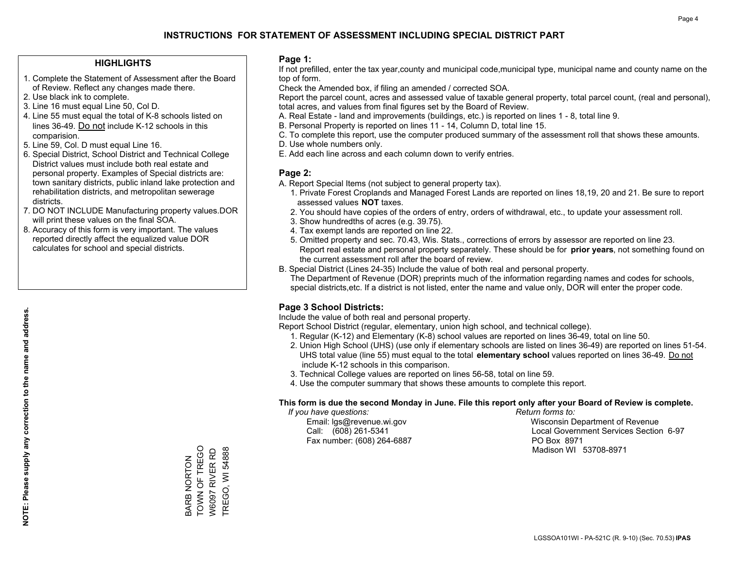#### **HIGHLIGHTS**

- 1. Complete the Statement of Assessment after the Board of Review. Reflect any changes made there.
- 2. Use black ink to complete.
- 3. Line 16 must equal Line 50, Col D.
- 4. Line 55 must equal the total of K-8 schools listed on lines 36-49. Do not include K-12 schools in this comparision.
- 5. Line 59, Col. D must equal Line 16.
- 6. Special District, School District and Technical College District values must include both real estate and personal property. Examples of Special districts are: town sanitary districts, public inland lake protection and rehabilitation districts, and metropolitan sewerage districts.
- 7. DO NOT INCLUDE Manufacturing property values.DOR will print these values on the final SOA.
- 8. Accuracy of this form is very important. The values reported directly affect the equalized value DOR calculates for school and special districts.

#### **Page 1:**

 If not prefilled, enter the tax year,county and municipal code,municipal type, municipal name and county name on the top of form.

Check the Amended box, if filing an amended / corrected SOA.

 Report the parcel count, acres and assessed value of taxable general property, total parcel count, (real and personal), total acres, and values from final figures set by the Board of Review.

- A. Real Estate land and improvements (buildings, etc.) is reported on lines 1 8, total line 9.
- B. Personal Property is reported on lines 11 14, Column D, total line 15.
- C. To complete this report, use the computer produced summary of the assessment roll that shows these amounts.
- D. Use whole numbers only.
- E. Add each line across and each column down to verify entries.

#### **Page 2:**

- A. Report Special Items (not subject to general property tax).
- 1. Private Forest Croplands and Managed Forest Lands are reported on lines 18,19, 20 and 21. Be sure to report assessed values **NOT** taxes.
- 2. You should have copies of the orders of entry, orders of withdrawal, etc., to update your assessment roll.
	- 3. Show hundredths of acres (e.g. 39.75).
- 4. Tax exempt lands are reported on line 22.
- 5. Omitted property and sec. 70.43, Wis. Stats., corrections of errors by assessor are reported on line 23. Report real estate and personal property separately. These should be for **prior years**, not something found on the current assessment roll after the board of review.
- B. Special District (Lines 24-35) Include the value of both real and personal property.
- The Department of Revenue (DOR) preprints much of the information regarding names and codes for schools, special districts,etc. If a district is not listed, enter the name and value only, DOR will enter the proper code.

### **Page 3 School Districts:**

Include the value of both real and personal property.

Report School District (regular, elementary, union high school, and technical college).

- 1. Regular (K-12) and Elementary (K-8) school values are reported on lines 36-49, total on line 50.
- 2. Union High School (UHS) (use only if elementary schools are listed on lines 36-49) are reported on lines 51-54. UHS total value (line 55) must equal to the total **elementary school** values reported on lines 36-49. Do notinclude K-12 schools in this comparison.
- 3. Technical College values are reported on lines 56-58, total on line 59.
- 4. Use the computer summary that shows these amounts to complete this report.

#### **This form is due the second Monday in June. File this report only after your Board of Review is complete.**

 *If you have questions: Return forms to:*

Fax number: (608) 264-6887 PO Box 8971

 Email: lgs@revenue.wi.gov Wisconsin Department of Revenue Call: (608) 261-5341 Local Government Services Section 6-97Madison WI 53708-8971

TOWN OF TREGO TOWN OF TREGO W6097 RIVER RD **TREGO, WI 54888** TREGO, WI 54888 W6097 RIVER RD **BARB NORTON** BARB NORTON

**NOTE: Please supply any correction to the name and address.**

NOTE: Please supply any correction to the name and address.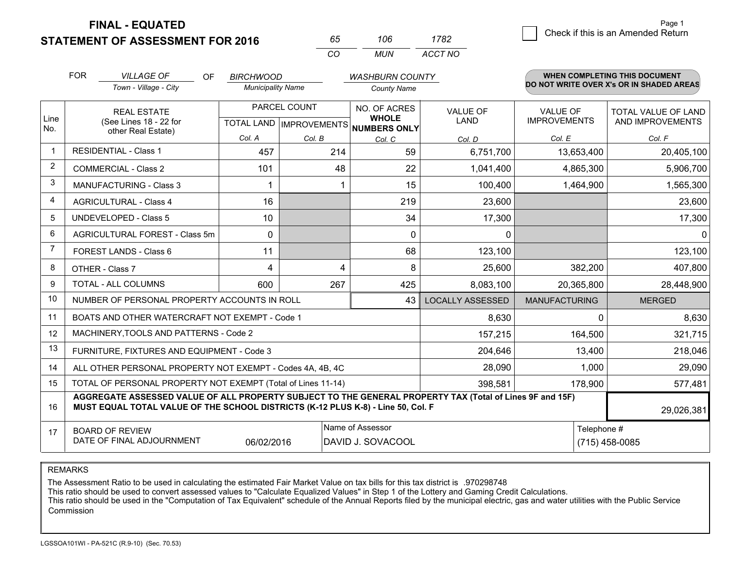**STATEMENT OF ASSESSMENT FOR 2016** 

**FINAL - EQUATED**

| 65.      | 11 I h | 782     |
|----------|--------|---------|
| $\cdots$ | MUN    | ACCT NO |

|                | <b>FOR</b><br><b>VILLAGE OF</b><br>OF<br><b>BIRCHWOOD</b><br><b>WASHBURN COUNTY</b>                                                                                                          |                                                              |                          | <b>WHEN COMPLETING THIS DOCUMENT</b>      |                              |                                |                                        |                                                |
|----------------|----------------------------------------------------------------------------------------------------------------------------------------------------------------------------------------------|--------------------------------------------------------------|--------------------------|-------------------------------------------|------------------------------|--------------------------------|----------------------------------------|------------------------------------------------|
|                |                                                                                                                                                                                              | Town - Village - City                                        | <b>Municipality Name</b> |                                           | <b>County Name</b>           |                                |                                        | DO NOT WRITE OVER X's OR IN SHADED AREAS       |
| Line           |                                                                                                                                                                                              | <b>REAL ESTATE</b><br>(See Lines 18 - 22 for                 |                          | PARCEL COUNT<br>TOTAL LAND   IMPROVEMENTS | NO. OF ACRES<br><b>WHOLE</b> | <b>VALUE OF</b><br><b>LAND</b> | <b>VALUE OF</b><br><b>IMPROVEMENTS</b> | <b>TOTAL VALUE OF LAND</b><br>AND IMPROVEMENTS |
| No.            | other Real Estate)                                                                                                                                                                           | Col. A                                                       | Col. B                   | NUMBERS ONLY<br>Col. C                    | Col. D                       | Col. E                         | Col. F                                 |                                                |
|                |                                                                                                                                                                                              | <b>RESIDENTIAL - Class 1</b>                                 | 457                      | 214                                       | 59                           | 6,751,700                      | 13,653,400                             | 20,405,100                                     |
| 2              |                                                                                                                                                                                              | <b>COMMERCIAL - Class 2</b>                                  | 101                      | 48                                        | 22                           | 1,041,400                      | 4,865,300                              | 5,906,700                                      |
| 3              |                                                                                                                                                                                              | <b>MANUFACTURING - Class 3</b>                               | 1                        |                                           | 15                           | 100,400                        | 1,464,900                              | 1,565,300                                      |
| 4              |                                                                                                                                                                                              | <b>AGRICULTURAL - Class 4</b>                                | 16                       |                                           | 219                          | 23,600                         |                                        | 23,600                                         |
| 5              |                                                                                                                                                                                              | <b>UNDEVELOPED - Class 5</b>                                 | 10                       |                                           | 34                           | 17,300                         |                                        | 17,300                                         |
| 6              |                                                                                                                                                                                              | AGRICULTURAL FOREST - Class 5m                               | $\Omega$                 |                                           | $\Omega$                     | 0                              |                                        | $\mathbf{0}$                                   |
| $\overline{7}$ |                                                                                                                                                                                              | FOREST LANDS - Class 6                                       | 11                       |                                           | 68                           | 123,100                        |                                        | 123,100                                        |
| 8              |                                                                                                                                                                                              | OTHER - Class 7                                              | 4                        | 4                                         | 8                            | 25,600                         | 382,200                                | 407,800                                        |
| 9              |                                                                                                                                                                                              | TOTAL - ALL COLUMNS                                          | 600                      | 267                                       | 425                          | 8,083,100                      | 20,365,800                             | 28,448,900                                     |
| 10             |                                                                                                                                                                                              | NUMBER OF PERSONAL PROPERTY ACCOUNTS IN ROLL                 |                          |                                           | 43                           | <b>LOCALLY ASSESSED</b>        | <b>MANUFACTURING</b>                   | <b>MERGED</b>                                  |
| 11             |                                                                                                                                                                                              | BOATS AND OTHER WATERCRAFT NOT EXEMPT - Code 1               |                          |                                           |                              | 8,630                          | $\Omega$                               | 8,630                                          |
| 12             |                                                                                                                                                                                              | MACHINERY, TOOLS AND PATTERNS - Code 2                       |                          |                                           |                              | 157,215                        | 164,500                                | 321,715                                        |
| 13             |                                                                                                                                                                                              | FURNITURE, FIXTURES AND EQUIPMENT - Code 3                   |                          |                                           |                              | 204,646                        | 13,400                                 | 218,046                                        |
| 14             |                                                                                                                                                                                              | ALL OTHER PERSONAL PROPERTY NOT EXEMPT - Codes 4A, 4B, 4C    |                          |                                           |                              | 28,090                         | 1,000                                  | 29,090                                         |
| 15             |                                                                                                                                                                                              | TOTAL OF PERSONAL PROPERTY NOT EXEMPT (Total of Lines 11-14) |                          |                                           |                              | 398,581                        | 178,900                                | 577,481                                        |
| 16             | AGGREGATE ASSESSED VALUE OF ALL PROPERTY SUBJECT TO THE GENERAL PROPERTY TAX (Total of Lines 9F and 15F)<br>MUST EQUAL TOTAL VALUE OF THE SCHOOL DISTRICTS (K-12 PLUS K-8) - Line 50, Col. F |                                                              |                          |                                           |                              |                                | 29,026,381                             |                                                |
| 17             | Name of Assessor<br>Telephone #<br><b>BOARD OF REVIEW</b><br>DATE OF FINAL ADJOURNMENT<br>06/02/2016<br>DAVID J. SOVACOOL<br>(715) 458-0085                                                  |                                                              |                          |                                           |                              |                                |                                        |                                                |

REMARKS

The Assessment Ratio to be used in calculating the estimated Fair Market Value on tax bills for this tax district is .970298748<br>This ratio should be used to convert assessed values to "Calculate Equalized Values" in Step 1 Commission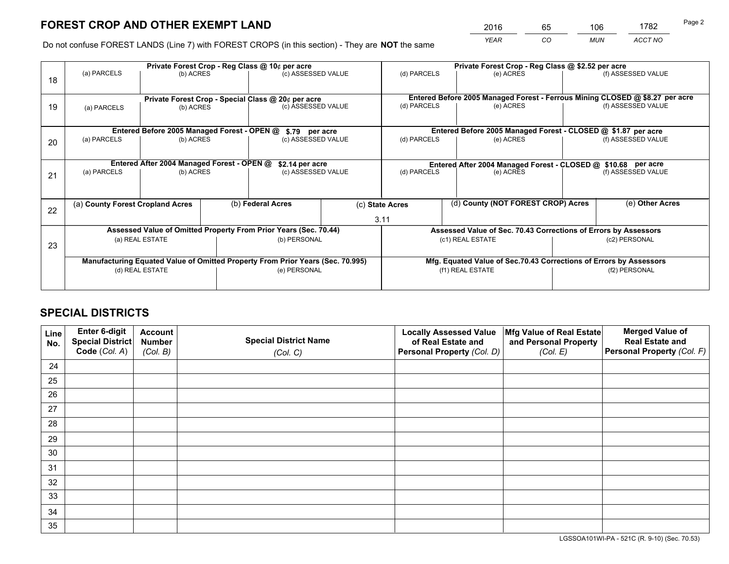*YEAR CO MUN ACCT NO* <sup>2016</sup> <sup>65</sup> <sup>106</sup> <sup>1782</sup> Page 2

Do not confuse FOREST LANDS (Line 7) with FOREST CROPS (in this section) - They are **NOT** the same

|    |                                                                                |                                             |  | Private Forest Crop - Reg Class @ 10¢ per acre                   |  | Private Forest Crop - Reg Class @ \$2.52 per acre             |                                                                              |                    |                    |  |
|----|--------------------------------------------------------------------------------|---------------------------------------------|--|------------------------------------------------------------------|--|---------------------------------------------------------------|------------------------------------------------------------------------------|--------------------|--------------------|--|
| 18 | (a) PARCELS                                                                    | (b) ACRES                                   |  | (c) ASSESSED VALUE                                               |  | (d) PARCELS                                                   | (e) ACRES                                                                    |                    | (f) ASSESSED VALUE |  |
|    |                                                                                |                                             |  | Private Forest Crop - Special Class @ 20¢ per acre               |  |                                                               | Entered Before 2005 Managed Forest - Ferrous Mining CLOSED @ \$8.27 per acre |                    |                    |  |
| 19 | (a) PARCELS                                                                    | (b) ACRES                                   |  | (c) ASSESSED VALUE                                               |  | (d) PARCELS                                                   | (e) ACRES                                                                    |                    | (f) ASSESSED VALUE |  |
|    |                                                                                | Entered Before 2005 Managed Forest - OPEN @ |  | \$.79 per acre                                                   |  |                                                               | Entered Before 2005 Managed Forest - CLOSED @ \$1.87 per acre                |                    |                    |  |
|    | (a) PARCELS                                                                    | (b) ACRES                                   |  | (c) ASSESSED VALUE                                               |  | (d) PARCELS                                                   | (e) ACRES                                                                    |                    | (f) ASSESSED VALUE |  |
| 20 |                                                                                |                                             |  |                                                                  |  |                                                               |                                                                              |                    |                    |  |
|    | Entered After 2004 Managed Forest - OPEN @<br>\$2.14 per acre                  |                                             |  |                                                                  |  | Entered After 2004 Managed Forest - CLOSED @ \$10.68 per acre |                                                                              |                    |                    |  |
| 21 | (a) PARCELS                                                                    | (b) ACRES                                   |  | (c) ASSESSED VALUE                                               |  | (d) PARCELS<br>(e) ACRES                                      |                                                                              | (f) ASSESSED VALUE |                    |  |
|    |                                                                                |                                             |  |                                                                  |  |                                                               |                                                                              |                    |                    |  |
| 22 | (a) County Forest Cropland Acres                                               |                                             |  | (b) Federal Acres                                                |  | (c) State Acres                                               | (d) County (NOT FOREST CROP) Acres                                           |                    | (e) Other Acres    |  |
|    |                                                                                |                                             |  |                                                                  |  | 3.11                                                          |                                                                              |                    |                    |  |
|    |                                                                                |                                             |  | Assessed Value of Omitted Property From Prior Years (Sec. 70.44) |  |                                                               | Assessed Value of Sec. 70.43 Corrections of Errors by Assessors              |                    |                    |  |
|    |                                                                                | (a) REAL ESTATE                             |  | (b) PERSONAL                                                     |  |                                                               | (c1) REAL ESTATE                                                             |                    | (c2) PERSONAL      |  |
| 23 |                                                                                |                                             |  |                                                                  |  |                                                               |                                                                              |                    |                    |  |
|    | Manufacturing Equated Value of Omitted Property From Prior Years (Sec. 70.995) |                                             |  |                                                                  |  |                                                               | Mfg. Equated Value of Sec.70.43 Corrections of Errors by Assessors           |                    |                    |  |
|    |                                                                                | (d) REAL ESTATE                             |  | (e) PERSONAL                                                     |  | (f1) REAL ESTATE                                              |                                                                              |                    | (f2) PERSONAL      |  |
|    |                                                                                |                                             |  |                                                                  |  |                                                               |                                                                              |                    |                    |  |

## **SPECIAL DISTRICTS**

| Line<br>No. | Enter 6-digit<br><b>Special District</b> | <b>Account</b><br><b>Number</b> | <b>Special District Name</b> | <b>Locally Assessed Value</b><br>of Real Estate and | Mfg Value of Real Estate<br>and Personal Property | <b>Merged Value of</b><br><b>Real Estate and</b> |
|-------------|------------------------------------------|---------------------------------|------------------------------|-----------------------------------------------------|---------------------------------------------------|--------------------------------------------------|
|             | Code (Col. A)                            | (Col. B)                        | (Col. C)                     | Personal Property (Col. D)                          | (Col. E)                                          | Personal Property (Col. F)                       |
| 24          |                                          |                                 |                              |                                                     |                                                   |                                                  |
| 25          |                                          |                                 |                              |                                                     |                                                   |                                                  |
| 26          |                                          |                                 |                              |                                                     |                                                   |                                                  |
| 27          |                                          |                                 |                              |                                                     |                                                   |                                                  |
| 28          |                                          |                                 |                              |                                                     |                                                   |                                                  |
| 29          |                                          |                                 |                              |                                                     |                                                   |                                                  |
| 30          |                                          |                                 |                              |                                                     |                                                   |                                                  |
| 31          |                                          |                                 |                              |                                                     |                                                   |                                                  |
| 32          |                                          |                                 |                              |                                                     |                                                   |                                                  |
| 33          |                                          |                                 |                              |                                                     |                                                   |                                                  |
| 34          |                                          |                                 |                              |                                                     |                                                   |                                                  |
| 35          |                                          |                                 |                              |                                                     |                                                   |                                                  |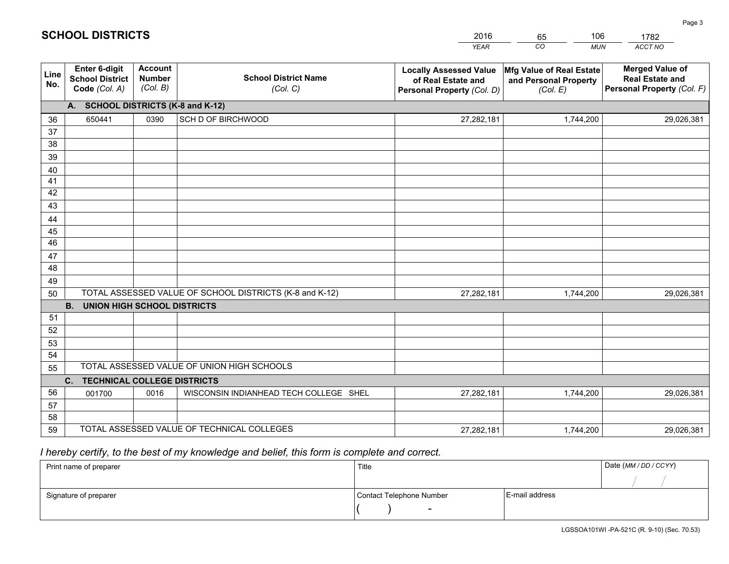|             |                                                                 |                                             |                                                         | <b>YEAR</b>                                                                       | CO<br><b>MUN</b>                                              | ACCT NO                                                                        |
|-------------|-----------------------------------------------------------------|---------------------------------------------|---------------------------------------------------------|-----------------------------------------------------------------------------------|---------------------------------------------------------------|--------------------------------------------------------------------------------|
| Line<br>No. | <b>Enter 6-digit</b><br><b>School District</b><br>Code (Col. A) | <b>Account</b><br><b>Number</b><br>(Col. B) | <b>School District Name</b><br>(Col. C)                 | <b>Locally Assessed Value</b><br>of Real Estate and<br>Personal Property (Col. D) | Mfg Value of Real Estate<br>and Personal Property<br>(Col. E) | <b>Merged Value of</b><br><b>Real Estate and</b><br>Personal Property (Col. F) |
|             | A. SCHOOL DISTRICTS (K-8 and K-12)                              |                                             |                                                         |                                                                                   |                                                               |                                                                                |
| 36          | 650441                                                          | 0390                                        | SCH D OF BIRCHWOOD                                      | 27,282,181                                                                        | 1,744,200                                                     | 29,026,381                                                                     |
| 37          |                                                                 |                                             |                                                         |                                                                                   |                                                               |                                                                                |
| 38          |                                                                 |                                             |                                                         |                                                                                   |                                                               |                                                                                |
| 39          |                                                                 |                                             |                                                         |                                                                                   |                                                               |                                                                                |
| 40          |                                                                 |                                             |                                                         |                                                                                   |                                                               |                                                                                |
| 41<br>42    |                                                                 |                                             |                                                         |                                                                                   |                                                               |                                                                                |
| 43          |                                                                 |                                             |                                                         |                                                                                   |                                                               |                                                                                |
|             |                                                                 |                                             |                                                         |                                                                                   |                                                               |                                                                                |
| 44<br>45    |                                                                 |                                             |                                                         |                                                                                   |                                                               |                                                                                |
| 46          |                                                                 |                                             |                                                         |                                                                                   |                                                               |                                                                                |
| 47          |                                                                 |                                             |                                                         |                                                                                   |                                                               |                                                                                |
| 48          |                                                                 |                                             |                                                         |                                                                                   |                                                               |                                                                                |
| 49          |                                                                 |                                             |                                                         |                                                                                   |                                                               |                                                                                |
| 50          |                                                                 |                                             | TOTAL ASSESSED VALUE OF SCHOOL DISTRICTS (K-8 and K-12) | 27,282,181                                                                        | 1,744,200                                                     | 29,026,381                                                                     |
|             | <b>B. UNION HIGH SCHOOL DISTRICTS</b>                           |                                             |                                                         |                                                                                   |                                                               |                                                                                |
| 51          |                                                                 |                                             |                                                         |                                                                                   |                                                               |                                                                                |
| 52          |                                                                 |                                             |                                                         |                                                                                   |                                                               |                                                                                |
| 53          |                                                                 |                                             |                                                         |                                                                                   |                                                               |                                                                                |
| 54          |                                                                 |                                             |                                                         |                                                                                   |                                                               |                                                                                |
| 55          |                                                                 |                                             | TOTAL ASSESSED VALUE OF UNION HIGH SCHOOLS              |                                                                                   |                                                               |                                                                                |
|             | C.<br><b>TECHNICAL COLLEGE DISTRICTS</b>                        |                                             |                                                         |                                                                                   |                                                               |                                                                                |
| 56          | 001700                                                          | 0016                                        | WISCONSIN INDIANHEAD TECH COLLEGE SHEL                  | 27,282,181                                                                        | 1,744,200                                                     | 29,026,381                                                                     |
| 57<br>58    |                                                                 |                                             |                                                         |                                                                                   |                                                               |                                                                                |
| 59          |                                                                 |                                             | TOTAL ASSESSED VALUE OF TECHNICAL COLLEGES              | 27,282,181                                                                        | 1,744,200                                                     | 29,026,381                                                                     |
|             |                                                                 |                                             |                                                         |                                                                                   |                                                               |                                                                                |

65

106

 *I hereby certify, to the best of my knowledge and belief, this form is complete and correct.*

**SCHOOL DISTRICTS**

| Print name of preparer | Title                    |                | Date (MM / DD / CCYY) |
|------------------------|--------------------------|----------------|-----------------------|
|                        |                          |                |                       |
| Signature of preparer  | Contact Telephone Number | E-mail address |                       |
|                        | $\sim$                   |                |                       |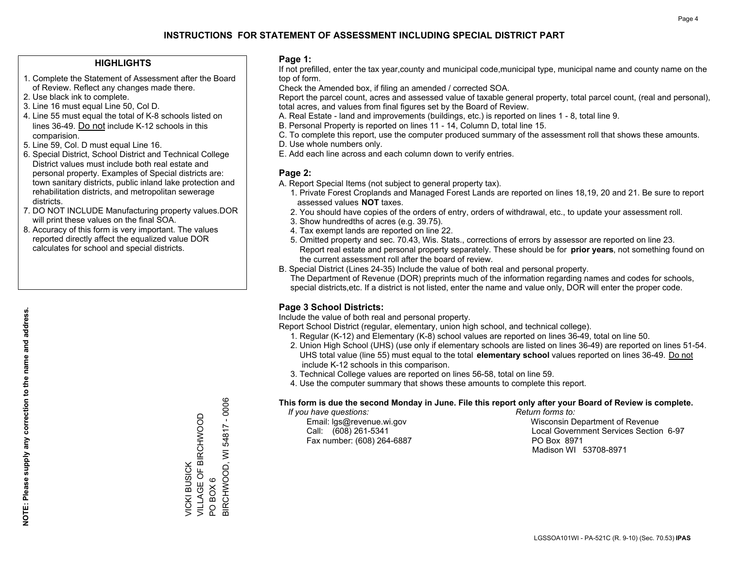#### **HIGHLIGHTS**

- 1. Complete the Statement of Assessment after the Board of Review. Reflect any changes made there.
- 2. Use black ink to complete.
- 3. Line 16 must equal Line 50, Col D.
- 4. Line 55 must equal the total of K-8 schools listed on lines 36-49. Do not include K-12 schools in this comparision.
- 5. Line 59, Col. D must equal Line 16.
- 6. Special District, School District and Technical College District values must include both real estate and personal property. Examples of Special districts are: town sanitary districts, public inland lake protection and rehabilitation districts, and metropolitan sewerage districts.
- 7. DO NOT INCLUDE Manufacturing property values.DOR will print these values on the final SOA.
- 8. Accuracy of this form is very important. The values reported directly affect the equalized value DOR calculates for school and special districts.

#### **Page 1:**

 If not prefilled, enter the tax year,county and municipal code,municipal type, municipal name and county name on the top of form.

Check the Amended box, if filing an amended / corrected SOA.

 Report the parcel count, acres and assessed value of taxable general property, total parcel count, (real and personal), total acres, and values from final figures set by the Board of Review.

- A. Real Estate land and improvements (buildings, etc.) is reported on lines 1 8, total line 9.
- B. Personal Property is reported on lines 11 14, Column D, total line 15.
- C. To complete this report, use the computer produced summary of the assessment roll that shows these amounts.
- D. Use whole numbers only.
- E. Add each line across and each column down to verify entries.

#### **Page 2:**

- A. Report Special Items (not subject to general property tax).
- 1. Private Forest Croplands and Managed Forest Lands are reported on lines 18,19, 20 and 21. Be sure to report assessed values **NOT** taxes.
- 2. You should have copies of the orders of entry, orders of withdrawal, etc., to update your assessment roll.
	- 3. Show hundredths of acres (e.g. 39.75).
- 4. Tax exempt lands are reported on line 22.
- 5. Omitted property and sec. 70.43, Wis. Stats., corrections of errors by assessor are reported on line 23. Report real estate and personal property separately. These should be for **prior years**, not something found on the current assessment roll after the board of review.
- B. Special District (Lines 24-35) Include the value of both real and personal property.
- The Department of Revenue (DOR) preprints much of the information regarding names and codes for schools, special districts,etc. If a district is not listed, enter the name and value only, DOR will enter the proper code.

### **Page 3 School Districts:**

Include the value of both real and personal property.

Report School District (regular, elementary, union high school, and technical college).

- 1. Regular (K-12) and Elementary (K-8) school values are reported on lines 36-49, total on line 50.
- 2. Union High School (UHS) (use only if elementary schools are listed on lines 36-49) are reported on lines 51-54. UHS total value (line 55) must equal to the total **elementary school** values reported on lines 36-49. Do notinclude K-12 schools in this comparison.
- 3. Technical College values are reported on lines 56-58, total on line 59.
- 4. Use the computer summary that shows these amounts to complete this report.

#### **This form is due the second Monday in June. File this report only after your Board of Review is complete.**

 *If you have questions: Return forms to:*

Fax number: (608) 264-6887 PO Box 8971

 Email: lgs@revenue.wi.gov Wisconsin Department of Revenue Call: (608) 261-5341 Local Government Services Section 6-97Madison WI 53708-8971

3IRCHWOOD, WI 54817 - 0006 BIRCHWOOD, WI 54817 - 0006 VILLAGE OF BIRCHWOOD VICKI BUSICK<br>VILLAGE OF BIRCHWOOD VICKI BUSICK PO BOX 6 PO BOX 6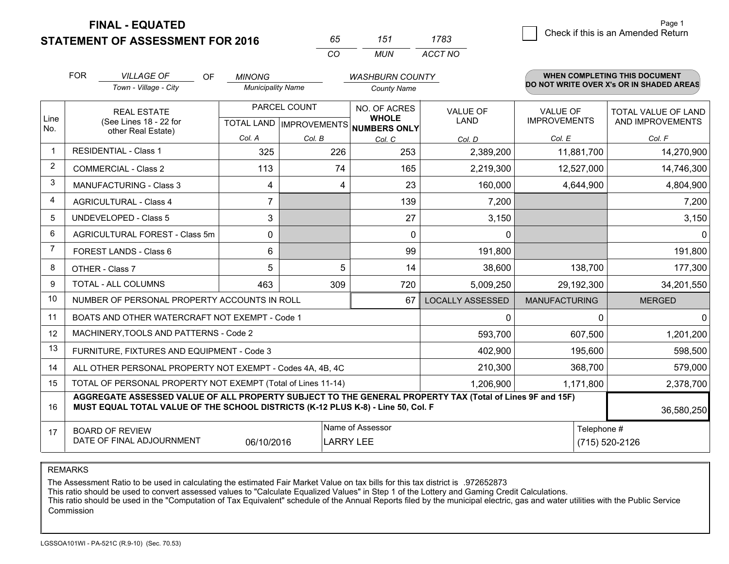**STATEMENT OF ASSESSMENT FOR 2016 FINAL - EQUATED**

| 65       | 151 | 1783    |
|----------|-----|---------|
| $\alpha$ | MUN | ACCT NO |

|             | <b>FOR</b>                                                                                                                                                                                   | <b>VILLAGE OF</b><br>OF                                      | <b>MINONG</b>            |              | <b>WASHBURN COUNTY</b>                                              |                                |                                        | WHEN COMPLETING THIS DOCUMENT            |
|-------------|----------------------------------------------------------------------------------------------------------------------------------------------------------------------------------------------|--------------------------------------------------------------|--------------------------|--------------|---------------------------------------------------------------------|--------------------------------|----------------------------------------|------------------------------------------|
|             |                                                                                                                                                                                              | Town - Village - City                                        | <b>Municipality Name</b> |              | <b>County Name</b>                                                  |                                |                                        | DO NOT WRITE OVER X's OR IN SHADED AREAS |
| Line<br>No. |                                                                                                                                                                                              | <b>REAL ESTATE</b><br>(See Lines 18 - 22 for                 |                          | PARCEL COUNT | NO. OF ACRES<br><b>WHOLE</b><br>TOTAL LAND MPROVEMENTS NUMBERS ONLY | <b>VALUE OF</b><br><b>LAND</b> | <b>VALUE OF</b><br><b>IMPROVEMENTS</b> | TOTAL VALUE OF LAND<br>AND IMPROVEMENTS  |
|             |                                                                                                                                                                                              | other Real Estate)                                           | Col. A                   | Col. B       | Col. C                                                              | Col. D                         | Col. E                                 | Col. F                                   |
|             |                                                                                                                                                                                              | <b>RESIDENTIAL - Class 1</b>                                 | 325                      | 226          | 253                                                                 | 2,389,200                      | 11,881,700                             | 14,270,900                               |
| 2           |                                                                                                                                                                                              | <b>COMMERCIAL - Class 2</b>                                  | 113                      | 74           | 165                                                                 | 2,219,300                      | 12,527,000                             | 14,746,300                               |
| 3           |                                                                                                                                                                                              | <b>MANUFACTURING - Class 3</b>                               | 4                        | 4            | 23                                                                  | 160,000                        | 4,644,900                              | 4,804,900                                |
| 4           |                                                                                                                                                                                              | <b>AGRICULTURAL - Class 4</b>                                | 7                        |              | 139                                                                 | 7,200                          |                                        | 7,200                                    |
| 5           |                                                                                                                                                                                              | UNDEVELOPED - Class 5                                        | 3                        |              | 27                                                                  | 3,150                          |                                        | 3,150                                    |
| 6           |                                                                                                                                                                                              | AGRICULTURAL FOREST - Class 5m                               | $\Omega$                 |              | $\Omega$                                                            | $\mathbf{0}$                   |                                        | $\mathbf{0}$                             |
| 7           |                                                                                                                                                                                              | FOREST LANDS - Class 6                                       | 6                        |              | 99                                                                  | 191,800                        |                                        | 191,800                                  |
| 8           |                                                                                                                                                                                              | OTHER - Class 7                                              | 5                        | 5            | 14                                                                  | 38,600                         | 138,700                                | 177,300                                  |
| 9           |                                                                                                                                                                                              | TOTAL - ALL COLUMNS                                          | 463                      | 309          | 720                                                                 | 5,009,250                      | 29,192,300                             | 34,201,550                               |
| 10          |                                                                                                                                                                                              | NUMBER OF PERSONAL PROPERTY ACCOUNTS IN ROLL                 |                          |              | 67                                                                  | <b>LOCALLY ASSESSED</b>        | <b>MANUFACTURING</b>                   | <b>MERGED</b>                            |
| 11          |                                                                                                                                                                                              | BOATS AND OTHER WATERCRAFT NOT EXEMPT - Code 1               |                          |              |                                                                     | 0                              | 0                                      | $\Omega$                                 |
| 12          |                                                                                                                                                                                              | MACHINERY, TOOLS AND PATTERNS - Code 2                       |                          |              |                                                                     | 593,700                        | 607,500                                | 1,201,200                                |
| 13          |                                                                                                                                                                                              | FURNITURE, FIXTURES AND EQUIPMENT - Code 3                   |                          |              |                                                                     | 402,900                        | 195,600                                | 598,500                                  |
| 14          |                                                                                                                                                                                              | ALL OTHER PERSONAL PROPERTY NOT EXEMPT - Codes 4A, 4B, 4C    |                          |              |                                                                     | 210,300                        | 368,700                                | 579,000                                  |
| 15          |                                                                                                                                                                                              | TOTAL OF PERSONAL PROPERTY NOT EXEMPT (Total of Lines 11-14) |                          |              | 1,206,900                                                           | 1,171,800                      | 2,378,700                              |                                          |
| 16          | AGGREGATE ASSESSED VALUE OF ALL PROPERTY SUBJECT TO THE GENERAL PROPERTY TAX (Total of Lines 9F and 15F)<br>MUST EQUAL TOTAL VALUE OF THE SCHOOL DISTRICTS (K-12 PLUS K-8) - Line 50, Col. F |                                                              |                          |              |                                                                     |                                |                                        | 36,580,250                               |
| 17          | Name of Assessor<br>Telephone #<br><b>BOARD OF REVIEW</b><br>DATE OF FINAL ADJOURNMENT<br>06/10/2016<br><b>LARRY LEE</b>                                                                     |                                                              |                          |              |                                                                     |                                | (715) 520-2126                         |                                          |

REMARKS

The Assessment Ratio to be used in calculating the estimated Fair Market Value on tax bills for this tax district is .972652873

This ratio should be used to convert assessed values to "Calculate Equalized Values" in Step 1 of the Lottery and Gaming Credit Calculations.<br>This ratio should be used in the "Computation of Tax Equivalent" schedule of the Commission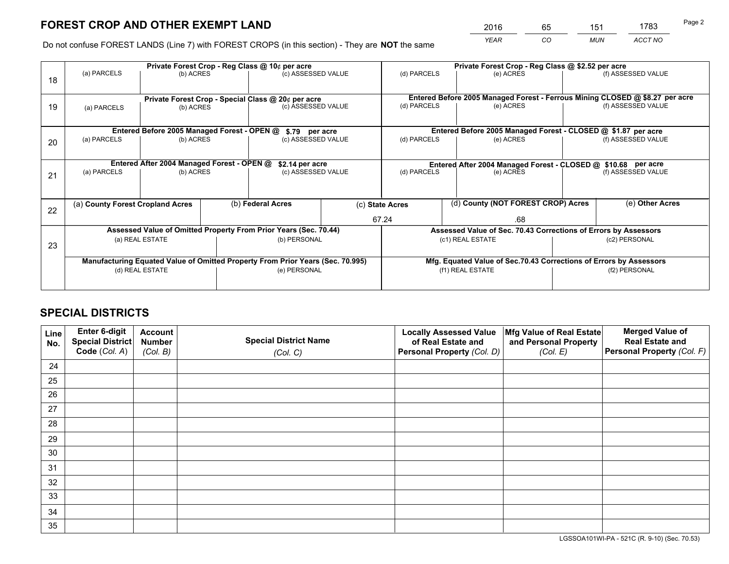*YEAR CO MUN ACCT NO* <sup>2016</sup> <sup>65</sup> <sup>151</sup> <sup>1783</sup>

Do not confuse FOREST LANDS (Line 7) with FOREST CROPS (in this section) - They are **NOT** the same

|    |                                                                                |                                             |  | Private Forest Crop - Reg Class @ 10¢ per acre                   |       | Private Forest Crop - Reg Class @ \$2.52 per acre                            |                                                                    |  |                    |  |
|----|--------------------------------------------------------------------------------|---------------------------------------------|--|------------------------------------------------------------------|-------|------------------------------------------------------------------------------|--------------------------------------------------------------------|--|--------------------|--|
| 18 | (a) PARCELS                                                                    | (b) ACRES                                   |  | (c) ASSESSED VALUE                                               |       | (d) PARCELS                                                                  | (e) ACRES                                                          |  | (f) ASSESSED VALUE |  |
|    | Private Forest Crop - Special Class @ 20¢ per acre                             |                                             |  |                                                                  |       | Entered Before 2005 Managed Forest - Ferrous Mining CLOSED @ \$8.27 per acre |                                                                    |  |                    |  |
| 19 | (b) ACRES<br>(a) PARCELS                                                       |                                             |  | (c) ASSESSED VALUE                                               |       | (d) PARCELS                                                                  | (e) ACRES                                                          |  | (f) ASSESSED VALUE |  |
|    |                                                                                | Entered Before 2005 Managed Forest - OPEN @ |  | \$.79 per acre                                                   |       |                                                                              | Entered Before 2005 Managed Forest - CLOSED @ \$1.87 per acre      |  |                    |  |
| 20 | (a) PARCELS<br>(b) ACRES                                                       |                                             |  | (c) ASSESSED VALUE                                               |       | (d) PARCELS                                                                  | (e) ACRES                                                          |  | (f) ASSESSED VALUE |  |
|    |                                                                                | Entered After 2004 Managed Forest - OPEN @  |  | \$2.14 per acre                                                  |       | Entered After 2004 Managed Forest - CLOSED @ \$10.68 per acre                |                                                                    |  |                    |  |
| 21 | (a) PARCELS                                                                    | (b) ACRES                                   |  | (c) ASSESSED VALUE                                               |       | (d) PARCELS                                                                  | (e) ACRES                                                          |  | (f) ASSESSED VALUE |  |
|    |                                                                                |                                             |  |                                                                  |       |                                                                              |                                                                    |  |                    |  |
| 22 | (a) County Forest Cropland Acres                                               |                                             |  | (b) Federal Acres                                                |       | (d) County (NOT FOREST CROP) Acres<br>(c) State Acres                        |                                                                    |  | (e) Other Acres    |  |
|    |                                                                                |                                             |  |                                                                  | 67.24 |                                                                              | .68                                                                |  |                    |  |
|    |                                                                                |                                             |  | Assessed Value of Omitted Property From Prior Years (Sec. 70.44) |       |                                                                              | Assessed Value of Sec. 70.43 Corrections of Errors by Assessors    |  |                    |  |
| 23 | (a) REAL ESTATE                                                                |                                             |  | (b) PERSONAL                                                     |       | (c1) REAL ESTATE                                                             |                                                                    |  | (c2) PERSONAL      |  |
|    | Manufacturing Equated Value of Omitted Property From Prior Years (Sec. 70.995) |                                             |  |                                                                  |       |                                                                              | Mfg. Equated Value of Sec.70.43 Corrections of Errors by Assessors |  |                    |  |
|    |                                                                                | (d) REAL ESTATE                             |  | (e) PERSONAL                                                     |       | (f1) REAL ESTATE                                                             |                                                                    |  | (f2) PERSONAL      |  |
|    |                                                                                |                                             |  |                                                                  |       |                                                                              |                                                                    |  |                    |  |

## **SPECIAL DISTRICTS**

| Line<br>No. | Enter 6-digit<br>Special District<br>Code (Col. A) | <b>Account</b><br><b>Number</b> | <b>Special District Name</b> | <b>Locally Assessed Value</b><br>of Real Estate and | Mfg Value of Real Estate<br>and Personal Property | <b>Merged Value of</b><br><b>Real Estate and</b><br>Personal Property (Col. F) |
|-------------|----------------------------------------------------|---------------------------------|------------------------------|-----------------------------------------------------|---------------------------------------------------|--------------------------------------------------------------------------------|
|             |                                                    | (Col. B)                        | (Col. C)                     | Personal Property (Col. D)                          | (Col. E)                                          |                                                                                |
| 24          |                                                    |                                 |                              |                                                     |                                                   |                                                                                |
| 25          |                                                    |                                 |                              |                                                     |                                                   |                                                                                |
| 26          |                                                    |                                 |                              |                                                     |                                                   |                                                                                |
| 27          |                                                    |                                 |                              |                                                     |                                                   |                                                                                |
| 28          |                                                    |                                 |                              |                                                     |                                                   |                                                                                |
| 29          |                                                    |                                 |                              |                                                     |                                                   |                                                                                |
| 30          |                                                    |                                 |                              |                                                     |                                                   |                                                                                |
| 31          |                                                    |                                 |                              |                                                     |                                                   |                                                                                |
| 32          |                                                    |                                 |                              |                                                     |                                                   |                                                                                |
| 33          |                                                    |                                 |                              |                                                     |                                                   |                                                                                |
| 34          |                                                    |                                 |                              |                                                     |                                                   |                                                                                |
| 35          |                                                    |                                 |                              |                                                     |                                                   |                                                                                |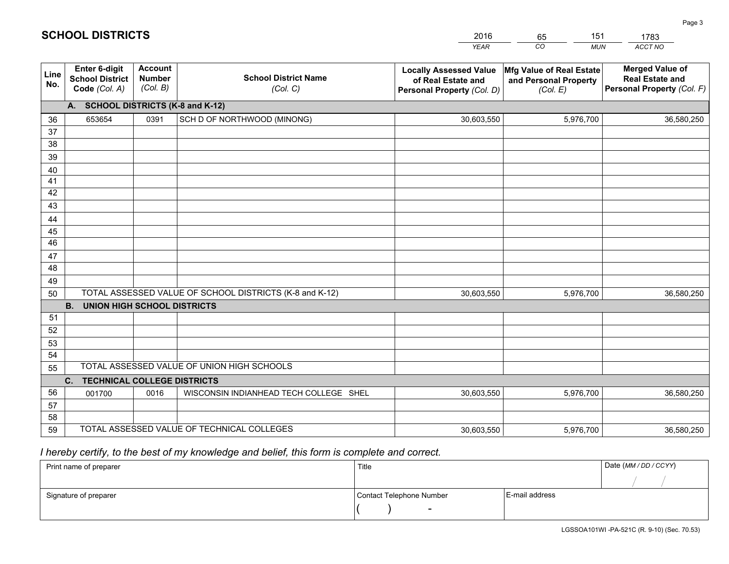|             |                                                                 |                                             |                                                         | <b>YEAR</b>                                                                       | CO<br><b>MUN</b>                                              | <b>ACCT NO</b>                                                                 |
|-------------|-----------------------------------------------------------------|---------------------------------------------|---------------------------------------------------------|-----------------------------------------------------------------------------------|---------------------------------------------------------------|--------------------------------------------------------------------------------|
| Line<br>No. | <b>Enter 6-digit</b><br><b>School District</b><br>Code (Col. A) | <b>Account</b><br><b>Number</b><br>(Col. B) | <b>School District Name</b><br>(Col. C)                 | <b>Locally Assessed Value</b><br>of Real Estate and<br>Personal Property (Col. D) | Mfg Value of Real Estate<br>and Personal Property<br>(Col. E) | <b>Merged Value of</b><br><b>Real Estate and</b><br>Personal Property (Col. F) |
|             | A. SCHOOL DISTRICTS (K-8 and K-12)                              |                                             |                                                         |                                                                                   |                                                               |                                                                                |
| 36          | 653654                                                          | 0391                                        | SCH D OF NORTHWOOD (MINONG)                             | 30,603,550                                                                        | 5,976,700                                                     | 36,580,250                                                                     |
| 37          |                                                                 |                                             |                                                         |                                                                                   |                                                               |                                                                                |
| 38          |                                                                 |                                             |                                                         |                                                                                   |                                                               |                                                                                |
| 39          |                                                                 |                                             |                                                         |                                                                                   |                                                               |                                                                                |
| 40          |                                                                 |                                             |                                                         |                                                                                   |                                                               |                                                                                |
| 41<br>42    |                                                                 |                                             |                                                         |                                                                                   |                                                               |                                                                                |
| 43          |                                                                 |                                             |                                                         |                                                                                   |                                                               |                                                                                |
| 44          |                                                                 |                                             |                                                         |                                                                                   |                                                               |                                                                                |
| 45          |                                                                 |                                             |                                                         |                                                                                   |                                                               |                                                                                |
| 46          |                                                                 |                                             |                                                         |                                                                                   |                                                               |                                                                                |
| 47          |                                                                 |                                             |                                                         |                                                                                   |                                                               |                                                                                |
| 48          |                                                                 |                                             |                                                         |                                                                                   |                                                               |                                                                                |
| 49          |                                                                 |                                             |                                                         |                                                                                   |                                                               |                                                                                |
| 50          |                                                                 |                                             | TOTAL ASSESSED VALUE OF SCHOOL DISTRICTS (K-8 and K-12) | 30,603,550                                                                        | 5,976,700                                                     | 36,580,250                                                                     |
|             | <b>B.</b><br><b>UNION HIGH SCHOOL DISTRICTS</b>                 |                                             |                                                         |                                                                                   |                                                               |                                                                                |
| 51          |                                                                 |                                             |                                                         |                                                                                   |                                                               |                                                                                |
| 52          |                                                                 |                                             |                                                         |                                                                                   |                                                               |                                                                                |
| 53          |                                                                 |                                             |                                                         |                                                                                   |                                                               |                                                                                |
| 54          |                                                                 |                                             |                                                         |                                                                                   |                                                               |                                                                                |
| 55          |                                                                 |                                             | TOTAL ASSESSED VALUE OF UNION HIGH SCHOOLS              |                                                                                   |                                                               |                                                                                |
|             | C.<br><b>TECHNICAL COLLEGE DISTRICTS</b>                        |                                             |                                                         |                                                                                   |                                                               |                                                                                |
| 56          | 001700                                                          | 0016                                        | WISCONSIN INDIANHEAD TECH COLLEGE SHEL                  | 30,603,550                                                                        | 5,976,700                                                     | 36,580,250                                                                     |
| 57<br>58    |                                                                 |                                             |                                                         |                                                                                   |                                                               |                                                                                |
| 59          |                                                                 |                                             | TOTAL ASSESSED VALUE OF TECHNICAL COLLEGES              | 30,603,550                                                                        | 5,976,700                                                     | 36,580,250                                                                     |
|             |                                                                 |                                             |                                                         |                                                                                   |                                                               |                                                                                |

65

151

# *I hereby certify, to the best of my knowledge and belief, this form is complete and correct.*

**SCHOOL DISTRICTS**

| Print name of preparer | Title                    |                | Date (MM / DD / CCYY) |
|------------------------|--------------------------|----------------|-----------------------|
|                        |                          |                |                       |
| Signature of preparer  | Contact Telephone Number | E-mail address |                       |
|                        | $\sim$                   |                |                       |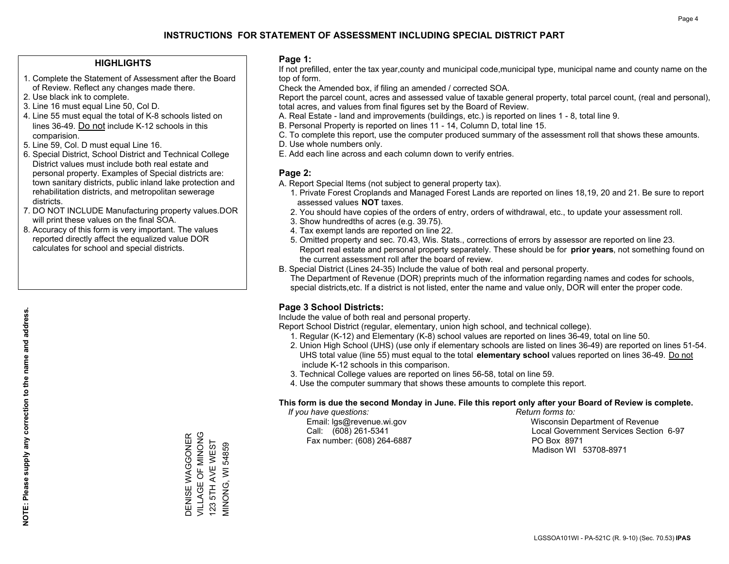#### **HIGHLIGHTS**

- 1. Complete the Statement of Assessment after the Board of Review. Reflect any changes made there.
- 2. Use black ink to complete.
- 3. Line 16 must equal Line 50, Col D.
- 4. Line 55 must equal the total of K-8 schools listed on lines 36-49. Do not include K-12 schools in this comparision.
- 5. Line 59, Col. D must equal Line 16.
- 6. Special District, School District and Technical College District values must include both real estate and personal property. Examples of Special districts are: town sanitary districts, public inland lake protection and rehabilitation districts, and metropolitan sewerage districts.
- 7. DO NOT INCLUDE Manufacturing property values.DOR will print these values on the final SOA.
- 8. Accuracy of this form is very important. The values reported directly affect the equalized value DOR calculates for school and special districts.

#### **Page 1:**

 If not prefilled, enter the tax year,county and municipal code,municipal type, municipal name and county name on the top of form.

Check the Amended box, if filing an amended / corrected SOA.

 Report the parcel count, acres and assessed value of taxable general property, total parcel count, (real and personal), total acres, and values from final figures set by the Board of Review.

- A. Real Estate land and improvements (buildings, etc.) is reported on lines 1 8, total line 9.
- B. Personal Property is reported on lines 11 14, Column D, total line 15.
- C. To complete this report, use the computer produced summary of the assessment roll that shows these amounts.
- D. Use whole numbers only.
- E. Add each line across and each column down to verify entries.

#### **Page 2:**

- A. Report Special Items (not subject to general property tax).
- 1. Private Forest Croplands and Managed Forest Lands are reported on lines 18,19, 20 and 21. Be sure to report assessed values **NOT** taxes.
- 2. You should have copies of the orders of entry, orders of withdrawal, etc., to update your assessment roll.
	- 3. Show hundredths of acres (e.g. 39.75).
- 4. Tax exempt lands are reported on line 22.
- 5. Omitted property and sec. 70.43, Wis. Stats., corrections of errors by assessor are reported on line 23. Report real estate and personal property separately. These should be for **prior years**, not something found on the current assessment roll after the board of review.
- B. Special District (Lines 24-35) Include the value of both real and personal property.

 The Department of Revenue (DOR) preprints much of the information regarding names and codes for schools, special districts,etc. If a district is not listed, enter the name and value only, DOR will enter the proper code.

### **Page 3 School Districts:**

Include the value of both real and personal property.

Report School District (regular, elementary, union high school, and technical college).

- 1. Regular (K-12) and Elementary (K-8) school values are reported on lines 36-49, total on line 50.
- 2. Union High School (UHS) (use only if elementary schools are listed on lines 36-49) are reported on lines 51-54. UHS total value (line 55) must equal to the total **elementary school** values reported on lines 36-49. Do notinclude K-12 schools in this comparison.
- 3. Technical College values are reported on lines 56-58, total on line 59.
- 4. Use the computer summary that shows these amounts to complete this report.

#### **This form is due the second Monday in June. File this report only after your Board of Review is complete.**

 *If you have questions: Return forms to:*

Fax number: (608) 264-6887 PO Box 8971

 Email: lgs@revenue.wi.gov Wisconsin Department of Revenue Call: (608) 261-5341 Local Government Services Section 6-97Madison WI 53708-8971

DENISE WAGGONER VILLAGE OF MINONG 123 5TH AVE WEST MINONG, WI 54859

DENISE WAGGONER<br>VILLAGE OF MINONG 123 5TH AVE WEST **MINONG, WI 54859** 

**NOTE: Please supply any correction to the name and address.**

NOTE: Please supply any correction to the name and address.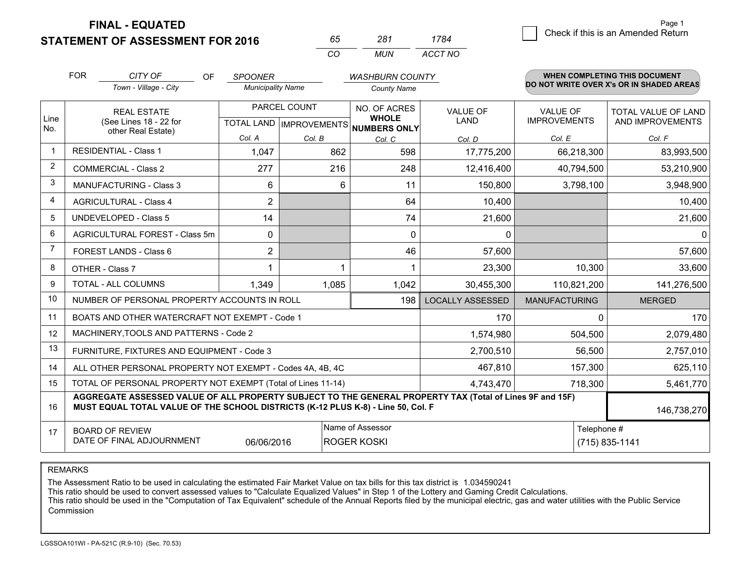**FINAL - EQUATED**

**STATEMENT OF ASSESSMENT FOR 2016** 

| n'n      | 281 | 1784    |
|----------|-----|---------|
| $\cdots$ | MUN | ACCT NO |

|                | <b>FOR</b>                                                                                                                                                                                   | CITY OF<br><b>OF</b>                                         | <b>SPOONER</b>           |                                                  | <b>WASHBURN COUNTY</b>                              |                                |                                        | WHEN COMPLETING THIS DOCUMENT            |
|----------------|----------------------------------------------------------------------------------------------------------------------------------------------------------------------------------------------|--------------------------------------------------------------|--------------------------|--------------------------------------------------|-----------------------------------------------------|--------------------------------|----------------------------------------|------------------------------------------|
|                |                                                                                                                                                                                              | Town - Village - City                                        | <b>Municipality Name</b> |                                                  | <b>County Name</b>                                  |                                |                                        | DO NOT WRITE OVER X's OR IN SHADED AREAS |
| Line<br>No.    |                                                                                                                                                                                              | <b>REAL ESTATE</b><br>(See Lines 18 - 22 for                 |                          | PARCEL COUNT<br><b>TOTAL LAND   IMPROVEMENTS</b> | NO. OF ACRES<br><b>WHOLE</b><br><b>NUMBERS ONLY</b> | <b>VALUE OF</b><br><b>LAND</b> | <b>VALUE OF</b><br><b>IMPROVEMENTS</b> | TOTAL VALUE OF LAND<br>AND IMPROVEMENTS  |
|                |                                                                                                                                                                                              | other Real Estate)                                           | Col. A                   | Col. B                                           | Col. C                                              | Col. D                         | Col. E                                 | Col. F                                   |
|                |                                                                                                                                                                                              | <b>RESIDENTIAL - Class 1</b>                                 | 1,047                    | 862                                              | 598                                                 | 17,775,200                     | 66,218,300                             | 83,993,500                               |
| $\overline{2}$ |                                                                                                                                                                                              | <b>COMMERCIAL - Class 2</b>                                  | 277                      | 216                                              | 248                                                 | 12,416,400                     | 40,794,500                             | 53,210,900                               |
| 3              |                                                                                                                                                                                              | <b>MANUFACTURING - Class 3</b>                               | 6                        | 6                                                | 11                                                  | 150,800                        | 3,798,100                              | 3,948,900                                |
| 4              |                                                                                                                                                                                              | <b>AGRICULTURAL - Class 4</b>                                | $\overline{2}$           |                                                  | 64                                                  | 10,400                         |                                        | 10,400                                   |
| 5              |                                                                                                                                                                                              | <b>UNDEVELOPED - Class 5</b>                                 | 14                       |                                                  | 74                                                  | 21,600                         |                                        | 21,600                                   |
| 6              |                                                                                                                                                                                              | AGRICULTURAL FOREST - Class 5m                               | 0                        |                                                  | $\Omega$                                            | 0                              |                                        | $\mathbf 0$                              |
| 7              |                                                                                                                                                                                              | FOREST LANDS - Class 6                                       | $\overline{2}$           |                                                  | 46                                                  | 57,600                         |                                        | 57,600                                   |
| 8              |                                                                                                                                                                                              | OTHER - Class 7                                              | 1                        |                                                  |                                                     | 23,300                         | 10,300                                 | 33,600                                   |
| 9              |                                                                                                                                                                                              | TOTAL - ALL COLUMNS                                          | 1,349                    | 1,085                                            | 1,042                                               | 30,455,300                     | 110,821,200                            | 141,276,500                              |
| 10             |                                                                                                                                                                                              | NUMBER OF PERSONAL PROPERTY ACCOUNTS IN ROLL                 |                          |                                                  | 198                                                 | <b>LOCALLY ASSESSED</b>        | <b>MANUFACTURING</b>                   | <b>MERGED</b>                            |
| 11             |                                                                                                                                                                                              | BOATS AND OTHER WATERCRAFT NOT EXEMPT - Code 1               |                          |                                                  |                                                     | 170                            | $\Omega$                               | 170                                      |
| 12             |                                                                                                                                                                                              | MACHINERY, TOOLS AND PATTERNS - Code 2                       |                          |                                                  |                                                     | 1,574,980                      | 504,500                                | 2,079,480                                |
| 13             |                                                                                                                                                                                              | FURNITURE, FIXTURES AND EQUIPMENT - Code 3                   |                          |                                                  |                                                     | 2,700,510                      | 56,500                                 | 2,757,010                                |
| 14             |                                                                                                                                                                                              | ALL OTHER PERSONAL PROPERTY NOT EXEMPT - Codes 4A, 4B, 4C    |                          |                                                  |                                                     | 467,810                        | 157,300                                | 625,110                                  |
| 15             |                                                                                                                                                                                              | TOTAL OF PERSONAL PROPERTY NOT EXEMPT (Total of Lines 11-14) |                          |                                                  |                                                     | 4,743,470                      | 718,300                                | 5,461,770                                |
| 16             | AGGREGATE ASSESSED VALUE OF ALL PROPERTY SUBJECT TO THE GENERAL PROPERTY TAX (Total of Lines 9F and 15F)<br>MUST EQUAL TOTAL VALUE OF THE SCHOOL DISTRICTS (K-12 PLUS K-8) - Line 50, Col. F |                                                              |                          |                                                  |                                                     |                                | 146,738,270                            |                                          |
| 17             | Name of Assessor<br>Telephone #<br><b>BOARD OF REVIEW</b><br>DATE OF FINAL ADJOURNMENT<br>(715) 835-1141<br>06/06/2016<br><b>ROGER KOSKI</b>                                                 |                                                              |                          |                                                  |                                                     |                                |                                        |                                          |

REMARKS

The Assessment Ratio to be used in calculating the estimated Fair Market Value on tax bills for this tax district is 1.034590241<br>This ratio should be used to convert assessed values to "Calculate Equalized Values" in Step Commission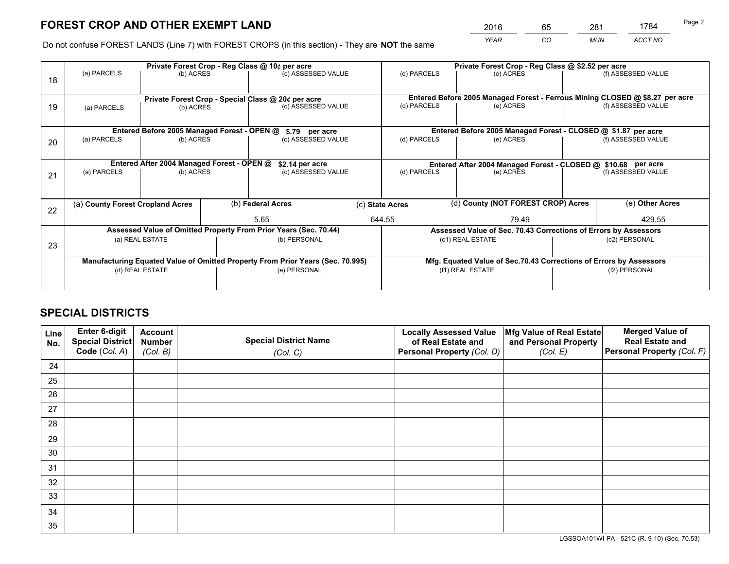*YEAR CO MUN ACCT NO* <sup>2016</sup> <sup>65</sup> <sup>281</sup> <sup>1784</sup>

Do not confuse FOREST LANDS (Line 7) with FOREST CROPS (in this section) - They are **NOT** the same

|    | Private Forest Crop - Reg Class @ 10¢ per acre                                 |                                             |  |                                                                  |  | Private Forest Crop - Reg Class @ \$2.52 per acre                            |                                                                 |  |                    |  |
|----|--------------------------------------------------------------------------------|---------------------------------------------|--|------------------------------------------------------------------|--|------------------------------------------------------------------------------|-----------------------------------------------------------------|--|--------------------|--|
| 18 | (a) PARCELS                                                                    | (b) ACRES                                   |  | (c) ASSESSED VALUE                                               |  | (d) PARCELS                                                                  | (e) ACRES                                                       |  | (f) ASSESSED VALUE |  |
|    |                                                                                |                                             |  |                                                                  |  |                                                                              |                                                                 |  |                    |  |
|    | Private Forest Crop - Special Class @ 20¢ per acre                             |                                             |  |                                                                  |  | Entered Before 2005 Managed Forest - Ferrous Mining CLOSED @ \$8.27 per acre |                                                                 |  |                    |  |
| 19 | (a) PARCELS                                                                    | (b) ACRES                                   |  | (c) ASSESSED VALUE                                               |  | (d) PARCELS                                                                  | (e) ACRES                                                       |  | (f) ASSESSED VALUE |  |
|    |                                                                                |                                             |  |                                                                  |  |                                                                              |                                                                 |  |                    |  |
|    |                                                                                | Entered Before 2005 Managed Forest - OPEN @ |  | \$.79 per acre                                                   |  |                                                                              | Entered Before 2005 Managed Forest - CLOSED @ \$1.87 per acre   |  |                    |  |
| 20 | (a) PARCELS                                                                    | (b) ACRES                                   |  | (c) ASSESSED VALUE                                               |  | (d) PARCELS                                                                  | (e) ACRES                                                       |  | (f) ASSESSED VALUE |  |
|    |                                                                                |                                             |  |                                                                  |  |                                                                              |                                                                 |  |                    |  |
|    | Entered After 2004 Managed Forest - OPEN @<br>\$2.14 per acre                  |                                             |  |                                                                  |  | Entered After 2004 Managed Forest - CLOSED @ \$10.68 per acre                |                                                                 |  |                    |  |
| 21 | (a) PARCELS                                                                    | (b) ACRES                                   |  | (c) ASSESSED VALUE                                               |  | (d) PARCELS<br>(e) ACRES                                                     |                                                                 |  | (f) ASSESSED VALUE |  |
|    |                                                                                |                                             |  |                                                                  |  |                                                                              |                                                                 |  |                    |  |
|    |                                                                                |                                             |  |                                                                  |  |                                                                              |                                                                 |  |                    |  |
| 22 | (a) County Forest Cropland Acres                                               |                                             |  | (b) Federal Acres                                                |  | (d) County (NOT FOREST CROP) Acres<br>(c) State Acres                        |                                                                 |  | (e) Other Acres    |  |
|    |                                                                                |                                             |  | 5.65                                                             |  | 644.55<br>79.49                                                              |                                                                 |  | 429.55             |  |
|    |                                                                                |                                             |  | Assessed Value of Omitted Property From Prior Years (Sec. 70.44) |  |                                                                              | Assessed Value of Sec. 70.43 Corrections of Errors by Assessors |  |                    |  |
| 23 |                                                                                | (a) REAL ESTATE                             |  | (b) PERSONAL                                                     |  |                                                                              | (c1) REAL ESTATE                                                |  | (c2) PERSONAL      |  |
|    |                                                                                |                                             |  |                                                                  |  |                                                                              |                                                                 |  |                    |  |
|    | Manufacturing Equated Value of Omitted Property From Prior Years (Sec. 70.995) |                                             |  |                                                                  |  | Mfg. Equated Value of Sec.70.43 Corrections of Errors by Assessors           |                                                                 |  |                    |  |
|    | (d) REAL ESTATE                                                                |                                             |  | (e) PERSONAL                                                     |  | (f1) REAL ESTATE                                                             |                                                                 |  | (f2) PERSONAL      |  |
|    |                                                                                |                                             |  |                                                                  |  |                                                                              |                                                                 |  |                    |  |

## **SPECIAL DISTRICTS**

| Line<br>No. | Enter 6-digit<br>Special District<br>Code (Col. A) | <b>Account</b><br><b>Number</b> | <b>Special District Name</b> | <b>Locally Assessed Value</b><br>of Real Estate and | Mfg Value of Real Estate<br>and Personal Property | <b>Merged Value of</b><br><b>Real Estate and</b><br>Personal Property (Col. F) |
|-------------|----------------------------------------------------|---------------------------------|------------------------------|-----------------------------------------------------|---------------------------------------------------|--------------------------------------------------------------------------------|
|             |                                                    | (Col. B)                        | (Col. C)                     | Personal Property (Col. D)                          | (Col. E)                                          |                                                                                |
| 24          |                                                    |                                 |                              |                                                     |                                                   |                                                                                |
| 25          |                                                    |                                 |                              |                                                     |                                                   |                                                                                |
| 26          |                                                    |                                 |                              |                                                     |                                                   |                                                                                |
| 27          |                                                    |                                 |                              |                                                     |                                                   |                                                                                |
| 28          |                                                    |                                 |                              |                                                     |                                                   |                                                                                |
| 29          |                                                    |                                 |                              |                                                     |                                                   |                                                                                |
| 30          |                                                    |                                 |                              |                                                     |                                                   |                                                                                |
| 31          |                                                    |                                 |                              |                                                     |                                                   |                                                                                |
| 32          |                                                    |                                 |                              |                                                     |                                                   |                                                                                |
| 33          |                                                    |                                 |                              |                                                     |                                                   |                                                                                |
| 34          |                                                    |                                 |                              |                                                     |                                                   |                                                                                |
| 35          |                                                    |                                 |                              |                                                     |                                                   |                                                                                |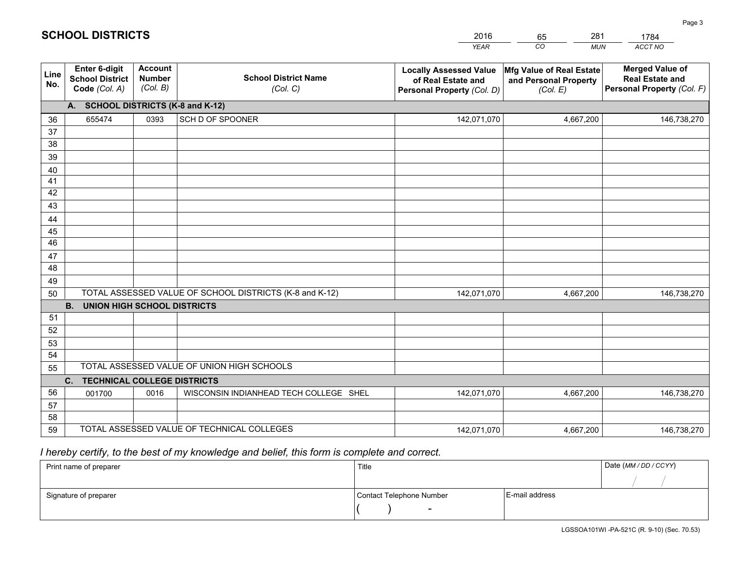|             |                                                                 |                                             |                                                         | <b>YEAR</b>                                                                       | CO<br><b>MUN</b>                                              | ACCT NO                                                                        |
|-------------|-----------------------------------------------------------------|---------------------------------------------|---------------------------------------------------------|-----------------------------------------------------------------------------------|---------------------------------------------------------------|--------------------------------------------------------------------------------|
| Line<br>No. | <b>Enter 6-digit</b><br><b>School District</b><br>Code (Col. A) | <b>Account</b><br><b>Number</b><br>(Col. B) | <b>School District Name</b><br>(Col. C)                 | <b>Locally Assessed Value</b><br>of Real Estate and<br>Personal Property (Col. D) | Mfg Value of Real Estate<br>and Personal Property<br>(Col. E) | <b>Merged Value of</b><br><b>Real Estate and</b><br>Personal Property (Col. F) |
|             | A. SCHOOL DISTRICTS (K-8 and K-12)                              |                                             |                                                         |                                                                                   |                                                               |                                                                                |
| 36          | 655474                                                          | 0393                                        | SCH D OF SPOONER                                        | 142,071,070                                                                       | 4,667,200                                                     | 146,738,270                                                                    |
| 37          |                                                                 |                                             |                                                         |                                                                                   |                                                               |                                                                                |
| 38          |                                                                 |                                             |                                                         |                                                                                   |                                                               |                                                                                |
| 39          |                                                                 |                                             |                                                         |                                                                                   |                                                               |                                                                                |
| 40          |                                                                 |                                             |                                                         |                                                                                   |                                                               |                                                                                |
| 41<br>42    |                                                                 |                                             |                                                         |                                                                                   |                                                               |                                                                                |
| 43          |                                                                 |                                             |                                                         |                                                                                   |                                                               |                                                                                |
| 44          |                                                                 |                                             |                                                         |                                                                                   |                                                               |                                                                                |
| 45          |                                                                 |                                             |                                                         |                                                                                   |                                                               |                                                                                |
| 46          |                                                                 |                                             |                                                         |                                                                                   |                                                               |                                                                                |
| 47          |                                                                 |                                             |                                                         |                                                                                   |                                                               |                                                                                |
| 48          |                                                                 |                                             |                                                         |                                                                                   |                                                               |                                                                                |
| 49          |                                                                 |                                             |                                                         |                                                                                   |                                                               |                                                                                |
| 50          |                                                                 |                                             | TOTAL ASSESSED VALUE OF SCHOOL DISTRICTS (K-8 and K-12) | 142,071,070                                                                       | 4,667,200                                                     | 146,738,270                                                                    |
|             | <b>B. UNION HIGH SCHOOL DISTRICTS</b>                           |                                             |                                                         |                                                                                   |                                                               |                                                                                |
| 51          |                                                                 |                                             |                                                         |                                                                                   |                                                               |                                                                                |
| 52          |                                                                 |                                             |                                                         |                                                                                   |                                                               |                                                                                |
| 53<br>54    |                                                                 |                                             |                                                         |                                                                                   |                                                               |                                                                                |
| 55          |                                                                 |                                             | TOTAL ASSESSED VALUE OF UNION HIGH SCHOOLS              |                                                                                   |                                                               |                                                                                |
|             | C.<br><b>TECHNICAL COLLEGE DISTRICTS</b>                        |                                             |                                                         |                                                                                   |                                                               |                                                                                |
| 56          | 001700                                                          | 0016                                        | WISCONSIN INDIANHEAD TECH COLLEGE SHEL                  | 142,071,070                                                                       | 4,667,200                                                     | 146,738,270                                                                    |
| 57          |                                                                 |                                             |                                                         |                                                                                   |                                                               |                                                                                |
| 58          |                                                                 |                                             |                                                         |                                                                                   |                                                               |                                                                                |
| 59          |                                                                 |                                             | TOTAL ASSESSED VALUE OF TECHNICAL COLLEGES              | 142,071,070                                                                       | 4,667,200                                                     | 146,738,270                                                                    |

65

281

 *I hereby certify, to the best of my knowledge and belief, this form is complete and correct.*

**SCHOOL DISTRICTS**

| Print name of preparer | Title                    |                | Date (MM/DD/CCYY) |
|------------------------|--------------------------|----------------|-------------------|
|                        |                          |                |                   |
| Signature of preparer  | Contact Telephone Number | E-mail address |                   |
|                        | $\overline{\phantom{a}}$ |                |                   |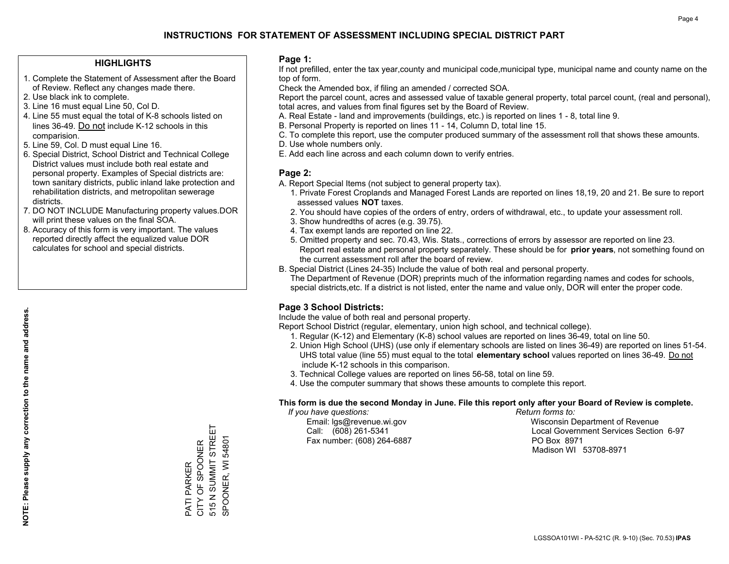#### **HIGHLIGHTS**

- 1. Complete the Statement of Assessment after the Board of Review. Reflect any changes made there.
- 2. Use black ink to complete.
- 3. Line 16 must equal Line 50, Col D.
- 4. Line 55 must equal the total of K-8 schools listed on lines 36-49. Do not include K-12 schools in this comparision.
- 5. Line 59, Col. D must equal Line 16.
- 6. Special District, School District and Technical College District values must include both real estate and personal property. Examples of Special districts are: town sanitary districts, public inland lake protection and rehabilitation districts, and metropolitan sewerage districts.
- 7. DO NOT INCLUDE Manufacturing property values.DOR will print these values on the final SOA.

PATI PARKER CITY OF SPOONER 515 N SUMMIT STREET SPOONER, WI 54801

PATI PARKER<br>CITY OF SPOONER

515 N SUMMIT STREET SPOONER, WI 54801

 8. Accuracy of this form is very important. The values reported directly affect the equalized value DOR calculates for school and special districts.

#### **Page 1:**

 If not prefilled, enter the tax year,county and municipal code,municipal type, municipal name and county name on the top of form.

Check the Amended box, if filing an amended / corrected SOA.

 Report the parcel count, acres and assessed value of taxable general property, total parcel count, (real and personal), total acres, and values from final figures set by the Board of Review.

- A. Real Estate land and improvements (buildings, etc.) is reported on lines 1 8, total line 9.
- B. Personal Property is reported on lines 11 14, Column D, total line 15.
- C. To complete this report, use the computer produced summary of the assessment roll that shows these amounts.
- D. Use whole numbers only.
- E. Add each line across and each column down to verify entries.

#### **Page 2:**

- A. Report Special Items (not subject to general property tax).
- 1. Private Forest Croplands and Managed Forest Lands are reported on lines 18,19, 20 and 21. Be sure to report assessed values **NOT** taxes.
- 2. You should have copies of the orders of entry, orders of withdrawal, etc., to update your assessment roll.
	- 3. Show hundredths of acres (e.g. 39.75).
- 4. Tax exempt lands are reported on line 22.
- 5. Omitted property and sec. 70.43, Wis. Stats., corrections of errors by assessor are reported on line 23. Report real estate and personal property separately. These should be for **prior years**, not something found on the current assessment roll after the board of review.
- B. Special District (Lines 24-35) Include the value of both real and personal property.

 The Department of Revenue (DOR) preprints much of the information regarding names and codes for schools, special districts,etc. If a district is not listed, enter the name and value only, DOR will enter the proper code.

### **Page 3 School Districts:**

Include the value of both real and personal property.

Report School District (regular, elementary, union high school, and technical college).

- 1. Regular (K-12) and Elementary (K-8) school values are reported on lines 36-49, total on line 50.
- 2. Union High School (UHS) (use only if elementary schools are listed on lines 36-49) are reported on lines 51-54. UHS total value (line 55) must equal to the total **elementary school** values reported on lines 36-49. Do notinclude K-12 schools in this comparison.
- 3. Technical College values are reported on lines 56-58, total on line 59.
- 4. Use the computer summary that shows these amounts to complete this report.

#### **This form is due the second Monday in June. File this report only after your Board of Review is complete.**

 *If you have questions: Return forms to:*

Fax number: (608) 264-6887 PO Box 8971

 Email: lgs@revenue.wi.gov Wisconsin Department of Revenue Call: (608) 261-5341 Local Government Services Section 6-97Madison WI 53708-8971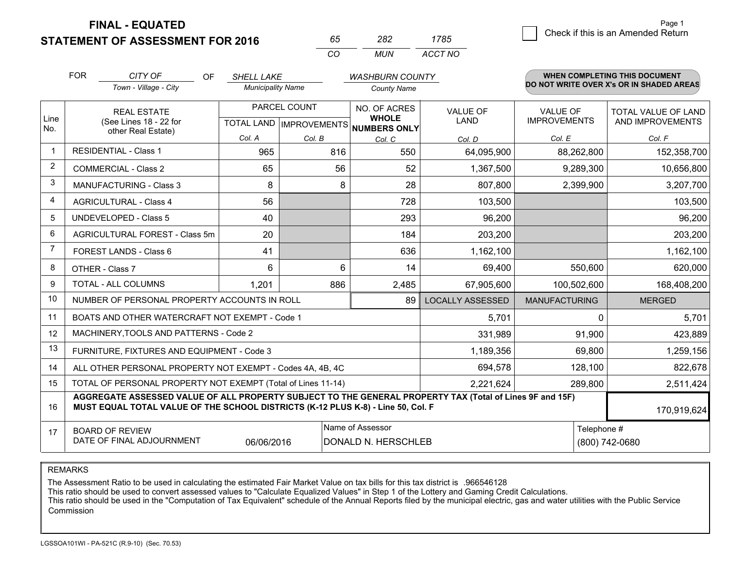**FINAL - EQUATED**

**STATEMENT OF ASSESSMENT FOR 2016** 

| n'n.     | כיאנ | 1785    |  |
|----------|------|---------|--|
| $\cdots$ | MUN  | ACCT NO |  |

|              | <b>FOR</b>                                                                                                                                                                                                  | CITY OF<br><b>OF</b>                           | <b>SHELL LAKE</b>                         |        | <b>WASHBURN COUNTY</b>                       |                                |                                        | <b>WHEN COMPLETING THIS DOCUMENT</b>           |
|--------------|-------------------------------------------------------------------------------------------------------------------------------------------------------------------------------------------------------------|------------------------------------------------|-------------------------------------------|--------|----------------------------------------------|--------------------------------|----------------------------------------|------------------------------------------------|
|              |                                                                                                                                                                                                             | Town - Village - City                          | <b>Municipality Name</b>                  |        | <b>County Name</b>                           |                                |                                        | DO NOT WRITE OVER X's OR IN SHADED AREAS       |
| Line<br>No.  | <b>REAL ESTATE</b><br>(See Lines 18 - 22 for                                                                                                                                                                |                                                | PARCEL COUNT<br>TOTAL LAND   IMPROVEMENTS |        | NO. OF ACRES<br><b>WHOLE</b><br>NUMBERS ONLY | <b>VALUE OF</b><br><b>LAND</b> | <b>VALUE OF</b><br><b>IMPROVEMENTS</b> | <b>TOTAL VALUE OF LAND</b><br>AND IMPROVEMENTS |
|              |                                                                                                                                                                                                             | other Real Estate)                             | Col. A                                    | Col. B | Col. C                                       | Col. D                         | Col. E                                 | Col. F                                         |
| $\mathbf{1}$ |                                                                                                                                                                                                             | <b>RESIDENTIAL - Class 1</b>                   | 965                                       | 816    | 550                                          | 64,095,900                     | 88,262,800                             | 152,358,700                                    |
| 2            |                                                                                                                                                                                                             | <b>COMMERCIAL - Class 2</b>                    | 65                                        | 56     | 52                                           | 1,367,500                      | 9,289,300                              | 10,656,800                                     |
| 3            |                                                                                                                                                                                                             | <b>MANUFACTURING - Class 3</b>                 | 8                                         | 8      | 28                                           | 807,800                        | 2,399,900                              | 3,207,700                                      |
| 4            |                                                                                                                                                                                                             | <b>AGRICULTURAL - Class 4</b>                  | 56                                        |        | 728                                          | 103,500                        |                                        | 103,500                                        |
| 5            |                                                                                                                                                                                                             | <b>UNDEVELOPED - Class 5</b>                   | 40                                        |        | 293                                          | 96,200                         |                                        | 96,200                                         |
| 6            |                                                                                                                                                                                                             | AGRICULTURAL FOREST - Class 5m                 | 20                                        |        | 184                                          | 203,200                        |                                        | 203,200                                        |
| 7            |                                                                                                                                                                                                             | FOREST LANDS - Class 6                         | 41                                        |        | 636                                          | 1,162,100                      |                                        | 1,162,100                                      |
| 8            |                                                                                                                                                                                                             | OTHER - Class 7                                | 6                                         | 6      | 14                                           | 69,400                         | 550,600                                | 620,000                                        |
| 9            |                                                                                                                                                                                                             | TOTAL - ALL COLUMNS                            | 1,201                                     | 886    | 2,485                                        | 67,905,600                     | 100,502,600                            | 168,408,200                                    |
| 10           | NUMBER OF PERSONAL PROPERTY ACCOUNTS IN ROLL<br>89                                                                                                                                                          |                                                |                                           |        |                                              | <b>LOCALLY ASSESSED</b>        | <b>MANUFACTURING</b>                   | <b>MERGED</b>                                  |
| 11           |                                                                                                                                                                                                             | BOATS AND OTHER WATERCRAFT NOT EXEMPT - Code 1 |                                           | 5,701  | $\Omega$                                     | 5,701                          |                                        |                                                |
| 12           |                                                                                                                                                                                                             | MACHINERY, TOOLS AND PATTERNS - Code 2         |                                           |        |                                              | 331,989                        | 91,900                                 | 423,889                                        |
| 13           | FURNITURE, FIXTURES AND EQUIPMENT - Code 3<br>1,189,356                                                                                                                                                     |                                                |                                           |        |                                              |                                | 69,800                                 | 1,259,156                                      |
| 14           | 694,578<br>128,100<br>ALL OTHER PERSONAL PROPERTY NOT EXEMPT - Codes 4A, 4B, 4C                                                                                                                             |                                                |                                           |        |                                              |                                |                                        | 822,678                                        |
| 15           | TOTAL OF PERSONAL PROPERTY NOT EXEMPT (Total of Lines 11-14)<br>2,221,624<br>289,800                                                                                                                        |                                                |                                           |        |                                              |                                |                                        | 2,511,424                                      |
| 16           | AGGREGATE ASSESSED VALUE OF ALL PROPERTY SUBJECT TO THE GENERAL PROPERTY TAX (Total of Lines 9F and 15F)<br>MUST EQUAL TOTAL VALUE OF THE SCHOOL DISTRICTS (K-12 PLUS K-8) - Line 50, Col. F<br>170,919,624 |                                                |                                           |        |                                              |                                |                                        |                                                |
| 17           | Name of Assessor<br>Telephone #<br><b>BOARD OF REVIEW</b><br>DATE OF FINAL ADJOURNMENT<br>06/06/2016<br>DONALD N. HERSCHLEB<br>(800) 742-0680                                                               |                                                |                                           |        |                                              |                                |                                        |                                                |

REMARKS

The Assessment Ratio to be used in calculating the estimated Fair Market Value on tax bills for this tax district is .966546128<br>This ratio should be used to convert assessed values to "Calculate Equalized Values" in Step 1 Commission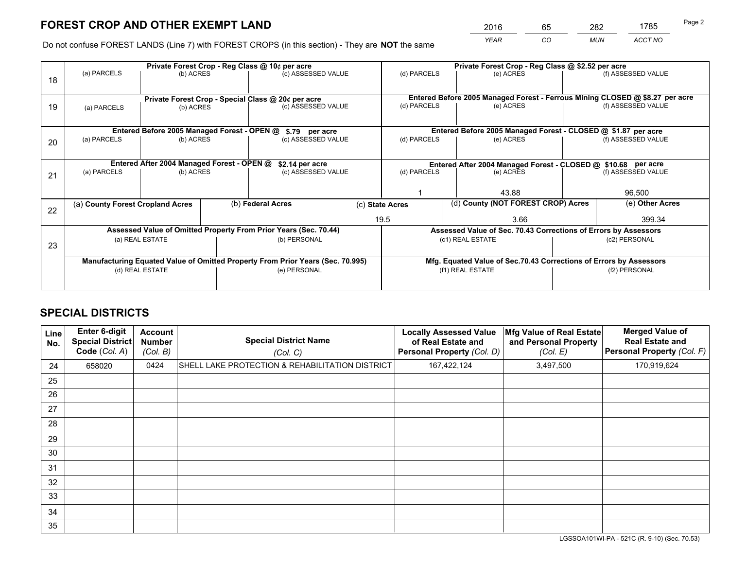*YEAR CO MUN ACCT NO* <sup>2016</sup> <sup>65</sup> <sup>282</sup> <sup>1785</sup>

Do not confuse FOREST LANDS (Line 7) with FOREST CROPS (in this section) - They are **NOT** the same

|                                                                                                                                                      |                                                                                |                                             |  | Private Forest Crop - Reg Class @ 10¢ per acre |                                   | Private Forest Crop - Reg Class @ \$2.52 per acre             |                                                                              |                    |                    |  |
|------------------------------------------------------------------------------------------------------------------------------------------------------|--------------------------------------------------------------------------------|---------------------------------------------|--|------------------------------------------------|-----------------------------------|---------------------------------------------------------------|------------------------------------------------------------------------------|--------------------|--------------------|--|
| 18                                                                                                                                                   | (a) PARCELS                                                                    | (b) ACRES                                   |  | (c) ASSESSED VALUE                             |                                   | (d) PARCELS                                                   | (e) ACRES                                                                    |                    | (f) ASSESSED VALUE |  |
|                                                                                                                                                      |                                                                                |                                             |  |                                                |                                   |                                                               | Entered Before 2005 Managed Forest - Ferrous Mining CLOSED @ \$8.27 per acre |                    |                    |  |
| 19                                                                                                                                                   | Private Forest Crop - Special Class @ 20¢ per acre<br>(b) ACRES<br>(a) PARCELS |                                             |  | (c) ASSESSED VALUE                             |                                   | (d) PARCELS                                                   | (e) ACRES                                                                    |                    | (f) ASSESSED VALUE |  |
|                                                                                                                                                      |                                                                                | Entered Before 2005 Managed Forest - OPEN @ |  |                                                |                                   |                                                               | Entered Before 2005 Managed Forest - CLOSED @ \$1.87 per acre                |                    |                    |  |
|                                                                                                                                                      | (a) PARCELS                                                                    | (b) ACRES                                   |  | \$.79 per acre                                 |                                   |                                                               | (e) ACRES                                                                    |                    | (f) ASSESSED VALUE |  |
| 20                                                                                                                                                   |                                                                                |                                             |  |                                                | (c) ASSESSED VALUE<br>(d) PARCELS |                                                               |                                                                              |                    |                    |  |
|                                                                                                                                                      |                                                                                | Entered After 2004 Managed Forest - OPEN @  |  | \$2.14 per acre                                |                                   | Entered After 2004 Managed Forest - CLOSED @ \$10.68 per acre |                                                                              |                    |                    |  |
|                                                                                                                                                      | (a) PARCELS                                                                    | (b) ACRES                                   |  | (c) ASSESSED VALUE                             |                                   | (d) PARCELS                                                   | (e) ACRES                                                                    |                    |                    |  |
| 21                                                                                                                                                   |                                                                                |                                             |  |                                                |                                   |                                                               |                                                                              | (f) ASSESSED VALUE |                    |  |
|                                                                                                                                                      |                                                                                |                                             |  |                                                |                                   | 43.88                                                         |                                                                              |                    | 96,500             |  |
|                                                                                                                                                      | (a) County Forest Cropland Acres                                               |                                             |  | (b) Federal Acres                              |                                   | (c) State Acres                                               | (d) County (NOT FOREST CROP) Acres                                           |                    | (e) Other Acres    |  |
| 22                                                                                                                                                   |                                                                                |                                             |  |                                                |                                   | 19.5<br>3.66                                                  |                                                                              |                    | 399.34             |  |
| Assessed Value of Omitted Property From Prior Years (Sec. 70.44)                                                                                     |                                                                                |                                             |  |                                                |                                   |                                                               | Assessed Value of Sec. 70.43 Corrections of Errors by Assessors              |                    |                    |  |
|                                                                                                                                                      | (a) REAL ESTATE                                                                |                                             |  |                                                | (b) PERSONAL                      |                                                               | (c1) REAL ESTATE                                                             |                    | (c2) PERSONAL      |  |
| 23                                                                                                                                                   |                                                                                |                                             |  |                                                |                                   |                                                               |                                                                              |                    |                    |  |
| Manufacturing Equated Value of Omitted Property From Prior Years (Sec. 70.995)<br>Mfg. Equated Value of Sec.70.43 Corrections of Errors by Assessors |                                                                                |                                             |  |                                                |                                   |                                                               |                                                                              |                    |                    |  |
|                                                                                                                                                      | (d) REAL ESTATE                                                                |                                             |  | (e) PERSONAL                                   |                                   | (f1) REAL ESTATE                                              |                                                                              |                    | (f2) PERSONAL      |  |
|                                                                                                                                                      |                                                                                |                                             |  |                                                |                                   |                                                               |                                                                              |                    |                    |  |

## **SPECIAL DISTRICTS**

| Line<br>No. | Enter 6-digit<br><b>Special District</b><br>Code (Col. A) | <b>Account</b><br><b>Number</b><br>(Col. B) | <b>Special District Name</b><br>(Col. C)        | <b>Locally Assessed Value</b><br>of Real Estate and<br><b>Personal Property (Col. D)</b> | Mfg Value of Real Estate<br>and Personal Property<br>(Col. E) | <b>Merged Value of</b><br><b>Real Estate and</b><br>Personal Property (Col. F) |
|-------------|-----------------------------------------------------------|---------------------------------------------|-------------------------------------------------|------------------------------------------------------------------------------------------|---------------------------------------------------------------|--------------------------------------------------------------------------------|
| 24          | 658020                                                    | 0424                                        | SHELL LAKE PROTECTION & REHABILITATION DISTRICT | 167,422,124                                                                              | 3,497,500                                                     | 170,919,624                                                                    |
| 25          |                                                           |                                             |                                                 |                                                                                          |                                                               |                                                                                |
| 26          |                                                           |                                             |                                                 |                                                                                          |                                                               |                                                                                |
| 27          |                                                           |                                             |                                                 |                                                                                          |                                                               |                                                                                |
| 28          |                                                           |                                             |                                                 |                                                                                          |                                                               |                                                                                |
| 29          |                                                           |                                             |                                                 |                                                                                          |                                                               |                                                                                |
| 30          |                                                           |                                             |                                                 |                                                                                          |                                                               |                                                                                |
| 31          |                                                           |                                             |                                                 |                                                                                          |                                                               |                                                                                |
| 32          |                                                           |                                             |                                                 |                                                                                          |                                                               |                                                                                |
| 33          |                                                           |                                             |                                                 |                                                                                          |                                                               |                                                                                |
| 34          |                                                           |                                             |                                                 |                                                                                          |                                                               |                                                                                |
| 35          |                                                           |                                             |                                                 |                                                                                          |                                                               |                                                                                |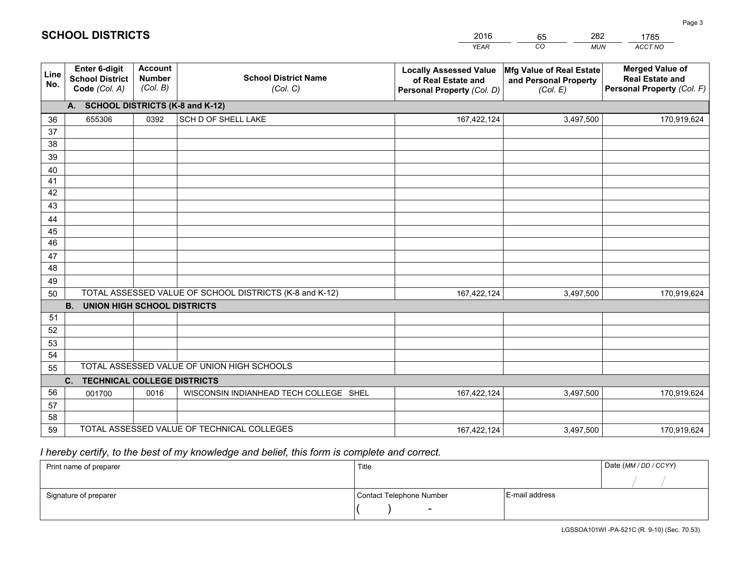|             |                                                                                        |                                             |                                                         | <b>YEAR</b>                                                                       | CO<br><b>MUN</b>                                              | <b>ACCT NO</b>                                                                 |  |  |
|-------------|----------------------------------------------------------------------------------------|---------------------------------------------|---------------------------------------------------------|-----------------------------------------------------------------------------------|---------------------------------------------------------------|--------------------------------------------------------------------------------|--|--|
| Line<br>No. | <b>Enter 6-digit</b><br><b>School District</b><br>Code (Col. A)                        | <b>Account</b><br><b>Number</b><br>(Col. B) | <b>School District Name</b><br>(Col. C)                 | <b>Locally Assessed Value</b><br>of Real Estate and<br>Personal Property (Col. D) | Mfg Value of Real Estate<br>and Personal Property<br>(Col. E) | <b>Merged Value of</b><br><b>Real Estate and</b><br>Personal Property (Col. F) |  |  |
|             | A. SCHOOL DISTRICTS (K-8 and K-12)                                                     |                                             |                                                         |                                                                                   |                                                               |                                                                                |  |  |
| 36          | 655306                                                                                 | 0392                                        | SCH D OF SHELL LAKE                                     | 167,422,124                                                                       | 3,497,500                                                     | 170,919,624                                                                    |  |  |
| 37          |                                                                                        |                                             |                                                         |                                                                                   |                                                               |                                                                                |  |  |
| 38          |                                                                                        |                                             |                                                         |                                                                                   |                                                               |                                                                                |  |  |
| 39          |                                                                                        |                                             |                                                         |                                                                                   |                                                               |                                                                                |  |  |
| 40          |                                                                                        |                                             |                                                         |                                                                                   |                                                               |                                                                                |  |  |
| 41<br>42    |                                                                                        |                                             |                                                         |                                                                                   |                                                               |                                                                                |  |  |
| 43          |                                                                                        |                                             |                                                         |                                                                                   |                                                               |                                                                                |  |  |
| 44          |                                                                                        |                                             |                                                         |                                                                                   |                                                               |                                                                                |  |  |
| 45          |                                                                                        |                                             |                                                         |                                                                                   |                                                               |                                                                                |  |  |
| 46          |                                                                                        |                                             |                                                         |                                                                                   |                                                               |                                                                                |  |  |
| 47          |                                                                                        |                                             |                                                         |                                                                                   |                                                               |                                                                                |  |  |
| 48          |                                                                                        |                                             |                                                         |                                                                                   |                                                               |                                                                                |  |  |
| 49          |                                                                                        |                                             |                                                         |                                                                                   |                                                               |                                                                                |  |  |
| 50          |                                                                                        |                                             | TOTAL ASSESSED VALUE OF SCHOOL DISTRICTS (K-8 and K-12) | 167,422,124                                                                       | 3,497,500                                                     | 170,919,624                                                                    |  |  |
|             | <b>B.</b><br><b>UNION HIGH SCHOOL DISTRICTS</b>                                        |                                             |                                                         |                                                                                   |                                                               |                                                                                |  |  |
| 51          |                                                                                        |                                             |                                                         |                                                                                   |                                                               |                                                                                |  |  |
| 52          |                                                                                        |                                             |                                                         |                                                                                   |                                                               |                                                                                |  |  |
| 53          |                                                                                        |                                             |                                                         |                                                                                   |                                                               |                                                                                |  |  |
| 54          |                                                                                        |                                             |                                                         |                                                                                   |                                                               |                                                                                |  |  |
|             | TOTAL ASSESSED VALUE OF UNION HIGH SCHOOLS<br>55<br><b>TECHNICAL COLLEGE DISTRICTS</b> |                                             |                                                         |                                                                                   |                                                               |                                                                                |  |  |
| 56          | C.<br>001700                                                                           | 0016                                        | WISCONSIN INDIANHEAD TECH COLLEGE SHEL                  | 167,422,124                                                                       | 3,497,500                                                     | 170,919,624                                                                    |  |  |
| 57          |                                                                                        |                                             |                                                         |                                                                                   |                                                               |                                                                                |  |  |
| 58          |                                                                                        |                                             |                                                         |                                                                                   |                                                               |                                                                                |  |  |
| 59          |                                                                                        |                                             | TOTAL ASSESSED VALUE OF TECHNICAL COLLEGES              | 167,422,124                                                                       | 3,497,500                                                     | 170,919,624                                                                    |  |  |

65

282

 *I hereby certify, to the best of my knowledge and belief, this form is complete and correct.*

**SCHOOL DISTRICTS**

| Print name of preparer | Title                    |                | Date (MM / DD / CCYY) |
|------------------------|--------------------------|----------------|-----------------------|
|                        |                          |                |                       |
| Signature of preparer  | Contact Telephone Number | E-mail address |                       |
|                        | -                        |                |                       |